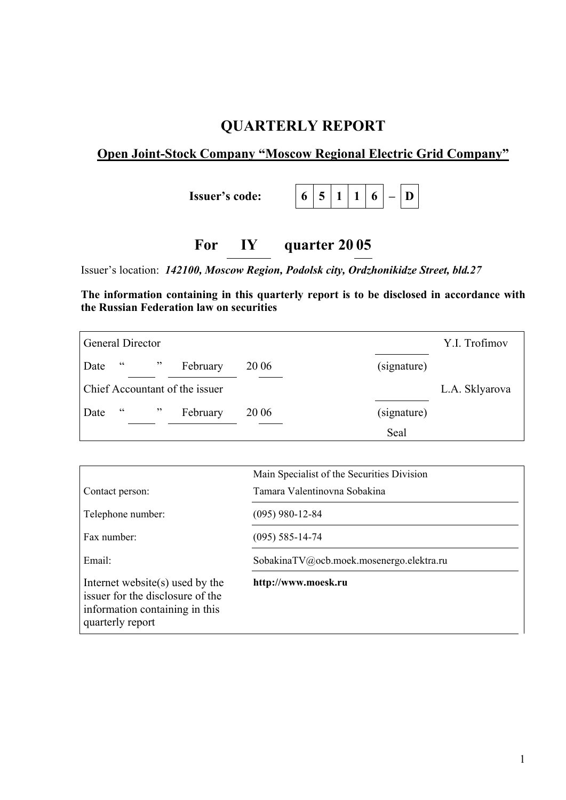# **QUARTERLY REPORT**

## **Open Joint-Stock Company "Moscow Regional Electric Grid Company"**

**Issuer's code:**  $\begin{bmatrix} 6 & 5 & 1 & 1 & 6 & - & D \end{bmatrix}$ 

# **For IY quarter 20 05**

Issuer's location: *142100, Moscow Region, Podolsk city, Ordzhonikidze Street, bld.27* 

**The information containing in this quarterly report is to be disclosed in accordance with the Russian Federation law on securities** 

|      |    | <b>General Director</b> |                                |             |             | Y.I. Trofimov  |
|------|----|-------------------------|--------------------------------|-------------|-------------|----------------|
| Date | cc | , 2, 3                  | February                       | <b>2006</b> | (signature) |                |
|      |    |                         | Chief Accountant of the issuer |             |             | L.A. Sklyarova |
| Date | cc | , 2, 3                  | February                       | <b>2006</b> | (signature) |                |
|      |    |                         |                                |             | Seal        |                |

|                                                                                                                              | Main Specialist of the Securities Division |  |
|------------------------------------------------------------------------------------------------------------------------------|--------------------------------------------|--|
| Contact person:                                                                                                              | Tamara Valentinovna Sobakina               |  |
| Telephone number:                                                                                                            | $(095)$ 980-12-84                          |  |
| Fax number:                                                                                                                  | $(095)$ 585-14-74                          |  |
| Email:                                                                                                                       | SobakinaTV@ocb.moek.mosenergo.elektra.ru   |  |
| Internet website $(s)$ used by the<br>issuer for the disclosure of the<br>information containing in this<br>quarterly report | http://www.moesk.ru                        |  |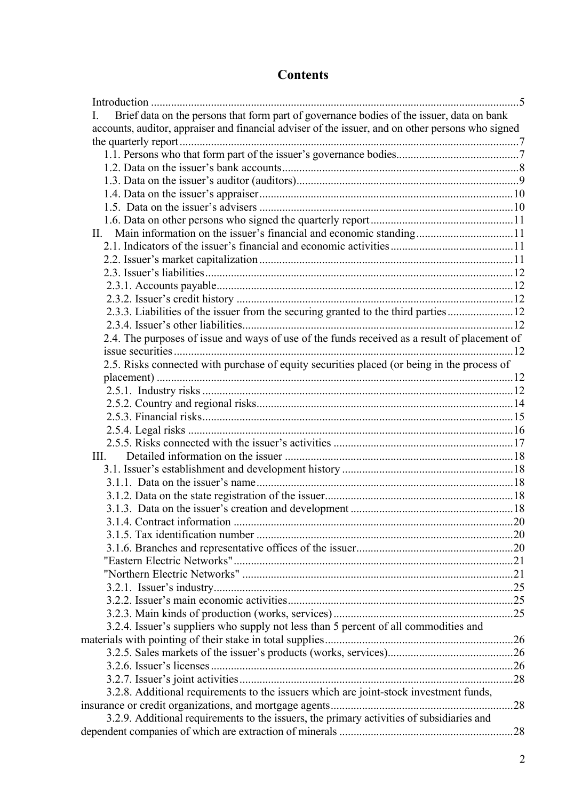# **Contents**

| Brief data on the persons that form part of governance bodies of the issuer, data on bank         |  |
|---------------------------------------------------------------------------------------------------|--|
| accounts, auditor, appraiser and financial adviser of the issuer, and on other persons who signed |  |
|                                                                                                   |  |
|                                                                                                   |  |
|                                                                                                   |  |
|                                                                                                   |  |
|                                                                                                   |  |
|                                                                                                   |  |
|                                                                                                   |  |
|                                                                                                   |  |
|                                                                                                   |  |
|                                                                                                   |  |
|                                                                                                   |  |
|                                                                                                   |  |
|                                                                                                   |  |
| 2.3.3. Liabilities of the issuer from the securing granted to the third parties12                 |  |
|                                                                                                   |  |
|                                                                                                   |  |
| 2.4. The purposes of issue and ways of use of the funds received as a result of placement of      |  |
|                                                                                                   |  |
| 2.5. Risks connected with purchase of equity securities placed (or being in the process of        |  |
|                                                                                                   |  |
|                                                                                                   |  |
|                                                                                                   |  |
|                                                                                                   |  |
|                                                                                                   |  |
|                                                                                                   |  |
| III.                                                                                              |  |
|                                                                                                   |  |
|                                                                                                   |  |
|                                                                                                   |  |
|                                                                                                   |  |
|                                                                                                   |  |
|                                                                                                   |  |
|                                                                                                   |  |
|                                                                                                   |  |
|                                                                                                   |  |
|                                                                                                   |  |
|                                                                                                   |  |
|                                                                                                   |  |
| 3.2.4. Issuer's suppliers who supply not less than 5 percent of all commodities and               |  |
|                                                                                                   |  |
|                                                                                                   |  |
|                                                                                                   |  |
|                                                                                                   |  |
| 3.2.8. Additional requirements to the issuers which are joint-stock investment funds,             |  |
|                                                                                                   |  |
| 3.2.9. Additional requirements to the issuers, the primary activities of subsidiaries and         |  |
|                                                                                                   |  |
|                                                                                                   |  |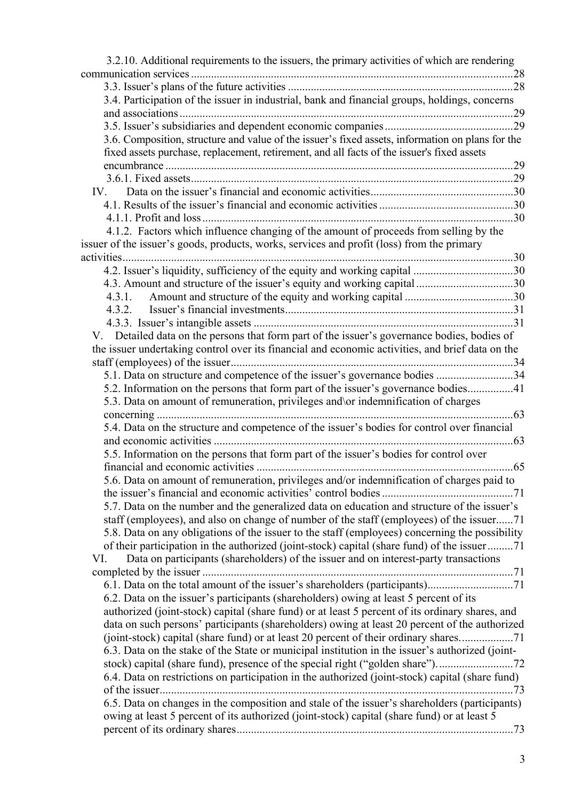| 3.2.10. Additional requirements to the issuers, the primary activities of which are rendering                                                                                                  |      |
|------------------------------------------------------------------------------------------------------------------------------------------------------------------------------------------------|------|
|                                                                                                                                                                                                |      |
|                                                                                                                                                                                                |      |
| 3.4. Participation of the issuer in industrial, bank and financial groups, holdings, concerns                                                                                                  |      |
|                                                                                                                                                                                                |      |
|                                                                                                                                                                                                |      |
| 3.6. Composition, structure and value of the issuer's fixed assets, information on plans for the<br>fixed assets purchase, replacement, retirement, and all facts of the issuer's fixed assets |      |
|                                                                                                                                                                                                |      |
|                                                                                                                                                                                                |      |
|                                                                                                                                                                                                |      |
|                                                                                                                                                                                                |      |
|                                                                                                                                                                                                |      |
| 4.1.2. Factors which influence changing of the amount of proceeds from selling by the                                                                                                          |      |
| issuer of the issuer's goods, products, works, services and profit (loss) from the primary                                                                                                     |      |
|                                                                                                                                                                                                |      |
|                                                                                                                                                                                                |      |
| 4.3. Amount and structure of the issuer's equity and working capital 30                                                                                                                        |      |
| 4.3.1.                                                                                                                                                                                         |      |
| 4.3.2.                                                                                                                                                                                         |      |
|                                                                                                                                                                                                |      |
| V. Detailed data on the persons that form part of the issuer's governance bodies, bodies of                                                                                                    |      |
| the issuer undertaking control over its financial and economic activities, and brief data on the                                                                                               |      |
|                                                                                                                                                                                                |      |
| 5.1. Data on structure and competence of the issuer's governance bodies 34                                                                                                                     |      |
| 5.2. Information on the persons that form part of the issuer's governance bodies41                                                                                                             |      |
| 5.3. Data on amount of remuneration, privileges and \or indemnification of charges                                                                                                             |      |
|                                                                                                                                                                                                |      |
| 5.4. Data on the structure and competence of the issuer's bodies for control over financial                                                                                                    |      |
|                                                                                                                                                                                                |      |
| 5.5. Information on the persons that form part of the issuer's bodies for control over                                                                                                         |      |
|                                                                                                                                                                                                |      |
| 5.6. Data on amount of remuneration, privileges and/or indemnification of charges paid to                                                                                                      |      |
|                                                                                                                                                                                                |      |
| 5.7. Data on the number and the generalized data on education and structure of the issuer's                                                                                                    |      |
| staff (employees), and also on change of number of the staff (employees) of the issuer71                                                                                                       |      |
| 5.8. Data on any obligations of the issuer to the staff (employees) concerning the possibility                                                                                                 |      |
| of their participation in the authorized (joint-stock) capital (share fund) of the issuer71                                                                                                    |      |
| Data on participants (shareholders) of the issuer and on interest-party transactions<br>VI.                                                                                                    |      |
|                                                                                                                                                                                                |      |
|                                                                                                                                                                                                |      |
| 6.2. Data on the issuer's participants (shareholders) owing at least 5 percent of its                                                                                                          |      |
| authorized (joint-stock) capital (share fund) or at least 5 percent of its ordinary shares, and                                                                                                |      |
| data on such persons' participants (shareholders) owing at least 20 percent of the authorized                                                                                                  |      |
| (joint-stock) capital (share fund) or at least 20 percent of their ordinary shares                                                                                                             |      |
| 6.3. Data on the stake of the State or municipal institution in the issuer's authorized (joint-                                                                                                |      |
| stock) capital (share fund), presence of the special right ("golden share")                                                                                                                    |      |
| 6.4. Data on restrictions on participation in the authorized (joint-stock) capital (share fund)                                                                                                |      |
|                                                                                                                                                                                                | . 73 |
| 6.5. Data on changes in the composition and stale of the issuer's shareholders (participants)                                                                                                  |      |
| owing at least 5 percent of its authorized (joint-stock) capital (share fund) or at least 5                                                                                                    |      |
|                                                                                                                                                                                                |      |
|                                                                                                                                                                                                |      |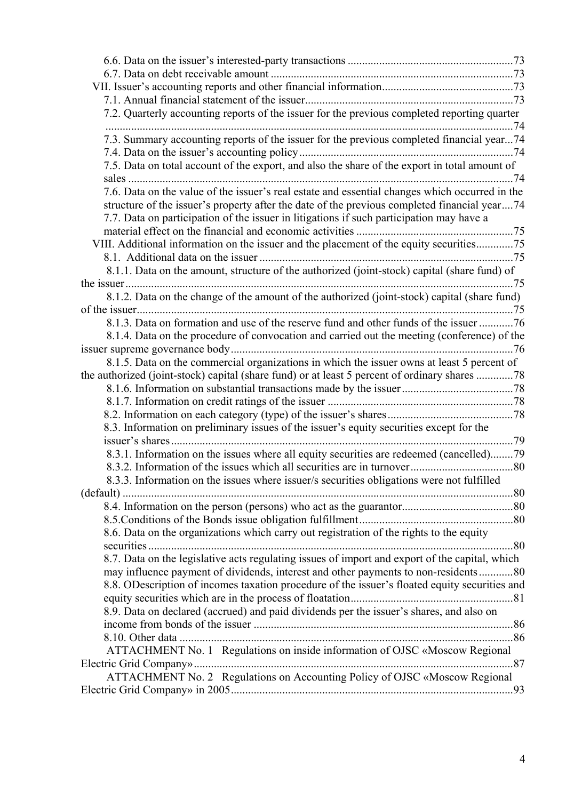| 7.2. Quarterly accounting reports of the issuer for the previous completed reporting quarter   |      |
|------------------------------------------------------------------------------------------------|------|
| 7.3. Summary accounting reports of the issuer for the previous completed financial year74      |      |
| 7.5. Data on total account of the export, and also the share of the export in total amount of  |      |
|                                                                                                |      |
| 7.6. Data on the value of the issuer's real estate and essential changes which occurred in the |      |
| structure of the issuer's property after the date of the previous completed financial year74   |      |
| 7.7. Data on participation of the issuer in litigations if such participation may have a       |      |
|                                                                                                |      |
| VIII. Additional information on the issuer and the placement of the equity securities75        |      |
|                                                                                                |      |
| 8.1.1. Data on the amount, structure of the authorized (joint-stock) capital (share fund) of   |      |
|                                                                                                |      |
| 8.1.2. Data on the change of the amount of the authorized (joint-stock) capital (share fund)   |      |
|                                                                                                |      |
| 8.1.3. Data on formation and use of the reserve fund and other funds of the issuer 76          |      |
| 8.1.4. Data on the procedure of convocation and carried out the meeting (conference) of the    |      |
|                                                                                                |      |
| 8.1.5. Data on the commercial organizations in which the issuer owns at least 5 percent of     |      |
| the authorized (joint-stock) capital (share fund) or at least 5 percent of ordinary shares 78  |      |
|                                                                                                |      |
|                                                                                                |      |
|                                                                                                |      |
| 8.3. Information on preliminary issues of the issuer's equity securities except for the        |      |
|                                                                                                | . 79 |
| 8.3.1. Information on the issues where all equity securities are redeemed (cancelled)79        |      |
|                                                                                                |      |
| 8.3.3. Information on the issues where issuer/s securities obligations were not fulfilled      |      |
| (default)                                                                                      |      |
|                                                                                                |      |
|                                                                                                |      |
| 8.6. Data on the organizations which carry out registration of the rights to the equity        |      |
|                                                                                                |      |
| 8.7. Data on the legislative acts regulating issues of import and export of the capital, which |      |
| may influence payment of dividends, interest and other payments to non-residents80             |      |
| 8.8. ODescription of incomes taxation procedure of the issuer's floated equity securities and  |      |
|                                                                                                |      |
| 8.9. Data on declared (accrued) and paid dividends per the issuer's shares, and also on        |      |
|                                                                                                |      |
|                                                                                                |      |
| ATTACHMENT No. 1 Regulations on inside information of OJSC «Moscow Regional                    |      |
|                                                                                                |      |
| ATTACHMENT No. 2 Regulations on Accounting Policy of OJSC «Moscow Regional                     |      |
|                                                                                                |      |
|                                                                                                |      |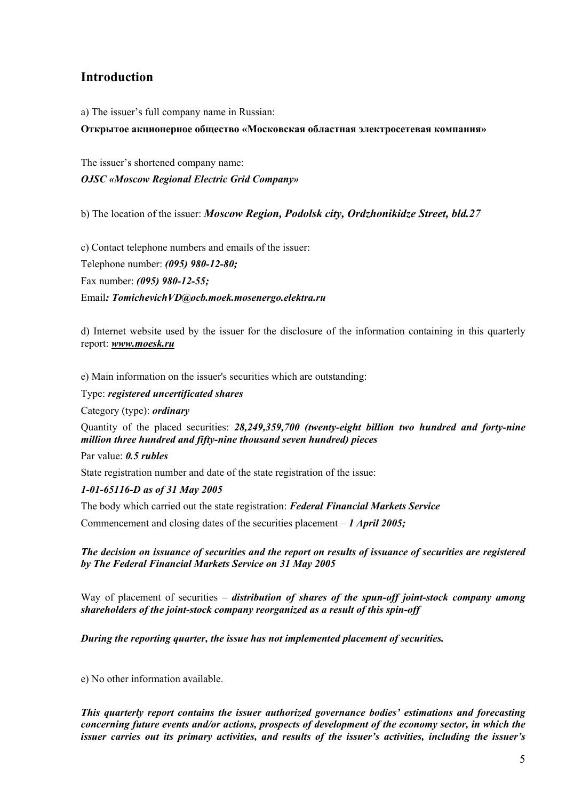## <span id="page-4-0"></span>**Introduction**

a) The issuer's full company name in Russian:

**Открытое акционерное общество «Московская областная электросетевая компания»** 

The issuer's shortened company name: *OJSC «Moscow Regional Electric Grid Company»* 

b) The location of the issuer: *Moscow Region, Podolsk city, Ordzhonikidze Street, bld.27*

c) Contact telephone numbers and emails of the issuer: Telephone number: *(095) 980-12-80;* 

Fax number: *(095) 980-12-55;*

Email*: TomichevichVD@ocb.moek.mosenergo.elektra.ru* 

d) Internet website used by the issuer for the disclosure of the information containing in this quarterly report: *[www.moesk.ru](http://www.moesk.mosenergo.ru/)*

e) Main information on the issuer's securities which are outstanding:

Type: *registered uncertificated shares*

Category (type): *ordinary* 

Quantity of the placed securities: *28,249,359,700 (twenty-eight billion two hundred and forty-nine million three hundred and fifty-nine thousand seven hundred) pieces* 

Par value: *0.5 rubles*

State registration number and date of the state registration of the issue:

## *1-01-65116-D as of 31 May 2005*

The body which carried out the state registration: *Federal Financial Markets Service*

Commencement and closing dates of the securities placement – *1 April 2005;*

*The decision on issuance of securities and the report on results of issuance of securities are registered by The Federal Financial Markets Service on 31 May 2005*

Way of placement of securities – *distribution of shares of the spun-off joint-stock company among shareholders of the joint-stock company reorganized as a result of this spin-off*

*During the reporting quarter, the issue has not implemented placement of securities.* 

е) No other information available.

*This quarterly report contains the issuer authorized governance bodies' estimations and forecasting concerning future events and/or actions, prospects of development of the economy sector, in which the issuer carries out its primary activities, and results of the issuer's activities, including the issuer's*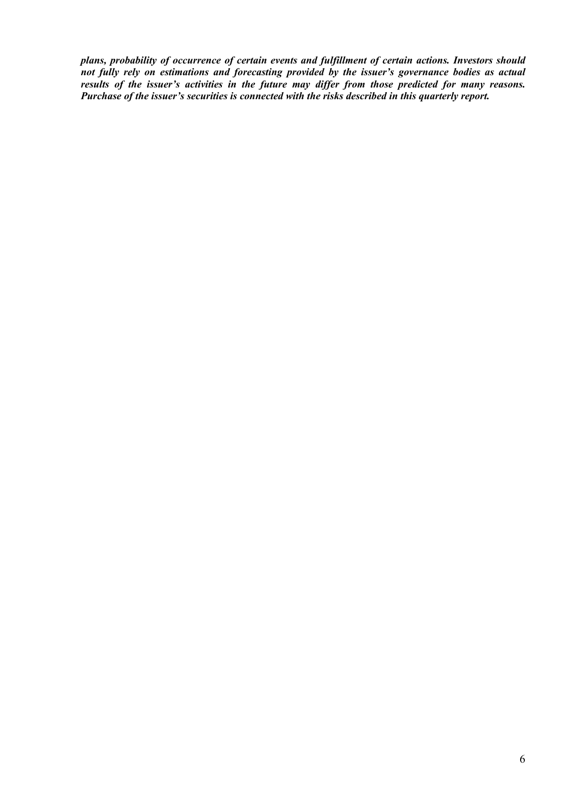*plans, probability of occurrence of certain events and fulfillment of certain actions. Investors should not fully rely on estimations and forecasting provided by the issuer's governance bodies as actual results of the issuer's activities in the future may differ from those predicted for many reasons. Purchase of the issuer's securities is connected with the risks described in this quarterly report.*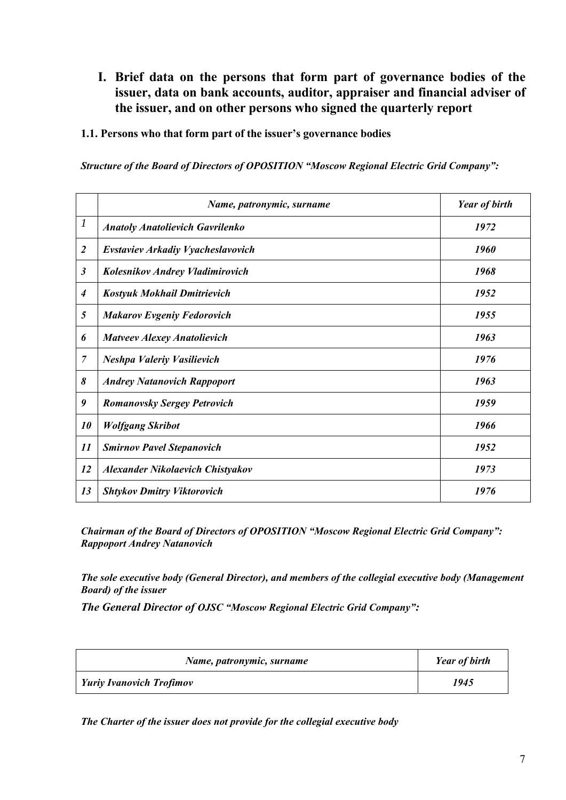- <span id="page-6-0"></span>**I. Brief data on the persons that form part of governance bodies of the issuer, data on bank accounts, auditor, appraiser and financial adviser of the issuer, and on other persons who signed the quarterly report**
- **1.1. Persons who that form part of the issuer's governance bodies**

*Structure of the Board of Directors of OPOSITION "Moscow Regional Electric Grid Company":* 

|                  | Name, patronymic, surname                | <b>Year of birth</b> |
|------------------|------------------------------------------|----------------------|
| $\boldsymbol{l}$ | <b>Anatoly Anatolievich Gavrilenko</b>   | 1972                 |
| $\overline{2}$   | <b>Evstaviev Arkadiy Vyacheslavovich</b> | 1960                 |
| $\mathfrak{z}$   | <b>Kolesnikov Andrey Vladimirovich</b>   | 1968                 |
| $\boldsymbol{4}$ | <b>Kostyuk Mokhail Dmitrievich</b>       | 1952                 |
| 5                | <b>Makarov Evgeniy Fedorovich</b>        | 1955                 |
| 6                | <b>Matveev Alexey Anatolievich</b>       | 1963                 |
| $\overline{7}$   | <b>Neshpa Valeriy Vasilievich</b>        | 1976                 |
| 8                | <b>Andrey Natanovich Rappoport</b>       | 1963                 |
| 9                | <b>Romanovsky Sergey Petrovich</b>       | 1959                 |
| 10               | <b>Wolfgang Skribot</b>                  | 1966                 |
| 11               | <b>Smirnov Pavel Stepanovich</b>         | 1952                 |
| 12               | <b>Alexander Nikolaevich Chistyakov</b>  | 1973                 |
| 13               | <b>Shtykov Dmitry Viktorovich</b>        | 1976                 |

*Chairman of the Board of Directors of OPOSITION "Moscow Regional Electric Grid Company": Rappoport Andrey Natanovich* 

*The sole executive body (General Director), and members of the collegial executive body (Management Board) of the issuer* 

*The General Director of OJSC "Moscow Regional Electric Grid Company":* 

| Name, patronymic, surname       | <b>Year of birth</b> |
|---------------------------------|----------------------|
| <b>Yuriy Ivanovich Trofimov</b> | 1945                 |

*The Charter of the issuer does not provide for the collegial executive body*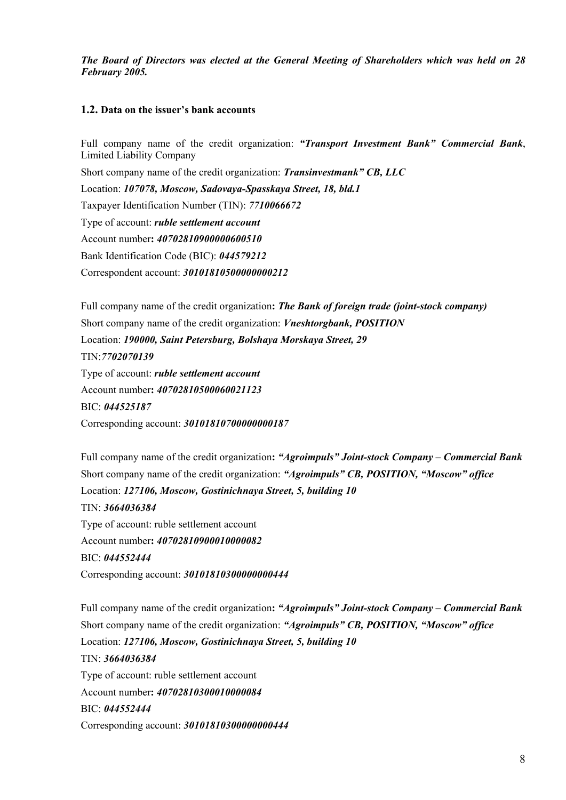<span id="page-7-0"></span>*The Board of Directors was elected at the General Meeting of Shareholders which was held on 28 February 2005.* 

#### **1.2. Data on the issuer's bank accounts**

Full company name of the credit organization: *"Transport Investment Bank" Commercial Bank*, Limited Liability Company Short company name of the credit organization: *Transinvestmank" CB, LLC* Location: *107078, Moscow, Sadovaya-Spasskaya Street, 18, bld.1*  Taxpayer Identification Number (TIN): *7710066672*  Type of account: *ruble settlement account*  Account number**:** *40702810900000600510* Bank Identification Code (BIC): *044579212*  Correspondent account: *30101810500000000212* 

Full company name of the credit organization**:** *The Bank of foreign trade (joint-stock company)*  Short company name of the credit organization: *Vneshtorgbank, POSITION* Location: *190000, Saint Petersburg, Bolshaya Morskaya Street, 29*  TIN:*7702070139*  Type of account: *ruble settlement account*  Account number**:** *40702810500060021123* BIC: *044525187*  Corresponding account: *30101810700000000187* 

Full company name of the credit organization**:** *"Agroimpuls" Joint-stock Company – Commercial Bank*  Short company name of the credit organization: *"Agroimpuls" CB, POSITION, "Moscow" office*  Location: *127106, Moscow, Gostinichnaya Street, 5, building 10*  TIN: *3664036384*  Type of account: ruble settlement account Account number**:** *40702810900010000082* BIC: *044552444*  Corresponding account: *30101810300000000444* 

Full company name of the credit organization**:** *"Agroimpuls" Joint-stock Company – Commercial Bank*  Short company name of the credit organization: *"Agroimpuls" CB, POSITION, "Moscow" office*  Location: *127106, Moscow, Gostinichnaya Street, 5, building 10*  TIN: *3664036384*  Type of account: ruble settlement account Account number**:** *40702810300010000084* BIC: *044552444*  Corresponding account: *30101810300000000444*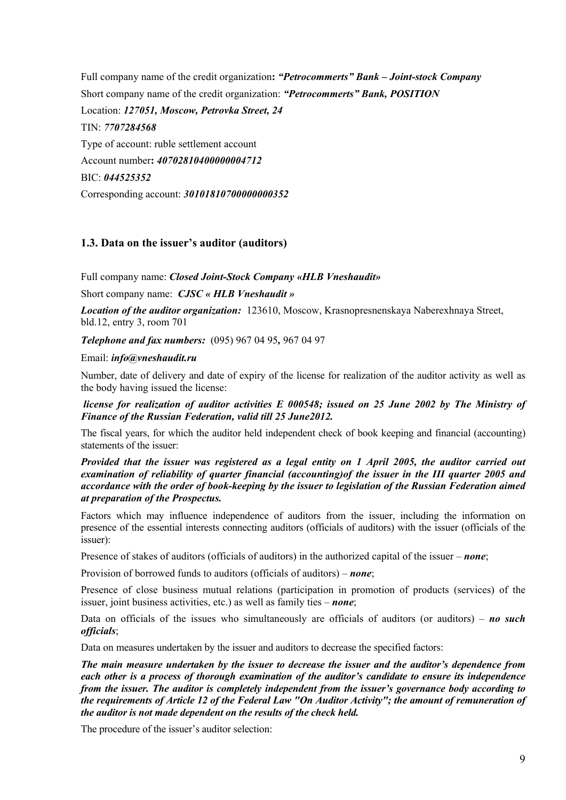<span id="page-8-0"></span>Full company name of the credit organization**:** *"Petrocommerts" Bank – Joint-stock Company*  Short company name of the credit organization: *"Petrocommerts" Bank, POSITION*  Location: *127051, Moscow, Petrovka Street, 24*  TIN: *7707284568*  Type of account: ruble settlement account Account number**:** *40702810400000004712* BIC: *044525352*  Corresponding account: *30101810700000000352* 

## **1.3. Data on the issuer's auditor (auditors)**

Full company name: *Closed Joint-Stock Company «HLB Vneshaudit»*

Short company name: *CJSC « HLB Vneshaudit »* 

*Location of the auditor organization:* 123610, Moscow, Krasnopresnenskaya Naberexhnaya Street, bld.12, entry 3, room 701

*Telephone and fax numbers:* (095) 967 04 95*,* 967 04 97

Email: *info@vneshaudit.ru* 

Number, date of delivery and date of expiry of the license for realization of the auditor activity as well as the body having issued the license:

*license for realization of auditor activities Е 000548; issued on 25 June 2002 by The Ministry of Finance of the Russian Federation, valid till 25 June2012.* 

The fiscal years, for which the auditor held independent check of book keeping and financial (accounting) statements of the issuer:

*Provided that the issuer was registered as a legal entity on 1 April 2005, the auditor carried out examination of reliability of quarter financial (accounting)of the issuer in the III quarter 2005 and accordance with the order of book-keeping by the issuer to legislation of the Russian Federation aimed at preparation of the Prospectus.* 

Factors which may influence independence of auditors from the issuer, including the information on presence of the essential interests connecting auditors (officials of auditors) with the issuer (officials of the issuer):

Presence of stakes of auditors (officials of auditors) in the authorized capital of the issuer – *none*;

Provision of borrowed funds to auditors (officials of auditors) – *none*;

Presence of close business mutual relations (participation in promotion of products (services) of the issuer, joint business activities, etc.) as well as family ties – *none*;

Data on officials of the issues who simultaneously are officials of auditors (or auditors) – *no such officials*;

Data on measures undertaken by the issuer and auditors to decrease the specified factors:

*The main measure undertaken by the issuer to decrease the issuer and the auditor's dependence from each other is a process of thorough examination of the auditor's candidate to ensure its independence from the issuer. The auditor is completely independent from the issuer's governance body according to the requirements of Article 12 of the Federal Law "On Auditor Activity"; the amount of remuneration of the auditor is not made dependent on the results of the check held.*

The procedure of the issuer's auditor selection: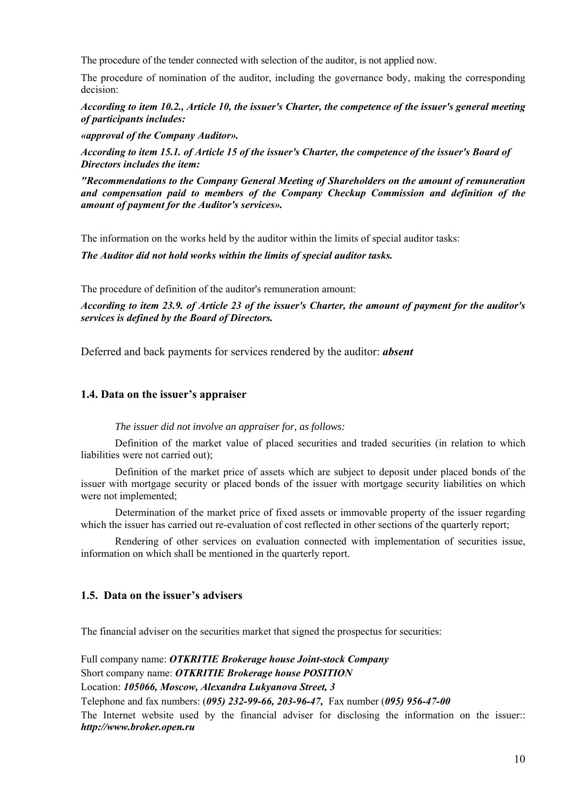<span id="page-9-0"></span>The procedure of the tender connected with selection of the auditor, is not applied now.

The procedure of nomination of the auditor, including the governance body, making the corresponding decision:

*According to item 10.2., Article 10, the issuer's Charter, the competence of the issuer's general meeting of participants includes:* 

*«approval of the Company Auditor».* 

*According to item 15.1. of Article 15 of the issuer's Charter, the competence of the issuer's Board of Directors includes the item:*

*"Recommendations to the Company General Meeting of Shareholders on the amount of remuneration and compensation paid to members of the Company Checkup Commission and definition of the amount of payment for the Auditor's services».* 

The information on the works held by the auditor within the limits of special auditor tasks:

*The Auditor did not hold works within the limits of special auditor tasks.*

The procedure of definition of the auditor's remuneration amount:

*According to item 23.9. of Article 23 of the issuer's Charter, the amount of payment for the auditor's services is defined by the Board of Directors.*

Deferred and back payments for services rendered by the auditor: *absent*

## **1.4. Data on the issuer's appraiser**

## *The issuer did not involve an appraiser for, as follows:*

Definition of the market value of placed securities and traded securities (in relation to which liabilities were not carried out);

Definition of the market price of assets which are subject to deposit under placed bonds of the issuer with mortgage security or placed bonds of the issuer with mortgage security liabilities on which were not implemented;

Determination of the market price of fixed assets or immovable property of the issuer regarding which the issuer has carried out re-evaluation of cost reflected in other sections of the quarterly report;

Rendering of other services on evaluation connected with implementation of securities issue, information on which shall be mentioned in the quarterly report.

## **1.5. Data on the issuer's advisers**

The financial adviser on the securities market that signed the prospectus for securities:

Full company name: *OTKRITIE Brokerage house Joint-stock Company*  Short company name: *OTKRITIE Brokerage house POSITION*  Location: *105066, Moscow, Alexandra Lukyanova Street, 3*  Telephone and fax numbers: (*095) 232-99-66, 203-96-47,* Fax number (*095) 956-47-00* The Internet website used by the financial adviser for disclosing the information on the issuer:: *http://www.broker.open.ru*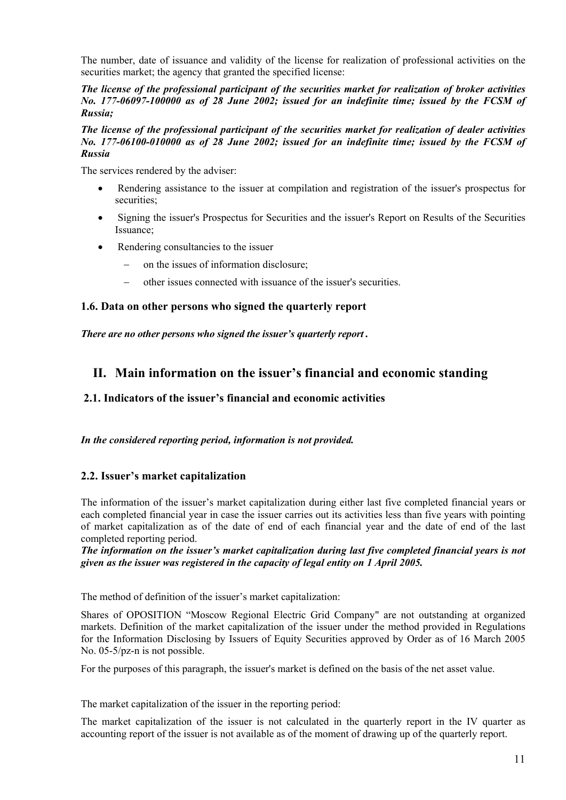<span id="page-10-0"></span>The number, date of issuance and validity of the license for realization of professional activities on the securities market; the agency that granted the specified license:

*The license of the professional participant of the securities market for realization of broker activities No. 177-06097-100000 as of 28 June 2002; issued for an indefinite time; issued by the FCSM of Russia;* 

#### *The license of the professional participant of the securities market for realization of dealer activities No. 177-06100-010000 as of 28 June 2002; issued for an indefinite time; issued by the FCSM of Russia*

The services rendered by the adviser:

- Rendering assistance to the issuer at compilation and registration of the issuer's prospectus for securities;
- Signing the issuer's Prospectus for Securities and the issuer's Report on Results of the Securities Issuance;
- Rendering consultancies to the issuer
	- on the issues of information disclosure;
	- other issues connected with issuance of the issuer's securities.

## **1.6. Data on other persons who signed the quarterly report**

*There are no other persons who signed the issuer's quarterly report .* 

## **II. Main information on the issuer's financial and economic standing**

## **2.1. Indicators of the issuer's financial and economic activities**

#### *In the considered reporting period, information is not provided.*

## **2.2. Issuer's market capitalization**

The information of the issuer's market capitalization during either last five completed financial years or each completed financial year in case the issuer carries out its activities less than five years with pointing of market capitalization as of the date of end of each financial year and the date of end of the last completed reporting period.

*The information on the issuer's market capitalization during last five completed financial years is not given as the issuer was registered in the capacity of legal entity on 1 April 2005.* 

The method of definition of the issuer's market capitalization:

Shares of OPOSITION "Moscow Regional Electric Grid Company" are not outstanding at organized markets. Definition of the market capitalization of the issuer under the method provided in Regulations for the Information Disclosing by Issuers of Equity Securities approved by Order as of 16 March 2005 No. 05-5/pz-n is not possible.

For the purposes of this paragraph, the issuer's market is defined on the basis of the net asset value.

The market capitalization of the issuer in the reporting period:

The market capitalization of the issuer is not calculated in the quarterly report in the IV quarter as accounting report of the issuer is not available as of the moment of drawing up of the quarterly report.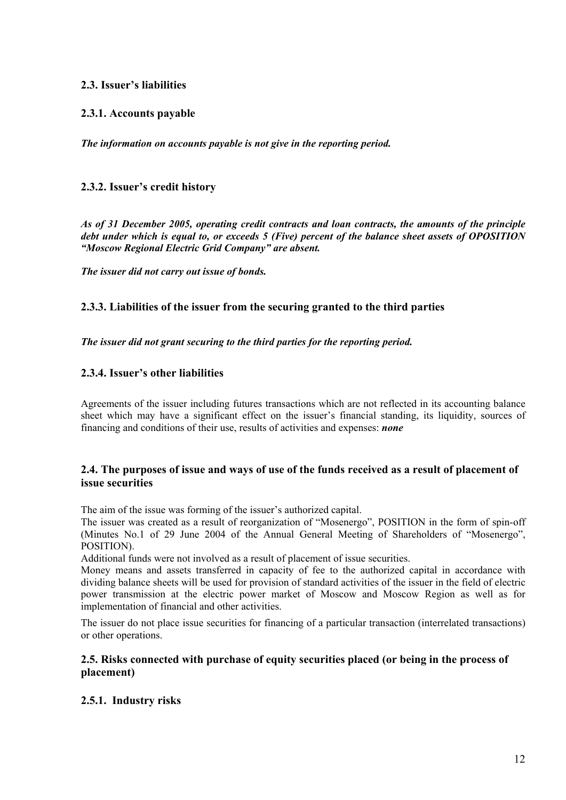## <span id="page-11-0"></span>**2.3. Issuer's liabilities**

## **2.3.1. Accounts payable**

*The information on accounts payable is not give in the reporting period.*

## **2.3.2. Issuer's credit history**

*As of 31 December 2005, operating credit contracts and loan contracts, the amounts of the principle debt under which is equal to, or exceeds 5 (Five) percent of the balance sheet assets of OPOSITION "Moscow Regional Electric Grid Company" are absent.* 

*The issuer did not carry out issue of bonds.* 

## **2.3.3. Liabilities of the issuer from the securing granted to the third parties**

*The issuer did not grant securing to the third parties for the reporting period.* 

## **2.3.4. Issuer's other liabilities**

Agreements of the issuer including futures transactions which are not reflected in its accounting balance sheet which may have a significant effect on the issuer's financial standing, its liquidity, sources of financing and conditions of their use, results of activities and expenses: *none*

## **2.4. The purposes of issue and ways of use of the funds received as a result of placement of issue securities**

The aim of the issue was forming of the issuer's authorized capital.

The issuer was created as a result of reorganization of "Mosenergo", POSITION in the form of spin-off (Minutes No.1 of 29 June 2004 of the Annual General Meeting of Shareholders of "Mosenergo", POSITION).

Additional funds were not involved as a result of placement of issue securities.

Money means and assets transferred in capacity of fee to the authorized capital in accordance with dividing balance sheets will be used for provision of standard activities of the issuer in the field of electric power transmission at the electric power market of Moscow and Moscow Region as well as for implementation of financial and other activities.

The issuer do not place issue securities for financing of a particular transaction (interrelated transactions) or other operations.

## **2.5. Risks connected with purchase of equity securities placed (or being in the process of placement)**

## **2.5.1. Industry risks**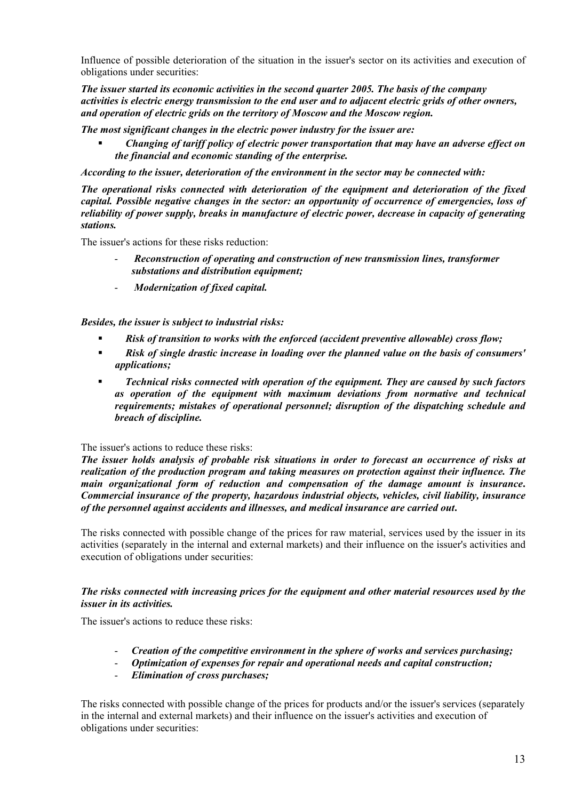Influence of possible deterioration of the situation in the issuer's sector on its activities and execution of obligations under securities:

*The issuer started its economic activities in the second quarter 2005. The basis of the company activities is electric energy transmission to the end user and to adjacent electric grids of other owners, and operation of electric grids on the territory of Moscow and the Moscow region.*

*The most significant changes in the electric power industry for the issuer are:*

 *Changing of tariff policy of electric power transportation that may have an adverse effect on the financial and economic standing of the enterprise.*

*According to the issuer, deterioration of the environment in the sector may be connected with:*

*The operational risks connected with deterioration of the equipment and deterioration of the fixed capital. Possible negative changes in the sector: an opportunity of occurrence of emergencies, loss of reliability of power supply, breaks in manufacture of electric power, decrease in capacity of generating stations.*

The issuer's actions for these risks reduction:

- *Reconstruction of operating and construction of new transmission lines, transformer substations and distribution equipment;*
- *Modernization of fixed capital.*

*Besides, the issuer is subject to industrial risks:*

- *Risk of transition to works with the enforced (accident preventive allowable) cross flow;*
- *Risk of single drastic increase in loading over the planned value on the basis of consumers' applications;*
- *Technical risks connected with operation of the equipment. They are caused by such factors as operation of the equipment with maximum deviations from normative and technical requirements; mistakes of operational personnel; disruption of the dispatching schedule and breach of discipline.*

#### The issuer's actions to reduce these risks:

*The issuer holds analysis of probable risk situations in order to forecast an occurrence of risks at realization of the production program and taking measures on protection against their influence. The main organizational form of reduction and compensation of the damage amount is insurance***.**  *Commercial insurance of the property, hazardous industrial objects, vehicles, civil liability, insurance of the personnel against accidents and illnesses, and medical insurance are carried out***.** 

The risks connected with possible change of the prices for raw material, services used by the issuer in its activities (separately in the internal and external markets) and their influence on the issuer's activities and execution of obligations under securities:

#### *The risks connected with increasing prices for the equipment and other material resources used by the issuer in its activities.*

The issuer's actions to reduce these risks:

- *Creation of the competitive environment in the sphere of works and services purchasing;*
- *Optimization of expenses for repair and operational needs and capital construction;*
- *Elimination of cross purchases;*

The risks connected with possible change of the prices for products and/or the issuer's services (separately in the internal and external markets) and their influence on the issuer's activities and execution of obligations under securities: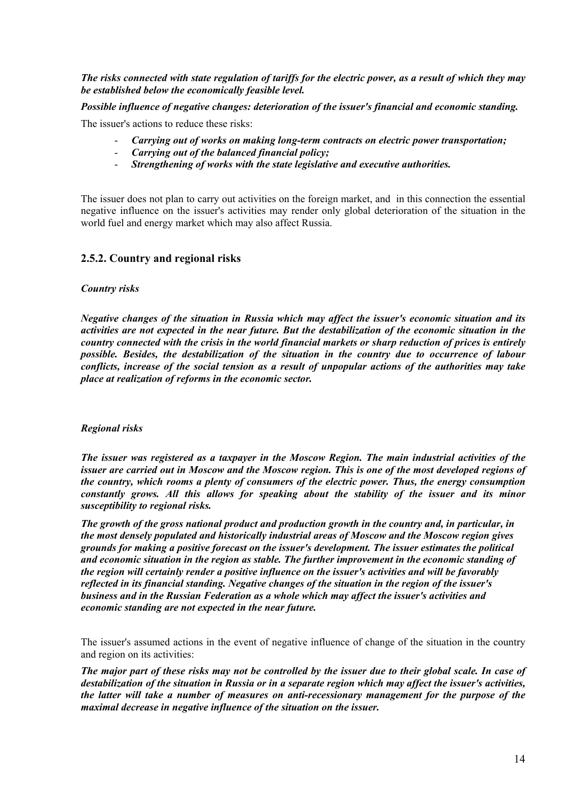<span id="page-13-0"></span>*The risks connected with state regulation of tariffs for the electric power, as a result of which they may be established below the economically feasible level.* 

*Possible influence of negative changes: deterioration of the issuer's financial and economic standing.* 

The issuer's actions to reduce these risks:

- *Carrying out of works on making long-term contracts on electric power transportation;*
- *Carrying out of the balanced financial policy;*
- *Strengthening of works with the state legislative and executive authorities.*

The issuer does not plan to carry out activities on the foreign market, and in this connection the essential negative influence on the issuer's activities may render only global deterioration of the situation in the world fuel and energy market which may also affect Russia.

## **2.5.2. Country and regional risks**

#### *Country risks*

*Negative changes of the situation in Russia which may affect the issuer's economic situation and its activities are not expected in the near future. But the destabilization of the economic situation in the country connected with the crisis in the world financial markets or sharp reduction of prices is entirely possible. Besides, the destabilization of the situation in the country due to occurrence of labour conflicts, increase of the social tension as a result of unpopular actions of the authorities may take place at realization of reforms in the economic sector.* 

#### *Regional risks*

*The issuer was registered as a taxpayer in the Moscow Region. The main industrial activities of the issuer are carried out in Moscow and the Moscow region. This is one of the most developed regions of the country, which rooms a plenty of consumers of the electric power. Thus, the energy consumption constantly grows. All this allows for speaking about the stability of the issuer and its minor susceptibility to regional risks.* 

*The growth of the gross national product and production growth in the country and, in particular, in the most densely populated and historically industrial areas of Moscow and the Moscow region gives grounds for making a positive forecast on the issuer's development. The issuer estimates the political and economic situation in the region as stable. The further improvement in the economic standing of the region will certainly render a positive influence on the issuer's activities and will be favorably reflected in its financial standing. Negative changes of the situation in the region of the issuer's business and in the Russian Federation as a whole which may affect the issuer's activities and economic standing are not expected in the near future.*

The issuer's assumed actions in the event of negative influence of change of the situation in the country and region on its activities:

*The major part of these risks may not be controlled by the issuer due to their global scale. In case of destabilization of the situation in Russia or in a separate region which may affect the issuer's activities, the latter will take a number of measures on anti-recessionary management for the purpose of the maximal decrease in negative influence of the situation on the issuer.*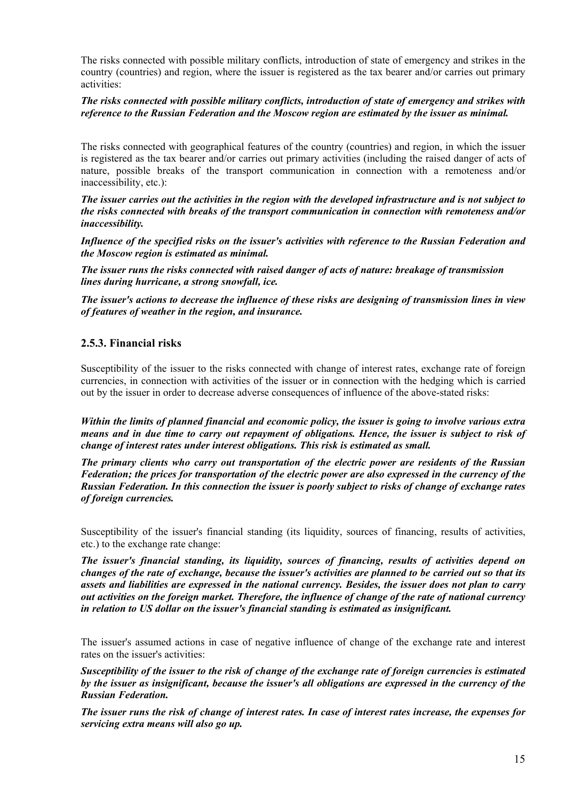<span id="page-14-0"></span>The risks connected with possible military conflicts, introduction of state of emergency and strikes in the country (countries) and region, where the issuer is registered as the tax bearer and/or carries out primary activities:

#### *The risks connected with possible military conflicts, introduction of state of emergency and strikes with reference to the Russian Federation and the Moscow region are estimated by the issuer as minimal.*

The risks connected with geographical features of the country (countries) and region, in which the issuer is registered as the tax bearer and/or carries out primary activities (including the raised danger of acts of nature, possible breaks of the transport communication in connection with a remoteness and/or inaccessibility, etc.):

*The issuer carries out the activities in the region with the developed infrastructure and is not subject to the risks connected with breaks of the transport communication in connection with remoteness and/or inaccessibility.* 

*Influence of the specified risks on the issuer's activities with reference to the Russian Federation and the Moscow region is estimated as minimal.*

*The issuer runs the risks connected with raised danger of acts of nature: breakage of transmission lines during hurricane, a strong snowfall, ice.* 

*The issuer's actions to decrease the influence of these risks are designing of transmission lines in view of features of weather in the region, and insurance.* 

## **2.5.3. Financial risks**

Susceptibility of the issuer to the risks connected with change of interest rates, exchange rate of foreign currencies, in connection with activities of the issuer or in connection with the hedging which is carried out by the issuer in order to decrease adverse consequences of influence of the above-stated risks:

*Within the limits of planned financial and economic policy, the issuer is going to involve various extra means and in due time to carry out repayment of obligations. Hence, the issuer is subject to risk of change of interest rates under interest obligations. This risk is estimated as small.*

*The primary clients who carry out transportation of the electric power are residents of the Russian Federation; the prices for transportation of the electric power are also expressed in the currency of the Russian Federation. In this connection the issuer is poorly subject to risks of change of exchange rates of foreign currencies.*

Susceptibility of the issuer's financial standing (its liquidity, sources of financing, results of activities, etc.) to the exchange rate change:

*The issuer's financial standing, its liquidity, sources of financing, results of activities depend on changes of the rate of exchange, because the issuer's activities are planned to be carried out so that its assets and liabilities are expressed in the national currency. Besides, the issuer does not plan to carry out activities on the foreign market. Therefore, the influence of change of the rate of national currency in relation to US dollar on the issuer's financial standing is estimated as insignificant.* 

The issuer's assumed actions in case of negative influence of change of the exchange rate and interest rates on the issuer's activities:

*Susceptibility of the issuer to the risk of change of the exchange rate of foreign currencies is estimated by the issuer as insignificant, because the issuer's all obligations are expressed in the currency of the Russian Federation.* 

*The issuer runs the risk of change of interest rates. In case of interest rates increase, the expenses for servicing extra means will also go up.*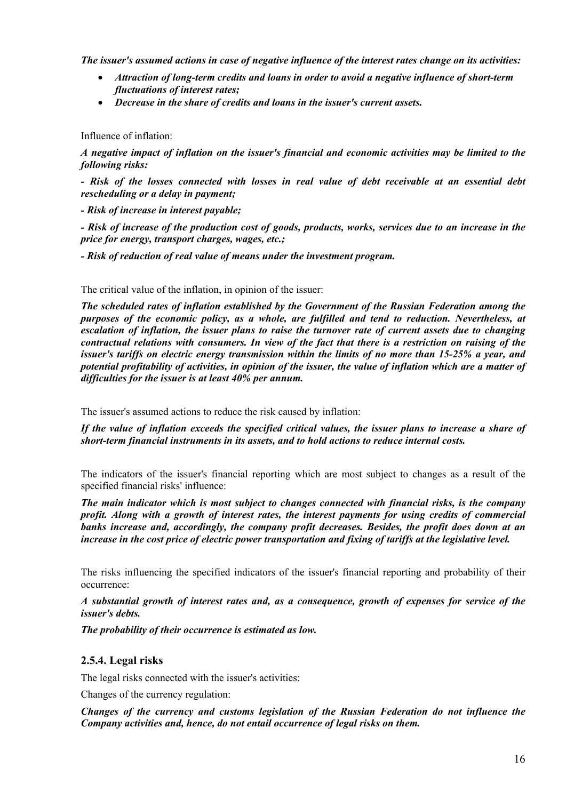<span id="page-15-0"></span>*The issuer's assumed actions in case of negative influence of the interest rates change on its activities:* 

- *Attraction of long-term credits and loans in order to avoid a negative influence of short-term fluctuations of interest rates;*
- *Decrease in the share of credits and loans in the issuer's current assets.*

#### Influence of inflation:

*A negative impact of inflation on the issuer's financial and economic activities may be limited to the following risks:* 

*- Risk of the losses connected with losses in real value of debt receivable at an essential debt rescheduling or a delay in payment;* 

*- Risk of increase in interest payable;* 

*- Risk of increase of the production cost of goods, products, works, services due to an increase in the price for energy, transport charges, wages, etc.;* 

*- Risk of reduction of real value of means under the investment program.* 

The critical value of the inflation, in opinion of the issuer:

*The scheduled rates of inflation established by the Government of the Russian Federation among the purposes of the economic policy, as a whole, are fulfilled and tend to reduction. Nevertheless, at escalation of inflation, the issuer plans to raise the turnover rate of current assets due to changing contractual relations with consumers. In view of the fact that there is a restriction on raising of the issuer's tariffs on electric energy transmission within the limits of no more than 15-25% a year, and potential profitability of activities, in opinion of the issuer, the value of inflation which are a matter of difficulties for the issuer is at least 40% per annum.* 

The issuer's assumed actions to reduce the risk caused by inflation:

*If the value of inflation exceeds the specified critical values, the issuer plans to increase a share of short-term financial instruments in its assets, and to hold actions to reduce internal costs.* 

The indicators of the issuer's financial reporting which are most subject to changes as a result of the specified financial risks' influence:

*The main indicator which is most subject to changes connected with financial risks, is the company profit. Along with a growth of interest rates, the interest payments for using credits of commercial banks increase and, accordingly, the company profit decreases. Besides, the profit does down at an increase in the cost price of electric power transportation and fixing of tariffs at the legislative level.*

The risks influencing the specified indicators of the issuer's financial reporting and probability of their occurrence:

*A substantial growth of interest rates and, as a consequence, growth of expenses for service of the issuer's debts.*

*The probability of their occurrence is estimated as low.* 

## **2.5.4. Legal risks**

The legal risks connected with the issuer's activities:

Changes of the currency regulation:

*Changes of the currency and customs legislation of the Russian Federation do not influence the Company activities and, hence, do not entail occurrence of legal risks on them.*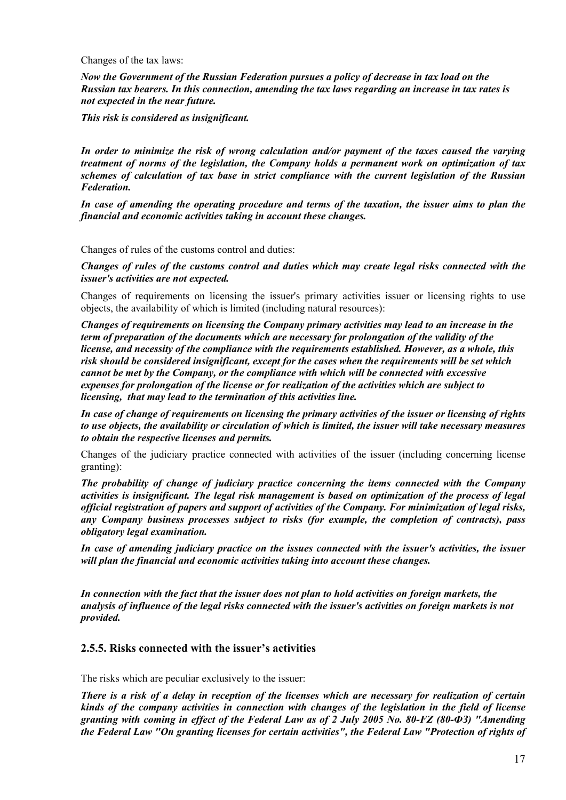<span id="page-16-0"></span>Changes of the tax laws:

*Now the Government of the Russian Federation pursues a policy of decrease in tax load on the Russian tax bearers. In this connection, amending the tax laws regarding an increase in tax rates is not expected in the near future.* 

*This risk is considered as insignificant.* 

*In order to minimize the risk of wrong calculation and/or payment of the taxes caused the varying treatment of norms of the legislation, the Company holds a permanent work on optimization of tax schemes of calculation of tax base in strict compliance with the current legislation of the Russian Federation.*

*In case of amending the operating procedure and terms of the taxation, the issuer aims to plan the financial and economic activities taking in account these changes.* 

Changes of rules of the customs control and duties:

*Changes of rules of the customs control and duties which may create legal risks connected with the issuer's activities are not expected.*

Changes of requirements on licensing the issuer's primary activities issuer or licensing rights to use objects, the availability of which is limited (including natural resources):

*Changes of requirements on licensing the Company primary activities may lead to an increase in the term of preparation of the documents which are necessary for prolongation of the validity of the license, and necessity of the compliance with the requirements established. However, as a whole, this risk should be considered insignificant, except for the cases when the requirements will be set which cannot be met by the Company, or the compliance with which will be connected with excessive expenses for prolongation of the license or for realization of the activities which are subject to licensing, that may lead to the termination of this activities line.*

*In case of change of requirements on licensing the primary activities of the issuer or licensing of rights to use objects, the availability or circulation of which is limited, the issuer will take necessary measures to obtain the respective licenses and permits.*

Changes of the judiciary practice connected with activities of the issuer (including concerning license granting):

*The probability of change of judiciary practice concerning the items connected with the Company activities is insignificant. The legal risk management is based on optimization of the process of legal official registration of papers and support of activities of the Company. For minimization of legal risks, any Company business processes subject to risks (for example, the completion of contracts), pass obligatory legal examination.*

*In case of amending judiciary practice on the issues connected with the issuer's activities, the issuer will plan the financial and economic activities taking into account these changes.*

*In connection with the fact that the issuer does not plan to hold activities on foreign markets, the analysis of influence of the legal risks connected with the issuer's activities on foreign markets is not provided.*

## **2.5.5. Risks connected with the issuer's activities**

The risks which are peculiar exclusively to the issuer:

*There is a risk of a delay in reception of the licenses which are necessary for realization of certain kinds of the company activities in connection with changes of the legislation in the field of license granting with coming in effect of the Federal Law as of 2 July 2005 No. 80-FZ (80-ФЗ) "Amending the Federal Law "On granting licenses for certain activities", the Federal Law "Protection of rights of*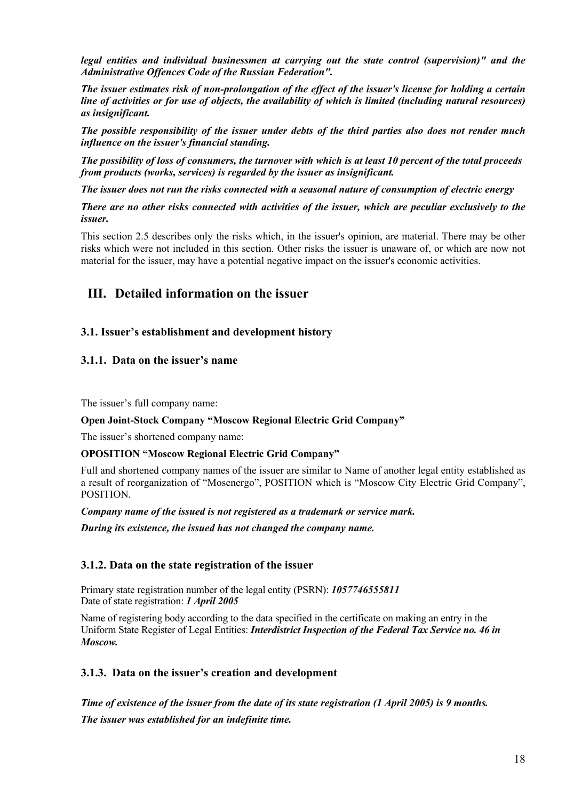<span id="page-17-0"></span>*legal entities and individual businessmen at carrying out the state control (supervision)" and the Administrative Offences Code of the Russian Federation".*

*The issuer estimates risk of non-prolongation of the effect of the issuer's license for holding a certain line of activities or for use of objects, the availability of which is limited (including natural resources) as insignificant.*

*The possible responsibility of the issuer under debts of the third parties also does not render much influence on the issuer's financial standing.*

*The possibility of loss of consumers, the turnover with which is at least 10 percent of the total proceeds from products (works, services) is regarded by the issuer as insignificant.*

*The issuer does not run the risks connected with a seasonal nature of consumption of electric energy* 

*There are no other risks connected with activities of the issuer, which are peculiar exclusively to the issuer.*

This section 2.5 describes only the risks which, in the issuer's opinion, are material. There may be other risks which were not included in this section. Other risks the issuer is unaware of, or which are now not material for the issuer, may have a potential negative impact on the issuer's economic activities.

## **III. Detailed information on the issuer**

## **3.1. Issuer's establishment and development history**

## **3.1.1. Data on the issuer's name**

The issuer's full company name:

#### **Open Joint-Stock Company "Moscow Regional Electric Grid Company"**

The issuer's shortened company name:

#### **OPOSITION "Moscow Regional Electric Grid Company"**

Full and shortened company names of the issuer are similar to Name of another legal entity established as a result of reorganization of "Mosenergo", POSITION which is "Moscow City Electric Grid Company", POSITION.

*Company name of the issued is not registered as a trademark or service mark.* 

*During its existence, the issued has not changed the company name.* 

## **3.1.2. Data on the state registration of the issuer**

Primary state registration number of the legal entity (PSRN): *1057746555811* Date of state registration: *1 April 2005*

Name of registering body according to the data specified in the certificate on making an entry in the Uniform State Register of Legal Entities: *Interdistrict Inspection of the Federal Tax Service no. 46 in Moscow.* 

## **3.1.3. Data on the issuer's creation and development**

*Time of existence of the issuer from the date of its state registration (1 April 2005) is 9 months. The issuer was established for an indefinite time.*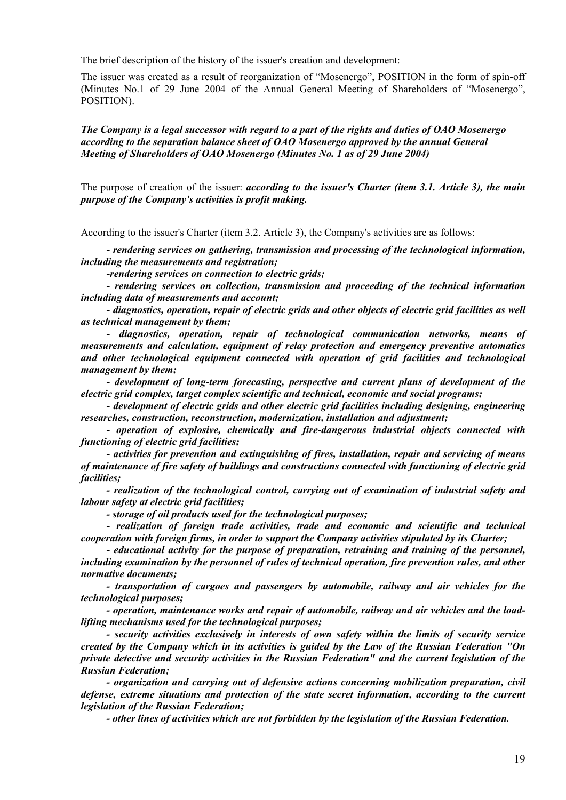The brief description of the history of the issuer's creation and development:

The issuer was created as a result of reorganization of "Mosenergo", POSITION in the form of spin-off (Minutes No.1 of 29 June 2004 of the Annual General Meeting of Shareholders of "Mosenergo", POSITION).

*The Company is a legal successor with regard to a part of the rights and duties of OAO Mosenergo according to the separation balance sheet of OAO Mosenergo approved by the annual General Meeting of Shareholders of OAO Mosenergo (Minutes No. 1 as of 29 June 2004)*

The purpose of creation of the issuer: *according to the issuer's Charter (item 3.1. Article 3), the main purpose of the Company's activities is profit making.*

According to the issuer's Charter (item 3.2. Article 3), the Company's activities are as follows:

*- rendering services on gathering, transmission and processing of the technological information, including the measurements and registration;* 

*-rendering services on connection to electric grids;* 

*- rendering services on collection, transmission and proceeding of the technical information including data of measurements and account;* 

*- diagnostics, operation, repair of electric grids and other objects of electric grid facilities as well as technical management by them;* 

*- diagnostics, operation, repair of technological communication networks, means of measurements and calculation, equipment of relay protection and emergency preventive automatics and other technological equipment connected with operation of grid facilities and technological management by them;* 

*- development of long-term forecasting, perspective and current plans of development of the electric grid complex, target complex scientific and technical, economic and social programs;* 

*- development of electric grids and other electric grid facilities including designing, engineering researches, construction, reconstruction, modernization, installation and adjustment;* 

*- operation of explosive, chemically and fire-dangerous industrial objects connected with functioning of electric grid facilities;* 

*- activities for prevention and extinguishing of fires, installation, repair and servicing of means of maintenance of fire safety of buildings and constructions connected with functioning of electric grid facilities;* 

*- realization of the technological control, carrying out of examination of industrial safety and labour safety at electric grid facilities;* 

*- storage of oil products used for the technological purposes;* 

*- realization of foreign trade activities, trade and economic and scientific and technical cooperation with foreign firms, in order to support the Company activities stipulated by its Charter;* 

*- educational activity for the purpose of preparation, retraining and training of the personnel, including examination by the personnel of rules of technical operation, fire prevention rules, and other normative documents;* 

*- transportation of cargoes and passengers by automobile, railway and air vehicles for the technological purposes;* 

*- operation, maintenance works and repair of automobile, railway and air vehicles and the loadlifting mechanisms used for the technological purposes;* 

*- security activities exclusively in interests of own safety within the limits of security service created by the Company which in its activities is guided by the Law of the Russian Federation "On private detective and security activities in the Russian Federation" and the current legislation of the Russian Federation;* 

*- organization and carrying out of defensive actions concerning mobilization preparation, civil defense, extreme situations and protection of the state secret information, according to the current legislation of the Russian Federation;* 

*- other lines of activities which are not forbidden by the legislation of the Russian Federation.*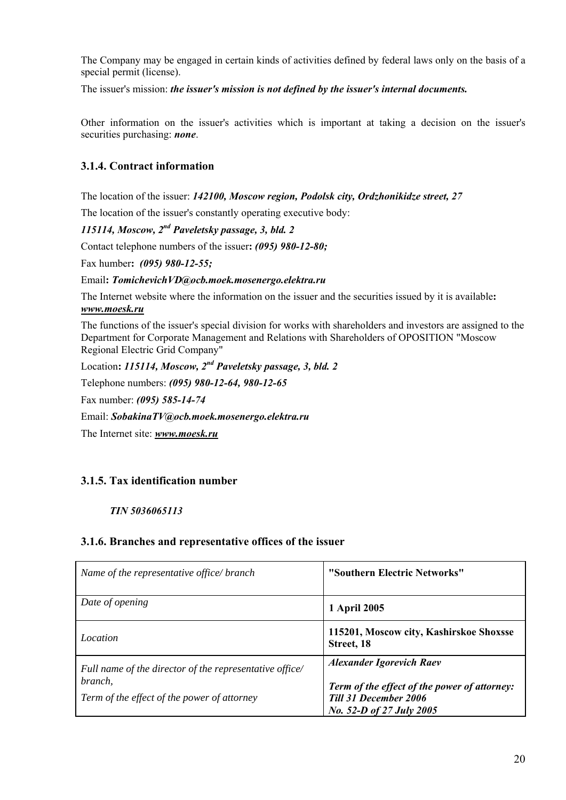<span id="page-19-0"></span>The Company may be engaged in certain kinds of activities defined by federal laws only on the basis of a special permit (license).

The issuer's mission: *the issuer's mission is not defined by the issuer's internal documents.* 

Other information on the issuer's activities which is important at taking a decision on the issuer's securities purchasing: *none*.

## **3.1.4. Contract information**

The location of the issuer: *142100, Moscow region, Podolsk city, Ordzhonikidze street, 27*

The location of the issuer's constantly operating executive body:

*115114, Moscow, 2nd Paveletsky passage, 3, bld. 2*

Contact telephone numbers of the issuer**:** *(095) 980-12-80;* 

Fax humber**:** *(095) 980-12-55;*

#### Email**:** *TomichevichVD@ocb.moek.mosenergo.elektra.ru*

The Internet website where the information on the issuer and the securities issued by it is available**:** *www.moesk.ru*

The functions of the issuer's special division for works with shareholders and investors are assigned to the Department for Corporate Management and Relations with Shareholders of OPOSITION "Moscow Regional Electric Grid Company"

Location**:** *115114, Moscow, 2nd Paveletsky passage, 3, bld. 2*

Telephone numbers: *(095) 980-12-64, 980-12-65* 

Fax number: *(095) 585-14-74*

Email: *SobakinaTV@ocb.moek.mosenergo.elektra.ru* 

The Internet site: *[www.moesk.ru](http://www.moesk..ru/)* 

## **3.1.5. Tax identification number**

## *TIN 5036065113*

## **3.1.6. Branches and representative offices of the issuer**

| Name of the representative office/branch                                                                          | "Southern Electric Networks"                                                                                                                |
|-------------------------------------------------------------------------------------------------------------------|---------------------------------------------------------------------------------------------------------------------------------------------|
| Date of opening                                                                                                   | 1 April 2005                                                                                                                                |
| Location                                                                                                          | 115201, Moscow city, Kashirskoe Shoxsse<br>Street, 18                                                                                       |
| Full name of the director of the representative office/<br>branch,<br>Term of the effect of the power of attorney | <b>Alexander Igorevich Raev</b><br>Term of the effect of the power of attorney:<br><b>Till 31 December 2006</b><br>No. 52-D of 27 July 2005 |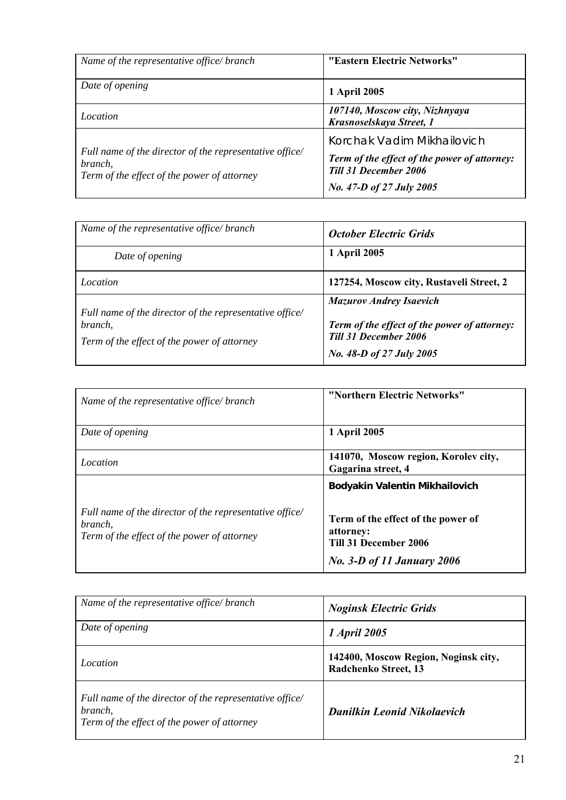<span id="page-20-0"></span>

| Name of the representative office/ branch                                                                         | "Eastern Electric Networks"                                                  |
|-------------------------------------------------------------------------------------------------------------------|------------------------------------------------------------------------------|
| Date of opening                                                                                                   | 1 April 2005                                                                 |
| Location                                                                                                          | 107140, Moscow city, Nizhnyaya<br>Krasnoselskaya Street, 1                   |
|                                                                                                                   | Korchak Vadim Mikhailovich                                                   |
| Full name of the director of the representative office/<br>branch,<br>Term of the effect of the power of attorney | Term of the effect of the power of attorney:<br><b>Till 31 December 2006</b> |
|                                                                                                                   | No. 47-D of 27 July 2005                                                     |

| Name of the representative office/ branch                                                                         | <b>October Electric Grids</b>                                                                                                              |
|-------------------------------------------------------------------------------------------------------------------|--------------------------------------------------------------------------------------------------------------------------------------------|
| Date of opening                                                                                                   | 1 April 2005                                                                                                                               |
| Location                                                                                                          | 127254, Moscow city, Rustaveli Street, 2                                                                                                   |
| Full name of the director of the representative office/<br>branch.<br>Term of the effect of the power of attorney | <b>Mazurov Andrey Isaevich</b><br>Term of the effect of the power of attorney:<br><b>Till 31 December 2006</b><br>No. 48-D of 27 July 2005 |

| Name of the representative office/branch                                                                          | "Northern Electric Networks"                                                                                                                    |
|-------------------------------------------------------------------------------------------------------------------|-------------------------------------------------------------------------------------------------------------------------------------------------|
| Date of opening                                                                                                   | 1 April 2005                                                                                                                                    |
| Location                                                                                                          | 141070, Moscow region, Korolev city,<br>Gagarina street, 4                                                                                      |
| Full name of the director of the representative office/<br>branch.<br>Term of the effect of the power of attorney | Bodyakin Valentin Mikhailovich<br>Term of the effect of the power of<br>attorney:<br>Till 31 December 2006<br><b>No. 3-D of 11 January 2006</b> |

| Name of the representative office/branch                                                                          | <b>Noginsk Electric Grids</b>                                |
|-------------------------------------------------------------------------------------------------------------------|--------------------------------------------------------------|
| Date of opening                                                                                                   | <i>1 April 2005</i>                                          |
| Location                                                                                                          | 142400, Moscow Region, Noginsk city,<br>Radchenko Street, 13 |
| Full name of the director of the representative office/<br>branch,<br>Term of the effect of the power of attorney | <b>Danilkin Leonid Nikolaevich</b>                           |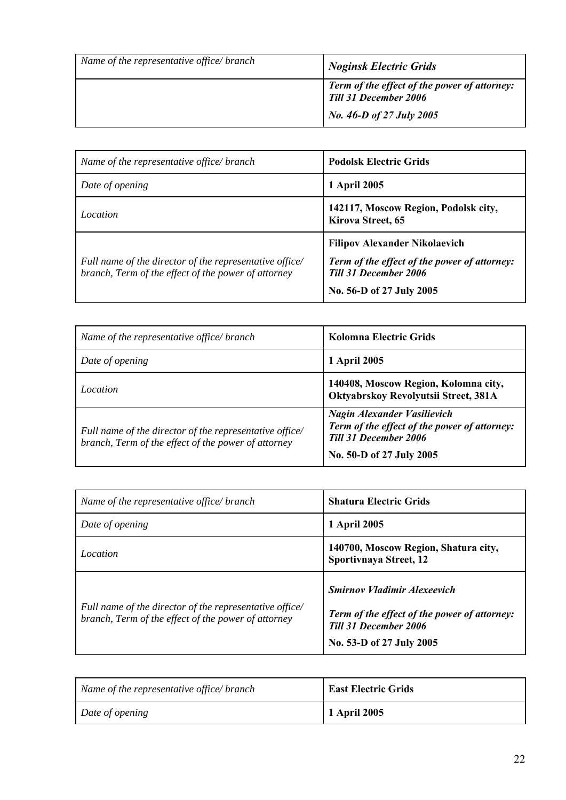| Name of the representative office/ branch | <b>Noginsk Electric Grids</b>                                                |
|-------------------------------------------|------------------------------------------------------------------------------|
|                                           | <b>Term of the effect of the power of attorney:</b><br>Till 31 December 2006 |
|                                           | No. 46-D of 27 July 2005                                                     |

| Name of the representative office/ branch               | <b>Podolsk Electric Grids</b>                                                        |
|---------------------------------------------------------|--------------------------------------------------------------------------------------|
| Date of opening                                         | 1 April 2005                                                                         |
| Location                                                | 142117, Moscow Region, Podolsk city,<br>Kirova Street, 65                            |
| Full name of the director of the representative office/ | <b>Filipov Alexander Nikolaevich</b><br>Term of the effect of the power of attorney: |
| branch, Term of the effect of the power of attorney     | <b>Till 31 December 2006</b>                                                         |
|                                                         | No. 56-D of 27 July 2005                                                             |

| Name of the representative office/branch                                                                       | Kolomna Electric Grids                                                                                                                         |
|----------------------------------------------------------------------------------------------------------------|------------------------------------------------------------------------------------------------------------------------------------------------|
| Date of opening                                                                                                | 1 April 2005                                                                                                                                   |
| Location                                                                                                       | 140408, Moscow Region, Kolomna city,<br>Oktyabrskoy Revolyutsii Street, 381A                                                                   |
| Full name of the director of the representative office/<br>branch, Term of the effect of the power of attorney | <b>Nagin Alexander Vasilievich</b><br>Term of the effect of the power of attorney:<br><b>Till 31 December 2006</b><br>No. 50-D of 27 July 2005 |

| Name of the representative office/ branch                                                                      | <b>Shatura Electric Grids</b>                                                                                                                         |
|----------------------------------------------------------------------------------------------------------------|-------------------------------------------------------------------------------------------------------------------------------------------------------|
| Date of opening                                                                                                | 1 April 2005                                                                                                                                          |
| Location                                                                                                       | 140700, Moscow Region, Shatura city,<br>Sportivnaya Street, 12                                                                                        |
| Full name of the director of the representative office/<br>branch, Term of the effect of the power of attorney | <b>Smirnov Vladimir Alexeevich</b><br><b>Term of the effect of the power of attorney:</b><br><b>Till 31 December 2006</b><br>No. 53-D of 27 July 2005 |

| Name of the representative office/branch | <b>East Electric Grids</b> |
|------------------------------------------|----------------------------|
| Date of opening                          | 1 April 2005               |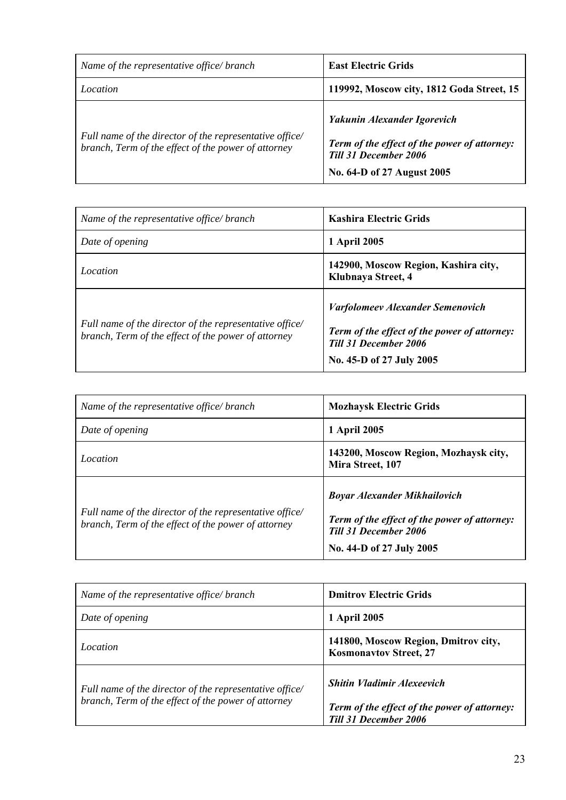| Name of the representative office/ branch                                                                      | <b>East Electric Grids</b>                                                                                                                |
|----------------------------------------------------------------------------------------------------------------|-------------------------------------------------------------------------------------------------------------------------------------------|
| Location                                                                                                       | 119992, Moscow city, 1812 Goda Street, 15                                                                                                 |
| Full name of the director of the representative office/<br>branch, Term of the effect of the power of attorney | Yakunin Alexander Igorevich<br>Term of the effect of the power of attorney:<br><b>Till 31 December 2006</b><br>No. 64-D of 27 August 2005 |

| Name of the representative office/ branch                                                                      | <b>Kashira Electric Grids</b>                                                                                                                       |
|----------------------------------------------------------------------------------------------------------------|-----------------------------------------------------------------------------------------------------------------------------------------------------|
| Date of opening                                                                                                | 1 April 2005                                                                                                                                        |
| Location                                                                                                       | 142900, Moscow Region, Kashira city,<br>Klubnaya Street, 4                                                                                          |
| Full name of the director of the representative office/<br>branch, Term of the effect of the power of attorney | <b>Varfolomeev Alexander Semenovich</b><br>Term of the effect of the power of attorney:<br><b>Till 31 December 2006</b><br>No. 45-D of 27 July 2005 |

| Name of the representative office/ branch                                                                      | <b>Mozhaysk Electric Grids</b>                                                                                                                  |
|----------------------------------------------------------------------------------------------------------------|-------------------------------------------------------------------------------------------------------------------------------------------------|
| Date of opening                                                                                                | 1 April 2005                                                                                                                                    |
| Location                                                                                                       | 143200, Moscow Region, Mozhaysk city,<br>Mira Street, 107                                                                                       |
| Full name of the director of the representative office/<br>branch, Term of the effect of the power of attorney | <b>Boyar Alexander Mikhailovich</b><br>Term of the effect of the power of attorney:<br><b>Till 31 December 2006</b><br>No. 44-D of 27 July 2005 |

| Name of the representative office/ branch                                                                      | <b>Dmitrov Electric Grids</b>                                                                              |
|----------------------------------------------------------------------------------------------------------------|------------------------------------------------------------------------------------------------------------|
| Date of opening                                                                                                | 1 April 2005                                                                                               |
| <i>Location</i>                                                                                                | 141800, Moscow Region, Dmitrov city,<br><b>Kosmonavtov Street, 27</b>                                      |
| Full name of the director of the representative office/<br>branch, Term of the effect of the power of attorney | <b>Shitin Vladimir Alexeevich</b><br>Term of the effect of the power of attorney:<br>Till 31 December 2006 |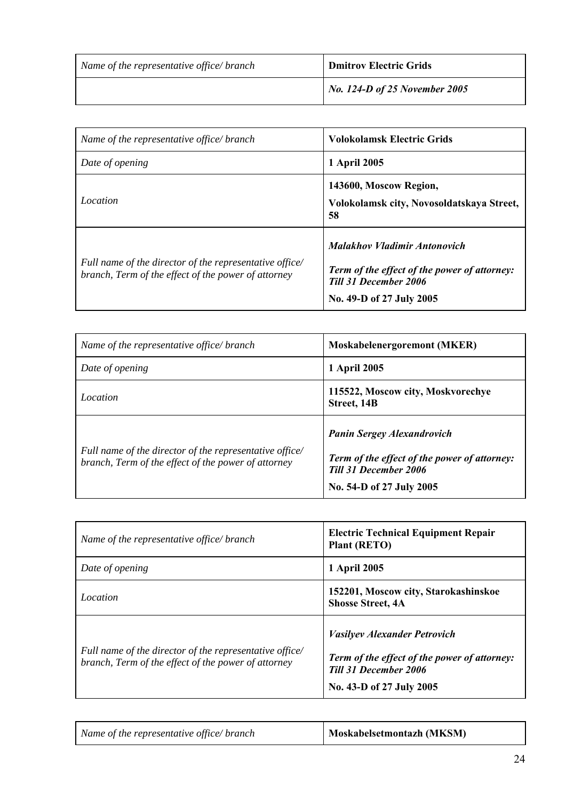| Name of the representative office/branch | <b>Dmitrov Electric Grids</b> |
|------------------------------------------|-------------------------------|
|                                          | No. 124-D of 25 November 2005 |

| Name of the representative office/branch                                                                       | <b>Volokolamsk Electric Grids</b>                                                                                                               |
|----------------------------------------------------------------------------------------------------------------|-------------------------------------------------------------------------------------------------------------------------------------------------|
| Date of opening                                                                                                | 1 April 2005                                                                                                                                    |
| <i>Location</i>                                                                                                | 143600, Moscow Region,<br>Volokolamsk city, Novosoldatskaya Street,<br>58                                                                       |
| Full name of the director of the representative office/<br>branch, Term of the effect of the power of attorney | <b>Malakhov Vladimir Antonovich</b><br>Term of the effect of the power of attorney:<br><b>Till 31 December 2006</b><br>No. 49-D of 27 July 2005 |

| Name of the representative office/branch                                                                       | Moskabelenergoremont (MKER)                                                                                                                   |
|----------------------------------------------------------------------------------------------------------------|-----------------------------------------------------------------------------------------------------------------------------------------------|
| Date of opening                                                                                                | 1 April 2005                                                                                                                                  |
| Location                                                                                                       | 115522, Moscow city, Moskvorechye<br>Street, 14B                                                                                              |
| Full name of the director of the representative office/<br>branch, Term of the effect of the power of attorney | <b>Panin Sergey Alexandrovich</b><br>Term of the effect of the power of attorney:<br><b>Till 31 December 2006</b><br>No. 54-D of 27 July 2005 |

| Name of the representative office/branch                                                                       | <b>Electric Technical Equipment Repair</b><br><b>Plant (RETO)</b>                                                                               |  |
|----------------------------------------------------------------------------------------------------------------|-------------------------------------------------------------------------------------------------------------------------------------------------|--|
| Date of opening                                                                                                | 1 April 2005                                                                                                                                    |  |
| <i>Location</i>                                                                                                | 152201, Moscow city, Starokashinskoe<br><b>Shosse Street, 4A</b>                                                                                |  |
| Full name of the director of the representative office/<br>branch, Term of the effect of the power of attorney | <b>Vasilyev Alexander Petrovich</b><br>Term of the effect of the power of attorney:<br><b>Till 31 December 2006</b><br>No. 43-D of 27 July 2005 |  |

| Name of the representative office/branch | Moskabelsetmontazh (MKSM) |
|------------------------------------------|---------------------------|
|------------------------------------------|---------------------------|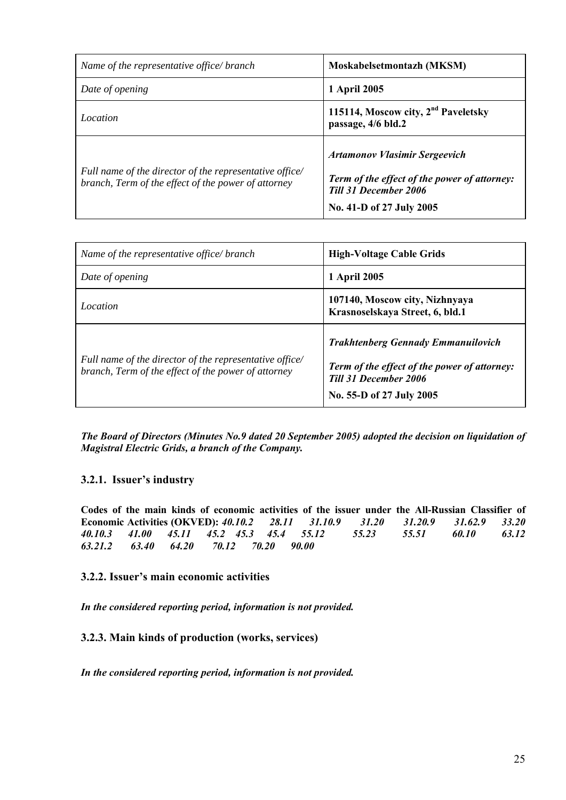<span id="page-24-0"></span>

| Name of the representative office/ branch                                                                      | Moskabelsetmontazh (MKSM)                                                                                                                        |  |
|----------------------------------------------------------------------------------------------------------------|--------------------------------------------------------------------------------------------------------------------------------------------------|--|
| Date of opening                                                                                                | 1 April 2005                                                                                                                                     |  |
| Location                                                                                                       | 115114, Moscow city, 2 <sup>nd</sup> Paveletsky<br>passage, 4/6 bld.2                                                                            |  |
| Full name of the director of the representative office/<br>branch, Term of the effect of the power of attorney | <b>Artamonov Vlasimir Sergeevich</b><br>Term of the effect of the power of attorney:<br><b>Till 31 December 2006</b><br>No. 41-D of 27 July 2005 |  |

| Name of the representative office/ branch                                                                      | <b>High-Voltage Cable Grids</b>                                                                                                                       |  |
|----------------------------------------------------------------------------------------------------------------|-------------------------------------------------------------------------------------------------------------------------------------------------------|--|
| Date of opening                                                                                                | 1 April 2005                                                                                                                                          |  |
| Location                                                                                                       | 107140, Moscow city, Nizhnyaya<br>Krasnoselskaya Street, 6, bld.1                                                                                     |  |
| Full name of the director of the representative office/<br>branch, Term of the effect of the power of attorney | <b>Trakhtenberg Gennady Emmanuilovich</b><br>Term of the effect of the power of attorney:<br><b>Till 31 December 2006</b><br>No. 55-D of 27 July 2005 |  |

*The Board of Directors (Minutes No.9 dated 20 September 2005) adopted the decision on liquidation of Magistral Electric Grids, a branch of the Company.* 

## **3.2.1. Issuer's industry**

**Codes of the main kinds of economic activities of the issuer under the All-Russian Classifier of Economic Activities (OKVED):** *40.10.2 28.11 31.10.9 31.20 31.20.9 31.62.9 33.20 40.10.3 41.00 45.11 45.2 45.3 45.4 55.12 55.23 55.51 60.10 63.12 63.21.2 63.40 64.20 70.12 70.20 90.00* 

## **3.2.2. Issuer's main economic activities**

*In the considered reporting period, information is not provided.* 

**3.2.3. Main kinds of production (works, services)** 

*In the considered reporting period, information is not provided.*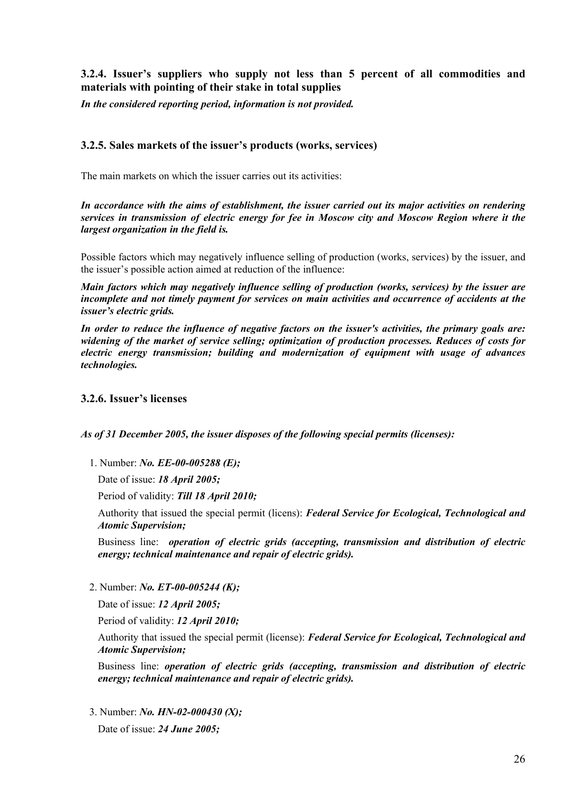## <span id="page-25-0"></span>**3.2.4. Issuer's suppliers who supply not less than 5 percent of all commodities and materials with pointing of their stake in total supplies**

*In the considered reporting period, information is not provided.* 

## **3.2.5. Sales markets of the issuer's products (works, services)**

The main markets on which the issuer carries out its activities:

*In accordance with the aims of establishment, the issuer carried out its major activities on rendering services in transmission of electric energy for fee in Moscow city and Moscow Region where it the largest organization in the field is.* 

Possible factors which may negatively influence selling of production (works, services) by the issuer, and the issuer's possible action aimed at reduction of the influence:

*Main factors which may negatively influence selling of production (works, services) by the issuer are incomplete and not timely payment for services on main activities and occurrence of accidents at the issuer's electric grids.* 

*In order to reduce the influence of negative factors on the issuer's activities, the primary goals are: widening of the market of service selling; optimization of production processes. Reduces of costs for electric energy transmission; building and modernization of equipment with usage of advances technologies.* 

## **3.2.6. Issuer's licenses**

*As of 31 December 2005, the issuer disposes of the following special permits (licenses):* 

1. Number: *No. EE-00-005288 (E);* 

Date of issue: *18 April 2005;* 

Period of validity: *Till 18 April 2010;* 

Authority that issued the special permit (licens): *Federal Service for Ecological, Technological and Atomic Supervision;* 

Business line: *operation of electric grids (accepting, transmission and distribution of electric energy; technical maintenance and repair of electric grids).* 

2. Number: *No. ET-00-005244 (K);* 

Date of issue: *12 April 2005;* 

Period of validity: *12 April 2010;* 

Authority that issued the special permit (license): *Federal Service for Ecological, Technological and Atomic Supervision;* 

Business line: *operation of electric grids (accepting, transmission and distribution of electric energy; technical maintenance and repair of electric grids).* 

3. Number: *No. HN-02-000430 (X);* 

Date of issue: *24 June 2005;*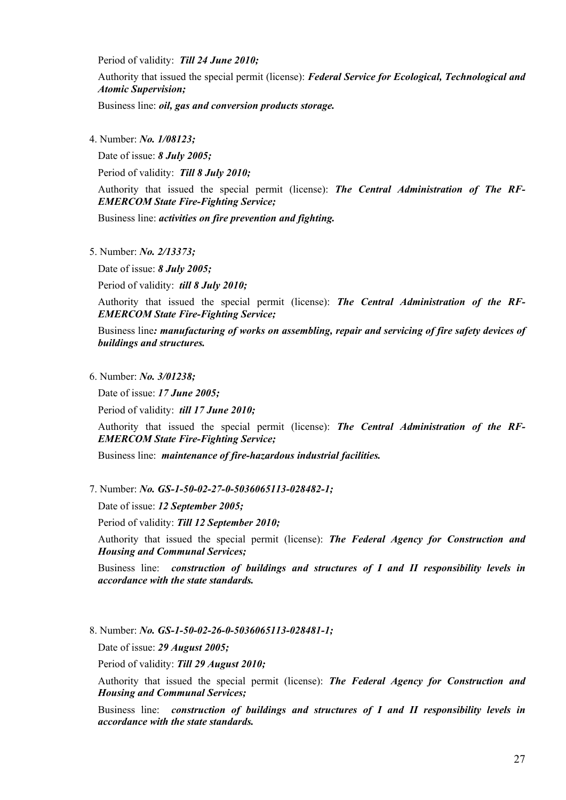Period of validity: *Till 24 June 2010;* 

Authority that issued the special permit (license): *Federal Service for Ecological, Technological and Atomic Supervision;* 

Business line: *oil, gas and conversion products storage.* 

4. Number: *No. 1/08123;* 

Date of issue: *8 July 2005;* 

Period of validity: *Till 8 July 2010;* 

Authority that issued the special permit (license): *The Central Administration of The RF-EMERCOM State Fire-Fighting Service;* 

Business line: *activities on fire prevention and fighting.* 

5. Number: *No. 2/13373;* 

Date of issue: *8 July 2005;* 

Period of validity: *till 8 July 2010;* 

Authority that issued the special permit (license): *The Central Administration of the RF-EMERCOM State Fire-Fighting Service;* 

Business line*: manufacturing of works on assembling, repair and servicing of fire safety devices of buildings and structures.* 

6. Number: *No. 3/01238;* 

Date of issue: *17 June 2005;* 

Period of validity: *till 17 June 2010;* 

Authority that issued the special permit (license): *The Central Administration of the RF-EMERCOM State Fire-Fighting Service;* 

Business line: *maintenance of fire-hazardous industrial facilities.* 

7. Number: *No. GS-1-50-02-27-0-5036065113-028482-1;*

Date of issue: *12 September 2005;*

Period of validity: *Till 12 September 2010;*

 Authority that issued the special permit (license): *The Federal Agency for Construction and Housing and Communal Services;* 

 Business line: *construction of buildings and structures of I and II responsibility levels in accordance with the state standards.*

8. Number: *No. GS-1-50-02-26-0-5036065113-028481-1;*

Date of issue: *29 August 2005;*

Period of validity: *Till 29 August 2010;* 

 Authority that issued the special permit (license): *The Federal Agency for Construction and Housing and Communal Services;* 

 Business line: *construction of buildings and structures of I and II responsibility levels in accordance with the state standards.*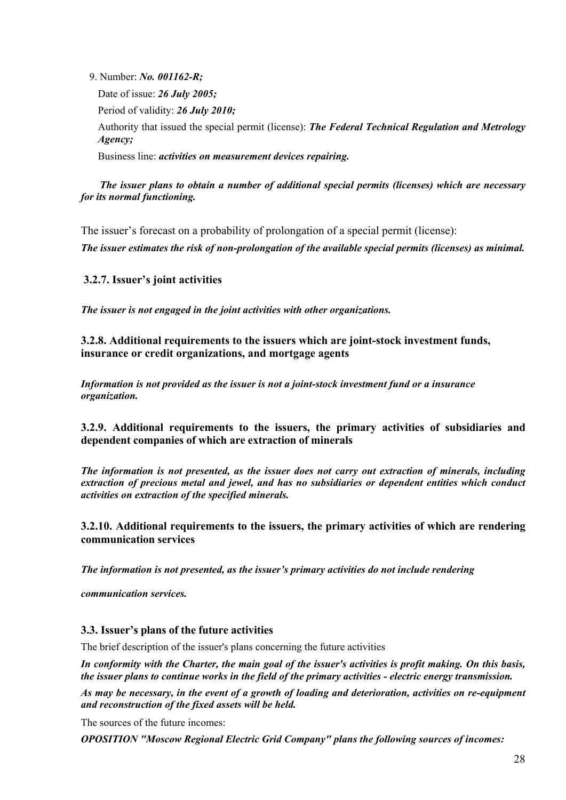<span id="page-27-0"></span>9. Number: *No. 001162-R;*

 Date of issue: *26 July 2005;* Period of validity: *26 July 2010;* Authority that issued the special permit (license): *The Federal Technical Regulation and Metrology Agency;* Business line: *activities on measurement devices repairing.*

 *The issuer plans to obtain a number of additional special permits (licenses) which are necessary for its normal functioning.* 

The issuer's forecast on a probability of prolongation of a special permit (license): *The issuer estimates the risk of non-prolongation of the available special permits (licenses) as minimal.* 

## **3.2.7. Issuer's joint activities**

*The issuer is not engaged in the joint activities with other organizations.* 

**3.2.8. Additional requirements to the issuers which are joint-stock investment funds, insurance or credit organizations, and mortgage agents** 

*Information is not provided as the issuer is not a joint-stock investment fund or a insurance organization.* 

## **3.2.9. Additional requirements to the issuers, the primary activities of subsidiaries and dependent companies of which are extraction of minerals**

*The information is not presented, as the issuer does not carry out extraction of minerals, including extraction of precious metal and jewel, and has no subsidiaries or dependent entities which conduct activities on extraction of the specified minerals.* 

## **3.2.10. Additional requirements to the issuers, the primary activities of which are rendering communication services**

*The information is not presented, as the issuer's primary activities do not include rendering* 

*communication services.*

## **3.3. Issuer's plans of the future activities**

The brief description of the issuer's plans concerning the future activities

*In conformity with the Charter, the main goal of the issuer's activities is profit making. On this basis, the issuer plans to continue works in the field of the primary activities - electric energy transmission.* 

*As may be necessary, in the event of a growth of loading and deterioration, activities on re-equipment and reconstruction of the fixed assets will be held.*

The sources of the future incomes:

*OPOSITION "Moscow Regional Electric Grid Company" plans the following sources of incomes:*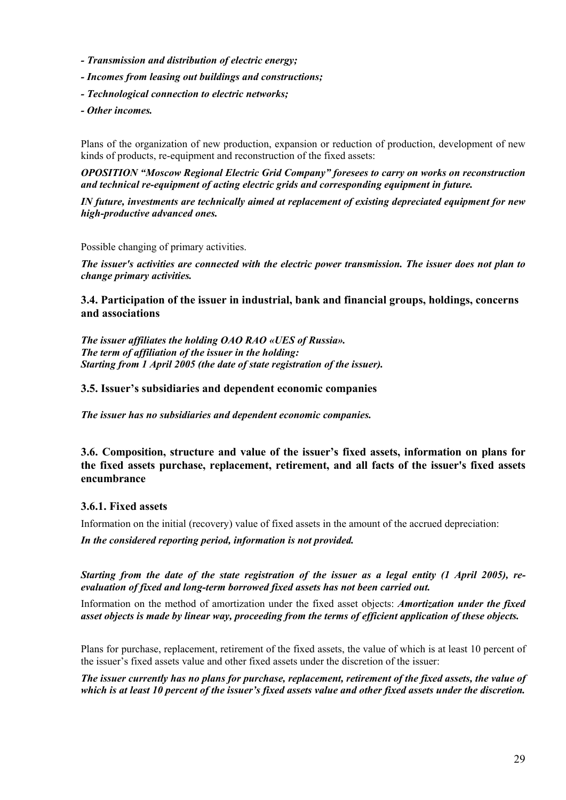- <span id="page-28-0"></span>*- Transmission and distribution of electric energy;*
- *Incomes from leasing out buildings and constructions;*
- *Technological connection to electric networks;*
- *Other incomes.*

Plans of the organization of new production, expansion or reduction of production, development of new kinds of products, re-equipment and reconstruction of the fixed assets:

*OPOSITION "Moscow Regional Electric Grid Company" foresees to carry on works on reconstruction and technical re-equipment of acting electric grids and corresponding equipment in future.* 

*IN future, investments are technically aimed at replacement of existing depreciated equipment for new high-productive advanced ones.* 

Possible changing of primary activities.

*The issuer's activities are connected with the electric power transmission. The issuer does not plan to change primary activities.*

**3.4. Participation of the issuer in industrial, bank and financial groups, holdings, concerns and associations** 

*The issuer affiliates the holding OAO RAO «UES of Russia». The term of affiliation of the issuer in the holding: Starting from 1 April 2005 (the date of state registration of the issuer).* 

## **3.5. Issuer's subsidiaries and dependent economic companies**

*The issuer has no subsidiaries and dependent economic companies.* 

## **3.6. Composition, structure and value of the issuer's fixed assets, information on plans for the fixed assets purchase, replacement, retirement, and all facts of the issuer's fixed assets encumbrance**

## **3.6.1. Fixed assets**

Information on the initial (recovery) value of fixed assets in the amount of the accrued depreciation:

*In the considered reporting period, information is not provided.* 

*Starting from the date of the state registration of the issuer as a legal entity (1 April 2005), reevaluation of fixed and long-term borrowed fixed assets has not been carried out.* 

Information on the method of amortization under the fixed asset objects: *Amortization under the fixed asset objects is made by linear way, proceeding from the terms of efficient application of these objects.* 

Plans for purchase, replacement, retirement of the fixed assets, the value of which is at least 10 percent of the issuer's fixed assets value and other fixed assets under the discretion of the issuer:

*The issuer currently has no plans for purchase, replacement, retirement of the fixed assets, the value of which is at least 10 percent of the issuer's fixed assets value and other fixed assets under the discretion.*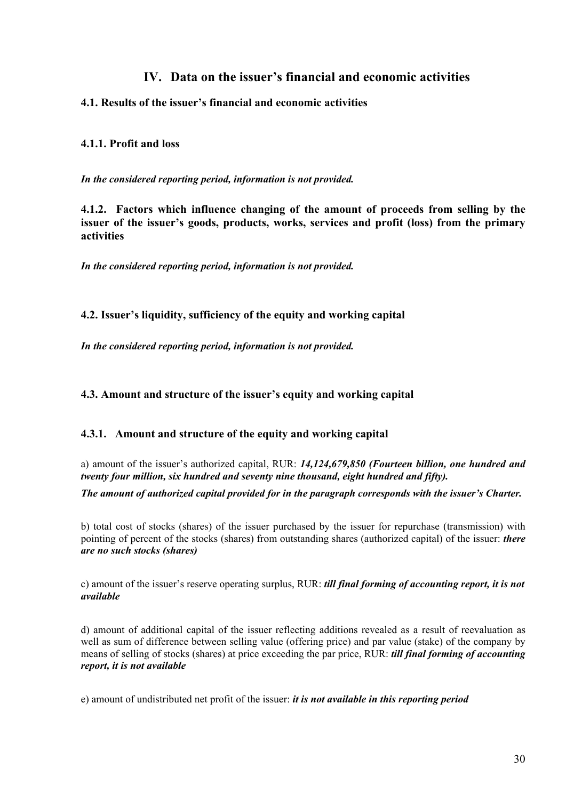## **IV. Data on the issuer's financial and economic activities**

## <span id="page-29-0"></span>**4.1. Results of the issuer's financial and economic activities**

## **4.1.1. Profit and loss**

*In the considered reporting period, information is not provided.* 

**4.1.2. Factors which influence changing of the amount of proceeds from selling by the issuer of the issuer's goods, products, works, services and profit (loss) from the primary activities** 

*In the considered reporting period, information is not provided.* 

## **4.2. Issuer's liquidity, sufficiency of the equity and working capital**

*In the considered reporting period, information is not provided.* 

**4.3. Amount and structure of the issuer's equity and working capital** 

## **4.3.1. Amount and structure of the equity and working capital**

а) amount of the issuer's authorized capital, RUR: *14,124,679,850 (Fourteen billion, one hundred and twenty four million, six hundred and seventy nine thousand, eight hundred and fifty).*

*The amount of authorized capital provided for in the paragraph corresponds with the issuer's Charter.* 

b) total cost of stocks (shares) of the issuer purchased by the issuer for repurchase (transmission) with pointing of percent of the stocks (shares) from outstanding shares (authorized capital) of the issuer: *there are no such stocks (shares)*

c) amount of the issuer's reserve operating surplus, RUR: *till final forming of accounting report, it is not available*

d) amount of additional capital of the issuer reflecting additions revealed as a result of reevaluation as well as sum of difference between selling value (offering price) and par value (stake) of the company by means of selling of stocks (shares) at price exceeding the par price, RUR: *till final forming of accounting report, it is not available*

e) amount of undistributed net profit of the issuer: *it is not available in this reporting period*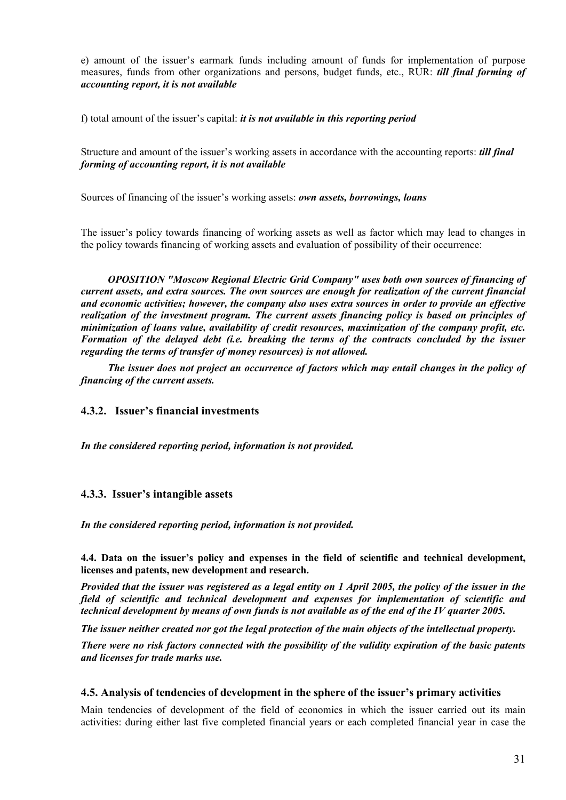<span id="page-30-0"></span>е) amount of the issuer's earmark funds including amount of funds for implementation of purpose measures, funds from other organizations and persons, budget funds, etc., RUR: *till final forming of accounting report, it is not available*

f) total amount of the issuer's capital: *it is not available in this reporting period*

Structure and amount of the issuer's working assets in accordance with the accounting reports: *till final forming of accounting report, it is not available* 

Sources of financing of the issuer's working assets: *own assets, borrowings, loans*

The issuer's policy towards financing of working assets as well as factor which may lead to changes in the policy towards financing of working assets and evaluation of possibility of their occurrence:

*OPOSITION "Moscow Regional Electric Grid Company" uses both own sources of financing of current assets, and extra sources. The own sources are enough for realization of the current financial and economic activities; however, the company also uses extra sources in order to provide an effective realization of the investment program. The current assets financing policy is based on principles of minimization of loans value, availability of credit resources, maximization of the company profit, etc. Formation of the delayed debt (i.e. breaking the terms of the contracts concluded by the issuer regarding the terms of transfer of money resources) is not allowed.* 

*The issuer does not project an occurrence of factors which may entail changes in the policy of financing of the current assets.*

## **4.3.2. Issuer's financial investments**

*In the considered reporting period, information is not provided.* 

#### **4.3.3. Issuer's intangible assets**

*In the considered reporting period, information is not provided.* 

**4.4. Data on the issuer's policy and expenses in the field of scientific and technical development, licenses and patents, new development and research.** 

*Provided that the issuer was registered as a legal entity on 1 April 2005, the policy of the issuer in the field of scientific and technical development and expenses for implementation of scientific and technical development by means of own funds is not available as of the end of the IV quarter 2005.* 

*The issuer neither created nor got the legal protection of the main objects of the intellectual property.* 

*There were no risk factors connected with the possibility of the validity expiration of the basic patents and licenses for trade marks use.* 

#### **4.5. Analysis of tendencies of development in the sphere of the issuer's primary activities**

Main tendencies of development of the field of economics in which the issuer carried out its main activities: during either last five completed financial years or each completed financial year in case the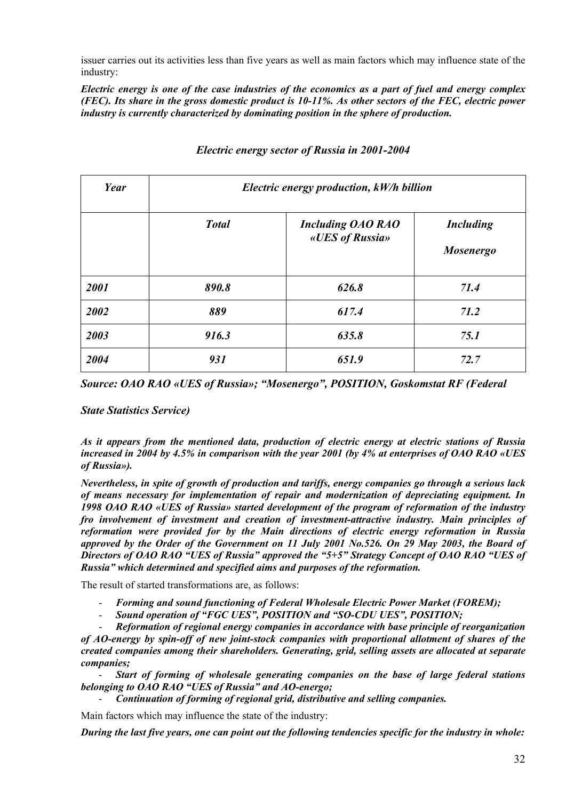issuer carries out its activities less than five years as well as main factors which may influence state of the industry:

*Electric energy is one of the case industries of the economics as a part of fuel and energy complex (FEC). Its share in the gross domestic product is 10-11%. As other sectors of the FEC, electric power industry is currently characterized by dominating position in the sphere of production.* 

| Year |              | Electric energy production, kW/h billion    |                                      |
|------|--------------|---------------------------------------------|--------------------------------------|
|      | <b>Total</b> | <b>Including OAO RAO</b><br>«UES of Russia» | <b>Including</b><br><b>Mosenergo</b> |
| 2001 | 890.8        | 626.8                                       | 71.4                                 |
| 2002 | 889          | 617.4                                       | 71.2                                 |
| 2003 | 916.3        | 635.8                                       | 75.1                                 |
| 2004 | 931          | 651.9                                       | 72.7                                 |

## *Electric energy sector of Russia in 2001-2004*

*Source: OAO RAO «UES of Russia»; "Mosenergo", POSITION, Goskomstat RF (Federal* 

*State Statistics Service)* 

*As it appears from the mentioned data, production of electric energy at electric stations of Russia increased in 2004 by 4.5% in comparison with the year 2001 (by 4% at enterprises of OAO RAO «UES of Russia»).* 

*Nevertheless, in spite of growth of production and tariffs, energy companies go through a serious lack of means necessary for implementation of repair and modernization of depreciating equipment. In 1998 OAO RAO «UES of Russia» started development of the program of reformation of the industry fro involvement of investment and creation of investment-attractive industry. Main principles of reformation were provided for by the Main directions of electric energy reformation in Russia approved by the Order of the Government on 11 July 2001 No.526. On 29 May 2003, the Board of Directors of OAO RAO "UES of Russia" approved the "5+5" Strategy Concept of OAO RAO "UES of Russia" which determined and specified aims and purposes of the reformation.* 

The result of started transformations are, as follows:

- *Forming and sound functioning of Federal Wholesale Electric Power Market (FOREM);*
- *Sound operation of "FGC UES", POSITION and "SO-CDU UES", POSITION;*

- *Reformation of regional energy companies in accordance with base principle of reorganization of AO-energy by spin-off of new joint-stock companies with proportional allotment of shares of the created companies among their shareholders. Generating, grid, selling assets are allocated at separate companies;* 

- *Start of forming of wholesale generating companies on the base of large federal stations belonging to OAO RAO "UES of Russia" and AO-energo;* 

- *Continuation of forming of regional grid, distributive and selling companies.* 

Main factors which may influence the state of the industry:

*During the last five years, one can point out the following tendencies specific for the industry in whole:*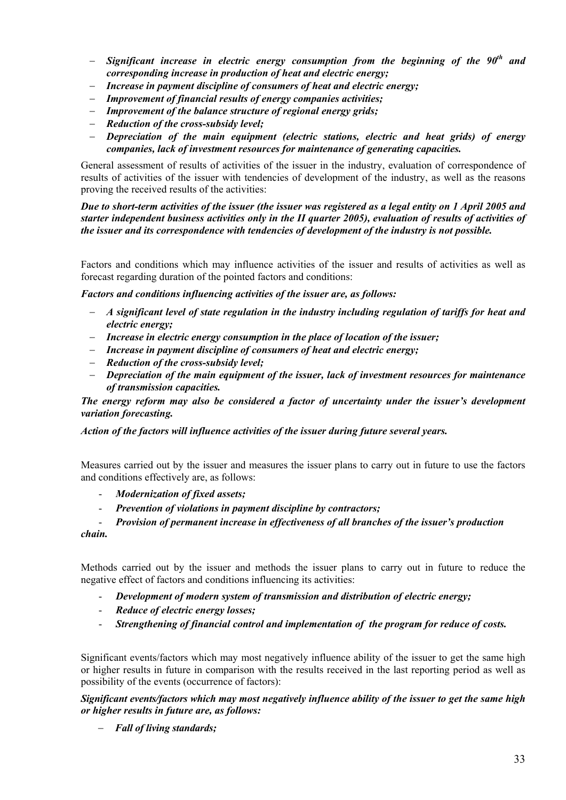- − *Significant increase in electric energy consumption from the beginning of the 90th and corresponding increase in production of heat and electric energy;*
- − *Increase in payment discipline of consumers of heat and electric energy;*
- − *Improvement of financial results of energy companies activities;*
- − *Improvement of the balance structure of regional energy grids;*
- − *Reduction of the cross-subsidy level;*
- − *Depreciation of the main equipment (electric stations, electric and heat grids) of energy companies, lack of investment resources for maintenance of generating capacities.*

General assessment of results of activities of the issuer in the industry, evaluation of correspondence of results of activities of the issuer with tendencies of development of the industry, as well as the reasons proving the received results of the activities:

*Due to short-term activities of the issuer (the issuer was registered as a legal entity on 1 April 2005 and starter independent business activities only in the II quarter 2005), evaluation of results of activities of the issuer and its correspondence with tendencies of development of the industry is not possible.* 

Factors and conditions which may influence activities of the issuer and results of activities as well as forecast regarding duration of the pointed factors and conditions:

*Factors and conditions influencing activities of the issuer are, as follows:* 

- − *A significant level of state regulation in the industry including regulation of tariffs for heat and electric energy;*
- − *Increase in electric energy consumption in the place of location of the issuer;*
- − *Increase in payment discipline of consumers of heat and electric energy;*
- − *Reduction of the cross-subsidy level;*
- − *Depreciation of the main equipment of the issuer, lack of investment resources for maintenance of transmission capacities.*

*The energy reform may also be considered a factor of uncertainty under the issuer's development variation forecasting.* 

*Action of the factors will influence activities of the issuer during future several years.* 

Measures carried out by the issuer and measures the issuer plans to carry out in future to use the factors and conditions effectively are, as follows:

- *Modernization of fixed assets;*
- *Prevention of violations in payment discipline by contractors;*

- *Provision of permanent increase in effectiveness of all branches of the issuer's production chain.* 

Methods carried out by the issuer and methods the issuer plans to carry out in future to reduce the negative effect of factors and conditions influencing its activities:

- *Development of modern system of transmission and distribution of electric energy;*
- *Reduce of electric energy losses;*
- *Strengthening of financial control and implementation of the program for reduce of costs.*

Significant events/factors which may most negatively influence ability of the issuer to get the same high or higher results in future in comparison with the results received in the last reporting period as well as possibility of the events (occurrence of factors):

*Significant events/factors which may most negatively influence ability of the issuer to get the same high or higher results in future are, as follows:*

− *Fall of living standards;*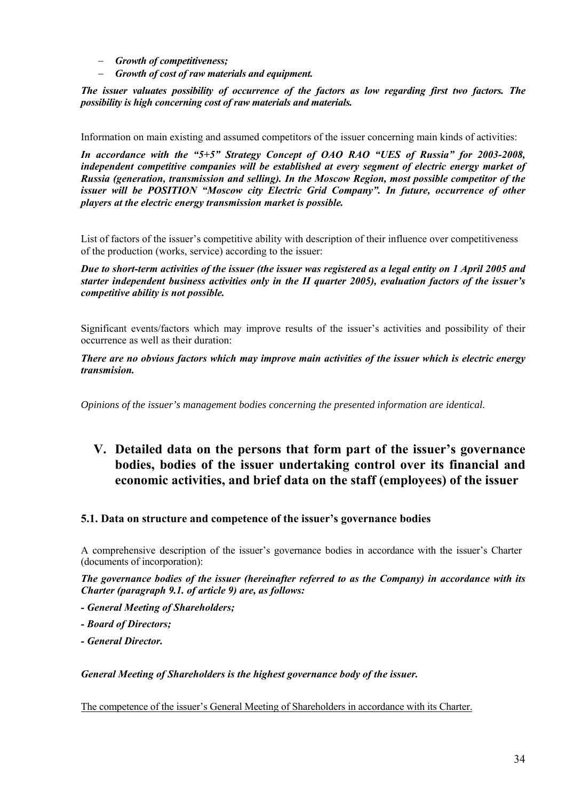- <span id="page-33-0"></span>− *Growth of competitiveness;*
- − *Growth of cost of raw materials and equipment.*

*The issuer valuates possibility of occurrence of the factors as low regarding first two factors. The possibility is high concerning cost of raw materials and materials.* 

Information on main existing and assumed competitors of the issuer concerning main kinds of activities:

*In accordance with the "5+5" Strategy Concept of OAO RAO "UES of Russia" for 2003-2008, independent competitive companies will be established at every segment of electric energy market of Russia (generation, transmission and selling). In the Moscow Region, most possible competitor of the issuer will be POSITION "Moscow city Electric Grid Company". In future, occurrence of other players at the electric energy transmission market is possible.* 

List of factors of the issuer's competitive ability with description of their influence over competitiveness of the production (works, service) according to the issuer:

*Due to short-term activities of the issuer (the issuer was registered as a legal entity on 1 April 2005 and starter independent business activities only in the II quarter 2005), evaluation factors of the issuer's competitive ability is not possible.* 

Significant events/factors which may improve results of the issuer's activities and possibility of their occurrence as well as their duration:

*There are no obvious factors which may improve main activities of the issuer which is electric energy transmision.* 

*Opinions of the issuer's management bodies concerning the presented information are identical.* 

## **V. Detailed data on the persons that form part of the issuer's governance bodies, bodies of the issuer undertaking control over its financial and economic activities, and brief data on the staff (employees) of the issuer**

## **5.1. Data on structure and competence of the issuer's governance bodies**

A comprehensive description of the issuer's governance bodies in accordance with the issuer's Charter (documents of incorporation):

*The governance bodies of the issuer (hereinafter referred to as the Company) in accordance with its Charter (paragraph 9.1. of article 9) are, as follows:* 

- *General Meeting of Shareholders;*
- *Board of Directors;*
- *General Director.*

*General Meeting of Shareholders is the highest governance body of the issuer.* 

The competence of the issuer's General Meeting of Shareholders in accordance with its Charter.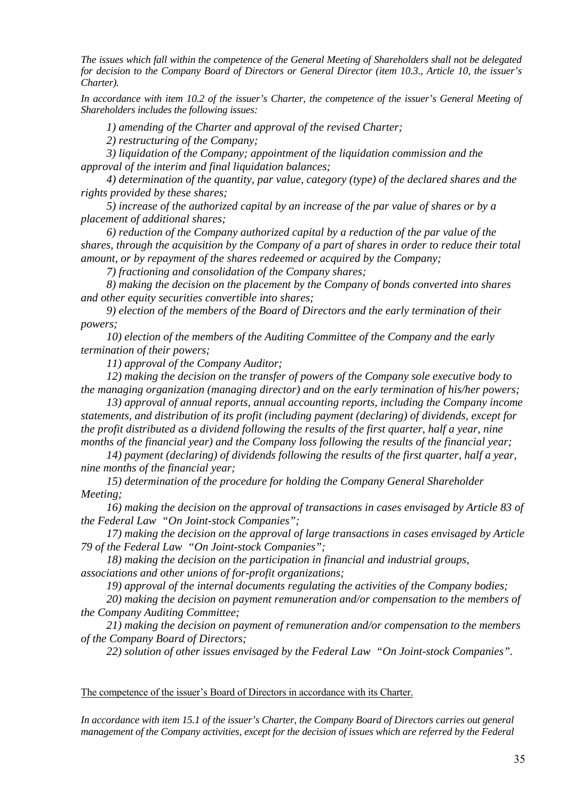*The issues which fall within the competence of the General Meeting of Shareholders shall not be delegated for decision to the Company Board of Directors or General Director (item 10.3., Article 10, the issuer's Charter).* 

*In accordance with item 10.2 of the issuer's Charter, the competence of the issuer's General Meeting of Shareholders includes the following issues:* 

*1) amending of the Charter and approval of the revised Charter;* 

*2) restructuring of the Company;* 

*3) liquidation of the Company; appointment of the liquidation commission and the approval of the interim and final liquidation balances;* 

*4) determination of the quantity, par value, category (type) of the declared shares and the rights provided by these shares;* 

*5) increase of the authorized capital by an increase of the par value of shares or by a placement of additional shares;* 

*6) reduction of the Company authorized capital by a reduction of the par value of the shares, through the acquisition by the Company of a part of shares in order to reduce their total amount, or by repayment of the shares redeemed or acquired by the Company;* 

*7) fractioning and consolidation of the Company shares;* 

*8) making the decision on the placement by the Company of bonds converted into shares and other equity securities convertible into shares;* 

*9) election of the members of the Board of Directors and the early termination of their powers;* 

*10) election of the members of the Auditing Committee of the Company and the early termination of their powers;* 

*11) approval of the Company Auditor;* 

*12) making the decision on the transfer of powers of the Company sole executive body to the managing organization (managing director) and on the early termination of his/her powers;* 

*13) approval of annual reports, annual accounting reports, including the Company income statements, and distribution of its profit (including payment (declaring) of dividends, except for the profit distributed as a dividend following the results of the first quarter, half a year, nine months of the financial year) and the Company loss following the results of the financial year;* 

*14) payment (declaring) of dividends following the results of the first quarter, half a year, nine months of the financial year;* 

*15) determination of the procedure for holding the Company General Shareholder Meeting;* 

*16) making the decision on the approval of transactions in cases envisaged by Article 83 of the Federal Law "On Joint-stock Companies";* 

*17) making the decision on the approval of large transactions in cases envisaged by Article 79 of the Federal Law "On Joint-stock Companies";* 

*18) making the decision on the participation in financial and industrial groups, associations and other unions of for-profit organizations;* 

*19) approval of the internal documents regulating the activities of the Company bodies;* 

*20) making the decision on payment remuneration and/or compensation to the members of the Company Auditing Committee;* 

*21) making the decision on payment of remuneration and/or compensation to the members of the Company Board of Directors;* 

*22) solution of other issues envisaged by the Federal Law "On Joint-stock Companies".* 

#### The competence of the issuer's Board of Directors in accordance with its Charter.

*In accordance with item 15.1 of the issuer's Charter, the Company Board of Directors carries out general management of the Company activities, except for the decision of issues which are referred by the Federal*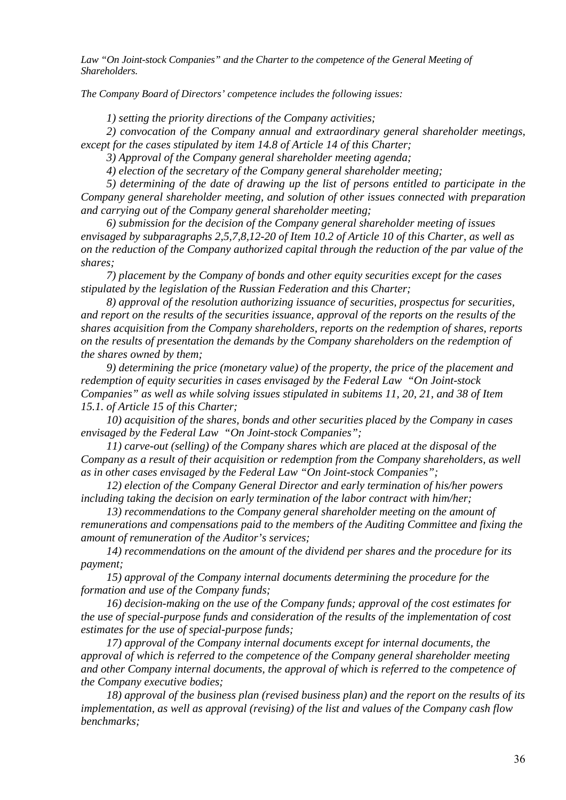Law "On Joint-stock Companies" and the Charter to the competence of the General Meeting of *Shareholders.* 

*The Company Board of Directors' competence includes the following issues:* 

*1) setting the priority directions of the Company activities;* 

*2) convocation of the Company annual and extraordinary general shareholder meetings, except for the cases stipulated by item 14.8 of Article 14 of this Charter;* 

*3) Approval of the Company general shareholder meeting agenda;* 

*4) election of the secretary of the Company general shareholder meeting;* 

*5) determining of the date of drawing up the list of persons entitled to participate in the Company general shareholder meeting, and solution of other issues connected with preparation and carrying out of the Company general shareholder meeting;* 

*6) submission for the decision of the Company general shareholder meeting of issues envisaged by subparagraphs 2,5,7,8,12-20 of Item 10.2 of Article 10 of this Charter, as well as on the reduction of the Company authorized capital through the reduction of the par value of the shares;* 

*7) placement by the Company of bonds and other equity securities except for the cases stipulated by the legislation of the Russian Federation and this Charter;* 

*8) approval of the resolution authorizing issuance of securities, prospectus for securities, and report on the results of the securities issuance, approval of the reports on the results of the shares acquisition from the Company shareholders, reports on the redemption of shares, reports on the results of presentation the demands by the Company shareholders on the redemption of the shares owned by them;* 

*9) determining the price (monetary value) of the property, the price of the placement and redemption of equity securities in cases envisaged by the Federal Law "On Joint-stock Companies" as well as while solving issues stipulated in subitems 11, 20, 21, and 38 of Item 15.1. of Article 15 of this Charter;* 

*10) acquisition of the shares, bonds and other securities placed by the Company in cases envisaged by the Federal Law "On Joint-stock Companies";* 

*11) carve-out (selling) of the Company shares which are placed at the disposal of the Company as a result of their acquisition or redemption from the Company shareholders, as well as in other cases envisaged by the Federal Law "On Joint-stock Companies";* 

*12) election of the Company General Director and early termination of his/her powers including taking the decision on early termination of the labor contract with him/her;* 

*13) recommendations to the Company general shareholder meeting on the amount of remunerations and compensations paid to the members of the Auditing Committee and fixing the amount of remuneration of the Auditor's services;* 

*14) recommendations on the amount of the dividend per shares and the procedure for its payment;* 

*15) approval of the Company internal documents determining the procedure for the formation and use of the Company funds;* 

*16) decision-making on the use of the Company funds; approval of the cost estimates for the use of special-purpose funds and consideration of the results of the implementation of cost estimates for the use of special-purpose funds;* 

*17) approval of the Company internal documents except for internal documents, the approval of which is referred to the competence of the Company general shareholder meeting and other Company internal documents, the approval of which is referred to the competence of the Company executive bodies;* 

*18) approval of the business plan (revised business plan) and the report on the results of its implementation, as well as approval (revising) of the list and values of the Company cash flow benchmarks;*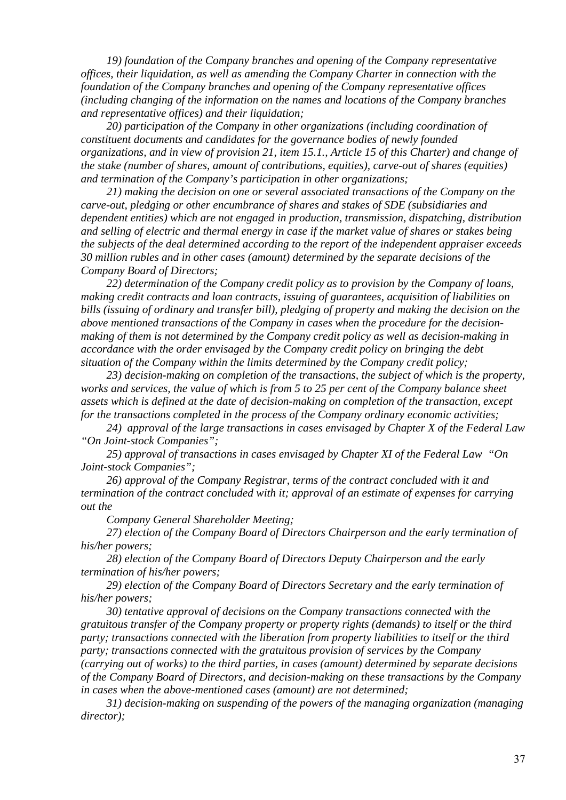*19) foundation of the Company branches and opening of the Company representative offices, their liquidation, as well as amending the Company Charter in connection with the foundation of the Company branches and opening of the Company representative offices (including changing of the information on the names and locations of the Company branches and representative offices) and their liquidation;* 

*20) participation of the Company in other organizations (including coordination of constituent documents and candidates for the governance bodies of newly founded organizations, and in view of provision 21, item 15.1., Article 15 of this Charter) and change of the stake (number of shares, amount of contributions, equities), carve-out of shares (equities) and termination of the Company's participation in other organizations;* 

*21) making the decision on one or several associated transactions of the Company on the carve-out, pledging or other encumbrance of shares and stakes of SDE (subsidiaries and dependent entities) which are not engaged in production, transmission, dispatching, distribution and selling of electric and thermal energy in case if the market value of shares or stakes being the subjects of the deal determined according to the report of the independent appraiser exceeds 30 million rubles and in other cases (amount) determined by the separate decisions of the Company Board of Directors;* 

*22) determination of the Company credit policy as to provision by the Company of loans, making credit contracts and loan contracts, issuing of guarantees, acquisition of liabilities on bills (issuing of ordinary and transfer bill), pledging of property and making the decision on the above mentioned transactions of the Company in cases when the procedure for the decisionmaking of them is not determined by the Company credit policy as well as decision-making in accordance with the order envisaged by the Company credit policy on bringing the debt situation of the Company within the limits determined by the Company credit policy;* 

*23) decision-making on completion of the transactions, the subject of which is the property, works and services, the value of which is from 5 to 25 per cent of the Company balance sheet assets which is defined at the date of decision-making on completion of the transaction, except for the transactions completed in the process of the Company ordinary economic activities;* 

*24) approval of the large transactions in cases envisaged by Chapter X of the Federal Law "On Joint-stock Companies";* 

*25) approval of transactions in cases envisaged by Chapter XI of the Federal Law "On Joint-stock Companies";* 

*26) approval of the Company Registrar, terms of the contract concluded with it and termination of the contract concluded with it; approval of an estimate of expenses for carrying out the* 

*Company General Shareholder Meeting;* 

*27) election of the Company Board of Directors Chairperson and the early termination of his/her powers;* 

*28) election of the Company Board of Directors Deputy Chairperson and the early termination of his/her powers;* 

*29) election of the Company Board of Directors Secretary and the early termination of his/her powers;* 

*30) tentative approval of decisions on the Company transactions connected with the gratuitous transfer of the Company property or property rights (demands) to itself or the third party; transactions connected with the liberation from property liabilities to itself or the third party; transactions connected with the gratuitous provision of services by the Company (carrying out of works) to the third parties, in cases (amount) determined by separate decisions of the Company Board of Directors, and decision-making on these transactions by the Company in cases when the above-mentioned cases (amount) are not determined;* 

*31) decision-making on suspending of the powers of the managing organization (managing director);*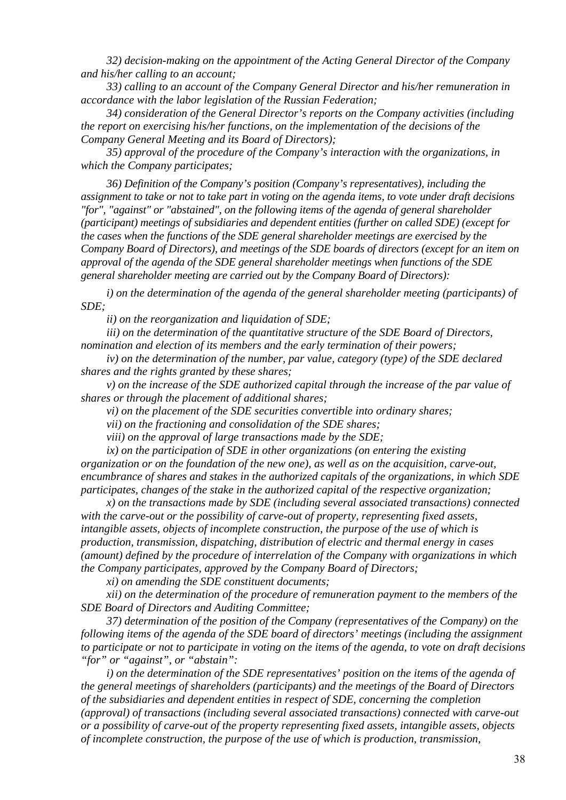*32) decision-making on the appointment of the Acting General Director of the Company and his/her calling to an account;* 

*33) calling to an account of the Company General Director and his/her remuneration in accordance with the labor legislation of the Russian Federation;* 

*34) consideration of the General Director's reports on the Company activities (including the report on exercising his/her functions, on the implementation of the decisions of the Company General Meeting and its Board of Directors);* 

*35) approval of the procedure of the Company's interaction with the organizations, in which the Company participates;* 

*36) Definition of the Company's position (Company's representatives), including the assignment to take or not to take part in voting on the agenda items, to vote under draft decisions "for", "against" or "abstained", on the following items of the agenda of general shareholder (participant) meetings of subsidiaries and dependent entities (further on called SDE) (except for the cases when the functions of the SDE general shareholder meetings are exercised by the Company Board of Directors), and meetings of the SDE boards of directors (except for an item on approval of the agenda of the SDE general shareholder meetings when functions of the SDE general shareholder meeting are carried out by the Company Board of Directors):* 

*i) on the determination of the agenda of the general shareholder meeting (participants) of SDE;* 

*ii) on the reorganization and liquidation of SDE;* 

*iii) on the determination of the quantitative structure of the SDE Board of Directors, nomination and election of its members and the early termination of their powers;* 

*iv) on the determination of the number, par value, category (type) of the SDE declared shares and the rights granted by these shares;* 

*v) on the increase of the SDE authorized capital through the increase of the par value of shares or through the placement of additional shares;* 

*vi) on the placement of the SDE securities convertible into ordinary shares;* 

*vii) on the fractioning and consolidation of the SDE shares;* 

*viii) on the approval of large transactions made by the SDE;* 

*ix) on the participation of SDE in other organizations (on entering the existing organization or on the foundation of the new one), as well as on the acquisition, carve-out, encumbrance of shares and stakes in the authorized capitals of the organizations, in which SDE participates, changes of the stake in the authorized capital of the respective organization;* 

*x) on the transactions made by SDE (including several associated transactions) connected with the carve-out or the possibility of carve-out of property, representing fixed assets, intangible assets, objects of incomplete construction, the purpose of the use of which is production, transmission, dispatching, distribution of electric and thermal energy in cases (amount) defined by the procedure of interrelation of the Company with organizations in which the Company participates, approved by the Company Board of Directors;* 

*xi) on amending the SDE constituent documents;* 

*xii) on the determination of the procedure of remuneration payment to the members of the SDE Board of Directors and Auditing Committee;* 

*37) determination of the position of the Company (representatives of the Company) on the following items of the agenda of the SDE board of directors' meetings (including the assignment to participate or not to participate in voting on the items of the agenda, to vote on draft decisions "for" or "against", or "abstain":* 

*i) on the determination of the SDE representatives' position on the items of the agenda of the general meetings of shareholders (participants) and the meetings of the Board of Directors of the subsidiaries and dependent entities in respect of SDE, concerning the completion (approval) of transactions (including several associated transactions) connected with carve-out or a possibility of carve-out of the property representing fixed assets, intangible assets, objects of incomplete construction, the purpose of the use of which is production, transmission,*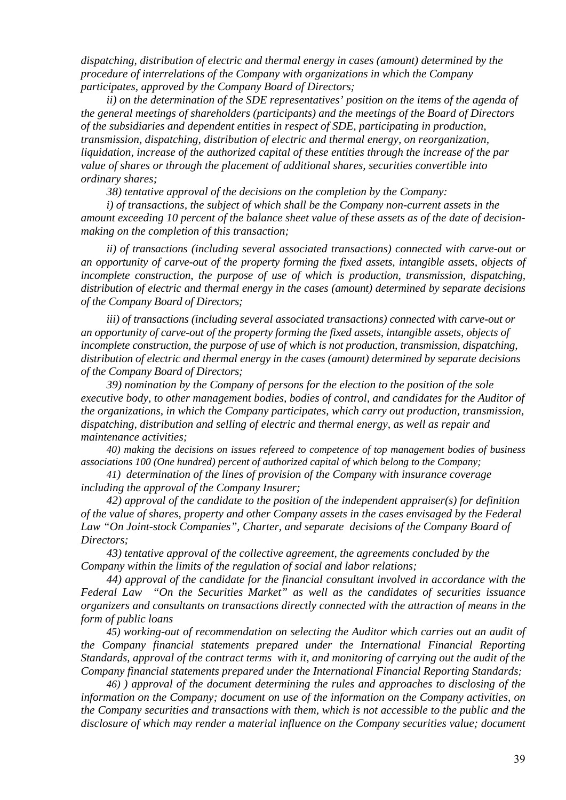*dispatching, distribution of electric and thermal energy in cases (amount) determined by the procedure of interrelations of the Company with organizations in which the Company participates, approved by the Company Board of Directors;* 

*ii) on the determination of the SDE representatives' position on the items of the agenda of the general meetings of shareholders (participants) and the meetings of the Board of Directors of the subsidiaries and dependent entities in respect of SDE, participating in production, transmission, dispatching, distribution of electric and thermal energy, on reorganization, liquidation, increase of the authorized capital of these entities through the increase of the par value of shares or through the placement of additional shares, securities convertible into ordinary shares;* 

*38) tentative approval of the decisions on the completion by the Company:* 

*i) of transactions, the subject of which shall be the Company non-current assets in the amount exceeding 10 percent of the balance sheet value of these assets as of the date of decisionmaking on the completion of this transaction;* 

*ii) of transactions (including several associated transactions) connected with carve-out or an opportunity of carve-out of the property forming the fixed assets, intangible assets, objects of incomplete construction, the purpose of use of which is production, transmission, dispatching, distribution of electric and thermal energy in the cases (amount) determined by separate decisions of the Company Board of Directors;* 

*iii) of transactions (including several associated transactions) connected with carve-out or an opportunity of carve-out of the property forming the fixed assets, intangible assets, objects of incomplete construction, the purpose of use of which is not production, transmission, dispatching, distribution of electric and thermal energy in the cases (amount) determined by separate decisions of the Company Board of Directors;* 

*39) nomination by the Company of persons for the election to the position of the sole executive body, to other management bodies, bodies of control, and candidates for the Auditor of the organizations, in which the Company participates, which carry out production, transmission, dispatching, distribution and selling of electric and thermal energy, as well as repair and maintenance activities;* 

*40) making the decisions on issues refereed to competence of top management bodies of business associations 100 (One hundred) percent of authorized capital of which belong to the Company;* 

*41) determination of the lines of provision of the Company with insurance coverage including the approval of the Company Insurer;* 

*42) approval of the candidate to the position of the independent appraiser(s) for definition of the value of shares, property and other Company assets in the cases envisaged by the Federal Law "On Joint-stock Companies", Charter, and separate decisions of the Company Board of Directors;* 

*43) tentative approval of the collective agreement, the agreements concluded by the Company within the limits of the regulation of social and labor relations;* 

*44) approval of the candidate for the financial consultant involved in accordance with the Federal Law "On the Securities Market" as well as the candidates of securities issuance organizers and consultants on transactions directly connected with the attraction of means in the form of public loans*

*45) working-out of recommendation on selecting the Auditor which carries out an audit of the Company financial statements prepared under the International Financial Reporting Standards, approval of the contract terms with it, and monitoring of carrying out the audit of the Company financial statements prepared under the International Financial Reporting Standards;* 

*46) ) approval of the document determining the rules and approaches to disclosing of the information on the Company; document on use of the information on the Company activities, on the Company securities and transactions with them, which is not accessible to the public and the disclosure of which may render a material influence on the Company securities value; document*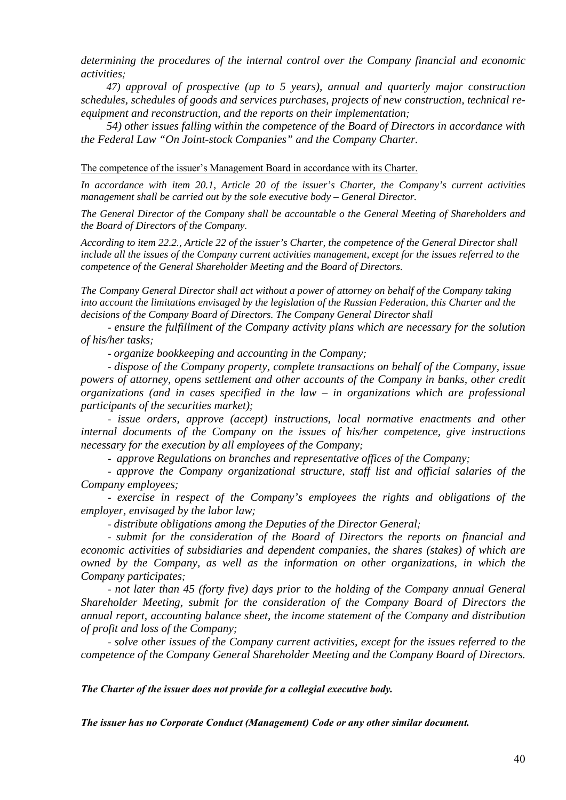*determining the procedures of the internal control over the Company financial and economic activities;* 

*47) approval of prospective (up to 5 years), annual and quarterly major construction schedules, schedules of goods and services purchases, projects of new construction, technical reequipment and reconstruction, and the reports on their implementation;* 

*54) other issues falling within the competence of the Board of Directors in accordance with the Federal Law "On Joint-stock Companies" and the Company Charter.* 

The competence of the issuer's Management Board in accordance with its Charter.

*In accordance with item 20.1, Article 20 of the issuer's Charter, the Company's current activities management shall be carried out by the sole executive body – General Director.* 

*The General Director of the Company shall be accountable o the General Meeting of Shareholders and the Board of Directors of the Company.* 

*According to item 22.2., Article 22 of the issuer's Charter, the competence of the General Director shall include all the issues of the Company current activities management, except for the issues referred to the competence of the General Shareholder Meeting and the Board of Directors.* 

*The Company General Director shall act without a power of attorney on behalf of the Company taking into account the limitations envisaged by the legislation of the Russian Federation, this Charter and the decisions of the Company Board of Directors. The Company General Director shall* 

*- ensure the fulfillment of the Company activity plans which are necessary for the solution of his/her tasks;* 

*- organize bookkeeping and accounting in the Company;* 

*- dispose of the Company property, complete transactions on behalf of the Company, issue powers of attorney, opens settlement and other accounts of the Company in banks, other credit organizations (and in cases specified in the law – in organizations which are professional participants of the securities market);* 

*- issue orders, approve (accept) instructions, local normative enactments and other internal documents of the Company on the issues of his/her competence, give instructions necessary for the execution by all employees of the Company;* 

*- approve Regulations on branches and representative offices of the Company;* 

*- approve the Company organizational structure, staff list and official salaries of the Company employees;* 

*- exercise in respect of the Company's employees the rights and obligations of the employer, envisaged by the labor law;* 

*- distribute obligations among the Deputies of the Director General;* 

*- submit for the consideration of the Board of Directors the reports on financial and economic activities of subsidiaries and dependent companies, the shares (stakes) of which are owned by the Company, as well as the information on other organizations, in which the Company participates;* 

*- not later than 45 (forty five) days prior to the holding of the Company annual General Shareholder Meeting, submit for the consideration of the Company Board of Directors the annual report, accounting balance sheet, the income statement of the Company and distribution of profit and loss of the Company;* 

*- solve other issues of the Company current activities, except for the issues referred to the competence of the Company General Shareholder Meeting and the Company Board of Directors.* 

*The Charter of the issuer does not provide for a collegial executive body.* 

*The issuer has no Corporate Conduct (Management) Code or any other similar document.*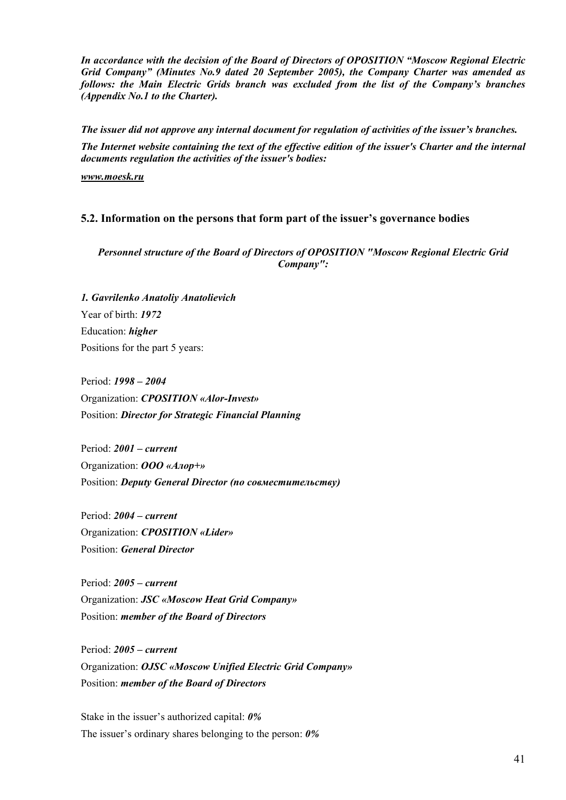*In accordance with the decision of the Board of Directors of OPOSITION "Moscow Regional Electric Grid Company" (Minutes No.9 dated 20 September 2005), the Company Charter was amended as follows: the Main Electric Grids branch was excluded from the list of the Company's branches (Appendix No.1 to the Charter).* 

*The issuer did not approve any internal document for regulation of activities of the issuer's branches. The Internet website containing the text of the effective edition of the issuer's Charter and the internal documents regulation the activities of the issuer's bodies:* 

*[www.moesk.ru](http://www.moesk.ru/)* 

# **5.2. Information on the persons that form part of the issuer's governance bodies**

*Personnel structure of the Board of Directors of OPOSITION "Moscow Regional Electric Grid Company":* 

*1. Gavrilenko Anatoliy Anatolievich*  Year of birth: *1972*  Education: *higher*  Positions for the part 5 years:

Period: *1998 – 2004*  Organization: *CPOSITION «Alor-Invest»*  Position: *Director for Strategic Financial Planning* 

Period: *2001 – current*  Organization: *ООО «Алор+»*  Position: *Deputy General Director (по совместительству)* 

Period: *2004 – current*  Organization: *CPOSITION «Lider»*  Position: *General Director* 

Period: *2005 – current*  Organization: *JSC «Moscow Heat Grid Company»*  Position: *member of the Board of Directors* 

Period: *2005 – current*  Organization: *OJSC «Moscow Unified Electric Grid Company»*  Position: *member of the Board of Directors* 

Stake in the issuer's authorized capital: *0%*  The issuer's ordinary shares belonging to the person: *0%*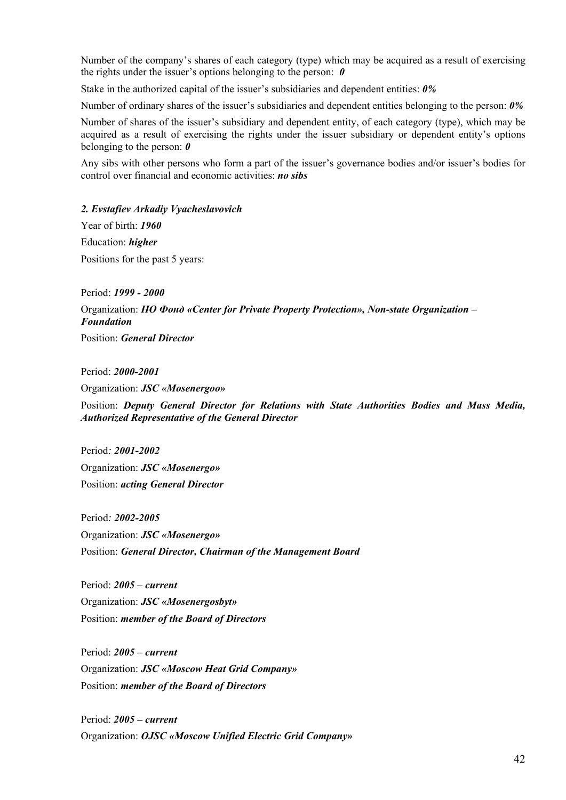Number of the company's shares of each category (type) which may be acquired as a result of exercising the rights under the issuer's options belonging to the person: *0* 

Stake in the authorized capital of the issuer's subsidiaries and dependent entities: *0%*

Number of ordinary shares of the issuer's subsidiaries and dependent entities belonging to the person: *0%*

Number of shares of the issuer's subsidiary and dependent entity, of each category (type), which may be acquired as a result of exercising the rights under the issuer subsidiary or dependent entity's options belonging to the person: *0*

Any sibs with other persons who form a part of the issuer's governance bodies and/or issuer's bodies for control over financial and economic activities: *no sibs*

# *2. Evstafiev Arkadiy Vyacheslavovich*

Year of birth: *1960*  Education: *higher*  Positions for the past 5 years:

Period: *1999 - 2000* Organization: *НО Фонд «Center for Private Property Protection», Non-state Organization – Foundation*

Position: *General Director*

Period: *2000-2001* 

Organization: *JSC «Mosenergoо»* 

Position: *Deputy General Director for Relations with State Authorities Bodies and Mass Media, Authorized Representative of the General Director* 

Period*: 2001-2002*  Organization: *JSC «Mosenergo»*  Position: *acting General Director* 

Period*: 2002-2005*  Organization: *JSC «Mosenergo»*  Position: *General Director, Chairman of the Management Board* 

Period: *2005 – current*  Organization: *JSC «Mosenergosbyt»*  Position: *member of the Board of Directors* 

Period: *2005 – current*  Organization: *JSC «Moscow Heat Grid Company»*  Position: *member of the Board of Directors* 

Period: *2005 – current*  Organization: *OJSC «Moscow Unified Electric Grid Company»*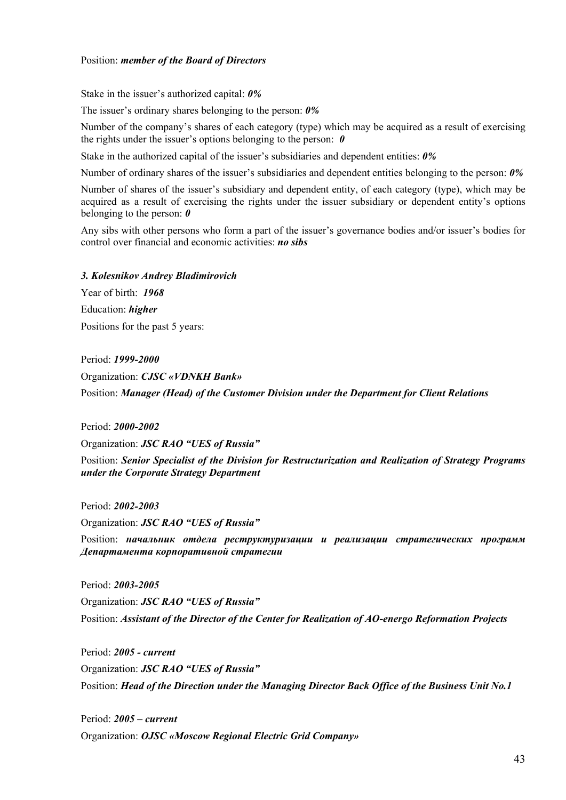Stake in the issuer's authorized capital: *0%* 

The issuer's ordinary shares belonging to the person: *0%*

Number of the company's shares of each category (type) which may be acquired as a result of exercising the rights under the issuer's options belonging to the person: *0* 

Stake in the authorized capital of the issuer's subsidiaries and dependent entities: *0%*

Number of ordinary shares of the issuer's subsidiaries and dependent entities belonging to the person: *0%*

Number of shares of the issuer's subsidiary and dependent entity, of each category (type), which may be acquired as a result of exercising the rights under the issuer subsidiary or dependent entity's options belonging to the person: *0*

Any sibs with other persons who form a part of the issuer's governance bodies and/or issuer's bodies for control over financial and economic activities: *no sibs*

*3. Kolesnikov Andrey Bladimirovich* 

Year of birth: *1968*  Education: *higher* Positions for the past 5 years:

Period: *1999-2000*  Organization: *CJSC «VDNKH Bank»*  Position: *Manager (Head) of the Customer Division under the Department for Client Relations*

Period: *2000-2002* 

Organization: *JSC RAO "UES of Russia"*  Position: *Senior Specialist of the Division for Restructurization and Realization of Strategy Programs under the Corporate Strategy Department* 

Period: *2002-2003* 

Organization: *JSC RAO "UES of Russia"* 

Position: *начальник отдела реструктуризации и реализации стратегических программ Департамента корпоративной стратегии*

Period: *2003-2005*  Organization: *JSC RAO "UES of Russia"*  Position: *Assistant of the Director of the Center for Realization of AO-energo Reformation Projects* 

Period: *2005 - current*  Organization: *JSC RAO "UES of Russia"*  Position: *Head of the Direction under the Managing Director Back Office of the Business Unit No.1* 

Period: *2005 – current*  Organization: *OJSC «Moscow Regional Electric Grid Company»*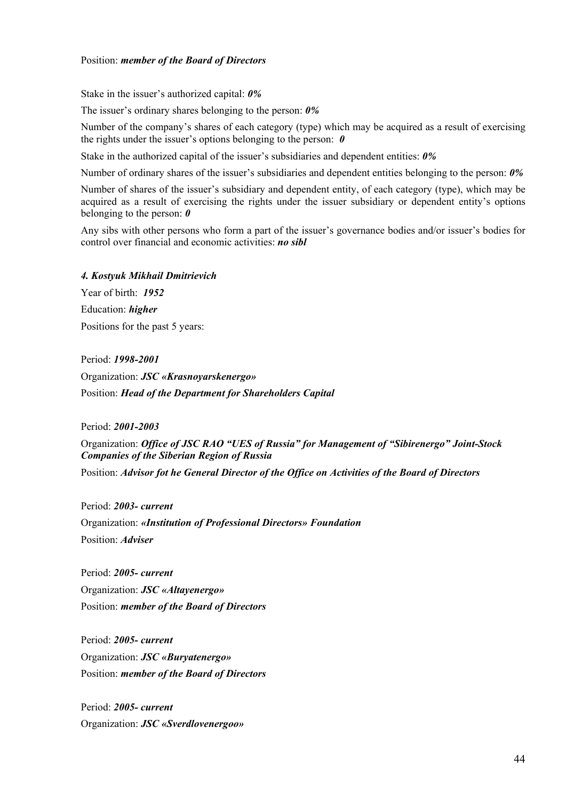Stake in the issuer's authorized capital: *0%* 

The issuer's ordinary shares belonging to the person: *0%*

Number of the company's shares of each category (type) which may be acquired as a result of exercising the rights under the issuer's options belonging to the person: *0* 

Stake in the authorized capital of the issuer's subsidiaries and dependent entities: *0%*

Number of ordinary shares of the issuer's subsidiaries and dependent entities belonging to the person: *0%*

Number of shares of the issuer's subsidiary and dependent entity, of each category (type), which may be acquired as a result of exercising the rights under the issuer subsidiary or dependent entity's options belonging to the person: *0*

Any sibs with other persons who form a part of the issuer's governance bodies and/or issuer's bodies for control over financial and economic activities: *no sibl*

### *4. Kostyuk Mikhail Dmitrievich*

Year of birth: *1952* Education: *higher* Positions for the past 5 years:

Period: *1998-2001* Organization: *JSC «Krasnoyarskenergo»*  Position: *Head of the Department for Shareholders Capital* 

Period: *2001-2003*

Organization: *Office of JSC RAO "UES of Russia" for Management of "Sibirenergo" Joint-Stock Companies of the Siberian Region of Russia* 

Position: *Advisor fot he General Director of the Office on Activities of the Board of Directors* 

Period: *2003- current*  Organization: *«Institution of Professional Directors» Foundation*  Position: *Adviser* 

Period: *2005- current*  Organization: *JSC «Altayenergo»*  Position: *member of the Board of Directors* 

Period: *2005- current*  Organization: *JSC «Buryatenergo»*  Position: *member of the Board of Directors* 

Period: *2005- current*  Organization: *JSC «Sverdlovenergoо»*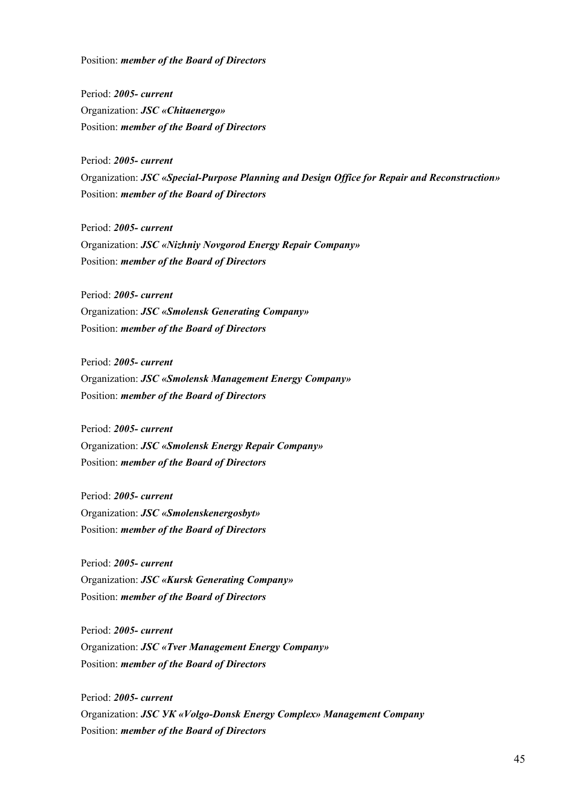Period: *2005- current*  Organization: *JSC «Chitaenergo»*  Position: *member of the Board of Directors* 

Period: *2005- current*  Organization: *JSC «Special-Purpose Planning and Design Office for Repair and Reconstruction»*  Position: *member of the Board of Directors* 

Period: *2005- current*  Organization: *JSC «Nizhniy Novgorod Energy Repair Company»*  Position: *member of the Board of Directors* 

Period: *2005- current*  Organization: *JSC «Smolensk Generating Company»*  Position: *member of the Board of Directors* 

Period: *2005- current*  Organization: *JSC «Smolensk Management Energy Company»*  Position: *member of the Board of Directors* 

Period: *2005- current*  Organization: *JSC «Smolensk Energy Repair Company»*  Position: *member of the Board of Directors* 

Period: *2005- current*  Organization: *JSC «Smolenskenergosbyt»*  Position: *member of the Board of Directors* 

Period: *2005- current*  Organization: *JSC «Kursk Generating Company»*  Position: *member of the Board of Directors* 

Period: *2005- current*  Organization: *JSC «Tver Management Energy Company»*  Position: *member of the Board of Directors* 

Period: *2005- current*  Organization: *JSC УК «Volgo-Donsk Energy Complex» Management Company*  Position: *member of the Board of Directors*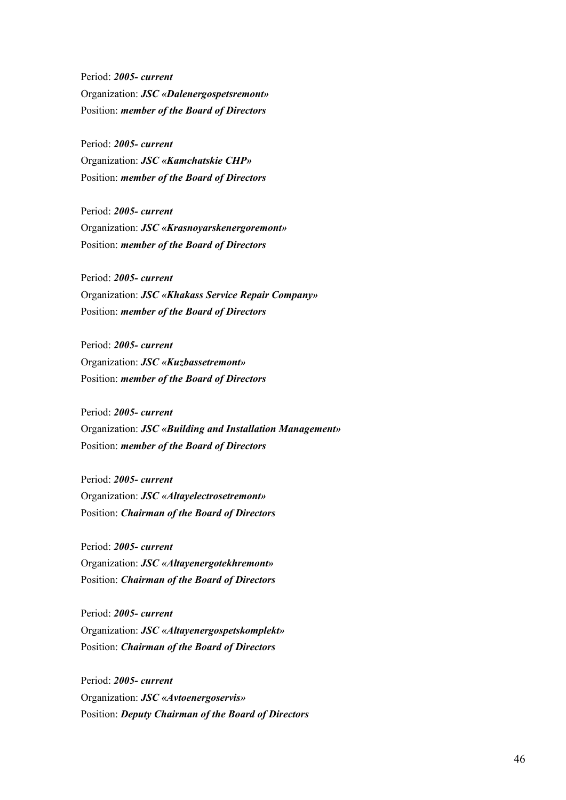Period: *2005- current*  Organization: *JSC «Dalenergospetsremont»*  Position: *member of the Board of Directors* 

Period: *2005- current*  Organization: *JSC «Kamchatskie CHP»*  Position: *member of the Board of Directors* 

Period: *2005- current*  Organization: *JSC «Krasnoyarskenergoremont»*  Position: *member of the Board of Directors* 

Period: *2005- current*  Organization: *JSC «Khakass Service Repair Company»*  Position: *member of the Board of Directors* 

Period: *2005- current*  Organization: *JSC «Kuzbassetremont»*  Position: *member of the Board of Directors* 

Period: *2005- current*  Organization: *JSC «Building and Installation Management»*  Position: *member of the Board of Directors* 

Period: *2005- current*  Organization: *JSC «Altayelectrosetremont»*  Position: *Chairman of the Board of Directors* 

Period: *2005- current*  Organization: *JSC «Altayenergotekhremont»*  Position: *Chairman of the Board of Directors* 

Period: *2005- current*  Organization: *JSC «Altayenergospetskomplekt»*  Position: *Chairman of the Board of Directors* 

Period: *2005- current*  Organization: *JSC «Avtoenergoservis»*  Position: *Deputy Chairman of the Board of Directors*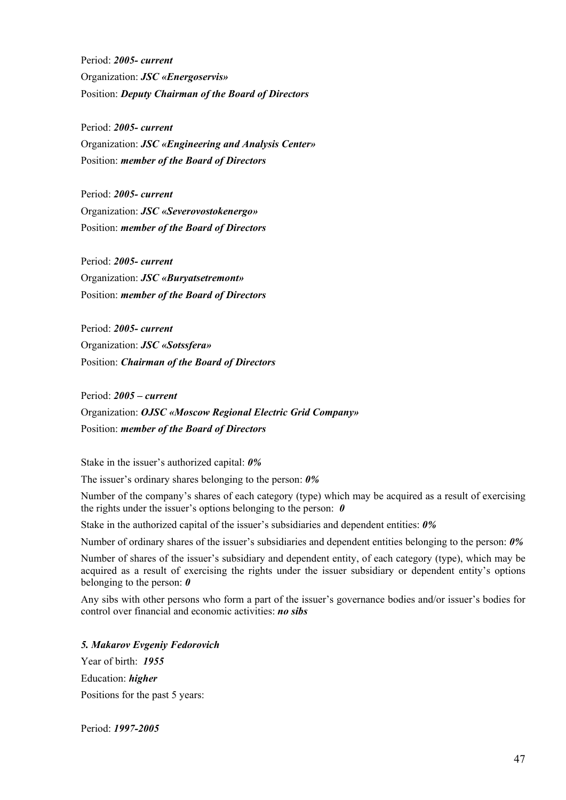Period: *2005- current*  Organization: *JSC «Energoservis»*  Position: *Deputy Chairman of the Board of Directors* 

Period: *2005- current*  Organization: *JSC «Engineering and Analysis Center»*  Position: *member of the Board of Directors* 

Period: *2005- current*  Organization: *JSC «Severovostokenergo»*  Position: *member of the Board of Directors* 

Period: *2005- current*  Organization: *JSC «Buryatsetremont»*  Position: *member of the Board of Directors* 

Period: *2005- current*  Organization: *JSC «Sotssfera»*  Position: *Chairman of the Board of Directors* 

Period: *2005 – current*  Organization: *OJSC «Moscow Regional Electric Grid Company»*  Position: *member of the Board of Directors* 

Stake in the issuer's authorized capital: *0%* 

The issuer's ordinary shares belonging to the person: *0%*

Number of the company's shares of each category (type) which may be acquired as a result of exercising the rights under the issuer's options belonging to the person: *0* 

Stake in the authorized capital of the issuer's subsidiaries and dependent entities: *0%*

Number of ordinary shares of the issuer's subsidiaries and dependent entities belonging to the person: *0%*

Number of shares of the issuer's subsidiary and dependent entity, of each category (type), which may be acquired as a result of exercising the rights under the issuer subsidiary or dependent entity's options belonging to the person: *0*

Any sibs with other persons who form a part of the issuer's governance bodies and/or issuer's bodies for control over financial and economic activities: *no sibs*

*5. Makarov Evgeniy Fedorovich* 

Year of birth: *1955*  Education: *higher* Positions for the past 5 years:

Period: *1997-2005*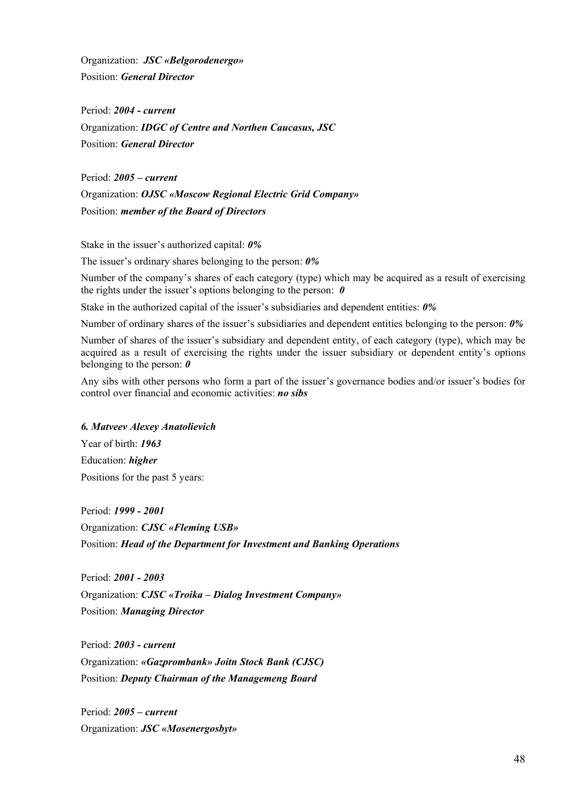Organization: *JSC «Belgorodenergo»*  Position: *General Director*

Period: *2004 - current* Organization: *IDGC of Centre and Northen Caucasus, JSC*  Position: *General Director* 

Period: *2005 – current*  Organization: *OJSC «Moscow Regional Electric Grid Company»*  Position: *member of the Board of Directors* 

Stake in the issuer's authorized capital: *0%* 

The issuer's ordinary shares belonging to the person: *0%*

Number of the company's shares of each category (type) which may be acquired as a result of exercising the rights under the issuer's options belonging to the person: *0* 

Stake in the authorized capital of the issuer's subsidiaries and dependent entities: *0%*

Number of ordinary shares of the issuer's subsidiaries and dependent entities belonging to the person: *0%*

Number of shares of the issuer's subsidiary and dependent entity, of each category (type), which may be acquired as a result of exercising the rights under the issuer subsidiary or dependent entity's options belonging to the person: *0*

Any sibs with other persons who form a part of the issuer's governance bodies and/or issuer's bodies for control over financial and economic activities: *no sibs*

# *6. Matveev Alexey Anatolievich*

Year of birth: *1963*  Education: *higher*  Positions for the past 5 years:

Period: *1999 - 2001*  Organization: *CJSC «Fleming USB»*  Position: *Head of the Department for Investment and Banking Operations* 

Period: *2001 - 2003*  Organization: *CJSC «Troika – Dialog Investment Company»*  Position: *Managing Director* 

Period: *2003 - current*  Organization: *«Gazprombank» Joitn Stock Bank (CJSC)*  Position: *Deputy Chairman of the Managemeng Board* 

Period: *2005 – current*  Organization: *JSC «Mosenergosbyt»*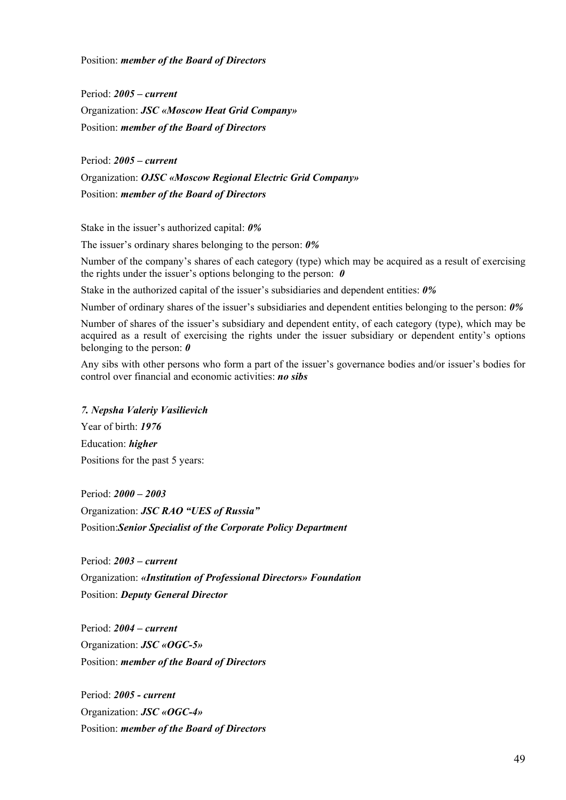Period: *2005 – current*  Organization: *JSC «Moscow Heat Grid Company»*  Position: *member of the Board of Directors* 

Period: *2005 – current*  Organization: *OJSC «Moscow Regional Electric Grid Company»*  Position: *member of the Board of Directors* 

Stake in the issuer's authorized capital: *0%* 

The issuer's ordinary shares belonging to the person: *0%*

Number of the company's shares of each category (type) which may be acquired as a result of exercising the rights under the issuer's options belonging to the person: *0* 

Stake in the authorized capital of the issuer's subsidiaries and dependent entities: *0%*

Number of ordinary shares of the issuer's subsidiaries and dependent entities belonging to the person: *0%*

Number of shares of the issuer's subsidiary and dependent entity, of each category (type), which may be acquired as a result of exercising the rights under the issuer subsidiary or dependent entity's options belonging to the person: *0*

Any sibs with other persons who form a part of the issuer's governance bodies and/or issuer's bodies for control over financial and economic activities: *no sibs*

*7. Nepsha Valeriy Vasilievich*  Year of birth: *1976*  Education: *higher* Positions for the past 5 years:

Period: *2000 – 2003*  Organization: *JSC RAO "UES of Russia"*  Position:*Senior Specialist of the Corporate Policy Department* 

Period: *2003 – current*  Organization: *«Institution of Professional Directors» Foundation*  Position: *Deputy General Director* 

Period: *2004 – current*  Organization: *JSC «OGC-5»*  Position: *member of the Board of Directors* 

Period: *2005 - current*  Organization: *JSC «OGC-4»*  Position: *member of the Board of Directors*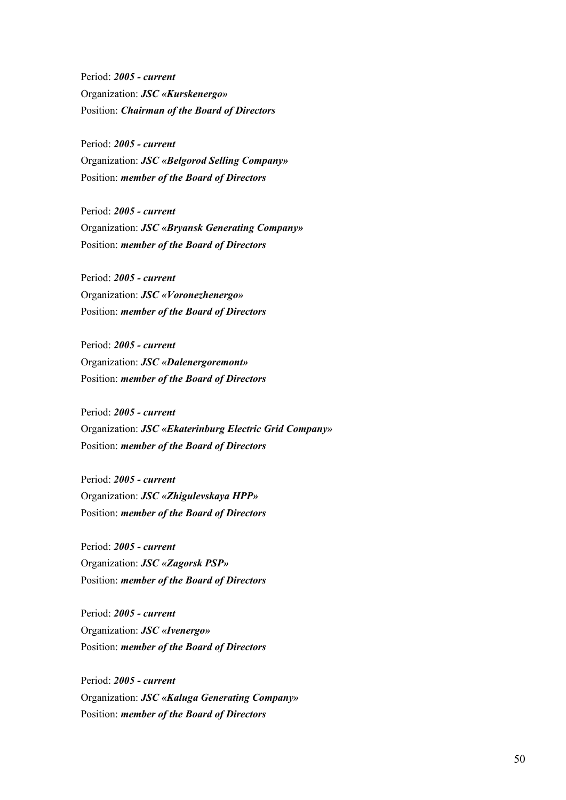Period: *2005 - current*  Organization: *JSC «Kurskenergo»*  Position: *Chairman of the Board of Directors* 

Period: *2005 - current*  Organization: *JSC «Belgorod Selling Company»*  Position: *member of the Board of Directors* 

Period: *2005 - current*  Organization: *JSC «Bryansk Generating Company»*  Position: *member of the Board of Directors* 

Period: *2005 - current*  Organization: *JSC «Voronezhenergo»*  Position: *member of the Board of Directors* 

Period: *2005 - current*  Organization: *JSC «Dalenergoremont»*  Position: *member of the Board of Directors* 

Period: *2005 - current*  Organization: *JSC «Ekaterinburg Electric Grid Company»*  Position: *member of the Board of Directors* 

Period: *2005 - current*  Organization: *JSC «Zhigulevskaya HPP»*  Position: *member of the Board of Directors* 

Period: *2005 - current*  Organization: *JSC «Zagorsk PSP»*  Position: *member of the Board of Directors* 

Period: *2005 - current*  Organization: *JSC «Ivenergo»*  Position: *member of the Board of Directors* 

Period: *2005 - current*  Organization: *JSC «Kaluga Generating Company»*  Position: *member of the Board of Directors*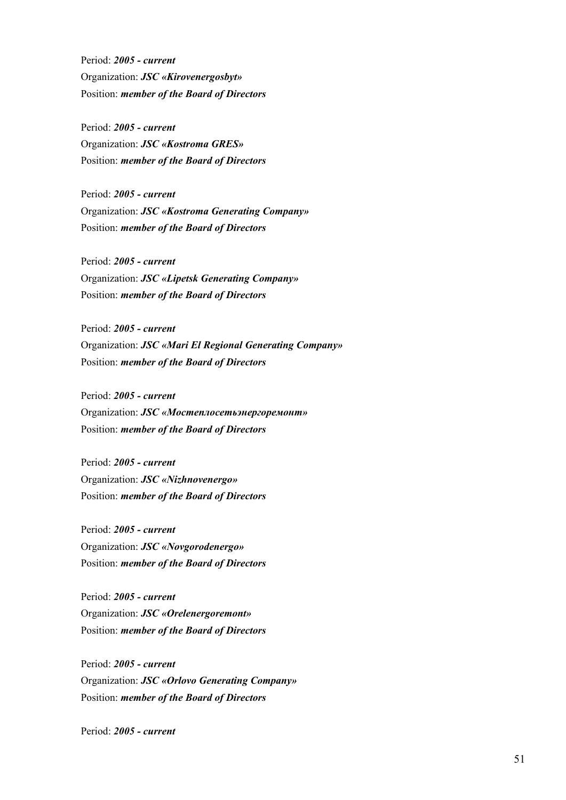Period: *2005 - current*  Organization: *JSC «Kirovenergosbyt»*  Position: *member of the Board of Directors* 

Period: *2005 - current*  Organization: *JSC «Kostroma GRES»*  Position: *member of the Board of Directors* 

Period: *2005 - current*  Organization: *JSC «Kostroma Generating Company»*  Position: *member of the Board of Directors* 

Period: *2005 - current*  Organization: *JSC «Lipetsk Generating Company»*  Position: *member of the Board of Directors* 

Period: *2005 - current*  Organization: *JSC «Mari El Regional Generating Company»*  Position: *member of the Board of Directors* 

Period: *2005 - current*  Organization: *JSC «Мостеплосетьэнергоремонт»*  Position: *member of the Board of Directors* 

Period: *2005 - current*  Organization: *JSC «Nizhnovenergo»*  Position: *member of the Board of Directors* 

Period: *2005 - current*  Organization: *JSC «Novgorodenergo»*  Position: *member of the Board of Directors* 

Period: *2005 - current*  Organization: *JSC «Orelenergoremont»*  Position: *member of the Board of Directors* 

Period: *2005 - current*  Organization: *JSC «Orlovo Generating Company»*  Position: *member of the Board of Directors* 

Period: *2005 - current*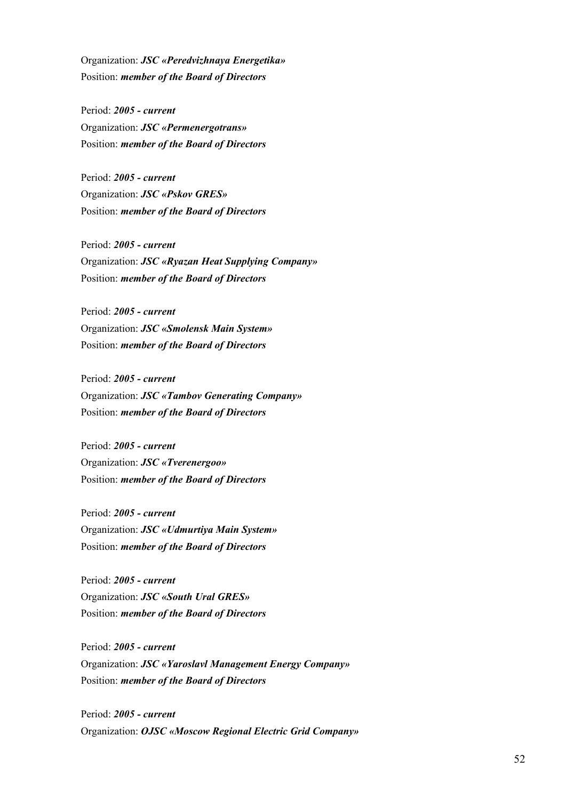Organization: *JSC «Peredvizhnaya Energetika»*  Position: *member of the Board of Directors* 

Period: *2005 - current*  Organization: *JSC «Permenergotrans»*  Position: *member of the Board of Directors* 

Period: *2005 - current*  Organization: *JSC «Pskov GRES»*  Position: *member of the Board of Directors* 

Period: *2005 - current*  Organization: *JSC «Ryazan Heat Supplying Company»*  Position: *member of the Board of Directors* 

Period: *2005 - current*  Organization: *JSC «Smolensk Main System»*  Position: *member of the Board of Directors* 

Period: *2005 - current*  Organization: *JSC «Tambov Generating Company»*  Position: *member of the Board of Directors* 

Period: *2005 - current*  Organization: *JSC «Tverenergoо»*  Position: *member of the Board of Directors* 

Period: *2005 - current*  Organization: *JSC «Udmurtiya Main System»*  Position: *member of the Board of Directors* 

Period: *2005 - current*  Organization: *JSC «South Ural GRES»*  Position: *member of the Board of Directors* 

Period: *2005 - current*  Organization: *JSC «Yaroslavl Management Energy Company»*  Position: *member of the Board of Directors* 

Period: *2005 - current*  Organization: *OJSC «Moscow Regional Electric Grid Company»*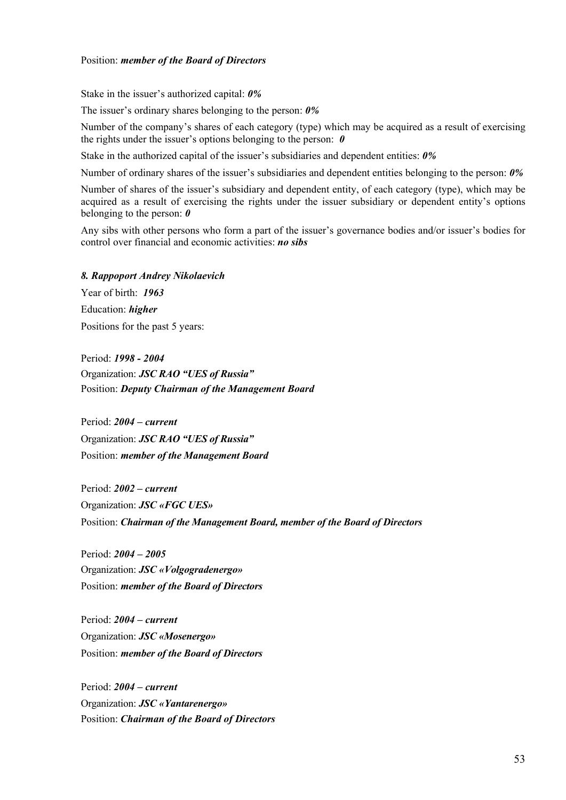Stake in the issuer's authorized capital: *0%* 

The issuer's ordinary shares belonging to the person: *0%*

Number of the company's shares of each category (type) which may be acquired as a result of exercising the rights under the issuer's options belonging to the person: *0* 

Stake in the authorized capital of the issuer's subsidiaries and dependent entities: *0%*

Number of ordinary shares of the issuer's subsidiaries and dependent entities belonging to the person: *0%*

Number of shares of the issuer's subsidiary and dependent entity, of each category (type), which may be acquired as a result of exercising the rights under the issuer subsidiary or dependent entity's options belonging to the person: *0*

Any sibs with other persons who form a part of the issuer's governance bodies and/or issuer's bodies for control over financial and economic activities: *no sibs*

*8. Rappoport Andrey Nikolaevich* 

Year of birth: *1963* Education: *higher* Positions for the past 5 years:

Period: *1998 - 2004* Organization: *JSC RAO "UES of Russia"* Position: *Deputy Chairman of the Management Board*

Period: *2004 – current* Organization: *JSC RAO "UES of Russia"* Position: *member of the Management Board*

Period: *2002 – current* Organization: *JSC «FGC UES»* Position: *Chairman of the Management Board, member of the Board of Directors*

Period: *2004 – 2005* Organization: *JSC «Volgogradenergo»* Position: *member of the Board of Directors*

Period: *2004 – current* Organization: *JSC «Mosenergo»* Position: *member of the Board of Directors*

Period: *2004 – current* Organization: *JSC «Yantarenergo»* Position: *Chairman of the Board of Directors*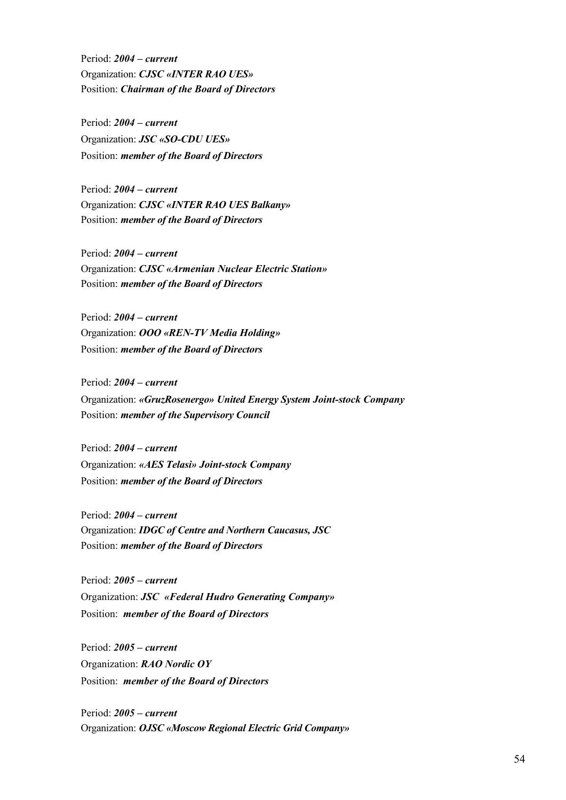Period: *2004 – current* Organization: *CJSC «INTER RAO UES»* Position: *Chairman of the Board of Directors*

Period: *2004 – current* Organization: *JSC «SO-CDU UES»* Position: *member of the Board of Directors*

Period: *2004 – current* Organization: *CJSC «INTER RAO UES Balkany»* Position: *member of the Board of Directors*

Period: *2004 – current* Organization: *CJSC «Armenian Nuclear Electric Station»* Position: *member of the Board of Directors*

Period: *2004 – current* Organization: *ООО «REN-TV Media Holding»* Position: *member of the Board of Directors*

Period: *2004 – current* Organization: *«GruzRosenergo» United Energy System Joint-stock Company* Position: *member of the Supervisory Council*

Period: *2004 – current* Organization: *«AES Telasi» Joint-stock Company* Position: *member of the Board of Directors*

Period: *2004 – current* Organization: *IDGC of Centre and Northern Caucasus, JSC* Position: *member of the Board of Directors*

Period: *2005 – current* Organization: *JSC «Federal Hudro Generating Company»*  Position: *member of the Board of Directors* 

Period: *2005 – current* Organization: *RAO Nordic OY*  Position: *member of the Board of Directors*

Period: *2005 – current* Organization: *OJSC «Moscow Regional Electric Grid Company»*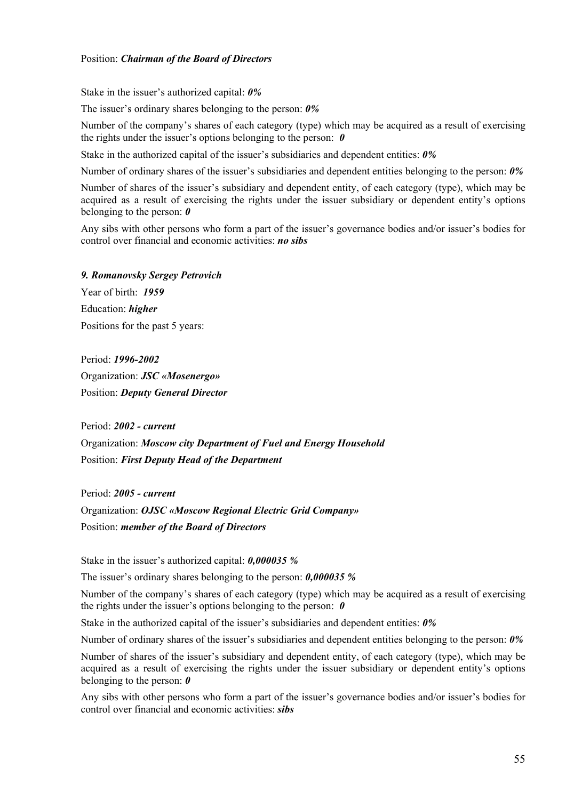### Position: *Chairman of the Board of Directors*

Stake in the issuer's authorized capital: *0%* 

The issuer's ordinary shares belonging to the person: *0%*

Number of the company's shares of each category (type) which may be acquired as a result of exercising the rights under the issuer's options belonging to the person: *0* 

Stake in the authorized capital of the issuer's subsidiaries and dependent entities: *0%*

Number of ordinary shares of the issuer's subsidiaries and dependent entities belonging to the person: *0%*

Number of shares of the issuer's subsidiary and dependent entity, of each category (type), which may be acquired as a result of exercising the rights under the issuer subsidiary or dependent entity's options belonging to the person: *0*

Any sibs with other persons who form a part of the issuer's governance bodies and/or issuer's bodies for control over financial and economic activities: *no sibs*

*9. Romanovsky Sergey Petrovich*  Year of birth: *1959*  Education: *higher* Positions for the past 5 years:

Period: *1996-2002* Organization: *JSC «Mosenergo»*  Position: *Deputy General Director* 

Period: *2002 - current* Organization: *Moscow city Department of Fuel and Energy Household*  Position: *First Deputy Head of the Department* 

Period: *2005 - current*  Organization: *OJSC «Moscow Regional Electric Grid Company»*  Position: *member of the Board of Directors* 

Stake in the issuer's authorized capital: *0,000035 %* 

The issuer's ordinary shares belonging to the person: *0,000035 %*

Number of the company's shares of each category (type) which may be acquired as a result of exercising the rights under the issuer's options belonging to the person: *0* 

Stake in the authorized capital of the issuer's subsidiaries and dependent entities: *0%*

Number of ordinary shares of the issuer's subsidiaries and dependent entities belonging to the person: *0%*

Number of shares of the issuer's subsidiary and dependent entity, of each category (type), which may be acquired as a result of exercising the rights under the issuer subsidiary or dependent entity's options belonging to the person: *0*

Any sibs with other persons who form a part of the issuer's governance bodies and/or issuer's bodies for control over financial and economic activities: *sibs*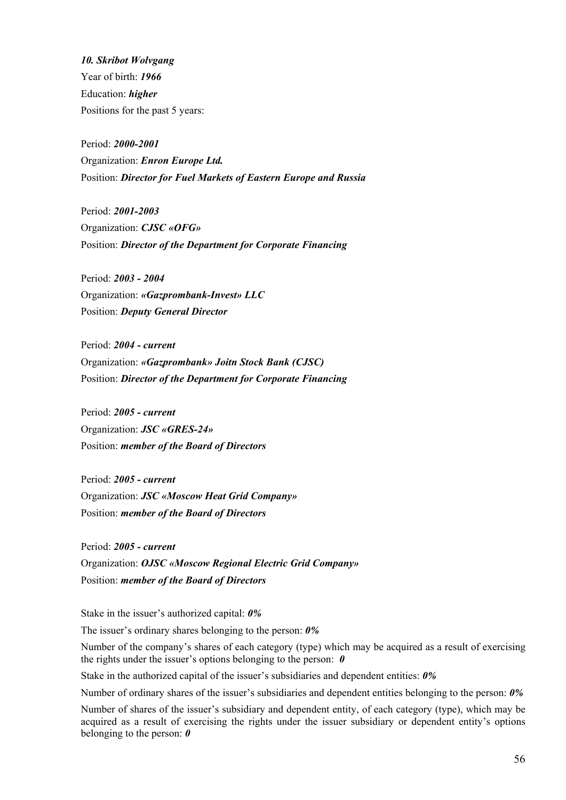*10. Skribot Wolvgang*  Year of birth: *1966*  Education: *higher*  Positions for the past 5 years:

Period: *2000-2001* Organization: *Enron Europe Ltd.* Position: *Director for Fuel Markets of Eastern Europe and Russia* 

Period: *2001-2003* Organization: *CJSC «OFG»* Position: *Director of the Department for Corporate Financing* 

Period: *2003 - 2004*  Organization: *«Gazprombank-Invest» LLC*  Position: *Deputy General Director* 

Period: *2004 - current*  Organization: *«Gazprombank» Joitn Stock Bank (CJSC)* Position: *Director of the Department for Corporate Financing* 

Period: *2005 - current*  Organization: *JSC «GRES-24»*  Position: *member of the Board of Directors* 

Period: *2005 - current*  Organization: *JSC «Moscow Heat Grid Company»*  Position: *member of the Board of Directors* 

Period: *2005 - current*  Organization: *OJSC «Moscow Regional Electric Grid Company»*  Position: *member of the Board of Directors* 

Stake in the issuer's authorized capital: *0%* 

The issuer's ordinary shares belonging to the person: *0%*

Number of the company's shares of each category (type) which may be acquired as a result of exercising the rights under the issuer's options belonging to the person: *0* 

Stake in the authorized capital of the issuer's subsidiaries and dependent entities: *0%*

Number of ordinary shares of the issuer's subsidiaries and dependent entities belonging to the person: *0%*

Number of shares of the issuer's subsidiary and dependent entity, of each category (type), which may be acquired as a result of exercising the rights under the issuer subsidiary or dependent entity's options belonging to the person: *0*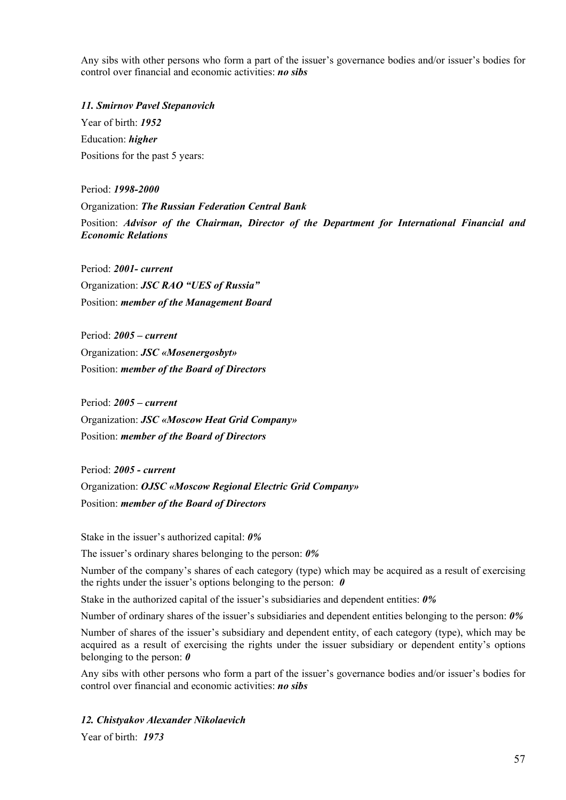Any sibs with other persons who form a part of the issuer's governance bodies and/or issuer's bodies for control over financial and economic activities: *no sibs*

*11. Smirnov Pavel Stepanovich*  Year of birth: *1952* 

Education: *higher*  Positions for the past 5 years:

Period: *1998-2000*  Organization: *The Russian Federation Central Bank*  Position: *Advisor of the Chairman, Director of the Department for International Financial and Economic Relations* 

Period: *2001- current*  Organization: *JSC RAO "UES of Russia"*  Position: *member of the Management Board* 

Period: *2005 – current*  Organization: *JSC «Mosenergosbyt»*  Position: *member of the Board of Directors* 

Period: *2005 – current*  Organization: *JSC «Moscow Heat Grid Company»*  Position: *member of the Board of Directors* 

Period: *2005 - current*  Organization: *OJSC «Moscow Regional Electric Grid Company»*  Position: *member of the Board of Directors* 

Stake in the issuer's authorized capital: *0%* 

The issuer's ordinary shares belonging to the person: *0%*

Number of the company's shares of each category (type) which may be acquired as a result of exercising the rights under the issuer's options belonging to the person: *0* 

Stake in the authorized capital of the issuer's subsidiaries and dependent entities: *0%*

Number of ordinary shares of the issuer's subsidiaries and dependent entities belonging to the person: *0%*

Number of shares of the issuer's subsidiary and dependent entity, of each category (type), which may be acquired as a result of exercising the rights under the issuer subsidiary or dependent entity's options belonging to the person: *0*

Any sibs with other persons who form a part of the issuer's governance bodies and/or issuer's bodies for control over financial and economic activities: *no sibs*

# *12. Chistyakov Alexander Nikolaevich*

Year of birth: *1973*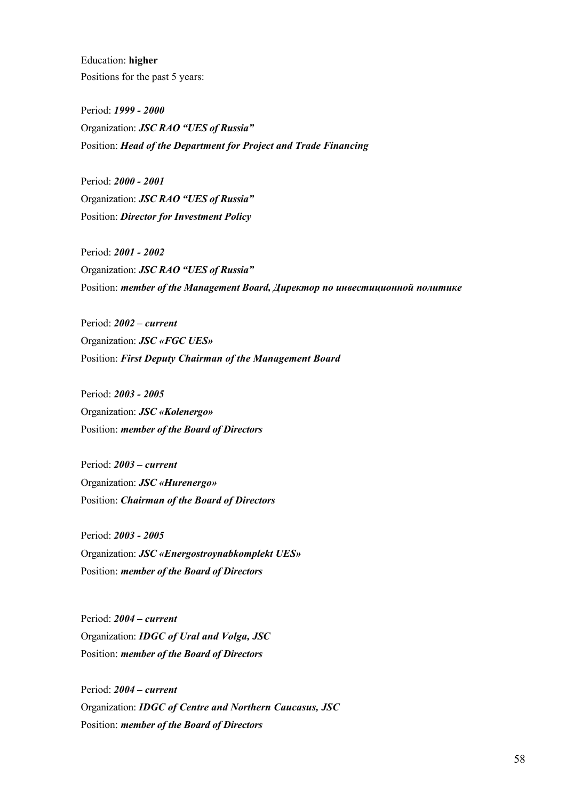Education: **higher** Positions for the past 5 years:

Period: *1999 - 2000*  Organization: *JSC RAO "UES of Russia"*  Position: *Head of the Department for Project and Trade Financing* 

Period: *2000 - 2001*  Organization: *JSC RAO "UES of Russia"*  Position: *Director for Investment Policy* 

Period: *2001 - 2002*  Organization: *JSC RAO "UES of Russia"*  Position: *member of the Management Board, Директор по инвестиционной политике*

Period: *2002 – current*  Organization: *JSC «FGC UES»*  Position: *First Deputy Chairman of the Management Board* 

Period: *2003 - 2005*  Organization: *JSC «Kolenergo»*  Position: *member of the Board of Directors* 

Period: *2003 – current*  Organization: *JSC «Hurenergo»*  Position: *Chairman of the Board of Directors* 

Period: *2003 - 2005*  Organization: *JSC «Energostroynabkomplekt UES»*  Position: *member of the Board of Directors* 

Period: *2004 – current*  Organization: *IDGC of Ural and Volga, JSC*  Position: *member of the Board of Directors* 

Period: *2004 – current*  Organization: *IDGC of Centre and Northern Caucasus, JSC*  Position: *member of the Board of Directors*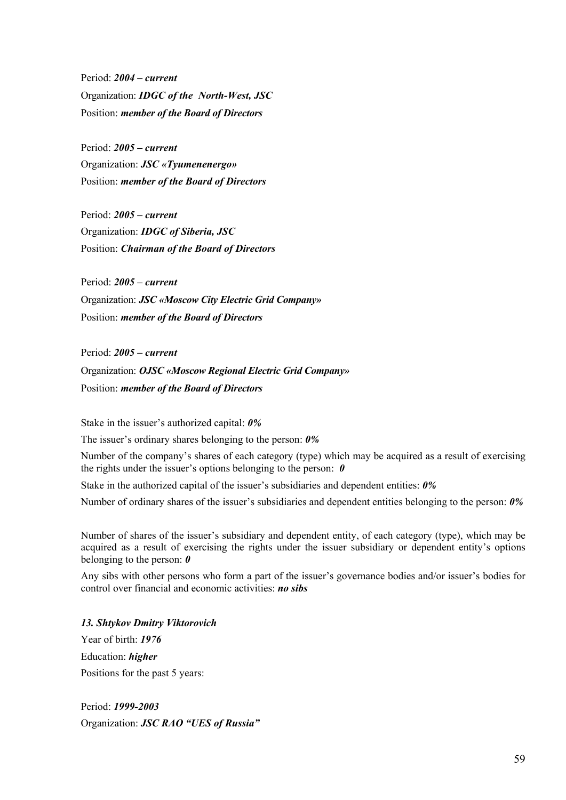Period: *2004 – current*  Organization: *IDGC of the North-West, JSC*  Position: *member of the Board of Directors* 

Period: *2005 – current*  Organization: *JSC «Tyumenenergo»* Position: *member of the Board of Directors*

Period: *2005 – current*  Organization: *IDGC of Siberia, JSC* Position: *Chairman of the Board of Directors*

Period: *2005 – current*  Organization: *JSC «Moscow City Electric Grid Company»*  Position: *member of the Board of Directors* 

Period: *2005 – current*  Organization: *OJSC «Moscow Regional Electric Grid Company»*  Position: *member of the Board of Directors* 

Stake in the issuer's authorized capital: *0%* 

The issuer's ordinary shares belonging to the person: *0%*

Number of the company's shares of each category (type) which may be acquired as a result of exercising the rights under the issuer's options belonging to the person: *0* 

Stake in the authorized capital of the issuer's subsidiaries and dependent entities: *0%*

Number of ordinary shares of the issuer's subsidiaries and dependent entities belonging to the person: *0%* 

Number of shares of the issuer's subsidiary and dependent entity, of each category (type), which may be acquired as a result of exercising the rights under the issuer subsidiary or dependent entity's options belonging to the person: *0*

Any sibs with other persons who form a part of the issuer's governance bodies and/or issuer's bodies for control over financial and economic activities: *no sibs*

*13. Shtykov Dmitry Viktorovich* 

Year of birth: *1976*  Education: *higher*  Positions for the past 5 years:

Period: *1999-2003* Organization: *JSC RAO "UES of Russia"*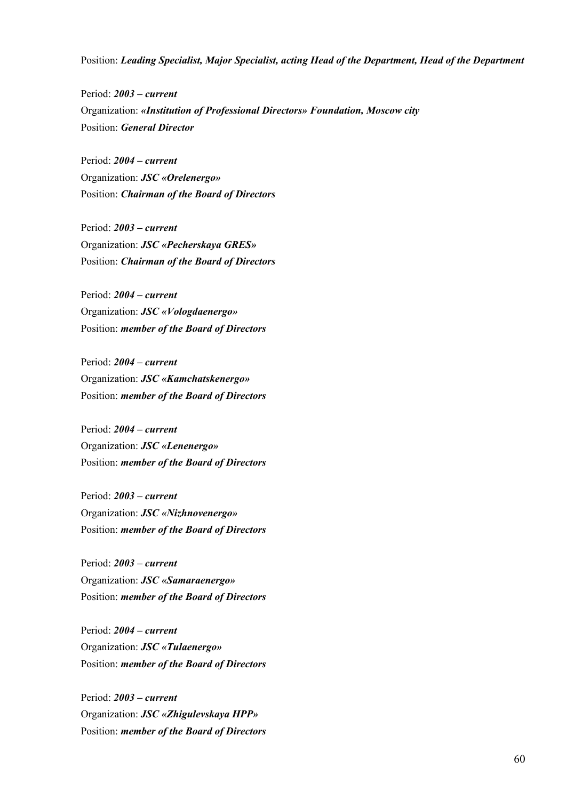Position: *Leading Specialist, Major Specialist, acting Head of the Department, Head of the Department* 

Period: *2003 – current*  Organization: *«Institution of Professional Directors» Foundation, Moscow city*  Position: *General Director* 

Period: *2004 – current*  Organization: *JSC «Orelenergo»*  Position: *Chairman of the Board of Directors* 

Period: *2003 – current*  Organization: *JSC «Pecherskaya GRES»*  Position: *Chairman of the Board of Directors* 

Period: *2004 – current*  Organization: *JSC «Vologdaenergo»*  Position: *member of the Board of Directors* 

Period: *2004 – current*  Organization: *JSC «Kamchatskenergo»*  Position: *member of the Board of Directors* 

Period: *2004 – current*  Organization: *JSC «Lenenergo»*  Position: *member of the Board of Directors* 

Period: *2003 – current*  Organization: *JSC «Nizhnovenergo»*  Position: *member of the Board of Directors* 

Period: *2003 – current*  Organization: *JSC «Samaraenergo»*  Position: *member of the Board of Directors* 

Period: *2004 – current*  Organization: *JSC «Tulaenergo»*  Position: *member of the Board of Directors* 

Period: *2003 – current*  Organization: *JSC «Zhigulevskaya HPP»*  Position: *member of the Board of Directors*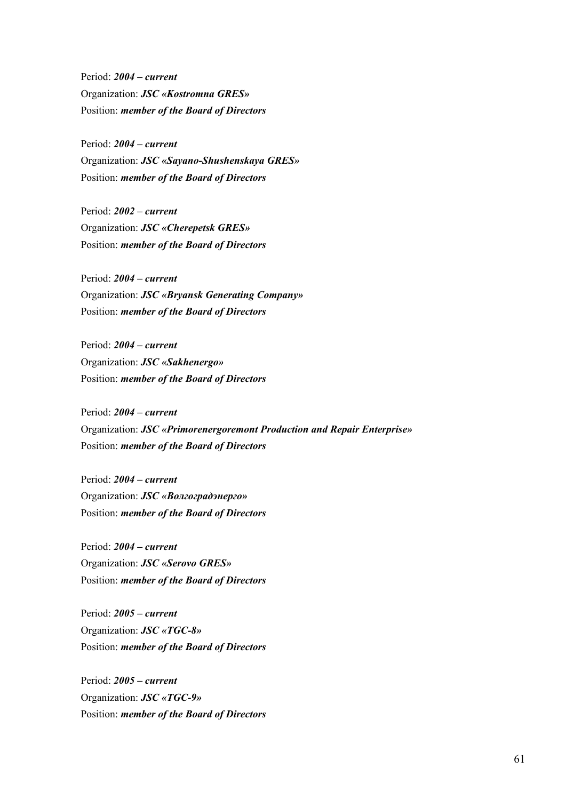Period: *2004 – current*  Organization: *JSC «Kostromna GRES»*  Position: *member of the Board of Directors* 

Period: *2004 – current*  Organization: *JSC «Sayano-Shushenskaya GRES»*  Position: *member of the Board of Directors* 

Period: *2002 – current*  Organization: *JSC «Cherepetsk GRES»*  Position: *member of the Board of Directors* 

Period: *2004 – current*  Organization: *JSC «Bryansk Generating Company»*  Position: *member of the Board of Directors* 

Period: *2004 – current*  Organization: *JSC «Sakhenergo»*  Position: *member of the Board of Directors* 

Period: *2004 – current*  Organization: *JSC «Primorenergoremont Production and Repair Enterprise»*  Position: *member of the Board of Directors* 

Period: *2004 – current*  Organization: *JSC «Волгоградэнерго»*  Position: *member of the Board of Directors* 

Period: *2004 – current*  Organization: *JSC «Serovo GRES»*  Position: *member of the Board of Directors* 

Period: *2005 – current*  Organization: *JSC «TGC-8»*  Position: *member of the Board of Directors* 

Period: *2005 – current*  Organization: *JSC «TGC-9»*  Position: *member of the Board of Directors*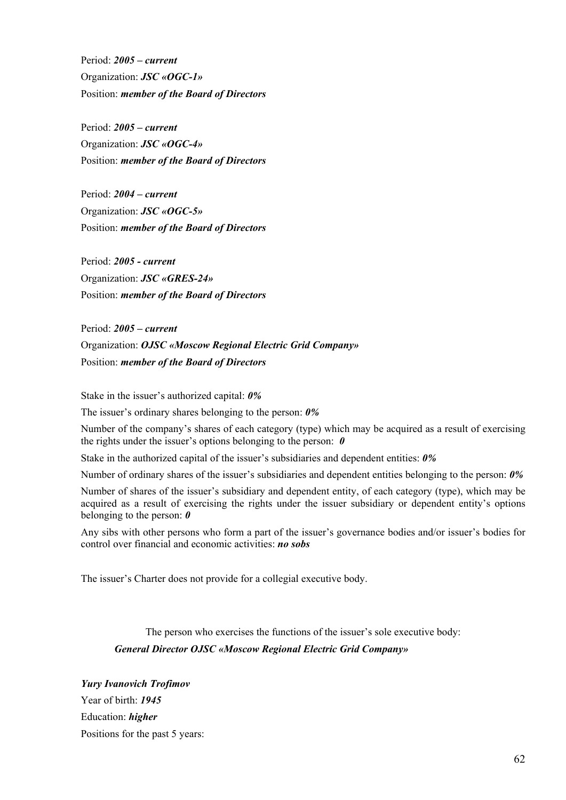Period: *2005 – current*  Organization: *JSC «OGC-1»*  Position: *member of the Board of Directors* 

Period: *2005 – current*  Organization: *JSC «OGC-4»*  Position: *member of the Board of Directors* 

Period: *2004 – current*  Organization: *JSC «OGC-5»*  Position: *member of the Board of Directors* 

Period: *2005 - current*  Organization: *JSC «GRES-24»*  Position: *member of the Board of Directors* 

Period: *2005 – current*  Organization: *OJSC «Moscow Regional Electric Grid Company»*  Position: *member of the Board of Directors* 

Stake in the issuer's authorized capital: *0%* 

The issuer's ordinary shares belonging to the person: *0%*

Number of the company's shares of each category (type) which may be acquired as a result of exercising the rights under the issuer's options belonging to the person: *0* 

Stake in the authorized capital of the issuer's subsidiaries and dependent entities: *0%*

Number of ordinary shares of the issuer's subsidiaries and dependent entities belonging to the person: *0%*

Number of shares of the issuer's subsidiary and dependent entity, of each category (type), which may be acquired as a result of exercising the rights under the issuer subsidiary or dependent entity's options belonging to the person: *0*

Any sibs with other persons who form a part of the issuer's governance bodies and/or issuer's bodies for control over financial and economic activities: *no sobs*

The issuer's Charter does not provide for a collegial executive body.

The person who exercises the functions of the issuer's sole executive body: *General Director OJSC «Moscow Regional Electric Grid Company»* 

*Yury Ivanovich Trofimov*  Year of birth: *1945* Education: *higher* Positions for the past 5 years: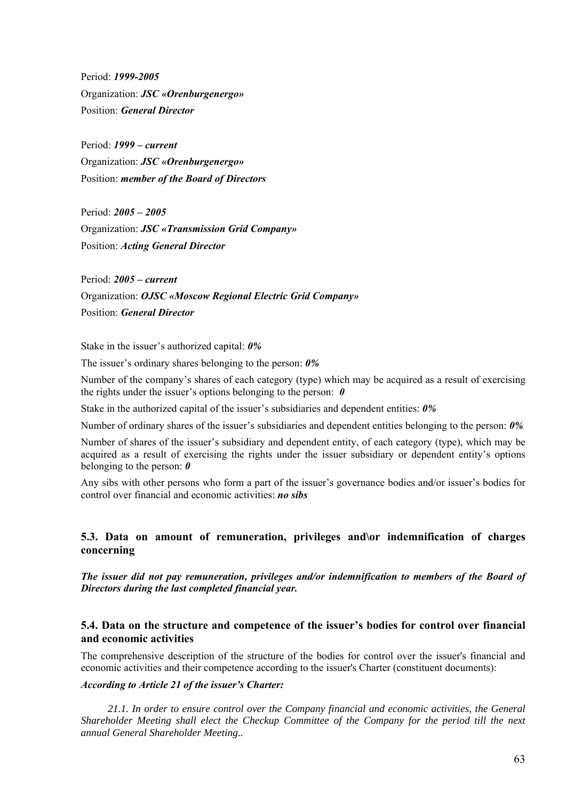Period: *1999-2005* Organization: *JSC «Orenburgenergo»*  Position: *General Director* 

Period: *1999 – current*  Organization: *JSC «Orenburgenergo»*  Position: *member of the Board of Directors* 

Period: *2005 – 2005*  Organization: *JSC «Transmission Grid Company»*  Position: *Acting General Director* 

Period: *2005 – current*  Organization: *OJSC «Moscow Regional Electric Grid Company»*  Position: *General Director* 

Stake in the issuer's authorized capital: *0%* 

The issuer's ordinary shares belonging to the person: *0%*

Number of the company's shares of each category (type) which may be acquired as a result of exercising the rights under the issuer's options belonging to the person: *0* 

Stake in the authorized capital of the issuer's subsidiaries and dependent entities: *0%*

Number of ordinary shares of the issuer's subsidiaries and dependent entities belonging to the person: *0%*

Number of shares of the issuer's subsidiary and dependent entity, of each category (type), which may be acquired as a result of exercising the rights under the issuer subsidiary or dependent entity's options belonging to the person: *0*

Any sibs with other persons who form a part of the issuer's governance bodies and/or issuer's bodies for control over financial and economic activities: *no sibs*

# **5.3. Data on amount of remuneration, privileges and\or indemnification of charges concerning**

*The issuer did not pay remuneration, privileges and/or indemnification to members of the Board of Directors during the last completed financial year.* 

# **5.4. Data on the structure and competence of the issuer's bodies for control over financial and economic activities**

The comprehensive description of the structure of the bodies for control over the issuer's financial and economic activities and their competence according to the issuer's Charter (constituent documents):

### *According to Article 21 of the issuer's Charter:*

*21.1. In order to ensure control over the Company financial and economic activities, the General Shareholder Meeting shall elect the Checkup Committee of the Company for the period till the next annual General Shareholder Meeting..*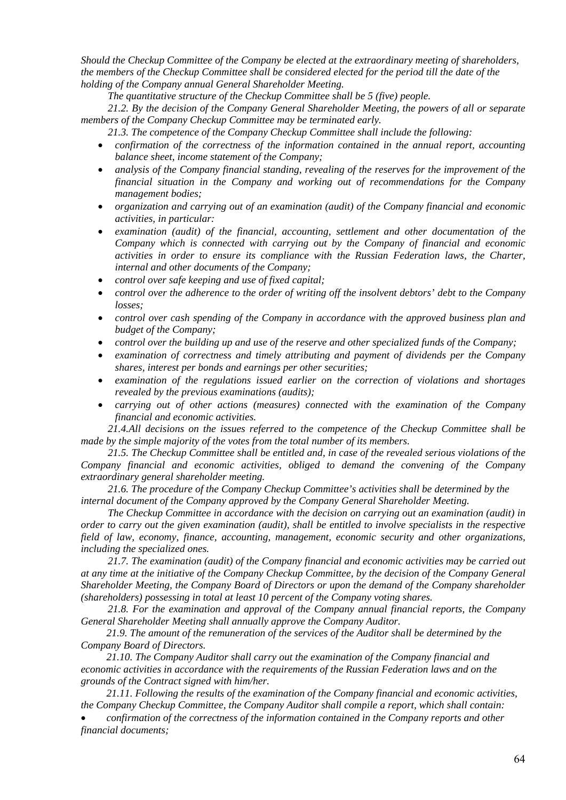*Should the Checkup Committee of the Company be elected at the extraordinary meeting of shareholders, the members of the Checkup Committee shall be considered elected for the period till the date of the holding of the Company annual General Shareholder Meeting.* 

*The quantitative structure of the Checkup Committee shall be 5 (five) people.* 

*21.2. By the decision of the Company General Shareholder Meeting, the powers of all or separate members of the Company Checkup Committee may be terminated early.* 

*21.3. The competence of the Company Checkup Committee shall include the following:* 

- *confirmation of the correctness of the information contained in the annual report, accounting balance sheet, income statement of the Company;*
- *analysis of the Company financial standing, revealing of the reserves for the improvement of the financial situation in the Company and working out of recommendations for the Company management bodies;*
- *organization and carrying out of an examination (audit) of the Company financial and economic activities, in particular:*
- *examination (audit) of the financial, accounting, settlement and other documentation of the Company which is connected with carrying out by the Company of financial and economic activities in order to ensure its compliance with the Russian Federation laws, the Charter, internal and other documents of the Company;*
- *control over safe keeping and use of fixed capital;*
- *control over the adherence to the order of writing off the insolvent debtors' debt to the Company losses;*
- *control over cash spending of the Company in accordance with the approved business plan and budget of the Company;*
- *control over the building up and use of the reserve and other specialized funds of the Company;*
- *examination of correctness and timely attributing and payment of dividends per the Company shares, interest per bonds and earnings per other securities;*
- *examination of the regulations issued earlier on the correction of violations and shortages revealed by the previous examinations (audits);*
- *carrying out of other actions (measures) connected with the examination of the Company financial and economic activities.*

*21.4.All decisions on the issues referred to the competence of the Checkup Committee shall be made by the simple majority of the votes from the total number of its members.* 

*21.5. The Checkup Committee shall be entitled and, in case of the revealed serious violations of the Company financial and economic activities, obliged to demand the convening of the Company extraordinary general shareholder meeting.* 

*21.6. The procedure of the Company Checkup Committee's activities shall be determined by the internal document of the Company approved by the Company General Shareholder Meeting.* 

*The Checkup Committee in accordance with the decision on carrying out an examination (audit) in order to carry out the given examination (audit), shall be entitled to involve specialists in the respective field of law, economy, finance, accounting, management, economic security and other organizations, including the specialized ones.* 

*21.7. The examination (audit) of the Company financial and economic activities may be carried out at any time at the initiative of the Company Checkup Committee, by the decision of the Company General Shareholder Meeting, the Company Board of Directors or upon the demand of the Company shareholder (shareholders) possessing in total at least 10 percent of the Company voting shares.* 

*21.8. For the examination and approval of the Company annual financial reports, the Company General Shareholder Meeting shall annually approve the Company Auditor.* 

*21.9. The amount of the remuneration of the services of the Auditor shall be determined by the Company Board of Directors.* 

*21.10. The Company Auditor shall carry out the examination of the Company financial and economic activities in accordance with the requirements of the Russian Federation laws and on the grounds of the Contract signed with him/her.* 

*21.11. Following the results of the examination of the Company financial and economic activities, the Company Checkup Committee, the Company Auditor shall compile a report, which shall contain:* 

• *confirmation of the correctness of the information contained in the Company reports and other financial documents;*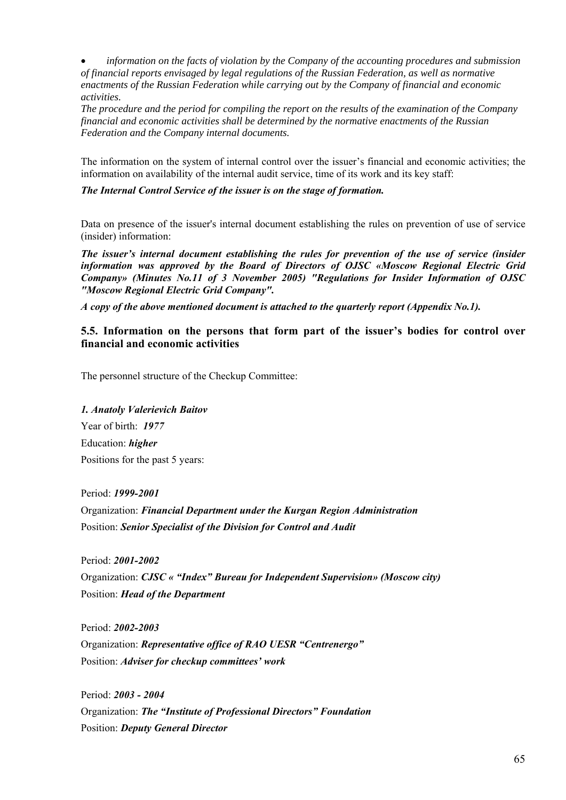• *information on the facts of violation by the Company of the accounting procedures and submission of financial reports envisaged by legal regulations of the Russian Federation, as well as normative enactments of the Russian Federation while carrying out by the Company of financial and economic activities.* 

*The procedure and the period for compiling the report on the results of the examination of the Company financial and economic activities shall be determined by the normative enactments of the Russian Federation and the Company internal documents.* 

The information on the system of internal control over the issuer's financial and economic activities; the information on availability of the internal audit service, time of its work and its key staff:

*The Internal Control Service of the issuer is on the stage of formation.* 

Data on presence of the issuer's internal document establishing the rules on prevention of use of service (insider) information:

*The issuer's internal document establishing the rules for prevention of the use of service (insider information was approved by the Board of Directors of OJSC «Moscow Regional Electric Grid Company» (Minutes No.11 of 3 November 2005) "Regulations for Insider Information of OJSC "Moscow Regional Electric Grid Company".* 

*A copy of the above mentioned document is attached to the quarterly report (Appendix No.1).* 

**5.5. Information on the persons that form part of the issuer's bodies for control over financial and economic activities** 

The personnel structure of the Checkup Committee:

*1. Anatoly Valerievich Baitov*  Year of birth: *1977* Education: *higher* Positions for the past 5 years:

Period: *1999-2001* Organization: *Financial Department under the Kurgan Region Administration*  Position: *Senior Specialist of the Division for Control and Audit* 

Period: *2001-2002* Organization: *CJSC « "Index" Bureau for Independent Supervision» (Moscow city)*  Position: *Head of the Department* 

Period: *2002-2003*  Organization: *Representative office of RAO UESR "Centrenergo"*  Position: *Adviser for checkup committees' work* 

Period: *2003 - 2004*  Organization: *The "Institute of Professional Directors" Foundation*  Position: *Deputy General Director*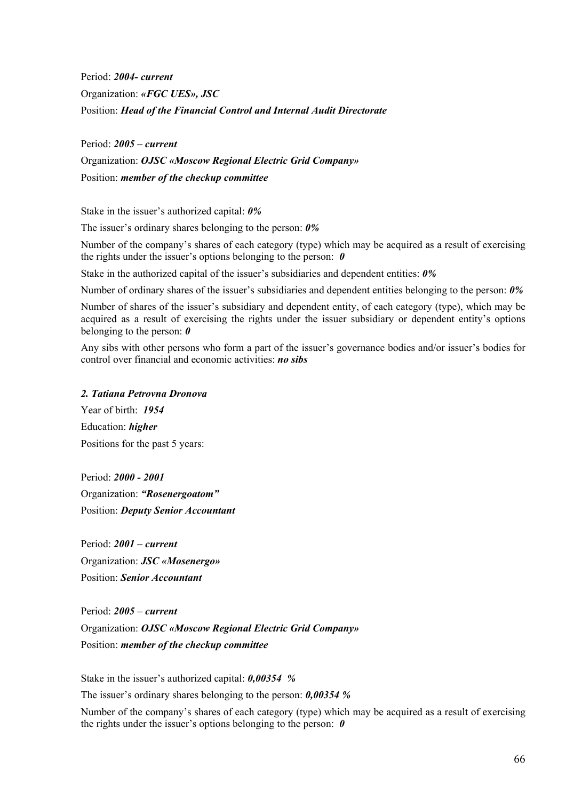Period: *2004- current*  Organization: *«FGC UES», JSC* Position: *Head of the Financial Control and Internal Audit Directorate* 

Period: *2005 – current*  Organization: *OJSC «Moscow Regional Electric Grid Company»*  Position: *member of the checkup committee* 

Stake in the issuer's authorized capital: *0%* 

The issuer's ordinary shares belonging to the person: *0%*

Number of the company's shares of each category (type) which may be acquired as a result of exercising the rights under the issuer's options belonging to the person: *0* 

Stake in the authorized capital of the issuer's subsidiaries and dependent entities: *0%*

Number of ordinary shares of the issuer's subsidiaries and dependent entities belonging to the person: *0%*

Number of shares of the issuer's subsidiary and dependent entity, of each category (type), which may be acquired as a result of exercising the rights under the issuer subsidiary or dependent entity's options belonging to the person: *0*

Any sibs with other persons who form a part of the issuer's governance bodies and/or issuer's bodies for control over financial and economic activities: *no sibs*

#### *2. Tatiana Petrovna Dronova*

Year of birth: *1954*  Education: *higher* Positions for the past 5 years:

Period: *2000 - 2001* Organization: *"Rosenergoatom"*  Position: *Deputy Senior Accountant*

Period: *2001 – current* Organization: *JSC «Mosenergo»* Position: *Senior Accountant*

Period: *2005 – current*  Organization: *OJSC «Moscow Regional Electric Grid Company»*  Position: *member of the checkup committee* 

Stake in the issuer's authorized capital: *0,00354 %* 

The issuer's ordinary shares belonging to the person: *0,00354 %*

Number of the company's shares of each category (type) which may be acquired as a result of exercising the rights under the issuer's options belonging to the person: *0*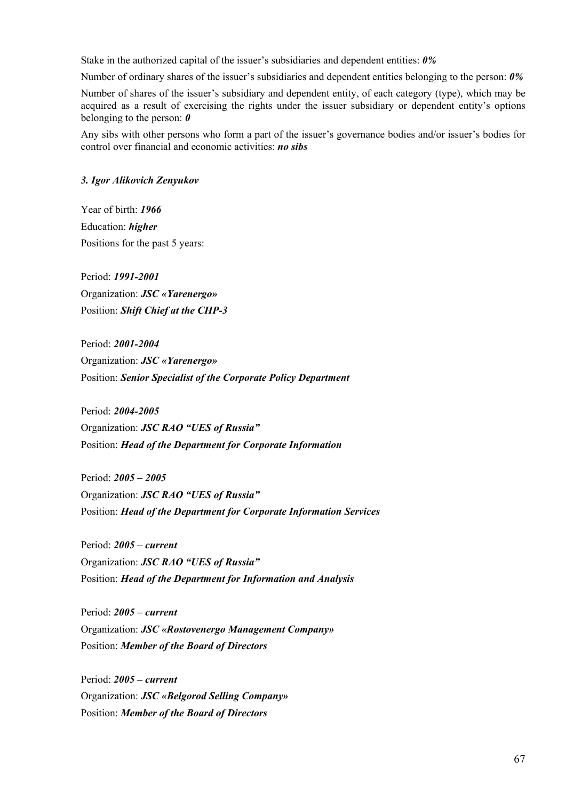Stake in the authorized capital of the issuer's subsidiaries and dependent entities: *0%*

Number of ordinary shares of the issuer's subsidiaries and dependent entities belonging to the person: *0%*

Number of shares of the issuer's subsidiary and dependent entity, of each category (type), which may be acquired as a result of exercising the rights under the issuer subsidiary or dependent entity's options belonging to the person: *0*

Any sibs with other persons who form a part of the issuer's governance bodies and/or issuer's bodies for control over financial and economic activities: *no sibs*

### *3. Igor Alikovich Zenyukov*

Year of birth: *1966* Education: *higher* Positions for the past 5 years:

Period: *1991-2001* Organization: *JSC «Yarenergo»*  Position: *Shift Chief at the CHP-3*

Period: *2001-2004* Organization: *JSC «Yarenergo»*  Position: *Senior Specialist of the Corporate Policy Department*

Period: *2004-2005* Organization: *JSC RAO "UES of Russia"*  Position: *Head of the Department for Corporate Information* 

Period: *2005 – 2005* Organization: *JSC RAO "UES of Russia"*  Position: *Head of the Department for Corporate Information Services*

Period: *2005 – current* Organization: *JSC RAO "UES of Russia"*  Position: *Head of the Department for Information and Analysis*

Period: *2005 – current* Organization: *JSC «Rostovenergo Management Company»*  Position: *Member of the Board of Directors* 

Period: *2005 – current* Organization: *JSC «Belgorod Selling Company»*  Position: *Member of the Board of Directors*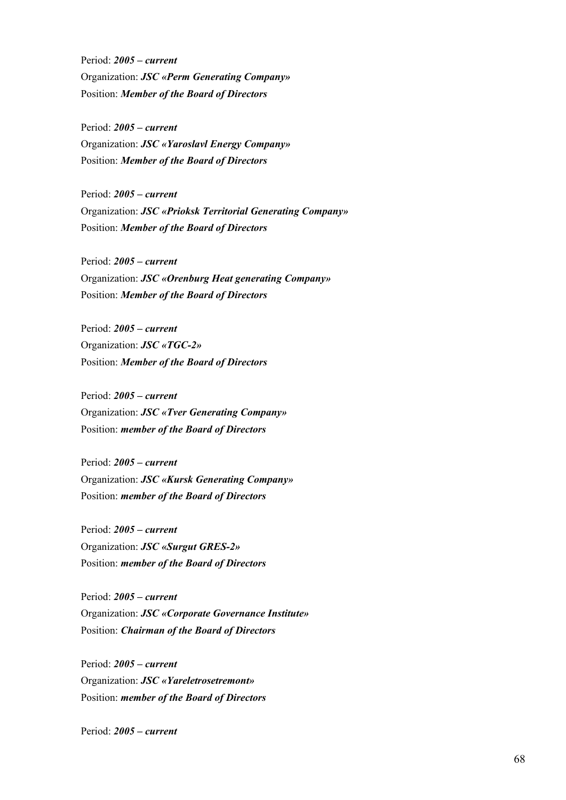Period: *2005 – current* Organization: *JSC «Perm Generating Company»*  Position: *Member of the Board of Directors* 

Period: *2005 – current* Organization: *JSC «Yaroslavl Energy Company»*  Position: *Member of the Board of Directors* 

Period: *2005 – current* Organization: *JSC «Prioksk Territorial Generating Company»*  Position: *Member of the Board of Directors* 

Period: *2005 – current* Organization: *JSC «Orenburg Heat generating Company»*  Position: *Member of the Board of Directors* 

Period: *2005 – current* Organization: *JSC «TGC-2»*  Position: *Member of the Board of Directors* 

Period: *2005 – current* Organization: *JSC «Tver Generating Company»*  Position: *member of the Board of Directors* 

Period: *2005 – current* Organization: *JSC «Kursk Generating Company»*  Position: *member of the Board of Directors* 

Period: *2005 – current* Organization: *JSC «Surgut GRES-2»*  Position: *member of the Board of Directors* 

Period: *2005 – current* Organization: *JSC «Corporate Governance Institute»*  Position: *Chairman of the Board of Directors* 

Period: *2005 – current* Organization: *JSC «Yareletrosetremont»*  Position: *member of the Board of Directors* 

Period: *2005 – current*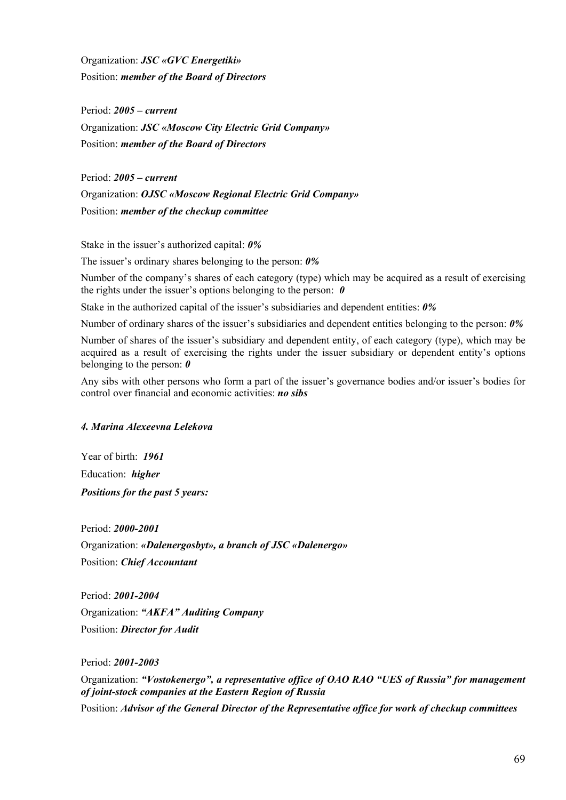Organization: *JSC «GVC Energetiki»*  Position: *member of the Board of Directors* 

Period: *2005 – current* Organization: *JSC «Moscow City Electric Grid Company»*  Position: *member of the Board of Directors* 

Period: *2005 – current*  Organization: *OJSC «Moscow Regional Electric Grid Company»*  Position: *member of the checkup committee* 

Stake in the issuer's authorized capital: *0%* 

The issuer's ordinary shares belonging to the person: *0%*

Number of the company's shares of each category (type) which may be acquired as a result of exercising the rights under the issuer's options belonging to the person: *0* 

Stake in the authorized capital of the issuer's subsidiaries and dependent entities: *0%*

Number of ordinary shares of the issuer's subsidiaries and dependent entities belonging to the person: *0%*

Number of shares of the issuer's subsidiary and dependent entity, of each category (type), which may be acquired as a result of exercising the rights under the issuer subsidiary or dependent entity's options belonging to the person: *0*

Any sibs with other persons who form a part of the issuer's governance bodies and/or issuer's bodies for control over financial and economic activities: *no sibs*

# *4. Marina Alexeevna Lelekova*

Year of birth: *1961*  Education: *higher Positions for the past 5 years:* 

Period: *2000-2001*  Organization: *«Dalenergosbyt», a branch of JSC «Dalenergo»* Position: *Chief Accountant* 

Period: *2001-2004*  Organization: *"AKFA" Auditing Company*  Position: *Director for Audit* 

Period: *2001-2003* 

Organization: *"Vostokenergo", a representative office of OAO RAO "UES of Russia" for management of joint-stock companies at the Eastern Region of Russia*  Position: *Advisor of the General Director of the Representative office for work of checkup committees*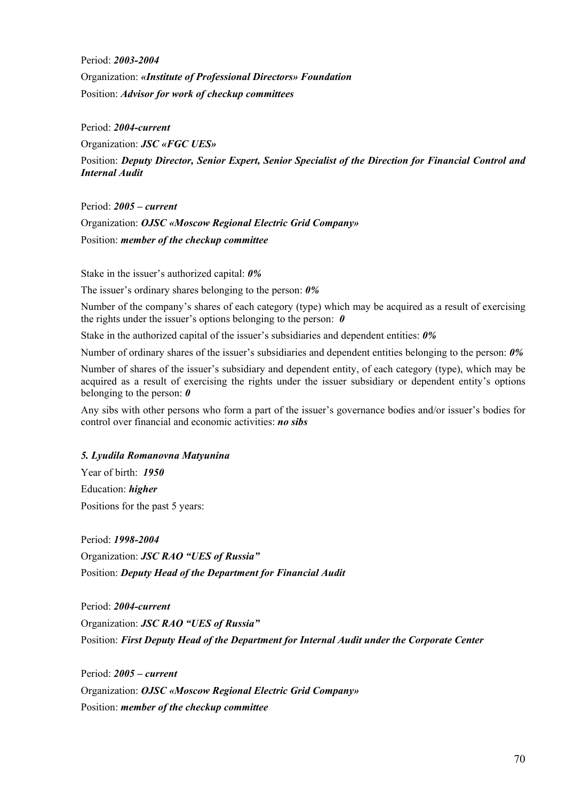Period: *2003-2004*  Organization: *«Institute of Professional Directors» Foundation*  Position: *Advisor for work of checkup committees* 

Period: *2004-current* 

Organization: *JSC «FGC UES»*  Position: *Deputy Director, Senior Expert, Senior Specialist of the Direction for Financial Control and Internal Audit* 

Period: *2005 – current*  Organization: *OJSC «Moscow Regional Electric Grid Company»*  Position: *member of the checkup committee* 

Stake in the issuer's authorized capital: *0%* 

The issuer's ordinary shares belonging to the person: *0%*

Number of the company's shares of each category (type) which may be acquired as a result of exercising the rights under the issuer's options belonging to the person: *0* 

Stake in the authorized capital of the issuer's subsidiaries and dependent entities: *0%*

Number of ordinary shares of the issuer's subsidiaries and dependent entities belonging to the person: *0%*

Number of shares of the issuer's subsidiary and dependent entity, of each category (type), which may be acquired as a result of exercising the rights under the issuer subsidiary or dependent entity's options belonging to the person: *0*

Any sibs with other persons who form a part of the issuer's governance bodies and/or issuer's bodies for control over financial and economic activities: *no sibs*

# *5. Lyudila Romanovna Matyunina*

Year of birth: *1950* Education: *higher*  Positions for the past 5 years:

Period: *1998-2004*  Organization: *JSC RAO "UES of Russia"*  Position: *Deputy Head of the Department for Financial Audit* 

Period: *2004-current* Organization: *JSC RAO "UES of Russia"* Position: *First Deputy Head of the Department for Internal Audit under the Corporate Center* 

Period: *2005 – current*  Organization: *OJSC «Moscow Regional Electric Grid Company»*  Position: *member of the checkup committee*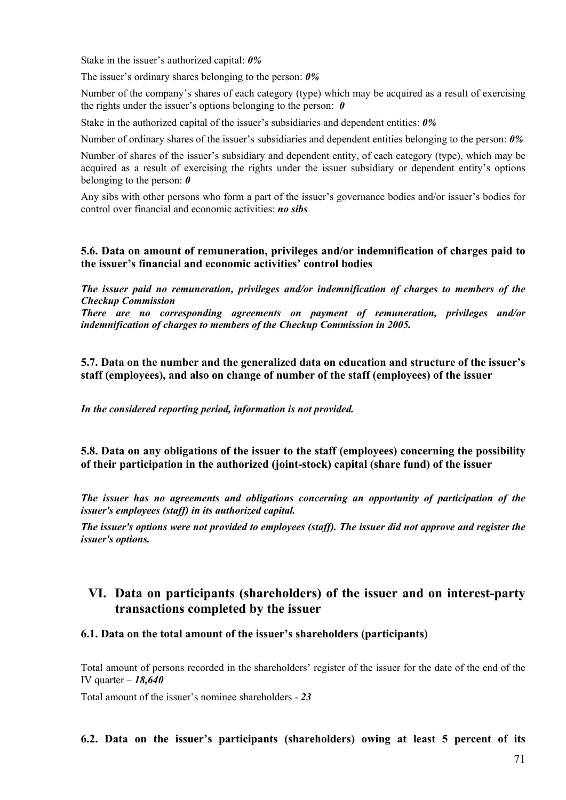Stake in the issuer's authorized capital: *0%* 

The issuer's ordinary shares belonging to the person: *0%*

Number of the company's shares of each category (type) which may be acquired as a result of exercising the rights under the issuer's options belonging to the person: *0* 

Stake in the authorized capital of the issuer's subsidiaries and dependent entities: *0%*

Number of ordinary shares of the issuer's subsidiaries and dependent entities belonging to the person: *0%*

Number of shares of the issuer's subsidiary and dependent entity, of each category (type), which may be acquired as a result of exercising the rights under the issuer subsidiary or dependent entity's options belonging to the person: *0*

Any sibs with other persons who form a part of the issuer's governance bodies and/or issuer's bodies for control over financial and economic activities: *no sibs*

# **5.6. Data on amount of remuneration, privileges and/or indemnification of charges paid to the issuer's financial and economic activities' control bodies**

*The issuer paid no remuneration, privileges and/or indemnification of charges to members of the Checkup Commission* 

*There are no corresponding agreements on payment of remuneration, privileges and/or indemnification of charges to members of the Checkup Commission in 2005.* 

**5.7. Data on the number and the generalized data on education and structure of the issuer's staff (employees), and also on change of number of the staff (employees) of the issuer** 

*In the considered reporting period, information is not provided.* 

**5.8. Data on any obligations of the issuer to the staff (employees) concerning the possibility of their participation in the authorized (joint-stock) capital (share fund) of the issuer** 

*The issuer has no agreements and obligations concerning an opportunity of participation of the issuer's employees (staff) in its authorized capital.*

*The issuer's options were not provided to employees (staff). The issuer did not approve and register the issuer's options.*

# **VI. Data on participants (shareholders) of the issuer and on interest-party transactions completed by the issuer**

# **6.1. Data on the total amount of the issuer's shareholders (participants)**

Total amount of persons recorded in the shareholders' register of the issuer for the date of the end of the IV quarter – *18,640* 

Total amount of the issuer's nominee shareholders - *23* 

**6.2. Data on the issuer's participants (shareholders) owing at least 5 percent of its**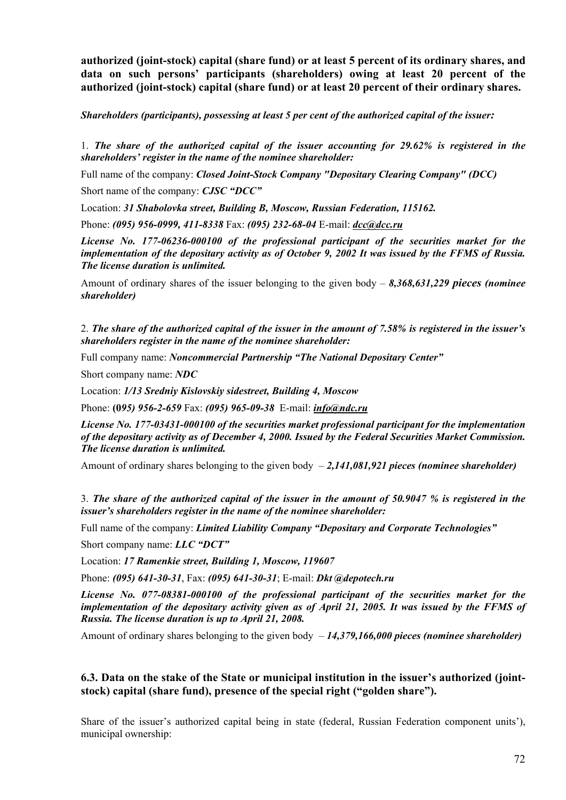**authorized (joint-stock) capital (share fund) or at least 5 percent of its ordinary shares, and data on such persons' participants (shareholders) owing at least 20 percent of the authorized (joint-stock) capital (share fund) or at least 20 percent of their ordinary shares.** 

*Shareholders (participants), possessing at least 5 per cent of the authorized capital of the issuer:* 

1. *The share of the authorized capital of the issuer accounting for 29.62% is registered in the shareholders' register in the name of the nominee shareholder:*

Full name of the company: *Closed Joint-Stock Company "Depositary Clearing Company" (DCC)* 

Short name of the company: *CJSC "DCC"*

Location: *31 Shabolovka street, Building B, Moscow, Russian Federation, 115162.*

Phone: *(095) 956-0999, 411-8338* Fax: *(095) 232-68-04* E-mail: *[dcc@dcc.ru](mailto:dcc@dcc.ru)*

*License No. 177-06236-000100 of the professional participant of the securities market for the implementation of the depositary activity as of October 9, 2002 It was issued by the FFMS of Russia. The license duration is unlimited.* 

Amount of ordinary shares of the issuer belonging to the given body – *8,368,631,229 pieces (nominee shareholder)* 

2. *The share of the authorized capital of the issuer in the amount of 7.58% is registered in the issuer's shareholders register in the name of the nominee shareholder:*

Full company name: *Noncommercial Partnership "The National Depositary Center"* 

Short company name: *NDC*

Location: *1/13 Sredniy Kislovskiy sidestreet, Building 4, Moscow*

Phone: **(0***95) 956-2-659* Fax: *(095) 965-09-38* E-mail: *[info@ndc.ru](mailto:info@ndc.ru)*

*License No. 177-03431-000100 of the securities market professional participant for the implementation of the depositary activity as of December 4, 2000. Issued by the Federal Securities Market Commission. The license duration is unlimited.* 

Amount of ordinary shares belonging to the given body – *2,141,081,921 pieces (nominee shareholder)* 

3. *The share of the authorized capital of the issuer in the amount of 50.9047 % is registered in the issuer's shareholders register in the name of the nominee shareholder:* 

Full name of the company: *Limited Liability Company "Depositary and Corporate Technologies"* 

Short company name: *LLC "DCT"* 

Location: *17 Ramenkie street, Building 1, Moscow, 119607*

Phone: *(095) 641-30-31*, Fax: *(095) 641-30-31*; E-mail: *Dkt @depotech.ru* 

*License No. 077-08381-000100 of the professional participant of the securities market for the implementation of the depositary activity given as of April 21, 2005. It was issued by the FFMS of Russia. The license duration is up to April 21, 2008.* 

Amount of ordinary shares belonging to the given body – *14,379,166,000 pieces (nominee shareholder)* 

# **6.3. Data on the stake of the State or municipal institution in the issuer's authorized (jointstock) capital (share fund), presence of the special right ("golden share").**

Share of the issuer's authorized capital being in state (federal, Russian Federation component units'), municipal ownership: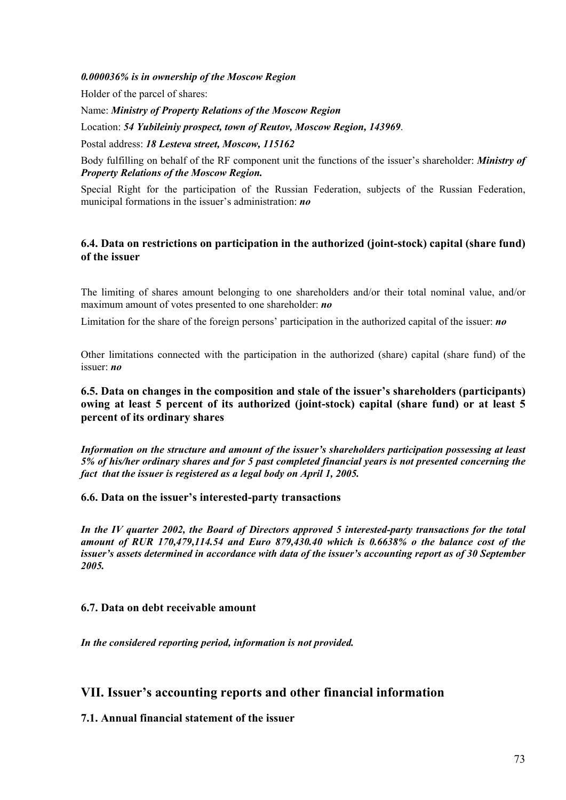*0.000036% is in ownership of the Moscow Region* 

Holder of the parcel of shares:

Name: *Ministry of Property Relations of the Moscow Region*

Location: *54 Yubileiniy prospect, town of Reutov, Moscow Region, 143969*.

Postal address: *18 Lesteva street, Moscow, 115162*

Body fulfilling on behalf of the RF component unit the functions of the issuer's shareholder: *Ministry of Property Relations of the Moscow Region.* 

Special Right for the participation of the Russian Federation, subjects of the Russian Federation, municipal formations in the issuer's administration: *no*

## **6.4. Data on restrictions on participation in the authorized (joint-stock) capital (share fund) of the issuer**

The limiting of shares amount belonging to one shareholders and/or their total nominal value, and/or maximum amount of votes presented to one shareholder: *no* 

Limitation for the share of the foreign persons' participation in the authorized capital of the issuer: *no* 

Other limitations connected with the participation in the authorized (share) capital (share fund) of the issuer: *no*

**6.5. Data on changes in the composition and stale of the issuer's shareholders (participants) owing at least 5 percent of its authorized (joint-stock) capital (share fund) or at least 5 percent of its ordinary shares** 

*Information on the structure and amount of the issuer's shareholders participation possessing at least 5% of his/her ordinary shares and for 5 past completed financial years is not presented concerning the fact that the issuer is registered as a legal body on April 1, 2005.* 

## **6.6. Data on the issuer's interested-party transactions**

*In the IV quarter 2002, the Board of Directors approved 5 interested-party transactions for the total amount of RUR 170,479,114.54 and Euro 879,430.40 which is 0.6638% o the balance cost of the issuer's assets determined in accordance with data of the issuer's accounting report as of 30 September 2005.* 

## **6.7. Data on debt receivable amount**

*In the considered reporting period, information is not provided.* 

# **VII. Issuer's accounting reports and other financial information**

**7.1. Annual financial statement of the issuer**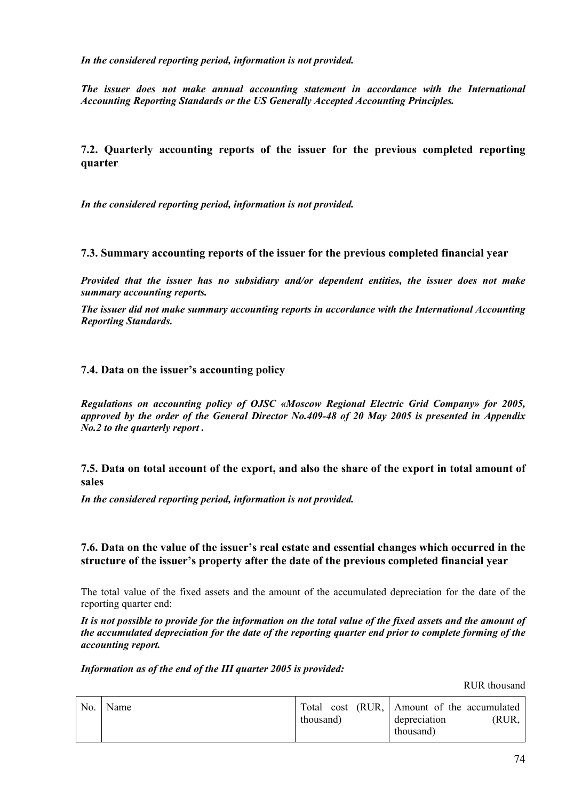*In the considered reporting period, information is not provided.* 

*The issuer does not make annual accounting statement in accordance with the International Accounting Reporting Standards or the US Generally Accepted Accounting Principles.* 

**7.2. Quarterly accounting reports of the issuer for the previous completed reporting quarter** 

*In the considered reporting period, information is not provided.* 

**7.3. Summary accounting reports of the issuer for the previous completed financial year** 

*Provided that the issuer has no subsidiary and/or dependent entities, the issuer does not make summary accounting reports.* 

*The issuer did not make summary accounting reports in accordance with the International Accounting Reporting Standards.*

## **7.4. Data on the issuer's accounting policy**

*Regulations on accounting policy of OJSC «Moscow Regional Electric Grid Company» for 2005, approved by the order of the General Director No.409-48 of 20 May 2005 is presented in Appendix No.2 to the quarterly report .* 

**7.5. Data on total account of the export, and also the share of the export in total amount of sales**

*In the considered reporting period, information is not provided.* 

## **7.6. Data on the value of the issuer's real estate and essential changes which occurred in the structure of the issuer's property after the date of the previous completed financial year**

The total value of the fixed assets and the amount of the accumulated depreciation for the date of the reporting quarter end:

*It is not possible to provide for the information on the total value of the fixed assets and the amount of the accumulated depreciation for the date of the reporting quarter end prior to complete forming of the accounting report.* 

*Information as of the end of the III quarter 2005 is provided:* 

RUR thousand

| thousand) |
|-----------|
|-----------|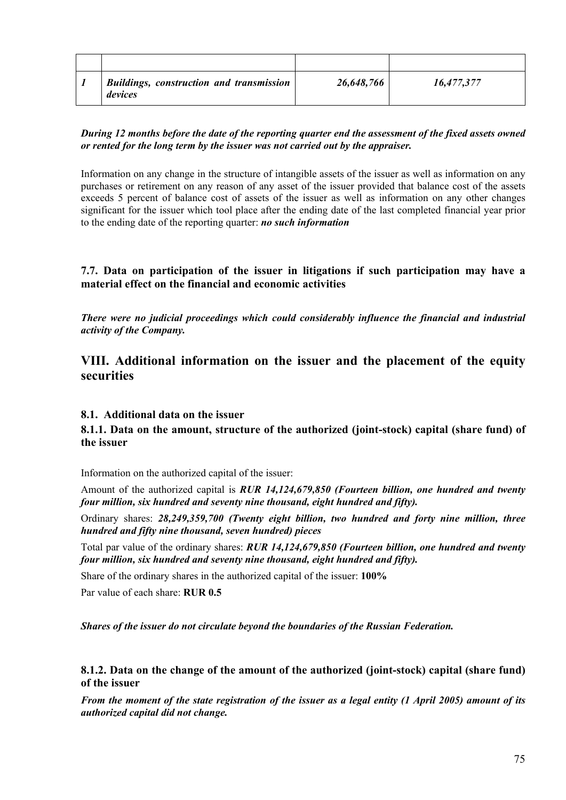| <b>Buildings, construction and transmission</b><br>devices | 26,648,766 | 16,477,377 |
|------------------------------------------------------------|------------|------------|

#### *During 12 months before the date of the reporting quarter end the assessment of the fixed assets owned or rented for the long term by the issuer was not carried out by the appraiser.*

Information on any change in the structure of intangible assets of the issuer as well as information on any purchases or retirement on any reason of any asset of the issuer provided that balance cost of the assets exceeds 5 percent of balance cost of assets of the issuer as well as information on any other changes significant for the issuer which tool place after the ending date of the last completed financial year prior to the ending date of the reporting quarter: *no such information* 

## **7.7. Data on participation of the issuer in litigations if such participation may have a material effect on the financial and economic activities**

*There were no judicial proceedings which could considerably influence the financial and industrial activity of the Company.* 

# **VIII. Additional information on the issuer and the placement of the equity securities**

## **8.1. Additional data on the issuer**

## **8.1.1. Data on the amount, structure of the authorized (joint-stock) capital (share fund) of the issuer**

Information on the authorized capital of the issuer:

Amount of the authorized capital is *RUR 14,124,679,850 (Fourteen billion, one hundred and twenty four million, six hundred and seventy nine thousand, eight hundred and fifty).* 

Ordinary shares: *28,249,359,700 (Twenty eight billion, two hundred and forty nine million, three hundred and fifty nine thousand, seven hundred) pieces*

Total par value of the ordinary shares: *RUR 14,124,679,850 (Fourteen billion, one hundred and twenty four million, six hundred and seventy nine thousand, eight hundred and fifty).*

Share of the ordinary shares in the authorized capital of the issuer: **100%** 

Par value of each share: **RUR 0.5** 

*Shares of the issuer do not circulate beyond the boundaries of the Russian Federation.* 

## **8.1.2. Data on the change of the amount of the authorized (joint-stock) capital (share fund) of the issuer**

*From the moment of the state registration of the issuer as a legal entity (1 April 2005) amount of its authorized capital did not change.*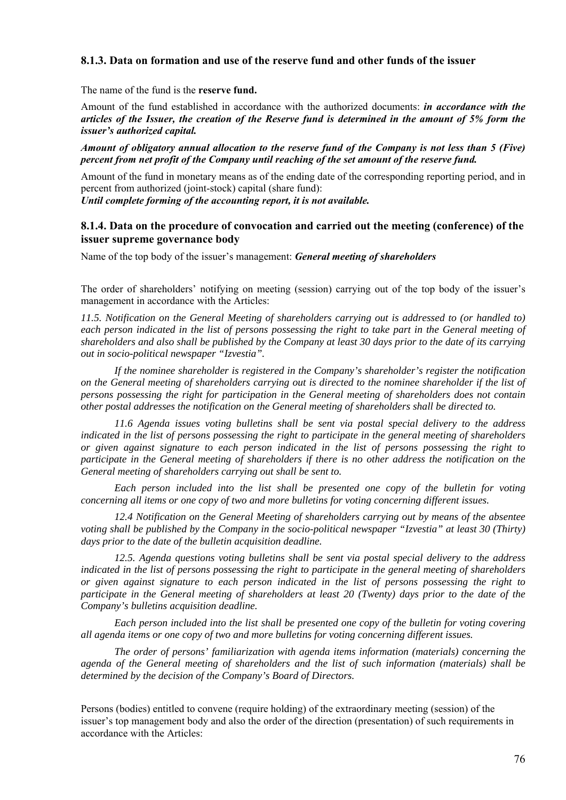## **8.1.3. Data on formation and use of the reserve fund and other funds of the issuer**

The name of the fund is the **reserve fund.** 

Amount of the fund established in accordance with the authorized documents: *in accordance with the articles of the Issuer, the creation of the Reserve fund is determined in the amount of 5% form the issuer's authorized capital.* 

*Amount of obligatory annual allocation to the reserve fund of the Company is not less than 5 (Five) percent from net profit of the Company until reaching of the set amount of the reserve fund.* 

Amount of the fund in monetary means as of the ending date of the corresponding reporting period, and in percent from authorized (joint-stock) capital (share fund):

*Until complete forming of the accounting report, it is not available.* 

#### **8.1.4. Data on the procedure of convocation and carried out the meeting (conference) of the issuer supreme governance body**

Name of the top body of the issuer's management: *General meeting of shareholders* 

The order of shareholders' notifying on meeting (session) carrying out of the top body of the issuer's management in accordance with the Articles:

*11.5. Notification on the General Meeting of shareholders carrying out is addressed to (or handled to) each person indicated in the list of persons possessing the right to take part in the General meeting of shareholders and also shall be published by the Company at least 30 days prior to the date of its carrying out in socio-political newspaper "Izvestia".* 

 *If the nominee shareholder is registered in the Company's shareholder's register the notification on the General meeting of shareholders carrying out is directed to the nominee shareholder if the list of persons possessing the right for participation in the General meeting of shareholders does not contain other postal addresses the notification on the General meeting of shareholders shall be directed to.* 

 *11.6 Agenda issues voting bulletins shall be sent via postal special delivery to the address indicated in the list of persons possessing the right to participate in the general meeting of shareholders or given against signature to each person indicated in the list of persons possessing the right to participate in the General meeting of shareholders if there is no other address the notification on the General meeting of shareholders carrying out shall be sent to.* 

 *Each person included into the list shall be presented one copy of the bulletin for voting concerning all items or one copy of two and more bulletins for voting concerning different issues.* 

 *12.4 Notification on the General Meeting of shareholders carrying out by means of the absentee voting shall be published by the Company in the socio-political newspaper "Izvestia" at least 30 (Thirty) days prior to the date of the bulletin acquisition deadline.* 

 *12.5. Agenda questions voting bulletins shall be sent via postal special delivery to the address indicated in the list of persons possessing the right to participate in the general meeting of shareholders or given against signature to each person indicated in the list of persons possessing the right to participate in the General meeting of shareholders at least 20 (Twenty) days prior to the date of the Company's bulletins acquisition deadline.* 

 *Each person included into the list shall be presented one copy of the bulletin for voting covering all agenda items or one copy of two and more bulletins for voting concerning different issues.* 

 *The order of persons' familiarization with agenda items information (materials) concerning the agenda of the General meeting of shareholders and the list of such information (materials) shall be determined by the decision of the Company's Board of Directors.* 

Persons (bodies) entitled to convene (require holding) of the extraordinary meeting (session) of the issuer's top management body and also the order of the direction (presentation) of such requirements in accordance with the Articles: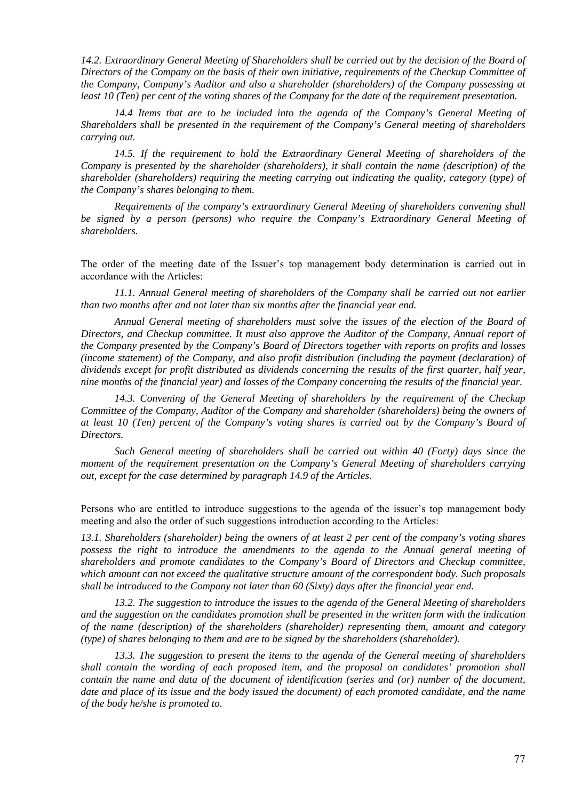*14.2. Extraordinary General Meeting of Shareholders shall be carried out by the decision of the Board of Directors of the Company on the basis of their own initiative, requirements of the Checkup Committee of the Company, Company's Auditor and also a shareholder (shareholders) of the Company possessing at least 10 (Ten) per cent of the voting shares of the Company for the date of the requirement presentation.* 

 *14.4 Items that are to be included into the agenda of the Company's General Meeting of Shareholders shall be presented in the requirement of the Company's General meeting of shareholders carrying out.* 

 *14.5. If the requirement to hold the Extraordinary General Meeting of shareholders of the Company is presented by the shareholder (shareholders), it shall contain the name (description) of the shareholder (shareholders) requiring the meeting carrying out indicating the quality, category (type) of the Company's shares belonging to them.* 

 *Requirements of the company's extraordinary General Meeting of shareholders convening shall be signed by a person (persons) who require the Company's Extraordinary General Meeting of shareholders.* 

The order of the meeting date of the Issuer's top management body determination is carried out in accordance with the Articles:

*11.1. Annual General meeting of shareholders of the Company shall be carried out not earlier than two months after and not later than six months after the financial year end.* 

*Annual General meeting of shareholders must solve the issues of the election of the Board of Directors, and Checkup committee. It must also approve the Auditor of the Company, Annual report of the Company presented by the Company's Board of Directors together with reports on profits and losses (income statement) of the Company, and also profit distribution (including the payment (declaration) of dividends except for profit distributed as dividends concerning the results of the first quarter, half year, nine months of the financial year) and losses of the Company concerning the results of the financial year.* 

 *14.3. Convening of the General Meeting of shareholders by the requirement of the Checkup Committee of the Company, Auditor of the Company and shareholder (shareholders) being the owners of at least 10 (Ten) percent of the Company's voting shares is carried out by the Company's Board of Directors.* 

 *Such General meeting of shareholders shall be carried out within 40 (Forty) days since the moment of the requirement presentation on the Company's General Meeting of shareholders carrying out, except for the case determined by paragraph 14.9 of the Articles.* 

Persons who are entitled to introduce suggestions to the agenda of the issuer's top management body meeting and also the order of such suggestions introduction according to the Articles:

*13.1. Shareholders (shareholder) being the owners of at least 2 per cent of the company's voting shares possess the right to introduce the amendments to the agenda to the Annual general meeting of shareholders and promote candidates to the Company's Board of Directors and Checkup committee, which amount can not exceed the qualitative structure amount of the correspondent body. Such proposals shall be introduced to the Company not later than 60 (Sixty) days after the financial year end.* 

 *13.2. The suggestion to introduce the issues to the agenda of the General Meeting of shareholders and the suggestion on the candidates promotion shall be presented in the written form with the indication of the name (description) of the shareholders (shareholder) representing them, amount and category (type) of shares belonging to them and are to be signed by the shareholders (shareholder).* 

 *13.3. The suggestion to present the items to the agenda of the General meeting of shareholders shall contain the wording of each proposed item, and the proposal on candidates' promotion shall contain the name and data of the document of identification (series and (or) number of the document, date and place of its issue and the body issued the document) of each promoted candidate, and the name of the body he/she is promoted to.*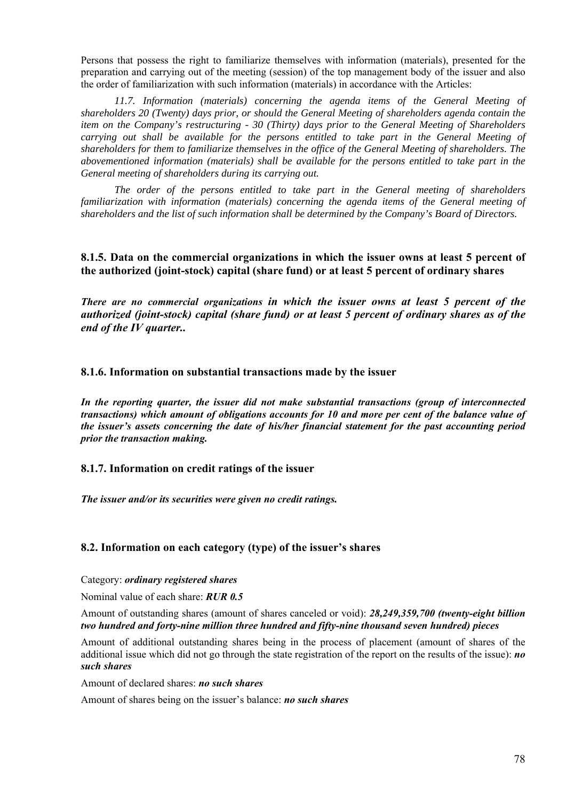Persons that possess the right to familiarize themselves with information (materials), presented for the preparation and carrying out of the meeting (session) of the top management body of the issuer and also the order of familiarization with such information (materials) in accordance with the Articles:

11.7. Information (materials) concerning the agenda items of the General Meeting of *shareholders 20 (Twenty) days prior, or should the General Meeting of shareholders agenda contain the item on the Company's restructuring - 30 (Thirty) days prior to the General Meeting of Shareholders carrying out shall be available for the persons entitled to take part in the General Meeting of shareholders for them to familiarize themselves in the office of the General Meeting of shareholders. The abovementioned information (materials) shall be available for the persons entitled to take part in the General meeting of shareholders during its carrying out.* 

 *The order of the persons entitled to take part in the General meeting of shareholders familiarization with information (materials) concerning the agenda items of the General meeting of shareholders and the list of such information shall be determined by the Company's Board of Directors.* 

**8.1.5. Data on the commercial organizations in which the issuer owns at least 5 percent of the authorized (joint-stock) capital (share fund) or at least 5 percent of ordinary shares** 

*There are no commercial organizations in which the issuer owns at least 5 percent of the authorized (joint-stock) capital (share fund) or at least 5 percent of ordinary shares as of the end of the IV quarter..*

**8.1.6. Information on substantial transactions made by the issuer** 

*In the reporting quarter, the issuer did not make substantial transactions (group of interconnected transactions) which amount of obligations accounts for 10 and more per cent of the balance value of the issuer's assets concerning the date of his/her financial statement for the past accounting period prior the transaction making.* 

**8.1.7. Information on credit ratings of the issuer** 

*The issuer and/or its securities were given no credit ratings.* 

#### **8.2. Information on each category (type) of the issuer's shares**

Category: *ordinary registered shares*

Nominal value of each share: *RUR 0.5*

Amount of outstanding shares (amount of shares canceled or void): *28,249,359,700 (twenty-eight billion two hundred and forty-nine million three hundred and fifty-nine thousand seven hundred) pieces* 

Amount of additional outstanding shares being in the process of placement (amount of shares of the additional issue which did not go through the state registration of the report on the results of the issue): *no such shares*

Amount of declared shares: *no such shares* 

Amount of shares being on the issuer's balance: *no such shares*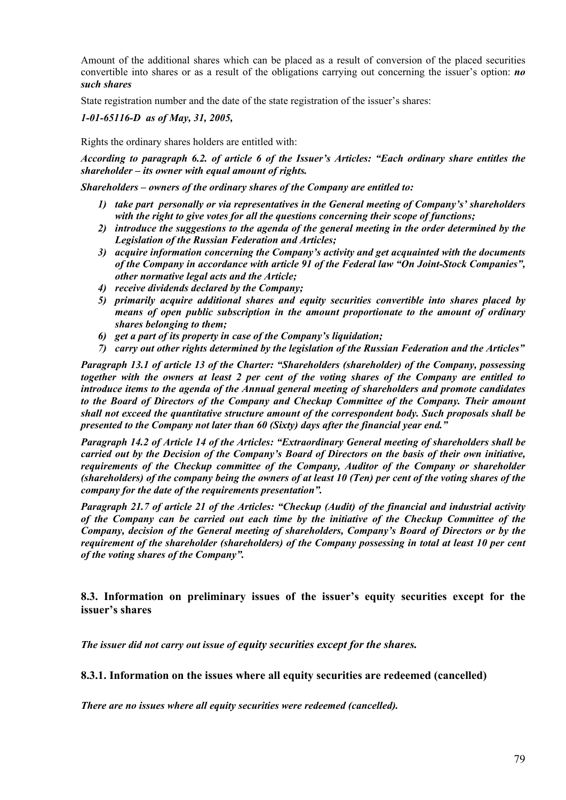Amount of the additional shares which can be placed as a result of conversion of the placed securities convertible into shares or as a result of the obligations carrying out concerning the issuer's option: *no such shares* 

State registration number and the date of the state registration of the issuer's shares:

## *1-01-65116-D as of May, 31, 2005,*

Rights the ordinary shares holders are entitled with:

*According to paragraph 6.2. of article 6 of the Issuer's Articles: "Each ordinary share entitles the shareholder – its owner with equal amount of rights.* 

*Shareholders – owners of the ordinary shares of the Company are entitled to:* 

- *1) take part personally or via representatives in the General meeting of Company's' shareholders with the right to give votes for all the questions concerning their scope of functions;*
- *2) introduce the suggestions to the agenda of the general meeting in the order determined by the Legislation of the Russian Federation and Articles;*
- *3) acquire information concerning the Company's activity and get acquainted with the documents of the Company in accordance with article 91 of the Federal law "On Joint-Stock Companies", other normative legal acts and the Article;*
- *4) receive dividends declared by the Company;*
- *5) primarily acquire additional shares and equity securities convertible into shares placed by means of open public subscription in the amount proportionate to the amount of ordinary shares belonging to them;*
- *6) get a part of its property in case of the Company's liquidation;*
- *7) carry out other rights determined by the legislation of the Russian Federation and the Articles"*

*Paragraph 13.1 of article 13 of the Charter: "Shareholders (shareholder) of the Company, possessing together with the owners at least 2 per cent of the voting shares of the Company are entitled to introduce items to the agenda of the Annual general meeting of shareholders and promote candidates to the Board of Directors of the Company and Checkup Committee of the Company. Their amount shall not exceed the quantitative structure amount of the correspondent body. Such proposals shall be presented to the Company not later than 60 (Sixty) days after the financial year end."* 

*Paragraph 14.2 of Article 14 of the Articles: "Extraordinary General meeting of shareholders shall be carried out by the Decision of the Company's Board of Directors on the basis of their own initiative, requirements of the Checkup committee of the Company, Auditor of the Company or shareholder (shareholders) of the company being the owners of at least 10 (Ten) per cent of the voting shares of the company for the date of the requirements presentation".* 

*Paragraph 21.7 of article 21 of the Articles: "Checkup (Audit) of the financial and industrial activity of the Company can be carried out each time by the initiative of the Checkup Committee of the Company, decision of the General meeting of shareholders, Company's Board of Directors or by the requirement of the shareholder (shareholders) of the Company possessing in total at least 10 per cent of the voting shares of the Company".* 

**8.3. Information on preliminary issues of the issuer's equity securities except for the issuer's shares** 

*The issuer did not carry out issue of equity securities except for the shares.* 

**8.3.1. Information on the issues where all equity securities are redeemed (cancelled)** 

*There are no issues where all equity securities were redeemed (cancelled).*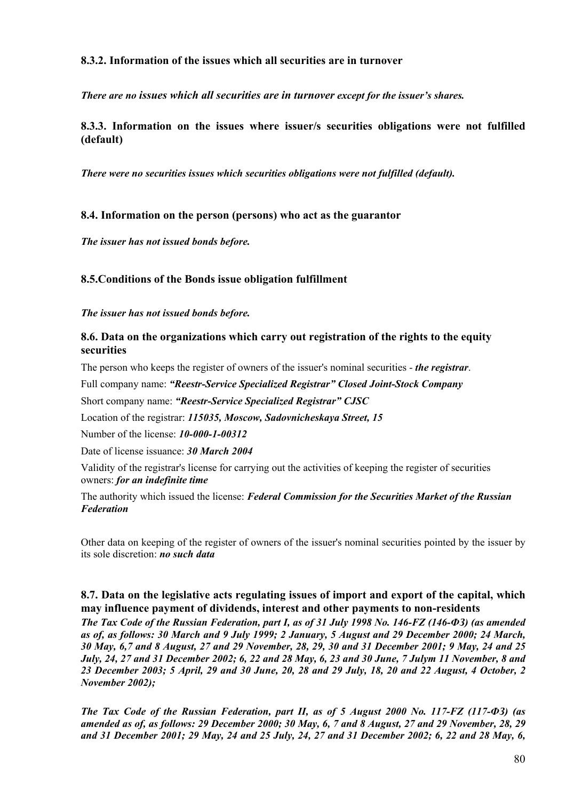## **8.3.2. Information of the issues which all securities are in turnover**

*There are no issues which all securities are in turnover except for the issuer's shares.* 

**8.3.3. Information on the issues where issuer/s securities obligations were not fulfilled (default)** 

*There were no securities issues which securities obligations were not fulfilled (default).* 

## **8.4. Information on the person (persons) who act as the guarantor**

*The issuer has not issued bonds before.* 

## **8.5.Conditions of the Bonds issue obligation fulfillment**

*The issuer has not issued bonds before.* 

## **8.6. Data on the organizations which carry out registration of the rights to the equity securities**

The person who keeps the register of owners of the issuer's nominal securities - *the registrar*.

Full company name: *"Reestr-Service Specialized Registrar" Closed Joint-Stock Company* 

Short company name: *"Reestr-Service Specialized Registrar" CJSC* 

Location of the registrar: *115035, Moscow, Sadovnicheskaya Street, 15* 

Number of the license: *10-000-1-00312* 

Date of license issuance: *30 March 2004* 

Validity of the registrar's license for carrying out the activities of keeping the register of securities owners: *for an indefinite time* 

The authority which issued the license: *Federal Commission for the Securities Market of the Russian Federation*

Other data on keeping of the register of owners of the issuer's nominal securities pointed by the issuer by its sole discretion: *no such data*

## **8.7. Data on the legislative acts regulating issues of import and export of the capital, which may influence payment of dividends, interest and other payments to non-residents**

*The Tax Code of the Russian Federation, part I, as of 31 July 1998 No. 146-FZ (146-ФЗ) (as amended as of, as follows: 30 March and 9 July 1999; 2 January, 5 August and 29 December 2000; 24 March, 30 May, 6,7 and 8 August, 27 and 29 November, 28, 29, 30 and 31 December 2001; 9 May, 24 and 25 July, 24, 27 and 31 December 2002; 6, 22 and 28 May, 6, 23 and 30 June, 7 Julym 11 November, 8 and 23 December 2003; 5 April, 29 and 30 June, 20, 28 and 29 July, 18, 20 and 22 August, 4 October, 2 November 2002);* 

*The Tax Code of the Russian Federation, part II, as of 5 August 2000 No. 117-FZ (117-ФЗ) (as amended as of, as follows: 29 December 2000; 30 May, 6, 7 and 8 August, 27 and 29 November, 28, 29 and 31 December 2001; 29 May, 24 and 25 July, 24, 27 and 31 December 2002; 6, 22 and 28 May, 6,*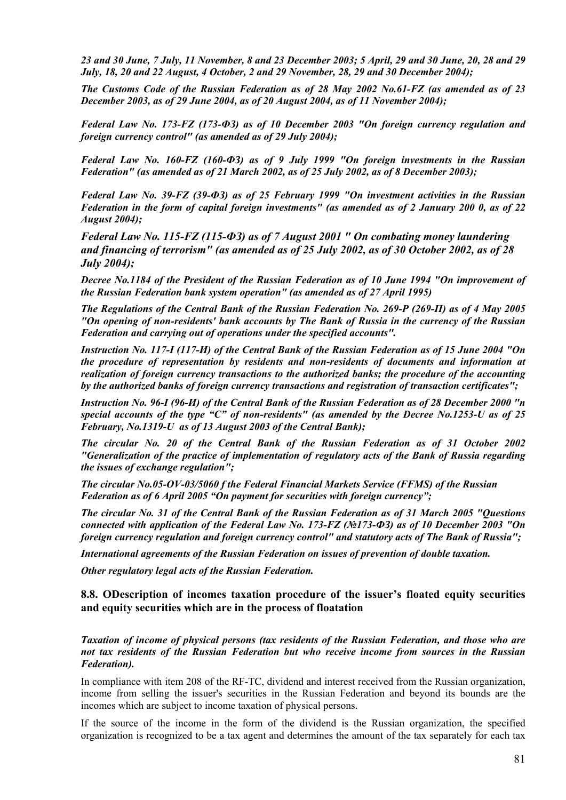*23 and 30 June, 7 July, 11 November, 8 and 23 December 2003; 5 April, 29 and 30 June, 20, 28 and 29 July, 18, 20 and 22 August, 4 October, 2 and 29 November, 28, 29 and 30 December 2004);*

*The Customs Code of the Russian Federation as of 28 May 2002 No.61-FZ (as amended as of 23 December 2003, as of 29 June 2004, as of 20 August 2004, as of 11 November 2004);* 

*Federal Law No. 173-FZ (173-ФЗ) as of 10 December 2003 "On foreign currency regulation and foreign currency control" (as amended as of 29 July 2004);*

*Federal Law No. 160-FZ (160-ФЗ) as of 9 July 1999 "On foreign investments in the Russian Federation" (as amended as of 21 March 2002, as of 25 July 2002, as of 8 December 2003);*

*Federal Law No. 39-FZ (39-ФЗ) as of 25 February 1999 "On investment activities in the Russian Federation in the form of capital foreign investments" (as amended as of 2 January 200 0, as of 22 August 2004);*

*Federal Law No. 115-FZ (115-ФЗ) as of 7 August 2001 " [On combating money laundering](http://multitran.ru/c/m.exe?t=4105324_1_2)  [and financing of terrorism"](http://multitran.ru/c/m.exe?t=4105324_1_2) (as amended as of 25 July 2002, as of 30 October 2002, as of 28 July 2004);* 

*Decree No.1184 of the President of the Russian Federation as of 10 June 1994 "On improvement of the Russian Federation bank system operation" (as amended as of 27 April 1995)* 

*The Regulations of the Central Bank of the Russian Federation No. 269-P (269-П) as of 4 May 2005 "On opening of non-residents' bank accounts by The Bank of Russia in the currency of the Russian Federation and carrying out of operations under the specified accounts".* 

*Instruction No. 117-I (117-И) of the Central Bank of the Russian Federation as of 15 June 2004 "On the procedure of representation by residents and non-residents of documents and information at realization of foreign currency transactions to the authorized banks; the procedure of the accounting by the authorized banks of foreign currency transactions and registration of transaction certificates";* 

*Instruction No. 96-I (96-И) of the Central Bank of the Russian Federation as of 28 December 2000 "n special accounts of the type "C" of non-residents" (as amended by the Decree No.1253-U as of 25 February, No.1319-U as of 13 August 2003 of the Central Bank);* 

*The circular No. 20 of the Central Bank of the Russian Federation as of 31 October 2002 "Generalization of the practice of implementation of regulatory acts of the Bank of Russia regarding the issues of exchange regulation";*

*The circular No.05-OV-03/5060 f the Federal Financial Markets Service (FFMS) of the Russian Federation as of 6 April 2005 "On payment for securities with foreign currency";* 

*The circular No. 31 of the Central Bank of the Russian Federation as of 31 March 2005 "Questions connected with application of the Federal Law No. 173-FZ (№173-ФЗ) as of 10 December 2003 "On foreign currency regulation and foreign currency control" and statutory acts of The Bank of Russia";*

*International agreements of the Russian Federation on issues of prevention of double taxation.* 

*Other regulatory legal acts of the Russian Federation.* 

#### **8.8. ОDescription of incomes taxation procedure of the issuer's floated equity securities and equity securities which are in the process of floatation**

*Taxation of income of physical persons (tax residents of the Russian Federation, and those who are not tax residents of the Russian Federation but who receive income from sources in the Russian Federation).*

In compliance with item 208 of the RF-TC, dividend and interest received from the Russian organization, income from selling the issuer's securities in the Russian Federation and beyond its bounds are the incomes which are subject to income taxation of physical persons.

If the source of the income in the form of the dividend is the Russian organization, the specified organization is recognized to be a tax agent and determines the amount of the tax separately for each tax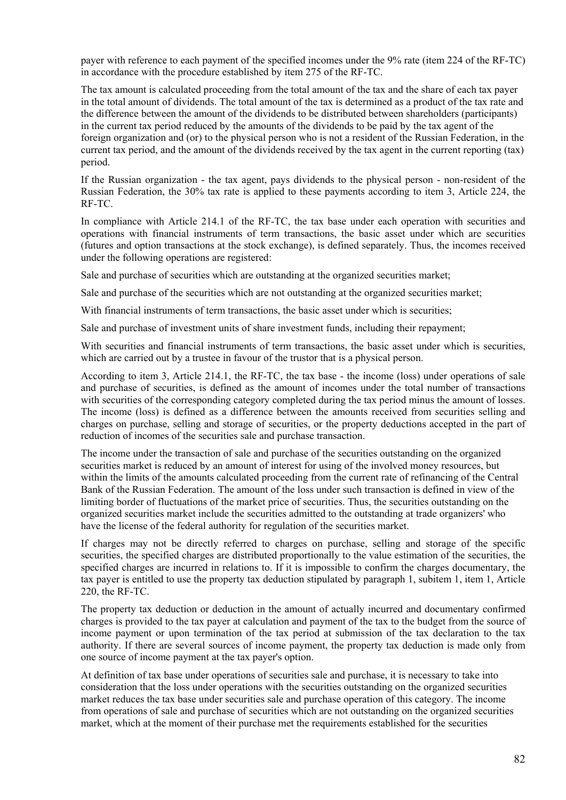payer with reference to each payment of the specified incomes under the 9% rate (item 224 of the RF-TC) in accordance with the procedure established by item 275 of the RF-TC.

The tax amount is calculated proceeding from the total amount of the tax and the share of each tax payer in the total amount of dividends. The total amount of the tax is determined as a product of the tax rate and the difference between the amount of the dividends to be distributed between shareholders (participants) in the current tax period reduced by the amounts of the dividends to be paid by the tax agent of the foreign organization and (or) to the physical person who is not a resident of the Russian Federation, in the current tax period, and the amount of the dividends received by the tax agent in the current reporting (tax) period.

If the Russian organization - the tax agent, pays dividends to the physical person - non-resident of the Russian Federation, the 30% tax rate is applied to these payments according to item 3, Article 224, the RF-TC.

In compliance with Article 214.1 of the RF-TC, the tax base under each operation with securities and operations with financial instruments of term transactions, the basic asset under which are securities (futures and option transactions at the stock exchange), is defined separately. Thus, the incomes received under the following operations are registered:

Sale and purchase of securities which are outstanding at the organized securities market;

Sale and purchase of the securities which are not outstanding at the organized securities market;

With financial instruments of term transactions, the basic asset under which is securities;

Sale and purchase of investment units of share investment funds, including their repayment;

With securities and financial instruments of term transactions, the basic asset under which is securities, which are carried out by a trustee in favour of the trustor that is a physical person.

According to item 3, Article 214.1, the RF-TC, the tax base - the income (loss) under operations of sale and purchase of securities, is defined as the amount of incomes under the total number of transactions with securities of the corresponding category completed during the tax period minus the amount of losses. The income (loss) is defined as a difference between the amounts received from securities selling and charges on purchase, selling and storage of securities, or the property deductions accepted in the part of reduction of incomes of the securities sale and purchase transaction.

The income under the transaction of sale and purchase of the securities outstanding on the organized securities market is reduced by an amount of interest for using of the involved money resources, but within the limits of the amounts calculated proceeding from the current rate of refinancing of the Central Bank of the Russian Federation. The amount of the loss under such transaction is defined in view of the limiting border of fluctuations of the market price of securities. Thus, the securities outstanding on the organized securities market include the securities admitted to the outstanding at trade organizers' who have the license of the federal authority for regulation of the securities market.

If charges may not be directly referred to charges on purchase, selling and storage of the specific securities, the specified charges are distributed proportionally to the value estimation of the securities, the specified charges are incurred in relations to. If it is impossible to confirm the charges documentary, the tax payer is entitled to use the property tax deduction stipulated by paragraph 1, subitem 1, item 1, Article 220, the RF-TC.

The property tax deduction or deduction in the amount of actually incurred and documentary confirmed charges is provided to the tax payer at calculation and payment of the tax to the budget from the source of income payment or upon termination of the tax period at submission of the tax declaration to the tax authority. If there are several sources of income payment, the property tax deduction is made only from one source of income payment at the tax payer's option.

At definition of tax base under operations of securities sale and purchase, it is necessary to take into consideration that the loss under operations with the securities outstanding on the organized securities market reduces the tax base under securities sale and purchase operation of this category. The income from operations of sale and purchase of securities which are not outstanding on the organized securities market, which at the moment of their purchase met the requirements established for the securities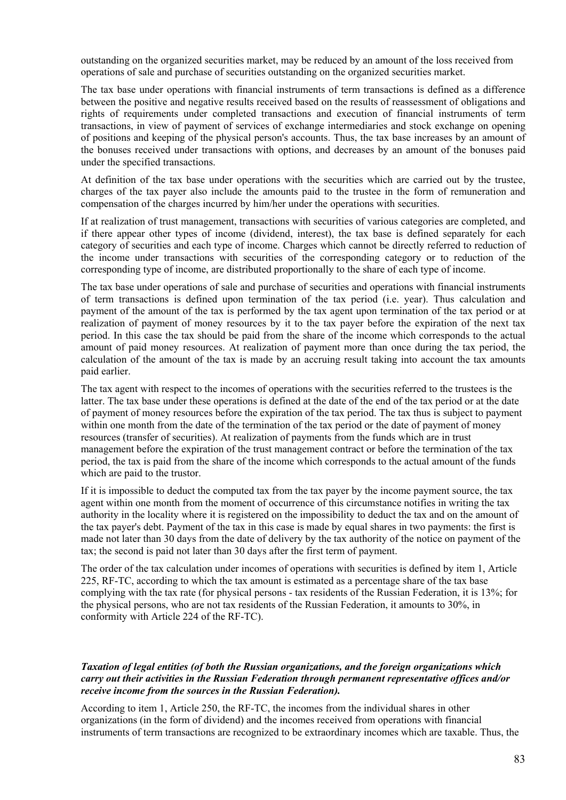outstanding on the organized securities market, may be reduced by an amount of the loss received from operations of sale and purchase of securities outstanding on the organized securities market.

The tax base under operations with financial instruments of term transactions is defined as a difference between the positive and negative results received based on the results of reassessment of obligations and rights of requirements under completed transactions and execution of financial instruments of term transactions, in view of payment of services of exchange intermediaries and stock exchange on opening of positions and keeping of the physical person's accounts. Thus, the tax base increases by an amount of the bonuses received under transactions with options, and decreases by an amount of the bonuses paid under the specified transactions.

At definition of the tax base under operations with the securities which are carried out by the trustee, charges of the tax payer also include the amounts paid to the trustee in the form of remuneration and compensation of the charges incurred by him/her under the operations with securities.

If at realization of trust management, transactions with securities of various categories are completed, and if there appear other types of income (dividend, interest), the tax base is defined separately for each category of securities and each type of income. Charges which cannot be directly referred to reduction of the income under transactions with securities of the corresponding category or to reduction of the corresponding type of income, are distributed proportionally to the share of each type of income.

The tax base under operations of sale and purchase of securities and operations with financial instruments of term transactions is defined upon termination of the tax period (i.e. year). Thus calculation and payment of the amount of the tax is performed by the tax agent upon termination of the tax period or at realization of payment of money resources by it to the tax payer before the expiration of the next tax period. In this case the tax should be paid from the share of the income which corresponds to the actual amount of paid money resources. At realization of payment more than once during the tax period, the calculation of the amount of the tax is made by an accruing result taking into account the tax amounts paid earlier.

The tax agent with respect to the incomes of operations with the securities referred to the trustees is the latter. The tax base under these operations is defined at the date of the end of the tax period or at the date of payment of money resources before the expiration of the tax period. The tax thus is subject to payment within one month from the date of the termination of the tax period or the date of payment of money resources (transfer of securities). At realization of payments from the funds which are in trust management before the expiration of the trust management contract or before the termination of the tax period, the tax is paid from the share of the income which corresponds to the actual amount of the funds which are paid to the trustor.

If it is impossible to deduct the computed tax from the tax payer by the income payment source, the tax agent within one month from the moment of occurrence of this circumstance notifies in writing the tax authority in the locality where it is registered on the impossibility to deduct the tax and on the amount of the tax payer's debt. Payment of the tax in this case is made by equal shares in two payments: the first is made not later than 30 days from the date of delivery by the tax authority of the notice on payment of the tax; the second is paid not later than 30 days after the first term of payment.

The order of the tax calculation under incomes of operations with securities is defined by item 1, Article 225, RF-TC, according to which the tax amount is estimated as a percentage share of the tax base complying with the tax rate (for physical persons - tax residents of the Russian Federation, it is 13%; for the physical persons, who are not tax residents of the Russian Federation, it amounts to 30%, in conformity with Article 224 of the RF-TC).

#### *Taxation of legal entities (of both the Russian organizations, and the foreign organizations which carry out their activities in the Russian Federation through permanent representative offices and/or receive income from the sources in the Russian Federation).*

According to item 1, Article 250, the RF-TC, the incomes from the individual shares in other organizations (in the form of dividend) and the incomes received from operations with financial instruments of term transactions are recognized to be extraordinary incomes which are taxable. Thus, the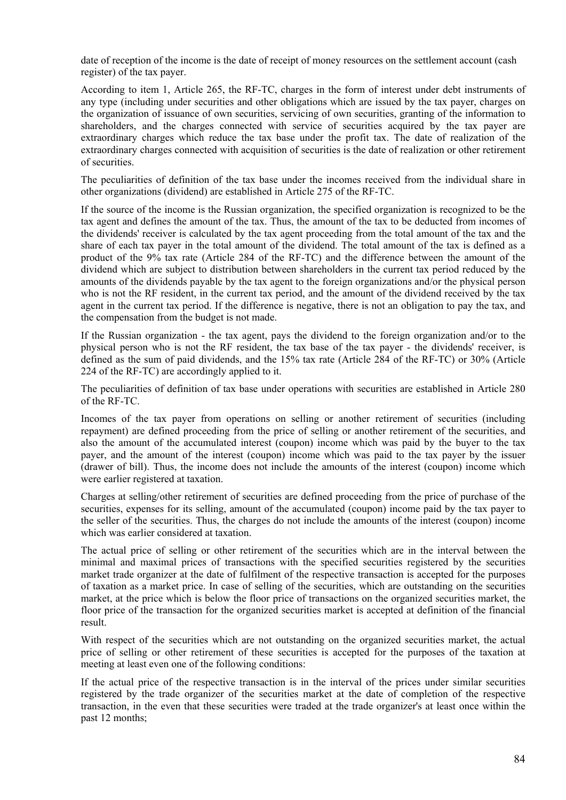date of reception of the income is the date of receipt of money resources on the settlement account (cash register) of the tax payer.

According to item 1, Article 265, the RF-TC, charges in the form of interest under debt instruments of any type (including under securities and other obligations which are issued by the tax payer, charges on the organization of issuance of own securities, servicing of own securities, granting of the information to shareholders, and the charges connected with service of securities acquired by the tax payer are extraordinary charges which reduce the tax base under the profit tax. The date of realization of the extraordinary charges connected with acquisition of securities is the date of realization or other retirement of securities.

The peculiarities of definition of the tax base under the incomes received from the individual share in other organizations (dividend) are established in Article 275 of the RF-TC.

If the source of the income is the Russian organization, the specified organization is recognized to be the tax agent and defines the amount of the tax. Thus, the amount of the tax to be deducted from incomes of the dividends' receiver is calculated by the tax agent proceeding from the total amount of the tax and the share of each tax payer in the total amount of the dividend. The total amount of the tax is defined as a product of the 9% tax rate (Article 284 of the RF-TC) and the difference between the amount of the dividend which are subject to distribution between shareholders in the current tax period reduced by the amounts of the dividends payable by the tax agent to the foreign organizations and/or the physical person who is not the RF resident, in the current tax period, and the amount of the dividend received by the tax agent in the current tax period. If the difference is negative, there is not an obligation to pay the tax, and the compensation from the budget is not made.

If the Russian organization - the tax agent, pays the dividend to the foreign organization and/or to the physical person who is not the RF resident, the tax base of the tax payer - the dividends' receiver, is defined as the sum of paid dividends, and the 15% tax rate (Article 284 of the RF-TC) or 30% (Article 224 of the RF-TC) are accordingly applied to it.

The peculiarities of definition of tax base under operations with securities are established in Article 280 of the RF-TC.

Incomes of the tax payer from operations on selling or another retirement of securities (including repayment) are defined proceeding from the price of selling or another retirement of the securities, and also the amount of the accumulated interest (coupon) income which was paid by the buyer to the tax payer, and the amount of the interest (coupon) income which was paid to the tax payer by the issuer (drawer of bill). Thus, the income does not include the amounts of the interest (coupon) income which were earlier registered at taxation.

Charges at selling/other retirement of securities are defined proceeding from the price of purchase of the securities, expenses for its selling, amount of the accumulated (coupon) income paid by the tax payer to the seller of the securities. Thus, the charges do not include the amounts of the interest (coupon) income which was earlier considered at taxation.

The actual price of selling or other retirement of the securities which are in the interval between the minimal and maximal prices of transactions with the specified securities registered by the securities market trade organizer at the date of fulfilment of the respective transaction is accepted for the purposes of taxation as a market price. In case of selling of the securities, which are outstanding on the securities market, at the price which is below the floor price of transactions on the organized securities market, the floor price of the transaction for the organized securities market is accepted at definition of the financial result.

With respect of the securities which are not outstanding on the organized securities market, the actual price of selling or other retirement of these securities is accepted for the purposes of the taxation at meeting at least even one of the following conditions:

If the actual price of the respective transaction is in the interval of the prices under similar securities registered by the trade organizer of the securities market at the date of completion of the respective transaction, in the even that these securities were traded at the trade organizer's at least once within the past 12 months;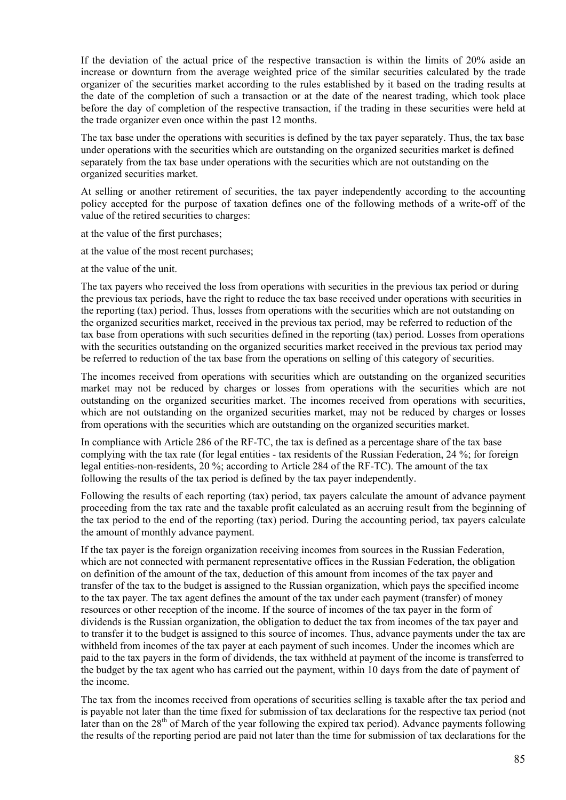If the deviation of the actual price of the respective transaction is within the limits of 20% aside an increase or downturn from the average weighted price of the similar securities calculated by the trade organizer of the securities market according to the rules established by it based on the trading results at the date of the completion of such a transaction or at the date of the nearest trading, which took place before the day of completion of the respective transaction, if the trading in these securities were held at the trade organizer even once within the past 12 months.

The tax base under the operations with securities is defined by the tax payer separately. Thus, the tax base under operations with the securities which are outstanding on the organized securities market is defined separately from the tax base under operations with the securities which are not outstanding on the organized securities market.

At selling or another retirement of securities, the tax payer independently according to the accounting policy accepted for the purpose of taxation defines one of the following methods of a write-off of the value of the retired securities to charges:

at the value of the first purchases;

at the value of the most recent purchases;

at the value of the unit.

The tax payers who received the loss from operations with securities in the previous tax period or during the previous tax periods, have the right to reduce the tax base received under operations with securities in the reporting (tax) period. Thus, losses from operations with the securities which are not outstanding on the organized securities market, received in the previous tax period, may be referred to reduction of the tax base from operations with such securities defined in the reporting (tax) period. Losses from operations with the securities outstanding on the organized securities market received in the previous tax period may be referred to reduction of the tax base from the operations on selling of this category of securities.

The incomes received from operations with securities which are outstanding on the organized securities market may not be reduced by charges or losses from operations with the securities which are not outstanding on the organized securities market. The incomes received from operations with securities, which are not outstanding on the organized securities market, may not be reduced by charges or losses from operations with the securities which are outstanding on the organized securities market.

In compliance with Article 286 of the RF-TC, the tax is defined as a percentage share of the tax base complying with the tax rate (for legal entities - tax residents of the Russian Federation, 24 %; for foreign legal entities-non-residents, 20 %; according to Article 284 of the RF-TC). The amount of the tax following the results of the tax period is defined by the tax payer independently.

Following the results of each reporting (tax) period, tax payers calculate the amount of advance payment proceeding from the tax rate and the taxable profit calculated as an accruing result from the beginning of the tax period to the end of the reporting (tax) period. During the accounting period, tax payers calculate the amount of monthly advance payment.

If the tax payer is the foreign organization receiving incomes from sources in the Russian Federation, which are not connected with permanent representative offices in the Russian Federation, the obligation on definition of the amount of the tax, deduction of this amount from incomes of the tax payer and transfer of the tax to the budget is assigned to the Russian organization, which pays the specified income to the tax payer. The tax agent defines the amount of the tax under each payment (transfer) of money resources or other reception of the income. If the source of incomes of the tax payer in the form of dividends is the Russian organization, the obligation to deduct the tax from incomes of the tax payer and to transfer it to the budget is assigned to this source of incomes. Thus, advance payments under the tax are withheld from incomes of the tax payer at each payment of such incomes. Under the incomes which are paid to the tax payers in the form of dividends, the tax withheld at payment of the income is transferred to the budget by the tax agent who has carried out the payment, within 10 days from the date of payment of the income.

The tax from the incomes received from operations of securities selling is taxable after the tax period and is payable not later than the time fixed for submission of tax declarations for the respective tax period (not later than on the 28<sup>th</sup> of March of the year following the expired tax period). Advance payments following the results of the reporting period are paid not later than the time for submission of tax declarations for the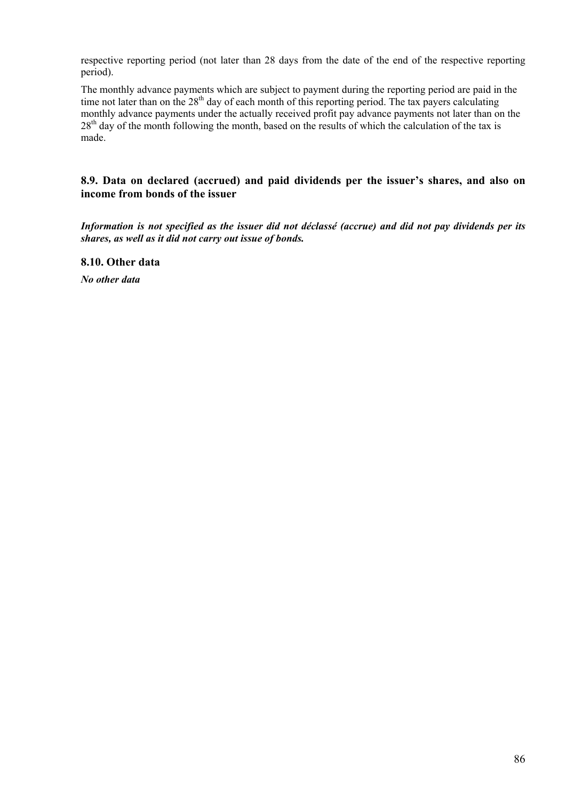respective reporting period (not later than 28 days from the date of the end of the respective reporting period).

The monthly advance payments which are subject to payment during the reporting period are paid in the time not later than on the  $28<sup>th</sup>$  day of each month of this reporting period. The tax payers calculating monthly advance payments under the actually received profit pay advance payments not later than on the 28<sup>th</sup> day of the month following the month, based on the results of which the calculation of the tax is made.

## **8.9. Data on declared (accrued) and paid dividends per the issuer's shares, and also on income from bonds of the issuer**

*Information is not specified as the issuer did not déclassé (accrue) and did not pay dividends per its shares, as well as it did not carry out issue of bonds.* 

**8.10. Other data** 

*No other data*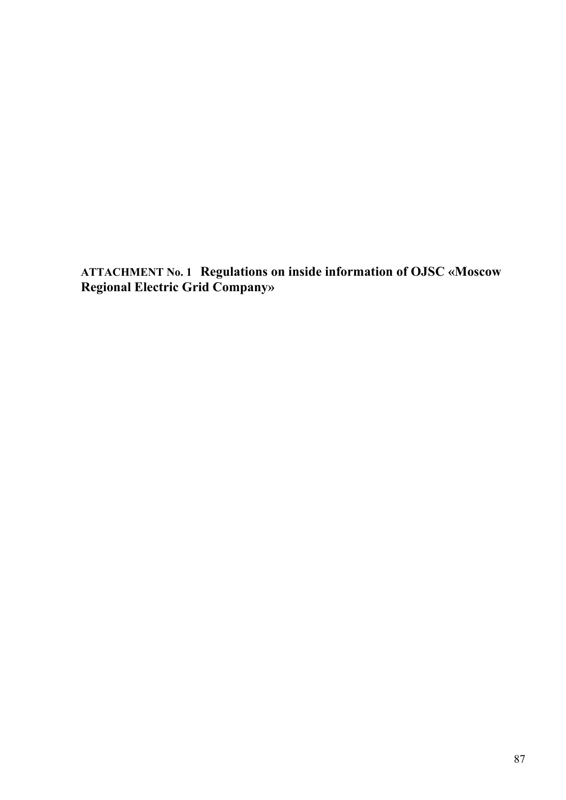**ATTACHMENT No. 1 Regulations on inside information of OJSC «Moscow Regional Electric Grid Company»**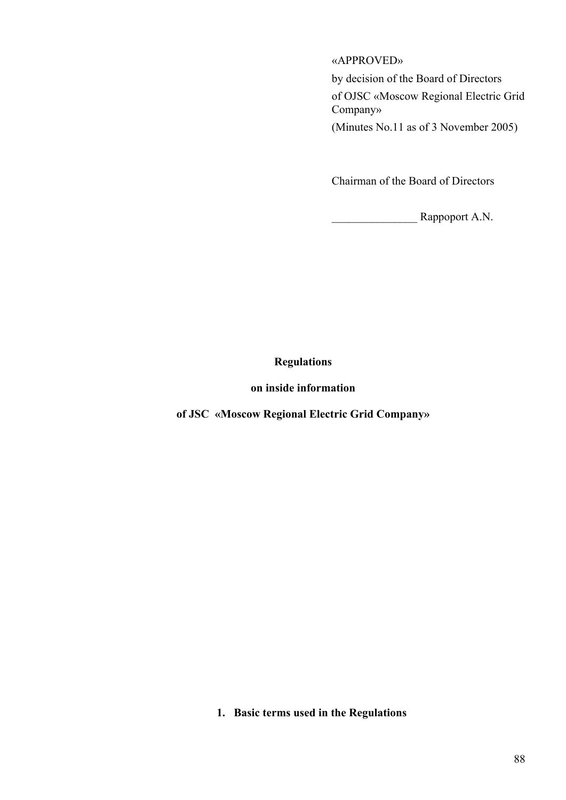## «APPROVED»

by decision of the Board of Directors

of OJSC «Moscow Regional Electric Grid Company»

(Minutes No.11 as of 3 November 2005)

Chairman of the Board of Directors

\_\_\_\_\_\_\_\_\_\_\_\_\_\_\_ Rappoport A.N.

# **Regulations**

## **on inside information**

**of JSC «Moscow Regional Electric Grid Company»** 

**1. Basic terms used in the Regulations**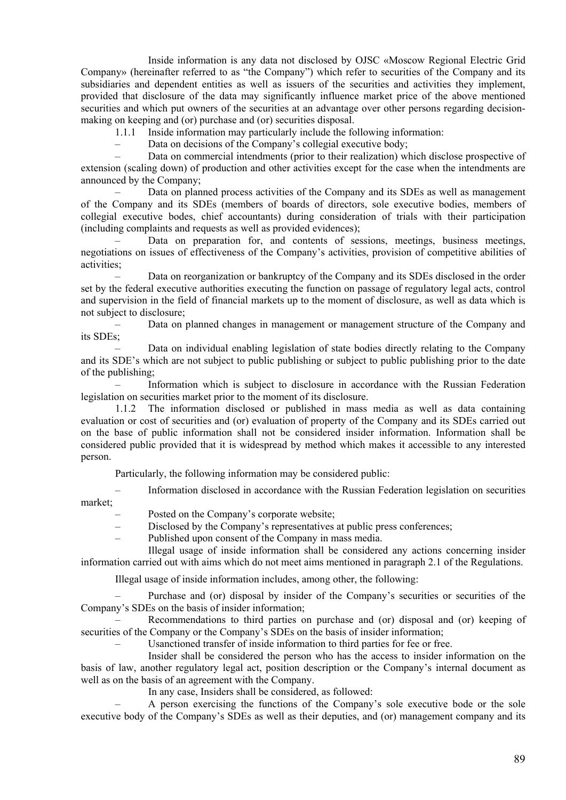Inside information is any data not disclosed by OJSC «Moscow Regional Electric Grid Company» (hereinafter referred to as "the Company") which refer to securities of the Company and its subsidiaries and dependent entities as well as issuers of the securities and activities they implement, provided that disclosure of the data may significantly influence market price of the above mentioned securities and which put owners of the securities at an advantage over other persons regarding decisionmaking on keeping and (or) purchase and (or) securities disposal.

1.1.1 Inside information may particularly include the following information:

– Data on decisions of the Company's collegial executive body;<br>
— Data on commercial intendments (prior to their realization) w

– Data on commercial intendments (prior to their realization) which disclose prospective of extension (scaling down) of production and other activities except for the case when the intendments are announced by the Company;

– Data on planned process activities of the Company and its SDEs as well as management of the Company and its SDEs (members of boards of directors, sole executive bodies, members of collegial executive bodes, chief accountants) during consideration of trials with their participation (including complaints and requests as well as provided evidences);

– Data on preparation for, and contents of sessions, meetings, business meetings, negotiations on issues of effectiveness of the Company's activities, provision of competitive abilities of activities;

– Data on reorganization or bankruptcy of the Company and its SDEs disclosed in the order set by the federal executive authorities executing the function on passage of regulatory legal acts, control and supervision in the field of financial markets up to the moment of disclosure, as well as data which is not subject to disclosure;

– Data on planned changes in management or management structure of the Company and its SDEs;

– Data on individual enabling legislation of state bodies directly relating to the Company and its SDE's which are not subject to public publishing or subject to public publishing prior to the date of the publishing;

– Information which is subject to disclosure in accordance with the Russian Federation legislation on securities market prior to the moment of its disclosure.

1.1.2 The information disclosed or published in mass media as well as data containing evaluation or cost of securities and (or) evaluation of property of the Company and its SDEs carried out on the base of public information shall not be considered insider information. Information shall be considered public provided that it is widespread by method which makes it accessible to any interested person.

Particularly, the following information may be considered public:

– Information disclosed in accordance with the Russian Federation legislation on securities market;

- Posted on the Company's corporate website;
- Disclosed by the Company's representatives at public press conferences;
- Published upon consent of the Company in mass media.

 Illegal usage of inside information shall be considered any actions concerning insider information carried out with aims which do not meet aims mentioned in paragraph 2.1 of the Regulations.

Illegal usage of inside information includes, among other, the following:

– Purchase and (or) disposal by insider of the Company's securities or securities of the Company's SDEs on the basis of insider information;

– Recommendations to third parties on purchase and (or) disposal and (or) keeping of securities of the Company or the Company's SDEs on the basis of insider information;

– Usanctioned transfer of inside information to third parties for fee or free.

 Insider shall be considered the person who has the access to insider information on the basis of law, another regulatory legal act, position description or the Company's internal document as well as on the basis of an agreement with the Company.

In any case, Insiders shall be considered, as followed:

– A person exercising the functions of the Company's sole executive bode or the sole executive body of the Company's SDEs as well as their deputies, and (or) management company and its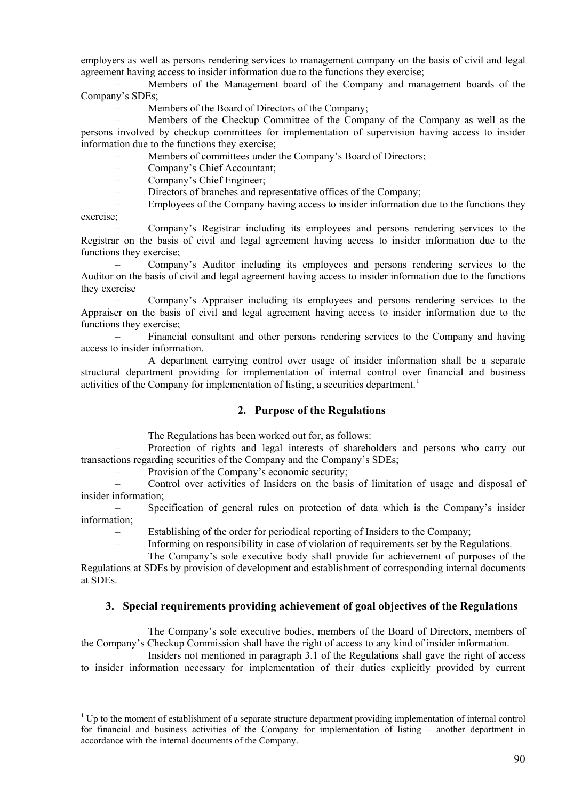<span id="page-89-0"></span>employers as well as persons rendering services to management company on the basis of civil and legal agreement having access to insider information due to the functions they exercise;

– Members of the Management board of the Company and management boards of the Company's SDEs;

– Members of the Board of Directors of the Company;

– Members of the Checkup Committee of the Company of the Company as well as the persons involved by checkup committees for implementation of supervision having access to insider information due to the functions they exercise;

Members of committees under the Company's Board of Directors;

– Company's Chief Accountant;

– Company's Chief Engineer;

– Directors of branches and representative offices of the Company;

– Employees of the Company having access to insider information due to the functions they exercise;

– Company's Registrar including its employees and persons rendering services to the Registrar on the basis of civil and legal agreement having access to insider information due to the functions they exercise;

– Company's Auditor including its employees and persons rendering services to the Auditor on the basis of civil and legal agreement having access to insider information due to the functions they exercise

– Company's Appraiser including its employees and persons rendering services to the Appraiser on the basis of civil and legal agreement having access to insider information due to the functions they exercise;

– Financial consultant and other persons rendering services to the Company and having access to insider information.

 A department carrying control over usage of insider information shall be a separate structural department providing for implementation of internal control over financial and business activities of the Company for implementation of listing, a securities department.<sup>[1](#page-89-0)</sup>

## **2. Purpose of the Regulations**

The Regulations has been worked out for, as follows:

– Protection of rights and legal interests of shareholders and persons who carry out transactions regarding securities of the Company and the Company's SDEs;

– Provision of the Company's economic security;

1

– Control over activities of Insiders on the basis of limitation of usage and disposal of insider information;

– Specification of general rules on protection of data which is the Company's insider information;

– Establishing of the order for periodical reporting of Insiders to the Company;

– Informing on responsibility in case of violation of requirements set by the Regulations.

The Company's sole executive body shall provide for achievement of purposes of the

Regulations at SDEs by provision of development and establishment of corresponding internal documents at SDEs.

## **3. Special requirements providing achievement of goal objectives of the Regulations**

 The Company's sole executive bodies, members of the Board of Directors, members of the Company's Checkup Commission shall have the right of access to any kind of insider information.

 Insiders not mentioned in paragraph 3.1 of the Regulations shall gave the right of access to insider information necessary for implementation of their duties explicitly provided by current

 $1$  Up to the moment of establishment of a separate structure department providing implementation of internal control for financial and business activities of the Company for implementation of listing – another department in accordance with the internal documents of the Company.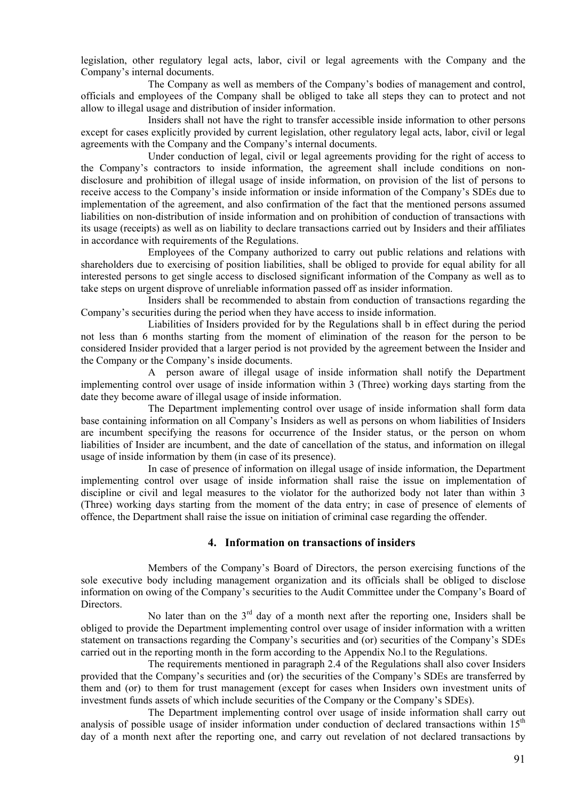legislation, other regulatory legal acts, labor, civil or legal agreements with the Company and the Company's internal documents.

 The Company as well as members of the Company's bodies of management and control, officials and employees of the Company shall be obliged to take all steps they can to protect and not allow to illegal usage and distribution of insider information.

 Insiders shall not have the right to transfer accessible inside information to other persons except for cases explicitly provided by current legislation, other regulatory legal acts, labor, civil or legal agreements with the Company and the Company's internal documents.

 Under conduction of legal, civil or legal agreements providing for the right of access to the Company's contractors to inside information, the agreement shall include conditions on nondisclosure and prohibition of illegal usage of inside information, on provision of the list of persons to receive access to the Company's inside information or inside information of the Company's SDEs due to implementation of the agreement, and also confirmation of the fact that the mentioned persons assumed liabilities on non-distribution of inside information and on prohibition of conduction of transactions with its usage (receipts) as well as on liability to declare transactions carried out by Insiders and their affiliates in accordance with requirements of the Regulations.

 Employees of the Company authorized to carry out public relations and relations with shareholders due to exercising of position liabilities, shall be obliged to provide for equal ability for all interested persons to get single access to disclosed significant information of the Company as well as to take steps on urgent disprove of unreliable information passed off as insider information.

 Insiders shall be recommended to abstain from conduction of transactions regarding the Company's securities during the period when they have access to inside information.

 Liabilities of Insiders provided for by the Regulations shall b in effect during the period not less than 6 months starting from the moment of elimination of the reason for the person to be considered Insider provided that a larger period is not provided by the agreement between the Insider and the Company or the Company's inside documents.

 A person aware of illegal usage of inside information shall notify the Department implementing control over usage of inside information within 3 (Three) working days starting from the date they become aware of illegal usage of inside information.

 The Department implementing control over usage of inside information shall form data base containing information on all Company's Insiders as well as persons on whom liabilities of Insiders are incumbent specifying the reasons for occurrence of the Insider status, or the person on whom liabilities of Insider are incumbent, and the date of cancellation of the status, and information on illegal usage of inside information by them (in case of its presence).

 In case of presence of information on illegal usage of inside information, the Department implementing control over usage of inside information shall raise the issue on implementation of discipline or civil and legal measures to the violator for the authorized body not later than within 3 (Three) working days starting from the moment of the data entry; in case of presence of elements of offence, the Department shall raise the issue on initiation of criminal case regarding the offender.

## **4. Information on transactions of insiders**

 Members of the Company's Board of Directors, the person exercising functions of the sole executive body including management organization and its officials shall be obliged to disclose information on owing of the Company's securities to the Audit Committee under the Company's Board of Directors.

No later than on the  $3<sup>rd</sup>$  day of a month next after the reporting one, Insiders shall be obliged to provide the Department implementing control over usage of insider information with a written statement on transactions regarding the Company's securities and (or) securities of the Company's SDEs carried out in the reporting month in the form according to the Appendix No.l to the Regulations.

 The requirements mentioned in paragraph 2.4 of the Regulations shall also cover Insiders provided that the Company's securities and (or) the securities of the Company's SDEs are transferred by them and (or) to them for trust management (except for cases when Insiders own investment units of investment funds assets of which include securities of the Company or the Company's SDEs).

 The Department implementing control over usage of inside information shall carry out analysis of possible usage of insider information under conduction of declared transactions within 15<sup>th</sup> day of a month next after the reporting one, and carry out revelation of not declared transactions by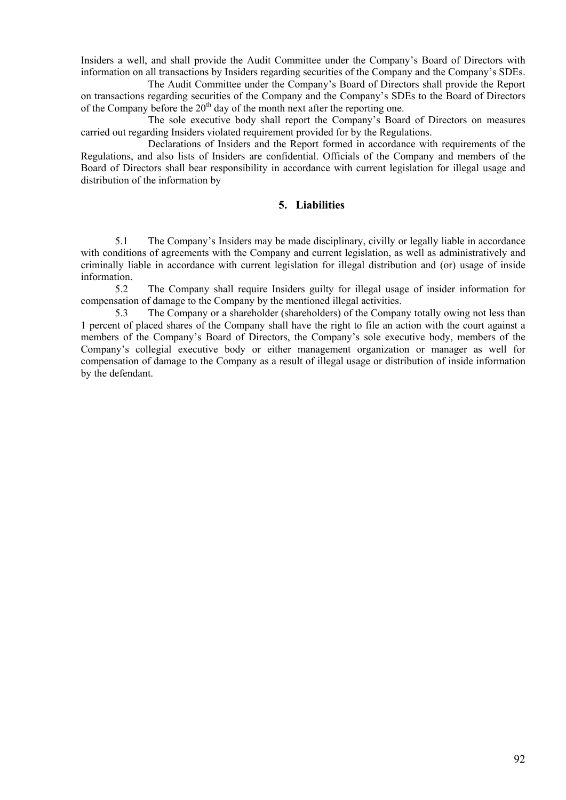Insiders a well, and shall provide the Audit Committee under the Company's Board of Directors with information on all transactions by Insiders regarding securities of the Company and the Company's SDEs.

 The Audit Committee under the Company's Board of Directors shall provide the Report on transactions regarding securities of the Company and the Company's SDEs to the Board of Directors of the Company before the  $20<sup>th</sup>$  day of the month next after the reporting one.

 The sole executive body shall report the Company's Board of Directors on measures carried out regarding Insiders violated requirement provided for by the Regulations.

 Declarations of Insiders and the Report formed in accordance with requirements of the Regulations, and also lists of Insiders are confidential. Officials of the Company and members of the Board of Directors shall bear responsibility in accordance with current legislation for illegal usage and distribution of the information by

#### **5. Liabilities**

5.1 The Company's Insiders may be made disciplinary, civilly or legally liable in accordance with conditions of agreements with the Company and current legislation, as well as administratively and criminally liable in accordance with current legislation for illegal distribution and (or) usage of inside information.

5.2 The Company shall require Insiders guilty for illegal usage of insider information for compensation of damage to the Company by the mentioned illegal activities.

5.3 The Company or a shareholder (shareholders) of the Company totally owing not less than 1 percent of placed shares of the Company shall have the right to file an action with the court against a members of the Company's Board of Directors, the Company's sole executive body, members of the Company's collegial executive body or either management organization or manager as well for compensation of damage to the Company as a result of illegal usage or distribution of inside information by the defendant.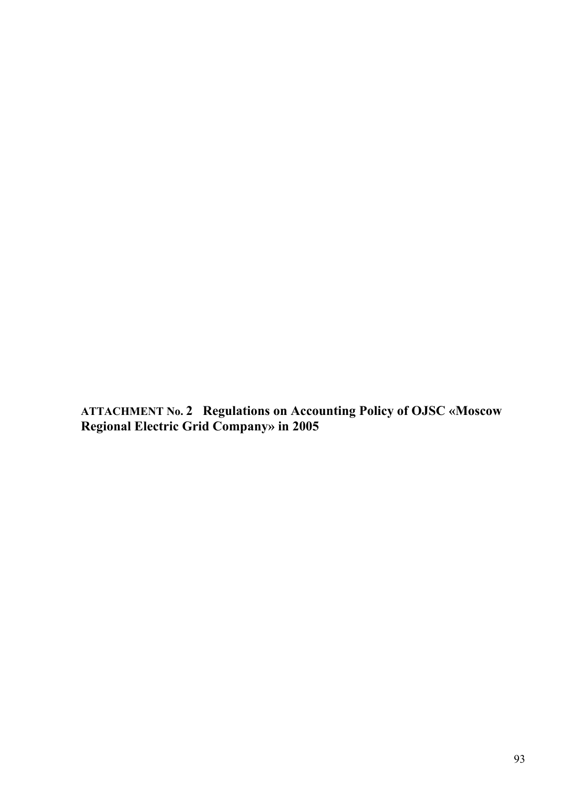**ATTACHMENT No. 2 Regulations on Accounting Policy of OJSC «Moscow Regional Electric Grid Company» in 2005**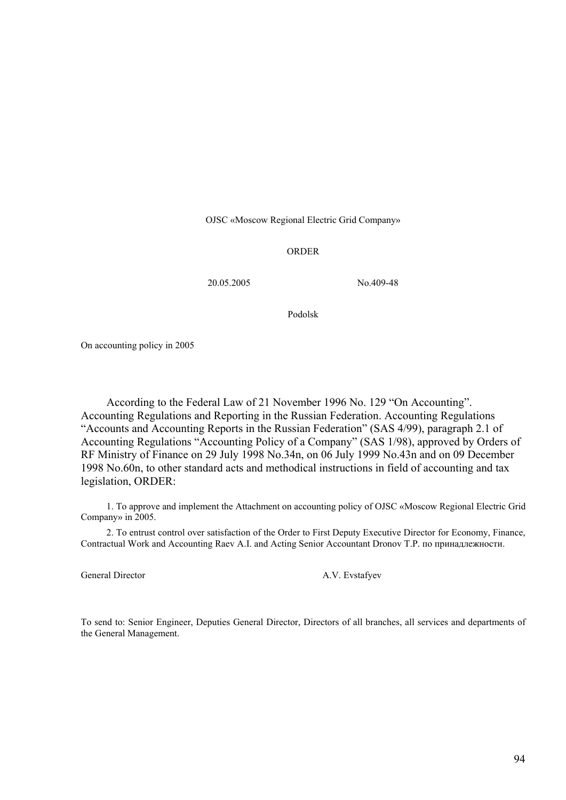OJSC «Moscow Regional Electric Grid Company»

#### ORDER

20.05.2005 No.409-48

Podolsk

On accounting policy in 2005

According to the Federal Law of 21 November 1996 No. 129 "On Accounting". Accounting Regulations and Reporting in the Russian Federation. Accounting Regulations "Accounts and Accounting Reports in the Russian Federation" (SAS 4/99), paragraph 2.1 of Accounting Regulations "Accounting Policy of a Company" (SAS 1/98), approved by Orders of RF Ministry of Finance on 29 July 1998 No.34n, on 06 July 1999 No.43n and on 09 December 1998 No.60n, to other standard acts and methodical instructions in field of accounting and tax legislation, ORDER:

1. To approve and implement the Attachment on accounting policy of OJSC «Moscow Regional Electric Grid Company» in 2005.

2. To entrust control over satisfaction of the Order to First Deputy Executive Director for Economy, Finance, Contractual Work and Accounting Raev A.I. and Acting Senior Accountant Dronov T.P. по принадлежности.

General Director **A.V.** Evstafyev

To send to: Senior Engineer, Deputies General Director, Directors of all branches, all services and departments of the General Management.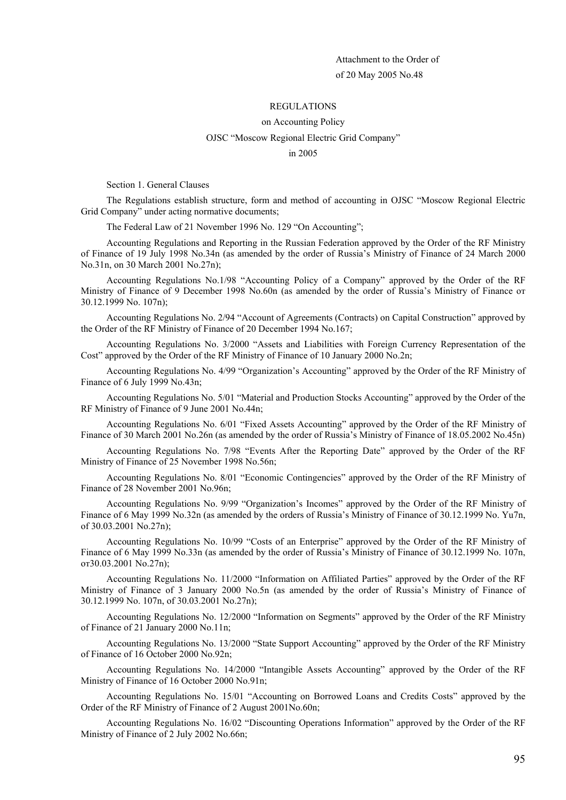#### REGULATIONS

#### on Accounting Policy

#### OJSC "Moscow Regional Electric Grid Company"

#### in 2005

Section 1. General Clauses

The Regulations establish structure, form and method of accounting in OJSC "Moscow Regional Electric Grid Company" under acting normative documents;

The Federal Law of 21 November 1996 No. 129 "On Accounting";

Accounting Regulations and Reporting in the Russian Federation approved by the Order of the RF Ministry of Finance of 19 July 1998 No.34n (as amended by the order of Russia's Ministry of Finance of 24 March 2000 No.31n, on 30 March 2001 No.27n);

Accounting Regulations No.1/98 "Accounting Policy of a Company" approved by the Order of the RF Ministry of Finance of 9 December 1998 No.60n (as amended by the order of Russia's Ministry of Finance от 30.12.1999 No. 107n);

Accounting Regulations No. 2/94 "Account of Agreements (Contracts) on Capital Construction" approved by the Order of the RF Ministry of Finance of 20 December 1994 No.167;

Accounting Regulations No. 3/2000 "Assets and Liabilities with Foreign Currency Representation of the Cost" approved by the Order of the RF Ministry of Finance of 10 January 2000 No.2n;

Accounting Regulations No. 4/99 "Organization's Accounting" approved by the Order of the RF Ministry of Finance of 6 July 1999 No.43n;

Accounting Regulations No. 5/01 "Material and Production Stocks Accounting" approved by the Order of the RF Ministry of Finance of 9 June 2001 No.44n;

Accounting Regulations No. 6/01 "Fixed Assets Accounting" approved by the Order of the RF Ministry of Finance of 30 March 2001 No.26n (as amended by the order of Russia's Ministry of Finance of 18.05.2002 No.45n)

Accounting Regulations No. 7/98 "Events After the Reporting Date" approved by the Order of the RF Ministry of Finance of 25 November 1998 No.56n;

Accounting Regulations No. 8/01 "Economic Contingencies" approved by the Order of the RF Ministry of Finance of 28 November 2001 No.96n;

Accounting Regulations No. 9/99 "Organization's Incomes" approved by the Order of the RF Ministry of Finance of 6 May 1999 No.32n (as amended by the orders of Russia's Ministry of Finance of 30.12.1999 No. Yu7n, of 30.03.2001 No.27n);

Accounting Regulations No. 10/99 "Costs of an Enterprise" approved by the Order of the RF Ministry of Finance of 6 May 1999 No.33n (as amended by the order of Russia's Ministry of Finance of 30.12.1999 No. 107n, от30.03.2001 No.27n);

Accounting Regulations No. 11/2000 "Information on Affiliated Parties" approved by the Order of the RF Ministry of Finance of 3 January 2000 No.5n (as amended by the order of Russia's Ministry of Finance of 30.12.1999 No. 107n, of 30.03.2001 No.27n);

Accounting Regulations No. 12/2000 "Information on Segments" approved by the Order of the RF Ministry of Finance of 21 January 2000 No.11n;

Accounting Regulations No. 13/2000 "State Support Accounting" approved by the Order of the RF Ministry of Finance of 16 October 2000 No.92n;

Accounting Regulations No. 14/2000 "Intangible Assets Accounting" approved by the Order of the RF Ministry of Finance of 16 October 2000 No.91n;

Accounting Regulations No. 15/01 "Accounting on Borrowed Loans and Credits Costs" approved by the Order of the RF Ministry of Finance of 2 August 2001No.60n;

Accounting Regulations No. 16/02 "Discounting Operations Information" approved by the Order of the RF Ministry of Finance of 2 July 2002 No.66n;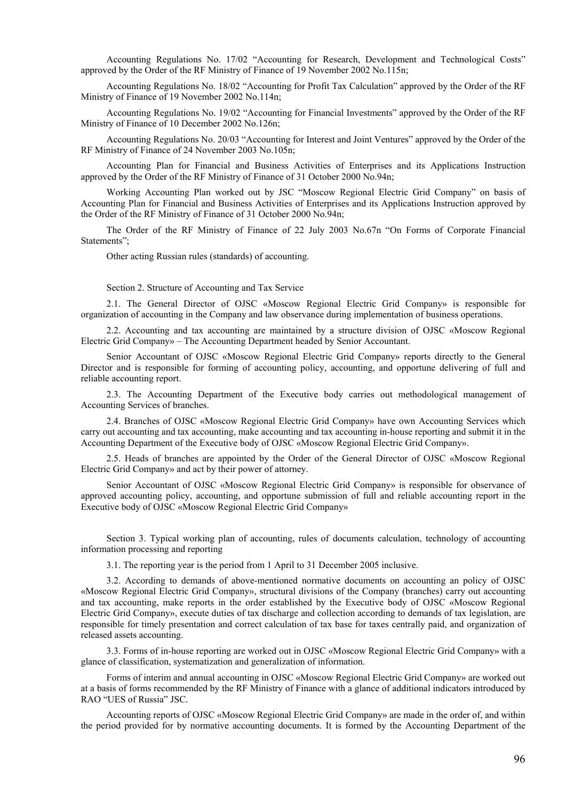Accounting Regulations No. 17/02 "Accounting for Research, Development and Technological Costs" approved by the Order of the RF Ministry of Finance of 19 November 2002 No.115n;

Accounting Regulations No. 18/02 "Accounting for Profit Tax Calculation" approved by the Order of the RF Ministry of Finance of 19 November 2002 No.114n;

Accounting Regulations No. 19/02 "Accounting for Financial Investments" approved by the Order of the RF Ministry of Finance of 10 December 2002 No.126n;

Accounting Regulations No. 20/03 "Accounting for Interest and Joint Ventures" approved by the Order of the RF Ministry of Finance of 24 November 2003 No.105n;

Accounting Plan for Financial and Business Activities of Enterprises and its Applications Instruction approved by the Order of the RF Ministry of Finance of 31 October 2000 No.94n;

Working Accounting Plan worked out by JSC "Moscow Regional Electric Grid Company" on basis of Accounting Plan for Financial and Business Activities of Enterprises and its Applications Instruction approved by the Order of the RF Ministry of Finance of 31 October 2000 No.94n;

The Order of the RF Ministry of Finance of 22 July 2003 No.67n "On Forms of Corporate Financial Statements";

Other acting Russian rules (standards) of accounting.

Section 2. Structure of Accounting and Tax Service

2.1. The General Director of OJSC «Moscow Regional Electric Grid Company» is responsible for organization of accounting in the Company and law observance during implementation of business operations.

2.2. Accounting and tax accounting are maintained by a structure division of OJSC «Moscow Regional Electric Grid Company» – The Accounting Department headed by Senior Accountant.

Senior Accountant of OJSC «Moscow Regional Electric Grid Company» reports directly to the General Director and is responsible for forming of accounting policy, accounting, and opportune delivering of full and reliable accounting report.

2.3. The Accounting Department of the Executive body carries out methodological management of Accounting Services of branches.

2.4. Branches of OJSC «Moscow Regional Electric Grid Company» have own Accounting Services which carry out accounting and tax accounting, make accounting and tax accounting in-house reporting and submit it in the Accounting Department of the Executive body of OJSC «Moscow Regional Electric Grid Company».

2.5. Heads of branches are appointed by the Order of the General Director of OJSC «Moscow Regional Electric Grid Company» and act by their power of attorney.

Senior Accountant of OJSC «Moscow Regional Electric Grid Company» is responsible for observance of approved accounting policy, accounting, and opportune submission of full and reliable accounting report in the Executive body of OJSC «Moscow Regional Electric Grid Company»

Section 3. Typical working plan of accounting, rules of documents calculation, technology of accounting information processing and reporting

3.1. The reporting year is the period from 1 April to 31 December 2005 inclusive.

3.2. According to demands of above-mentioned normative documents on accounting an policy of OJSC «Moscow Regional Electric Grid Company», structural divisions of the Company (branches) carry out accounting and tax accounting, make reports in the order established by the Executive body of OJSC «Moscow Regional Electric Grid Company», execute duties of tax discharge and collection according to demands of tax legislation, are responsible for timely presentation and correct calculation of tax base for taxes centrally paid, and organization of released assets accounting.

3.3. Forms of in-house reporting are worked out in OJSC «Moscow Regional Electric Grid Company» with a glance of classification, systematization and generalization of information.

Forms of interim and annual accounting in OJSC «Moscow Regional Electric Grid Company» are worked out at a basis of forms recommended by the RF Ministry of Finance with a glance of additional indicators introduced by RAO "UES of Russia" JSC.

Accounting reports of OJSC «Moscow Regional Electric Grid Company» are made in the order of, and within the period provided for by normative accounting documents. It is formed by the Accounting Department of the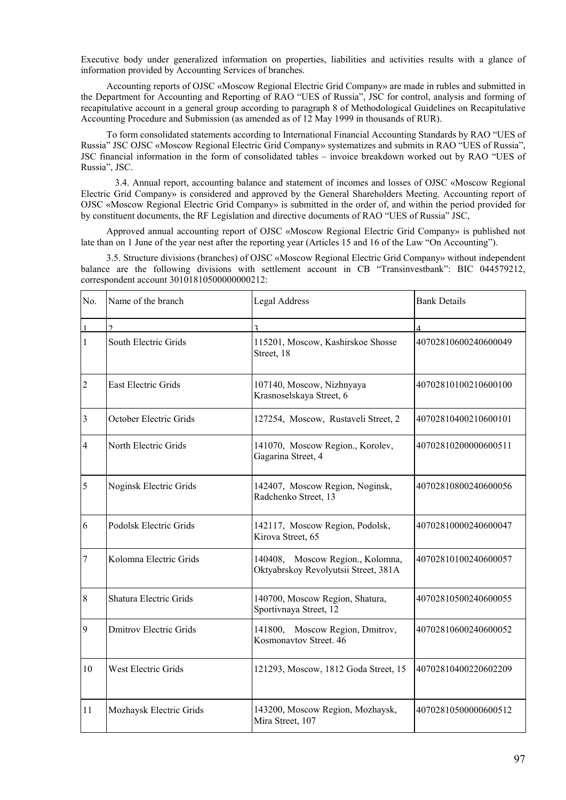Executive body under generalized information on properties, liabilities and activities results with a glance of information provided by Accounting Services of branches.

Accounting reports of OJSC «Moscow Regional Electric Grid Company» are made in rubles and submitted in the Department for Accounting and Reporting of RAO "UES of Russia", JSC for control, analysis and forming of recapitulative account in a general group according to paragraph 8 of Methodological Guidelines on Recapitulative Accounting Procedure and Submission (as amended as of 12 May 1999 in thousands of RUR).

To form consolidated statements according to International Financial Accounting Standards by RAO "UES of Russia" JSC OJSC «Moscow Regional Electric Grid Company» systematizes and submits in RAO "UES of Russia", JSC financial information in the form of consolidated tables – invoice breakdown worked out by RAO "UES of Russia", JSC.

3.4. Annual report, accounting balance and statement of incomes and losses of OJSC «Moscow Regional Electric Grid Company» is considered and approved by the General Shareholders Meeting. Accounting report of OJSC «Moscow Regional Electric Grid Company» is submitted in the order of, and within the period provided for by constituent documents, the RF Legislation and directive documents of RAO "UES of Russia" JSC,

Approved annual accounting report of OJSC «Moscow Regional Electric Grid Company» is published not late than on 1 June of the year nest after the reporting year (Articles 15 and 16 of the Law "On Accounting").

3.5. Structure divisions (branches) of OJSC «Moscow Regional Electric Grid Company» without independent balance are the following divisions with settlement account in CB "Transinvestbank": BIC 044579212, correspondent account 30101810500000000212:

| No.            | Name of the branch            | Legal Address                                                            | <b>Bank Details</b>  |
|----------------|-------------------------------|--------------------------------------------------------------------------|----------------------|
| $\mathbf{1}$   | $\mathcal{L}$                 | $\mathbf{a}$                                                             | $\Delta$             |
| 1              | South Electric Grids          | 115201, Moscow, Kashirskoe Shosse<br>Street, 18                          | 40702810600240600049 |
| $\overline{2}$ | <b>East Electric Grids</b>    | 107140, Moscow, Nizhnyaya<br>Krasnoselskaya Street, 6                    | 40702810100210600100 |
| 3              | October Electric Grids        | 127254, Moscow, Rustaveli Street, 2                                      | 40702810400210600101 |
| $\overline{4}$ | North Electric Grids          | 141070, Moscow Region., Korolev,<br>Gagarina Street, 4                   | 40702810200000600511 |
| 5              | Noginsk Electric Grids        | 142407, Moscow Region, Noginsk,<br>Radchenko Street, 13                  | 40702810800240600056 |
| 6              | Podolsk Electric Grids        | 142117, Moscow Region, Podolsk,<br>Kirova Street, 65                     | 40702810000240600047 |
| 7              | Kolomna Electric Grids        | 140408, Moscow Region., Kolomna,<br>Oktyabrskoy Revolyutsii Street, 381A | 40702810100240600057 |
| $\,$ 8 $\,$    | <b>Shatura Electric Grids</b> | 140700, Moscow Region, Shatura,<br>Sportivnaya Street, 12                | 40702810500240600055 |
| 9              | <b>Dmitrov Electric Grids</b> | 141800, Moscow Region, Dmitrov,<br>Kosmonavtov Street. 46                | 40702810600240600052 |
| 10             | West Electric Grids           | 121293, Moscow, 1812 Goda Street, 15                                     | 40702810400220602209 |
| 11             | Mozhaysk Electric Grids       | 143200, Moscow Region, Mozhaysk,<br>Mira Street, 107                     | 40702810500000600512 |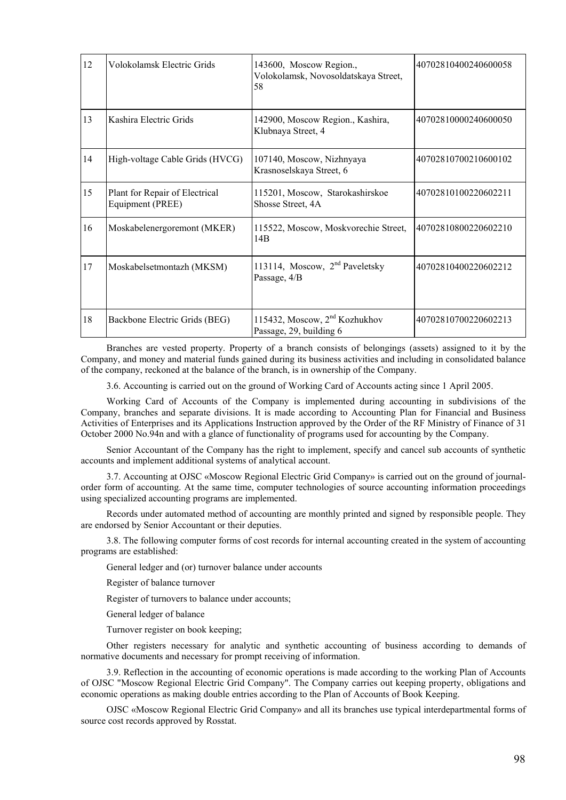| 12 | Volokolamsk Electric Grids                         | 143600, Moscow Region.,<br>Volokolamsk, Novosoldatskaya Street,<br>58 | 40702810400240600058 |
|----|----------------------------------------------------|-----------------------------------------------------------------------|----------------------|
| 13 | Kashira Electric Grids                             | 142900, Moscow Region., Kashira,<br>Klubnaya Street, 4                | 40702810000240600050 |
| 14 | High-voltage Cable Grids (HVCG)                    | 107140, Moscow, Nizhnyaya<br>Krasnoselskaya Street, 6                 | 40702810700210600102 |
| 15 | Plant for Repair of Electrical<br>Equipment (PREE) | 115201, Moscow, Starokashirskoe<br>Shosse Street, 4A                  | 40702810100220602211 |
| 16 | Moskabelenergoremont (MKER)                        | 115522, Moscow, Moskvorechie Street,<br>14B                           | 40702810800220602210 |
| 17 | Moskabelsetmontazh (MKSM)                          | 113114, Moscow, 2 <sup>nd</sup> Paveletsky<br>Passage, 4/B            | 40702810400220602212 |
| 18 | Backbone Electric Grids (BEG)                      | 115432, Moscow, 2 <sup>nd</sup> Kozhukhov<br>Passage, 29, building 6  | 40702810700220602213 |

Branches are vested property. Property of a branch consists of belongings (assets) assigned to it by the Company, and money and material funds gained during its business activities and including in consolidated balance of the company, reckoned at the balance of the branch, is in ownership of the Company.

3.6. Accounting is carried out on the ground of Working Card of Accounts acting since 1 April 2005.

Working Card of Accounts of the Company is implemented during accounting in subdivisions of the Company, branches and separate divisions. It is made according to Accounting Plan for Financial and Business Activities of Enterprises and its Applications Instruction approved by the Order of the RF Ministry of Finance of 31 October 2000 No.94n and with a glance of functionality of programs used for accounting by the Company.

Senior Accountant of the Company has the right to implement, specify and cancel sub accounts of synthetic accounts and implement additional systems of analytical account.

3.7. Accounting at OJSC «Moscow Regional Electric Grid Company» is carried out on the ground of journalorder form of accounting. At the same time, computer technologies of source accounting information proceedings using specialized accounting programs are implemented.

Records under automated method of accounting are monthly printed and signed by responsible people. They are endorsed by Senior Accountant or their deputies.

3.8. The following computer forms of cost records for internal accounting created in the system of accounting programs are established:

General ledger and (or) turnover balance under accounts

Register of balance turnover

Register of turnovers to balance under accounts;

General ledger of balance

Turnover register on book keeping;

Other registers necessary for analytic and synthetic accounting of business according to demands of normative documents and necessary for prompt receiving of information.

3.9. Reflection in the accounting of economic operations is made according to the working Plan of Accounts of OJSC "Moscow Regional Electric Grid Company". The Company carries out keeping property, obligations and economic operations as making double entries according to the Plan of Accounts of Book Keeping.

OJSC «Moscow Regional Electric Grid Company» and all its branches use typical interdepartmental forms of source cost records approved by Rosstat.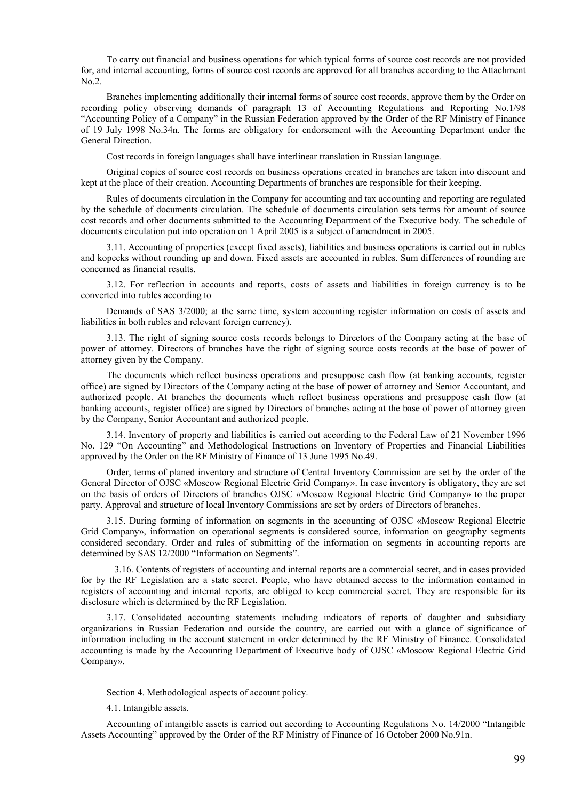To carry out financial and business operations for which typical forms of source cost records are not provided for, and internal accounting, forms of source cost records are approved for all branches according to the Attachment No.2.

Branches implementing additionally their internal forms of source cost records, approve them by the Order on recording policy observing demands of paragraph 13 of Accounting Regulations and Reporting No.1/98 "Accounting Policy of a Company" in the Russian Federation approved by the Order of the RF Ministry of Finance of 19 July 1998 No.34n. The forms are obligatory for endorsement with the Accounting Department under the General Direction.

Cost records in foreign languages shall have interlinear translation in Russian language.

Original copies of source cost records on business operations created in branches are taken into discount and kept at the place of their creation. Accounting Departments of branches are responsible for their keeping.

Rules of documents circulation in the Company for accounting and tax accounting and reporting are regulated by the schedule of documents circulation. The schedule of documents circulation sets terms for amount of source cost records and other documents submitted to the Accounting Department of the Executive body. The schedule of documents circulation put into operation on 1 April 2005 is a subject of amendment in 2005.

3.11. Accounting of properties (except fixed assets), liabilities and business operations is carried out in rubles and kopecks without rounding up and down. Fixed assets are accounted in rubles. Sum differences of rounding are concerned as financial results.

3.12. For reflection in accounts and reports, costs of assets and liabilities in foreign currency is to be converted into rubles according to

Demands of SAS 3/2000; at the same time, system accounting register information on costs of assets and liabilities in both rubles and relevant foreign currency).

3.13. The right of signing source costs records belongs to Directors of the Company acting at the base of power of attorney. Directors of branches have the right of signing source costs records at the base of power of attorney given by the Company.

The documents which reflect business operations and presuppose cash flow (at banking accounts, register office) are signed by Directors of the Company acting at the base of power of attorney and Senior Accountant, and authorized people. At branches the documents which reflect business operations and presuppose cash flow (at banking accounts, register office) are signed by Directors of branches acting at the base of power of attorney given by the Company, Senior Accountant and authorized people.

3.14. Inventory of property and liabilities is carried out according to the Federal Law of 21 November 1996 No. 129 "On Accounting" and Methodological Instructions on Inventory of Properties and Financial Liabilities approved by the Order on the RF Ministry of Finance of 13 June 1995 No.49.

Order, terms of planed inventory and structure of Central Inventory Commission are set by the order of the General Director of OJSC «Moscow Regional Electric Grid Company». In case inventory is obligatory, they are set on the basis of orders of Directors of branches OJSC «Moscow Regional Electric Grid Company» to the proper party. Approval and structure of local Inventory Commissions are set by orders of Directors of branches.

3.15. During forming of information on segments in the accounting of OJSC «Moscow Regional Electric Grid Company», information on operational segments is considered source, information on geography segments considered secondary. Order and rules of submitting of the information on segments in accounting reports are determined by SAS 12/2000 "Information on Segments".

3.16. Contents of registers of accounting and internal reports are a commercial secret, and in cases provided for by the RF Legislation are a state secret. People, who have obtained access to the information contained in registers of accounting and internal reports, are obliged to keep commercial secret. They are responsible for its disclosure which is determined by the RF Legislation.

3.17. Consolidated accounting statements including indicators of reports of daughter and subsidiary organizations in Russian Federation and outside the country, are carried out with a glance of significance of information including in the account statement in order determined by the RF Ministry of Finance. Consolidated accounting is made by the Accounting Department of Executive body of OJSC «Moscow Regional Electric Grid Company».

Section 4. Methodological aspects of account policy.

4.1. Intangible assets.

Accounting of intangible assets is carried out according to Accounting Regulations No. 14/2000 "Intangible Assets Accounting" approved by the Order of the RF Ministry of Finance of 16 October 2000 No.91n.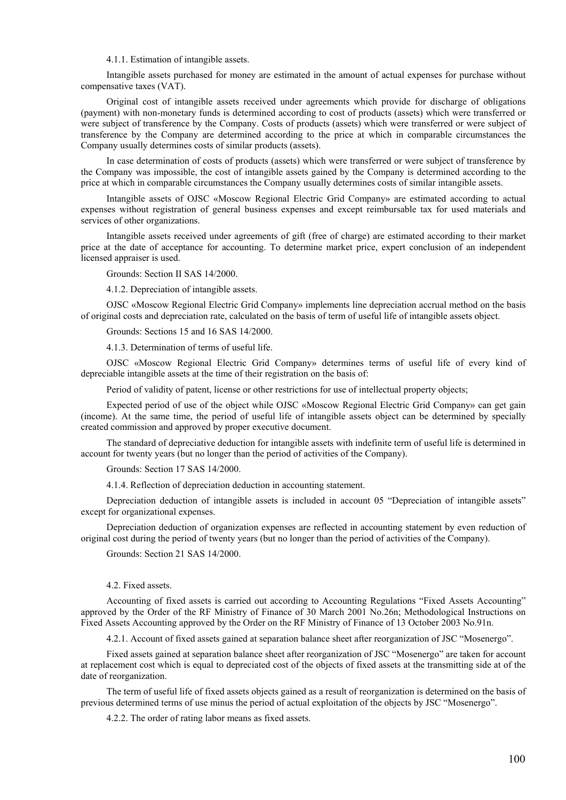4.1.1. Estimation of intangible assets.

Intangible assets purchased for money are estimated in the amount of actual expenses for purchase without compensative taxes (VAT).

Original cost of intangible assets received under agreements which provide for discharge of obligations (payment) with non-monetary funds is determined according to cost of products (assets) which were transferred or were subject of transference by the Company. Costs of products (assets) which were transferred or were subject of transference by the Company are determined according to the price at which in comparable circumstances the Company usually determines costs of similar products (assets).

In case determination of costs of products (assets) which were transferred or were subject of transference by the Company was impossible, the cost of intangible assets gained by the Company is determined according to the price at which in comparable circumstances the Company usually determines costs of similar intangible assets.

Intangible assets of OJSC «Moscow Regional Electric Grid Company» are estimated according to actual expenses without registration of general business expenses and except reimbursable tax for used materials and services of other organizations.

Intangible assets received under agreements of gift (free of charge) are estimated according to their market price at the date of acceptance for accounting. To determine market price, expert conclusion of an independent licensed appraiser is used.

Grounds: Section II SAS 14/2000.

4.1.2. Depreciation of intangible assets.

OJSC «Moscow Regional Electric Grid Company» implements line depreciation accrual method on the basis of original costs and depreciation rate, calculated on the basis of term of useful life of intangible assets object.

Grounds: Sections 15 and 16 SAS 14/2000.

4.1.3. Determination of terms of useful life.

OJSC «Moscow Regional Electric Grid Company» determines terms of useful life of every kind of depreciable intangible assets at the time of their registration on the basis of:

Period of validity of patent, license or other restrictions for use of intellectual property objects;

Expected period of use of the object while OJSC «Moscow Regional Electric Grid Company» can get gain (income). At the same time, the period of useful life of intangible assets object can be determined by specially created commission and approved by proper executive document.

The standard of depreciative deduction for intangible assets with indefinite term of useful life is determined in account for twenty years (but no longer than the period of activities of the Company).

Grounds: Section 17 SAS 14/2000.

4.1.4. Reflection of depreciation deduction in accounting statement.

Depreciation deduction of intangible assets is included in account 05 "Depreciation of intangible assets" except for organizational expenses.

Depreciation deduction of organization expenses are reflected in accounting statement by even reduction of original cost during the period of twenty years (but no longer than the period of activities of the Company).

Grounds: Section 21 SAS 14/2000.

4.2. Fixed assets.

Accounting of fixed assets is carried out according to Accounting Regulations "Fixed Assets Accounting" approved by the Order of the RF Ministry of Finance of 30 March 2001 No.26n; Methodological Instructions on Fixed Assets Accounting approved by the Order on the RF Ministry of Finance of 13 October 2003 No.91n.

4.2.1. Account of fixed assets gained at separation balance sheet after reorganization of JSC "Mosenergo".

Fixed assets gained at separation balance sheet after reorganization of JSC "Mosenergo" are taken for account at replacement cost which is equal to depreciated cost of the objects of fixed assets at the transmitting side at of the date of reorganization.

The term of useful life of fixed assets objects gained as a result of reorganization is determined on the basis of previous determined terms of use minus the period of actual exploitation of the objects by JSC "Mosenergo".

4.2.2. The order of rating labor means as fixed assets.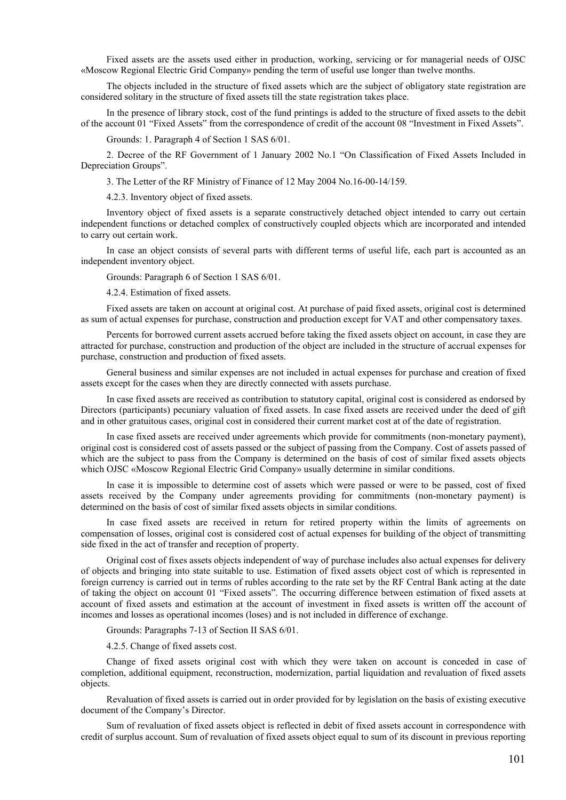Fixed assets are the assets used either in production, working, servicing or for managerial needs of OJSC «Moscow Regional Electric Grid Company» pending the term of useful use longer than twelve months.

The objects included in the structure of fixed assets which are the subject of obligatory state registration are considered solitary in the structure of fixed assets till the state registration takes place.

In the presence of library stock, cost of the fund printings is added to the structure of fixed assets to the debit of the account 01 "Fixed Assets" from the correspondence of credit of the account 08 "Investment in Fixed Assets".

Grounds: 1. Paragraph 4 of Section 1 SAS 6/01.

2. Decree of the RF Government of 1 January 2002 No.1 "On Classification of Fixed Assets Included in Depreciation Groups".

3. The Letter of the RF Ministry of Finance of 12 May 2004 No.16-00-14/159.

4.2.3. Inventory object of fixed assets.

Inventory object of fixed assets is a separate constructively detached object intended to carry out certain independent functions or detached complex of constructively coupled objects which are incorporated and intended to carry out certain work.

In case an object consists of several parts with different terms of useful life, each part is accounted as an independent inventory object.

Grounds: Paragraph 6 of Section 1 SAS 6/01.

4.2.4. Estimation of fixed assets.

Fixed assets are taken on account at original cost. At purchase of paid fixed assets, original cost is determined as sum of actual expenses for purchase, construction and production except for VAT and other compensatory taxes.

Percents for borrowed current assets accrued before taking the fixed assets object on account, in case they are attracted for purchase, construction and production of the object are included in the structure of accrual expenses for purchase, construction and production of fixed assets.

General business and similar expenses are not included in actual expenses for purchase and creation of fixed assets except for the cases when they are directly connected with assets purchase.

In case fixed assets are received as contribution to statutory capital, original cost is considered as endorsed by Directors (participants) pecuniary valuation of fixed assets. In case fixed assets are received under the deed of gift and in other gratuitous cases, original cost in considered their current market cost at of the date of registration.

In case fixed assets are received under agreements which provide for commitments (non-monetary payment), original cost is considered cost of assets passed or the subject of passing from the Company. Cost of assets passed of which are the subject to pass from the Company is determined on the basis of cost of similar fixed assets objects which OJSC «Moscow Regional Electric Grid Company» usually determine in similar conditions.

In case it is impossible to determine cost of assets which were passed or were to be passed, cost of fixed assets received by the Company under agreements providing for commitments (non-monetary payment) is determined on the basis of cost of similar fixed assets objects in similar conditions.

In case fixed assets are received in return for retired property within the limits of agreements on compensation of losses, original cost is considered cost of actual expenses for building of the object of transmitting side fixed in the act of transfer and reception of property.

Original cost of fixes assets objects independent of way of purchase includes also actual expenses for delivery of objects and bringing into state suitable to use. Estimation of fixed assets object cost of which is represented in foreign currency is carried out in terms of rubles according to the rate set by the RF Central Bank acting at the date of taking the object on account 01 "Fixed assets". The occurring difference between estimation of fixed assets at account of fixed assets and estimation at the account of investment in fixed assets is written off the account of incomes and losses as operational incomes (loses) and is not included in difference of exchange.

Grounds: Paragraphs 7-13 of Section II SAS 6/01.

4.2.5. Change of fixed assets cost.

Change of fixed assets original cost with which they were taken on account is conceded in case of completion, additional equipment, reconstruction, modernization, partial liquidation and revaluation of fixed assets objects.

Revaluation of fixed assets is carried out in order provided for by legislation on the basis of existing executive document of the Company's Director.

Sum of revaluation of fixed assets object is reflected in debit of fixed assets account in correspondence with credit of surplus account. Sum of revaluation of fixed assets object equal to sum of its discount in previous reporting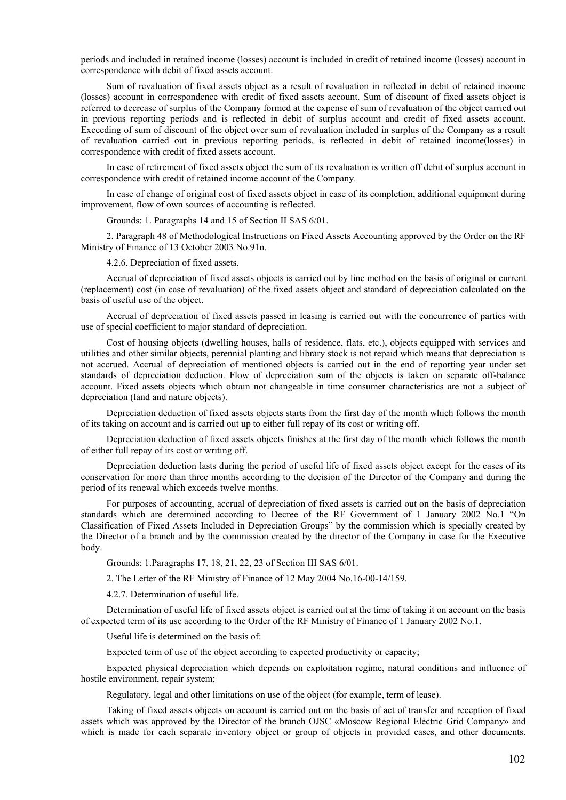periods and included in retained income (losses) account is included in credit of retained income (losses) account in correspondence with debit of fixed assets account.

Sum of revaluation of fixed assets object as a result of revaluation in reflected in debit of retained income (losses) account in correspondence with credit of fixed assets account. Sum of discount of fixed assets object is referred to decrease of surplus of the Company formed at the expense of sum of revaluation of the object carried out in previous reporting periods and is reflected in debit of surplus account and credit of fixed assets account. Exceeding of sum of discount of the object over sum of revaluation included in surplus of the Company as a result of revaluation carried out in previous reporting periods, is reflected in debit of retained income(losses) in correspondence with credit of fixed assets account.

In case of retirement of fixed assets object the sum of its revaluation is written off debit of surplus account in correspondence with credit of retained income account of the Company.

In case of change of original cost of fixed assets object in case of its completion, additional equipment during improvement, flow of own sources of accounting is reflected.

Grounds: 1. Paragraphs 14 and 15 of Section II SAS 6/01.

2. Paragraph 48 of Methodological Instructions on Fixed Assets Accounting approved by the Order on the RF Ministry of Finance of 13 October 2003 No.91n.

4.2.6. Depreciation of fixed assets.

Accrual of depreciation of fixed assets objects is carried out by line method on the basis of original or current (replacement) cost (in case of revaluation) of the fixed assets object and standard of depreciation calculated on the basis of useful use of the object.

Accrual of depreciation of fixed assets passed in leasing is carried out with the concurrence of parties with use of special coefficient to major standard of depreciation.

Cost of housing objects (dwelling houses, halls of residence, flats, etc.), objects equipped with services and utilities and other similar objects, perennial planting and library stock is not repaid which means that depreciation is not accrued. Accrual of depreciation of mentioned objects is carried out in the end of reporting year under set standards of depreciation deduction. Flow of depreciation sum of the objects is taken on separate off-balance account. Fixed assets objects which obtain not changeable in time consumer characteristics are not a subject of depreciation (land and nature objects).

Depreciation deduction of fixed assets objects starts from the first day of the month which follows the month of its taking on account and is carried out up to either full repay of its cost or writing off.

Depreciation deduction of fixed assets objects finishes at the first day of the month which follows the month of either full repay of its cost or writing off.

Depreciation deduction lasts during the period of useful life of fixed assets object except for the cases of its conservation for more than three months according to the decision of the Director of the Company and during the period of its renewal which exceeds twelve months.

For purposes of accounting, accrual of depreciation of fixed assets is carried out on the basis of depreciation standards which are determined according to Decree of the RF Government of 1 January 2002 No.1 "On Classification of Fixed Assets Included in Depreciation Groups" by the commission which is specially created by the Director of a branch and by the commission created by the director of the Company in case for the Executive body.

Grounds: 1.Paragraphs 17, 18, 21, 22, 23 of Section III SAS 6/01.

2. The Letter of the RF Ministry of Finance of 12 May 2004 No.16-00-14/159.

4.2.7. Determination of useful life.

Determination of useful life of fixed assets object is carried out at the time of taking it on account on the basis of expected term of its use according to the Order of the RF Ministry of Finance of 1 January 2002 No.1.

Useful life is determined on the basis of:

Expected term of use of the object according to expected productivity or capacity;

Expected physical depreciation which depends on exploitation regime, natural conditions and influence of hostile environment, repair system;

Regulatory, legal and other limitations on use of the object (for example, term of lease).

Taking of fixed assets objects on account is carried out on the basis of act of transfer and reception of fixed assets which was approved by the Director of the branch OJSC «Moscow Regional Electric Grid Company» and which is made for each separate inventory object or group of objects in provided cases, and other documents.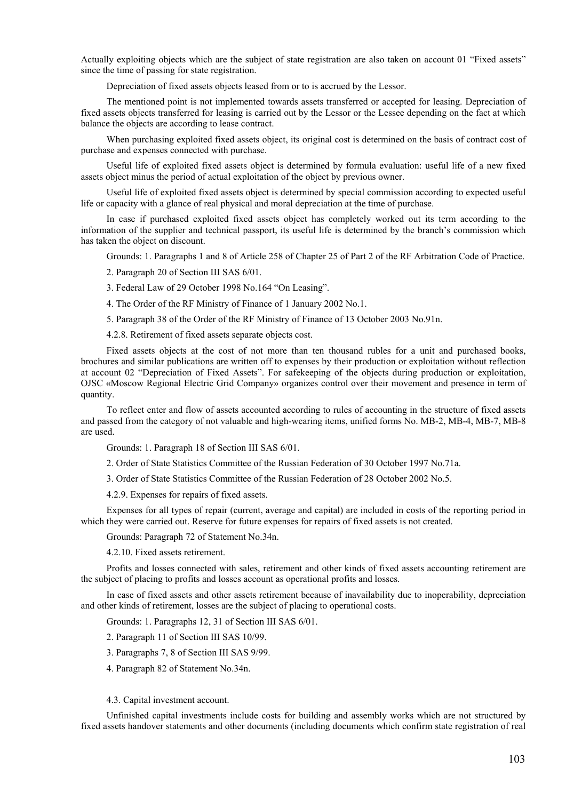Actually exploiting objects which are the subject of state registration are also taken on account 01 "Fixed assets" since the time of passing for state registration.

Depreciation of fixed assets objects leased from or to is accrued by the Lessor.

The mentioned point is not implemented towards assets transferred or accepted for leasing. Depreciation of fixed assets objects transferred for leasing is carried out by the Lessor or the Lessee depending on the fact at which balance the objects are according to lease contract.

When purchasing exploited fixed assets object, its original cost is determined on the basis of contract cost of purchase and expenses connected with purchase.

Useful life of exploited fixed assets object is determined by formula evaluation: useful life of a new fixed assets object minus the period of actual exploitation of the object by previous owner.

Useful life of exploited fixed assets object is determined by special commission according to expected useful life or capacity with a glance of real physical and moral depreciation at the time of purchase.

In case if purchased exploited fixed assets object has completely worked out its term according to the information of the supplier and technical passport, its useful life is determined by the branch's commission which has taken the object on discount.

Grounds: 1. Paragraphs 1 and 8 of Article 258 of Chapter 25 of Part 2 of the RF Arbitration Code of Practice.

2. Paragraph 20 of Section Ш SAS 6/01.

3. Federal Law of 29 October 1998 No.164 "On Leasing".

4. The Order of the RF Ministry of Finance of 1 January 2002 No.1.

5. Paragraph 38 of the Order of the RF Ministry of Finance of 13 October 2003 No.91n.

4.2.8. Retirement of fixed assets separate objects cost.

Fixed assets objects at the cost of not more than ten thousand rubles for a unit and purchased books, brochures and similar publications are written off to expenses by their production or exploitation without reflection at account 02 "Depreciation of Fixed Assets". For safekeeping of the objects during production or exploitation, OJSC «Moscow Regional Electric Grid Company» organizes control over their movement and presence in term of quantity.

To reflect enter and flow of assets accounted according to rules of accounting in the structure of fixed assets and passed from the category of not valuable and high-wearing items, unified forms No. MB-2, MB-4, MB-7, MB-8 are used.

Grounds: 1. Paragraph 18 of Section III SAS 6/01.

2. Order of State Statistics Committee of the Russian Federation of 30 October 1997 No.71a.

3. Order of State Statistics Committee of the Russian Federation of 28 October 2002 No.5.

4.2.9. Expenses for repairs of fixed assets.

Expenses for all types of repair (current, average and capital) are included in costs of the reporting period in which they were carried out. Reserve for future expenses for repairs of fixed assets is not created.

Grounds: Paragraph 72 of Statement No.34n.

4.2.10. Fixed assets retirement.

Profits and losses connected with sales, retirement and other kinds of fixed assets accounting retirement are the subject of placing to profits and losses account as operational profits and losses.

In case of fixed assets and other assets retirement because of inavailability due to inoperability, depreciation and other kinds of retirement, losses are the subject of placing to operational costs.

Grounds: 1. Paragraphs 12, 31 of Section III SAS 6/01.

2. Paragraph 11 of Section III SAS 10/99.

3. Paragraphs 7, 8 of Section III SAS 9/99.

4. Paragraph 82 of Statement No.34n.

4.3. Capital investment account.

Unfinished capital investments include costs for building and assembly works which are not structured by fixed assets handover statements and other documents (including documents which confirm state registration of real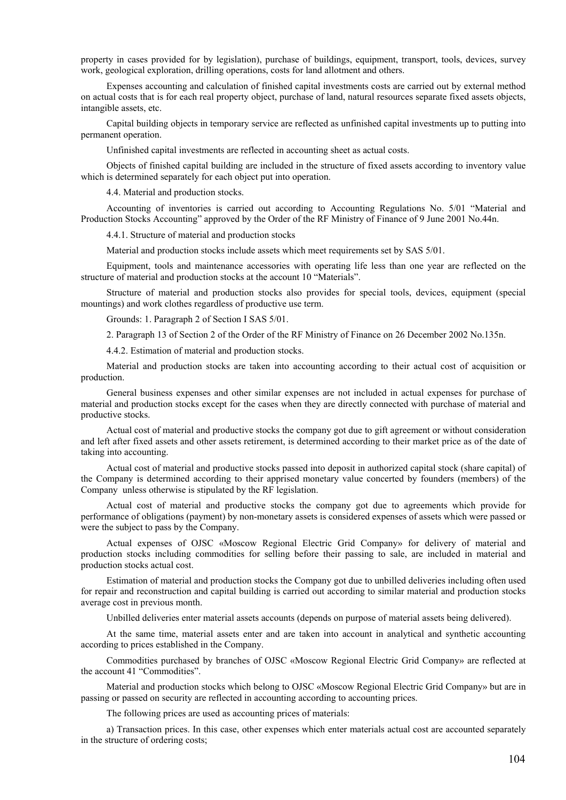property in cases provided for by legislation), purchase of buildings, equipment, transport, tools, devices, survey work, geological exploration, drilling operations, costs for land allotment and others.

Expenses accounting and calculation of finished capital investments costs are carried out by external method on actual costs that is for each real property object, purchase of land, natural resources separate fixed assets objects, intangible assets, etc.

Capital building objects in temporary service are reflected as unfinished capital investments up to putting into permanent operation.

Unfinished capital investments are reflected in accounting sheet as actual costs.

Objects of finished capital building are included in the structure of fixed assets according to inventory value which is determined separately for each object put into operation.

4.4. Material and production stocks.

Accounting of inventories is carried out according to Accounting Regulations No. 5/01 "Material and Production Stocks Accounting" approved by the Order of the RF Ministry of Finance of 9 June 2001 No.44n.

4.4.1. Structure of material and production stocks

Material and production stocks include assets which meet requirements set by SAS 5/01.

Equipment, tools and maintenance accessories with operating life less than one year are reflected on the structure of material and production stocks at the account 10 "Materials".

Structure of material and production stocks also provides for special tools, devices, equipment (special mountings) and work clothes regardless of productive use term.

Grounds: 1. Paragraph 2 of Section I SAS 5/01.

2. Paragraph 13 of Section 2 of the Order of the RF Ministry of Finance on 26 December 2002 No.135n.

4.4.2. Estimation of material and production stocks.

Material and production stocks are taken into accounting according to their actual cost of acquisition or production.

General business expenses and other similar expenses are not included in actual expenses for purchase of material and production stocks except for the cases when they are directly connected with purchase of material and productive stocks.

Actual cost of material and productive stocks the company got due to gift agreement or without consideration and left after fixed assets and other assets retirement, is determined according to their market price as of the date of taking into accounting.

Actual cost of material and productive stocks passed into deposit in authorized capital stock (share capital) of the Company is determined according to their apprised monetary value concerted by founders (members) of the Company unless otherwise is stipulated by the RF legislation.

Actual cost of material and productive stocks the company got due to agreements which provide for performance of obligations (payment) by non-monetary assets is considered expenses of assets which were passed or were the subject to pass by the Company.

Actual expenses of OJSC «Moscow Regional Electric Grid Company» for delivery of material and production stocks including commodities for selling before their passing to sale, are included in material and production stocks actual cost.

Estimation of material and production stocks the Company got due to unbilled deliveries including often used for repair and reconstruction and capital building is carried out according to similar material and production stocks average cost in previous month.

Unbilled deliveries enter material assets accounts (depends on purpose of material assets being delivered).

At the same time, material assets enter and are taken into account in analytical and synthetic accounting according to prices established in the Company.

Commodities purchased by branches of OJSC «Moscow Regional Electric Grid Company» are reflected at the account 41 "Commodities".

Material and production stocks which belong to OJSC «Moscow Regional Electric Grid Company» but are in passing or passed on security are reflected in accounting according to accounting prices.

The following prices are used as accounting prices of materials:

а) Transaction prices. In this case, other expenses which enter materials actual cost are accounted separately in the structure of ordering costs;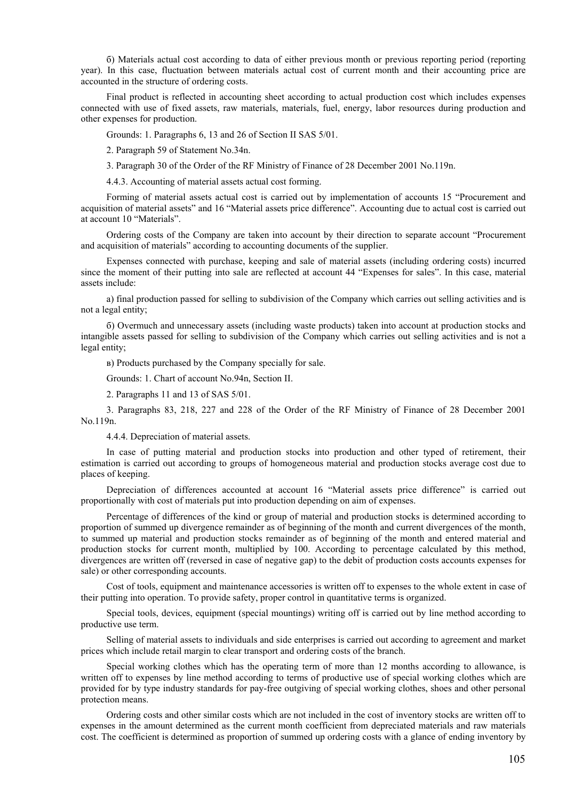б) Materials actual cost according to data of either previous month or previous reporting period (reporting year). In this case, fluctuation between materials actual cost of current month and their accounting price are accounted in the structure of ordering costs.

Final product is reflected in accounting sheet according to actual production cost which includes expenses connected with use of fixed assets, raw materials, materials, fuel, energy, labor resources during production and other expenses for production.

Grounds: 1. Paragraphs 6, 13 and 26 of Section II SAS 5/01.

2. Paragraph 59 of Statement No.34n.

3. Paragraph 30 of the Order of the RF Ministry of Finance of 28 December 2001 No.119n.

4.4.3. Accounting of material assets actual cost forming.

Forming of material assets actual cost is carried out by implementation of accounts 15 "Procurement and acquisition of material assets" and 16 "Material assets price difference". Accounting due to actual cost is carried out at account 10 "Materials".

Ordering costs of the Company are taken into account by their direction to separate account "Procurement and acquisition of materials" according to accounting documents of the supplier.

Expenses connected with purchase, keeping and sale of material assets (including ordering costs) incurred since the moment of their putting into sale are reflected at account 44 "Expenses for sales". In this case, material assets include:

а) final production passed for selling to subdivision of the Company which carries out selling activities and is not a legal entity;

б) Overmuch and unnecessary assets (including waste products) taken into account at production stocks and intangible assets passed for selling to subdivision of the Company which carries out selling activities and is not a legal entity;

в) Products purchased by the Company specially for sale.

Grounds: 1. Chart of account No.94n, Section II.

2. Paragraphs 11 and 13 of SAS 5/01.

3. Paragraphs 83, 218, 227 and 228 of the Order of the RF Ministry of Finance of 28 December 2001 No.119n.

4.4.4. Depreciation of material assets.

In case of putting material and production stocks into production and other typed of retirement, their estimation is carried out according to groups of homogeneous material and production stocks average cost due to places of keeping.

Depreciation of differences accounted at account 16 "Material assets price difference" is carried out proportionally with cost of materials put into production depending on aim of expenses.

Percentage of differences of the kind or group of material and production stocks is determined according to proportion of summed up divergence remainder as of beginning of the month and current divergences of the month, to summed up material and production stocks remainder as of beginning of the month and entered material and production stocks for current month, multiplied by 100. According to percentage calculated by this method, divergences are written off (reversed in case of negative gap) to the debit of production costs accounts expenses for sale) or other corresponding accounts.

Cost of tools, equipment and maintenance accessories is written off to expenses to the whole extent in case of their putting into operation. To provide safety, proper control in quantitative terms is organized.

Special tools, devices, equipment (special mountings) writing off is carried out by line method according to productive use term.

Selling of material assets to individuals and side enterprises is carried out according to agreement and market prices which include retail margin to clear transport and ordering costs of the branch.

Special working clothes which has the operating term of more than 12 months according to allowance, is written off to expenses by line method according to terms of productive use of special working clothes which are provided for by type industry standards for pay-free outgiving of special working clothes, shoes and other personal protection means.

Ordering costs and other similar costs which are not included in the cost of inventory stocks are written off to expenses in the amount determined as the current month coefficient from depreciated materials and raw materials cost. The coefficient is determined as proportion of summed up ordering costs with a glance of ending inventory by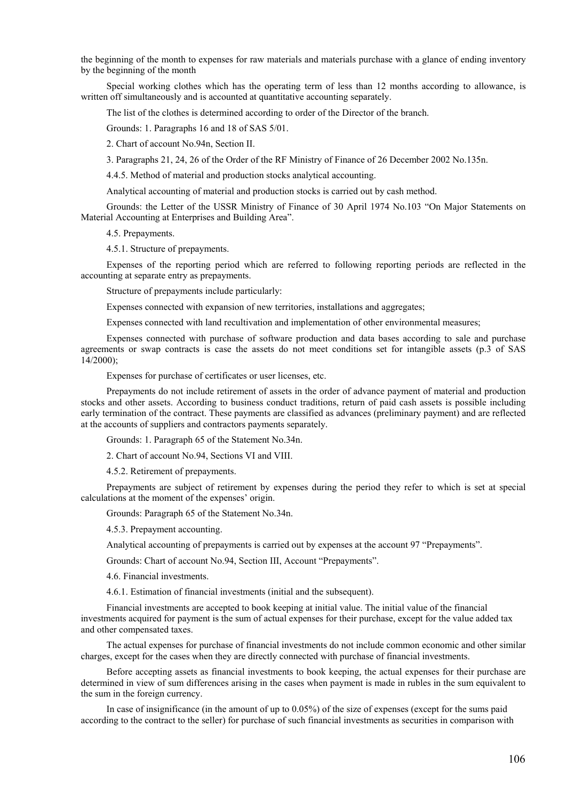the beginning of the month to expenses for raw materials and materials purchase with a glance of ending inventory by the beginning of the month

Special working clothes which has the operating term of less than 12 months according to allowance, is written off simultaneously and is accounted at quantitative accounting separately.

The list of the clothes is determined according to order of the Director of the branch.

Grounds: 1. Paragraphs 16 and 18 of SAS 5/01.

2. Chart of account No.94n, Section II.

3. Paragraphs 21, 24, 26 of the Order of the RF Ministry of Finance of 26 December 2002 No.135n.

4.4.5. Method of material and production stocks analytical accounting.

Analytical accounting of material and production stocks is carried out by cash method.

Grounds: the Letter of the USSR Ministry of Finance of 30 April 1974 No.103 "On Major Statements on Material Accounting at Enterprises and Building Area".

4.5. Prepayments.

4.5.1. Structure of prepayments.

Expenses of the reporting period which are referred to following reporting periods are reflected in the accounting at separate entry as prepayments.

Structure of prepayments include particularly:

Expenses connected with expansion of new territories, installations and aggregates;

Expenses connected with land recultivation and implementation of other environmental measures;

Expenses connected with purchase of software production and data bases according to sale and purchase agreements or swap contracts is case the assets do not meet conditions set for intangible assets (p.3 of SAS 14/2000);

Expenses for purchase of certificates or user licenses, etc.

Prepayments do not include retirement of assets in the order of advance payment of material and production stocks and other assets. According to business conduct traditions, return of paid cash assets is possible including early termination of the contract. These payments are classified as advances (preliminary payment) and are reflected at the accounts of suppliers and contractors payments separately.

Grounds: 1. Paragraph 65 of the Statement No.34n.

2. Chart of account No.94, Sections VI and VIII.

4.5.2. Retirement of prepayments.

Prepayments are subject of retirement by expenses during the period they refer to which is set at special calculations at the moment of the expenses' origin.

Grounds: Paragraph 65 of the Statement No.34n.

4.5.3. Prepayment accounting.

Analytical accounting of prepayments is carried out by expenses at the account 97 "Prepayments".

Grounds: Chart of account No.94, Section III, Account "Prepayments".

4.6. Financial investments.

4.6.1. Estimation of financial investments (initial and the subsequent).

Financial investments are accepted to book keeping at initial value. The initial value of the financial investments acquired for payment is the sum of actual expenses for their purchase, except for the value added tax and other compensated taxes.

The actual expenses for purchase of financial investments do not include common economic and other similar charges, except for the cases when they are directly connected with purchase of financial investments.

Before accepting assets as financial investments to book keeping, the actual expenses for their purchase are determined in view of sum differences arising in the cases when payment is made in rubles in the sum equivalent to the sum in the foreign currency.

In case of insignificance (in the amount of up to 0.05%) of the size of expenses (except for the sums paid according to the contract to the seller) for purchase of such financial investments as securities in comparison with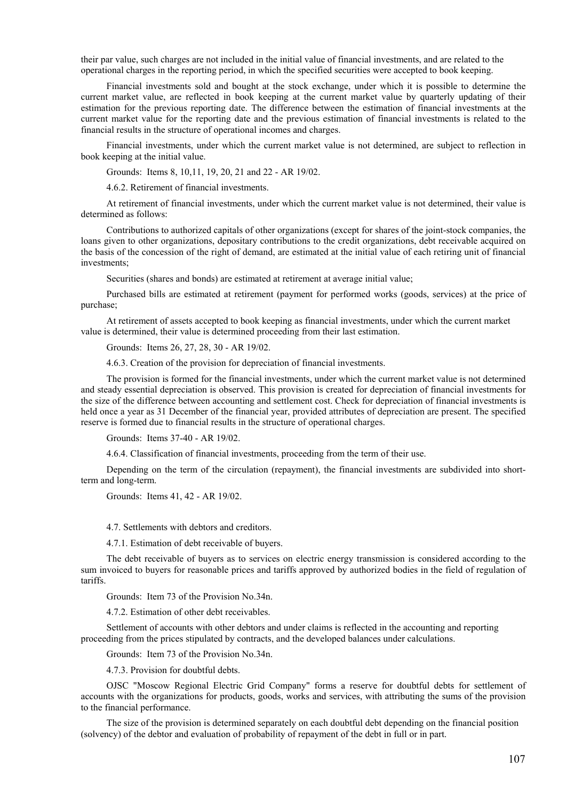their par value, such charges are not included in the initial value of financial investments, and are related to the operational charges in the reporting period, in which the specified securities were accepted to book keeping.

Financial investments sold and bought at the stock exchange, under which it is possible to determine the current market value, are reflected in book keeping at the current market value by quarterly updating of their estimation for the previous reporting date. The difference between the estimation of financial investments at the current market value for the reporting date and the previous estimation of financial investments is related to the financial results in the structure of operational incomes and charges.

Financial investments, under which the current market value is not determined, are subject to reflection in book keeping at the initial value.

Grounds: Items 8, 10,11, 19, 20, 21 and 22 - AR 19/02.

4.6.2. Retirement of financial investments.

At retirement of financial investments, under which the current market value is not determined, their value is determined as follows:

Contributions to authorized capitals of other organizations (except for shares of the joint-stock companies, the loans given to other organizations, depositary contributions to the credit organizations, debt receivable acquired on the basis of the concession of the right of demand, are estimated at the initial value of each retiring unit of financial investments;

Securities (shares and bonds) are estimated at retirement at average initial value;

Purchased bills are estimated at retirement (payment for performed works (goods, services) at the price of purchase;

At retirement of assets accepted to book keeping as financial investments, under which the current market value is determined, their value is determined proceeding from their last estimation.

Grounds: Items 26, 27, 28, 30 - AR 19/02.

4.6.3. Creation of the provision for depreciation of financial investments.

The provision is formed for the financial investments, under which the current market value is not determined and steady essential depreciation is observed. This provision is created for depreciation of financial investments for the size of the difference between accounting and settlement cost. Check for depreciation of financial investments is held once a year as 31 December of the financial year, provided attributes of depreciation are present. The specified reserve is formed due to financial results in the structure of operational charges.

Grounds: Items 37-40 - AR 19/02.

4.6.4. Classification of financial investments, proceeding from the term of their use.

Depending on the term of the circulation (repayment), the financial investments are subdivided into shortterm and long-term.

Grounds: Items 41, 42 - AR 19/02.

4.7. Settlements with debtors and creditors.

4.7.1. Estimation of debt receivable of buyers.

The debt receivable of buyers as to services on electric energy transmission is considered according to the sum invoiced to buyers for reasonable prices and tariffs approved by authorized bodies in the field of regulation of tariffs.

Grounds: Item 73 of the Provision No.34n.

4.7.2. Estimation of other debt receivables.

Settlement of accounts with other debtors and under claims is reflected in the accounting and reporting proceeding from the prices stipulated by contracts, and the developed balances under calculations.

Grounds: Item 73 of the Provision No.34n.

4.7.3. Provision for doubtful debts.

OJSC "Moscow Regional Electric Grid Company" forms a reserve for doubtful debts for settlement of accounts with the organizations for products, goods, works and services, with attributing the sums of the provision to the financial performance.

The size of the provision is determined separately on each doubtful debt depending on the financial position (solvency) of the debtor and evaluation of probability of repayment of the debt in full or in part.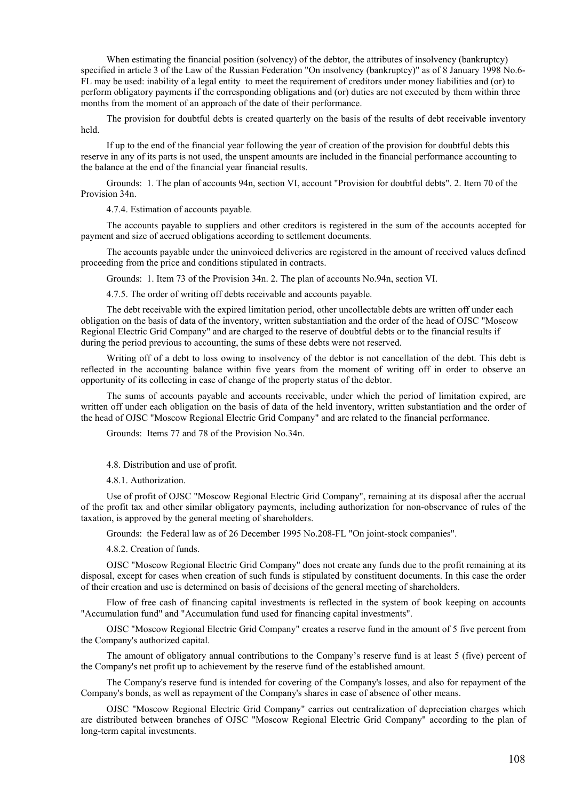When estimating the financial position (solvency) of the debtor, the attributes of insolvency (bankruptcy) specified in article 3 of the Law of the Russian Federation "On insolvency (bankruptcy)" as of 8 January 1998 No.6-FL may be used: inability of a legal entity to meet the requirement of creditors under money liabilities and (or) to perform obligatory payments if the corresponding obligations and (or) duties are not executed by them within three months from the moment of an approach of the date of their performance.

The provision for doubtful debts is created quarterly on the basis of the results of debt receivable inventory held.

If up to the end of the financial year following the year of creation of the provision for doubtful debts this reserve in any of its parts is not used, the unspent amounts are included in the financial performance accounting to the balance at the end of the financial year financial results.

Grounds: 1. The plan of accounts 94n, section VI, account "Provision for doubtful debts". 2. Item 70 of the Provision 34n.

4.7.4. Estimation of accounts payable.

The accounts payable to suppliers and other creditors is registered in the sum of the accounts accepted for payment and size of accrued obligations according to settlement documents.

The accounts payable under the uninvoiced deliveries are registered in the amount of received values defined proceeding from the price and conditions stipulated in contracts.

Grounds: 1. Item 73 of the Provision 34n. 2. The plan of accounts No.94n, section VI.

4.7.5. The order of writing off debts receivable and accounts payable.

The debt receivable with the expired limitation period, other uncollectable debts are written off under each obligation on the basis of data of the inventory, written substantiation and the order of the head of OJSC "Moscow Regional Electric Grid Company" and are charged to the reserve of doubtful debts or to the financial results if during the period previous to accounting, the sums of these debts were not reserved.

Writing off of a debt to loss owing to insolvency of the debtor is not cancellation of the debt. This debt is reflected in the accounting balance within five years from the moment of writing off in order to observe an opportunity of its collecting in case of change of the property status of the debtor.

The sums of accounts payable and accounts receivable, under which the period of limitation expired, are written off under each obligation on the basis of data of the held inventory, written substantiation and the order of the head of OJSC "Moscow Regional Electric Grid Company" and are related to the financial performance.

Grounds: Items 77 and 78 of the Provision No.34n.

4.8. Distribution and use of profit.

4.8.1. Authorization.

Use of profit of OJSC "Moscow Regional Electric Grid Company", remaining at its disposal after the accrual of the profit tax and other similar obligatory payments, including authorization for non-observance of rules of the taxation, is approved by the general meeting of shareholders.

Grounds: the Federal law as of 26 December 1995 No.208-FL "On joint-stock companies".

4.8.2. Creation of funds.

OJSC "Moscow Regional Electric Grid Company" does not create any funds due to the profit remaining at its disposal, except for cases when creation of such funds is stipulated by constituent documents. In this case the order of their creation and use is determined on basis of decisions of the general meeting of shareholders.

Flow of free cash of financing capital investments is reflected in the system of book keeping on accounts "Accumulation fund" and "Accumulation fund used for financing capital investments".

OJSC "Moscow Regional Electric Grid Company" creates a reserve fund in the amount of 5 five percent from the Company's authorized capital.

The amount of obligatory annual contributions to the Company's reserve fund is at least 5 (five) percent of the Company's net profit up to achievement by the reserve fund of the established amount.

The Company's reserve fund is intended for covering of the Company's losses, and also for repayment of the Company's bonds, as well as repayment of the Company's shares in case of absence of other means.

OJSC "Moscow Regional Electric Grid Company" carries out centralization of depreciation charges which are distributed between branches of OJSC "Moscow Regional Electric Grid Company" according to the plan of long-term capital investments.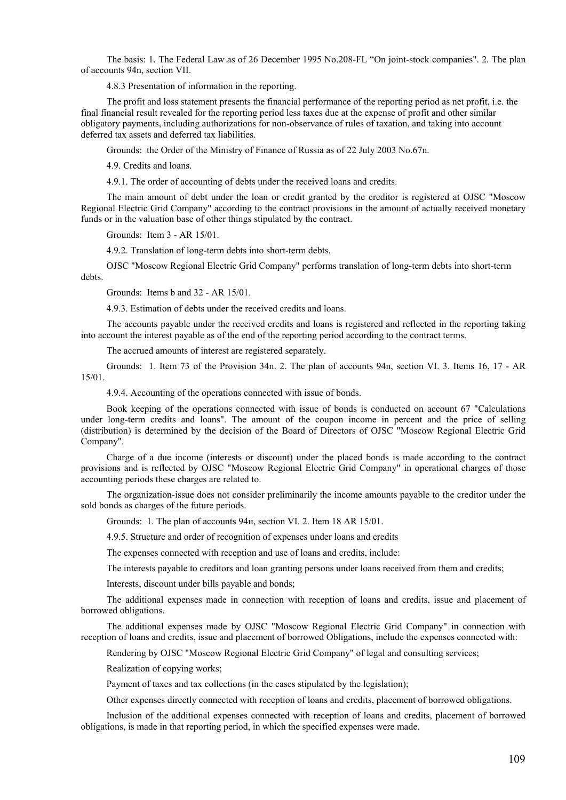The basis: 1. The Federal Law as of 26 December 1995 No.208-FL "On joint-stock companies". 2. The plan of accounts 94n, section VII.

4.8.3 Presentation of information in the reporting.

The profit and loss statement presents the financial performance of the reporting period as net profit, i.e. the final financial result revealed for the reporting period less taxes due at the expense of profit and other similar obligatory payments, including authorizations for non-observance of rules of taxation, and taking into account deferred tax assets and deferred tax liabilities.

Grounds: the Order of the Ministry of Finance of Russia as of 22 July 2003 No.67n.

4.9. Credits and loans.

4.9.1. The order of accounting of debts under the received loans and credits.

The main amount of debt under the loan or credit granted by the creditor is registered at OJSC "Moscow Regional Electric Grid Company" according to the contract provisions in the amount of actually received monetary funds or in the valuation base of other things stipulated by the contract.

Grounds: Item 3 - AR 15/01.

4.9.2. Translation of long-term debts into short-term debts.

OJSC "Moscow Regional Electric Grid Company" performs translation of long-term debts into short-term debts.

Grounds: Items b and 32 - AR 15/01.

4.9.3. Estimation of debts under the received credits and loans.

The accounts payable under the received credits and loans is registered and reflected in the reporting taking into account the interest payable as of the end of the reporting period according to the contract terms.

The accrued amounts of interest are registered separately.

Grounds: 1. Item 73 of the Provision 34n. 2. The plan of accounts 94n, section VI. 3. Items 16, 17 - AR 15/01.

4.9.4. Accounting of the operations connected with issue of bonds.

Book keeping of the operations connected with issue of bonds is conducted on account 67 "Calculations under long-term credits and loans". The amount of the coupon income in percent and the price of selling (distribution) is determined by the decision of the Board of Directors of OJSC "Moscow Regional Electric Grid Company".

Charge of a due income (interests or discount) under the placed bonds is made according to the contract provisions and is reflected by OJSC "Moscow Regional Electric Grid Company" in operational charges of those accounting periods these charges are related to.

The organization-issue does not consider preliminarily the income amounts payable to the creditor under the sold bonds as charges of the future periods.

Grounds: 1. The plan of accounts 94н, section VI. 2. Item 18 AR 15/01.

4.9.5. Structure and order of recognition of expenses under loans and credits

The expenses connected with reception and use of loans and credits, include:

The interests payable to creditors and loan granting persons under loans received from them and credits;

Interests, discount under bills payable and bonds;

The additional expenses made in connection with reception of loans and credits, issue and placement of borrowed obligations.

The additional expenses made by OJSC "Moscow Regional Electric Grid Company" in connection with reception of loans and credits, issue and placement of borrowed Obligations, include the expenses connected with:

Rendering by OJSC "Moscow Regional Electric Grid Company" of legal and consulting services;

Realization of copying works;

Payment of taxes and tax collections (in the cases stipulated by the legislation);

Other expenses directly connected with reception of loans and credits, placement of borrowed obligations.

Inclusion of the additional expenses connected with reception of loans and credits, placement of borrowed obligations, is made in that reporting period, in which the specified expenses were made.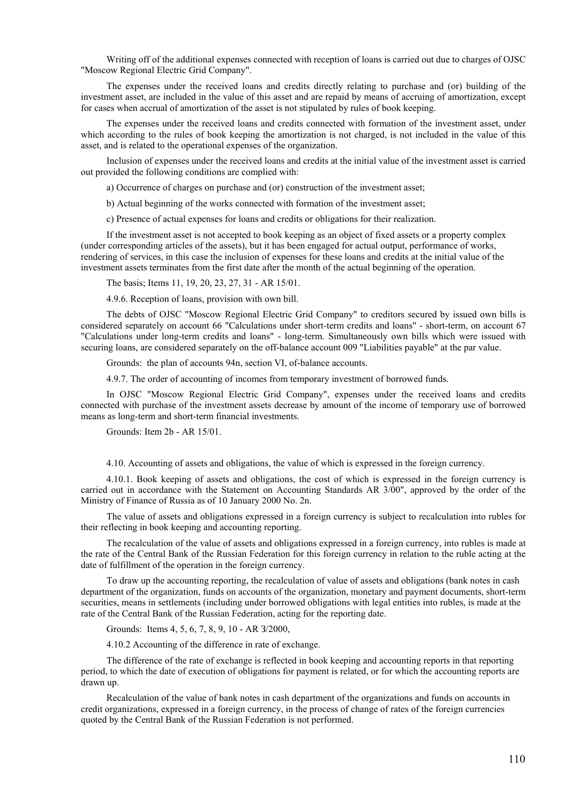Writing off of the additional expenses connected with reception of loans is carried out due to charges of OJSC "Moscow Regional Electric Grid Company".

The expenses under the received loans and credits directly relating to purchase and (or) building of the investment asset, are included in the value of this asset and are repaid by means of accruing of amortization, except for cases when accrual of amortization of the asset is not stipulated by rules of book keeping.

The expenses under the received loans and credits connected with formation of the investment asset, under which according to the rules of book keeping the amortization is not charged, is not included in the value of this asset, and is related to the operational expenses of the organization.

Inclusion of expenses under the received loans and credits at the initial value of the investment asset is carried out provided the following conditions are complied with:

a) Occurrence of charges on purchase and (or) construction of the investment asset;

b) Actual beginning of the works connected with formation of the investment asset;

c) Presence of actual expenses for loans and credits or obligations for their realization.

If the investment asset is not accepted to book keeping as an object of fixed assets or a property complex (under corresponding articles of the assets), but it has been engaged for actual output, performance of works, rendering of services, in this case the inclusion of expenses for these loans and credits at the initial value of the investment assets terminates from the first date after the month of the actual beginning of the operation.

The basis; Items 11, 19, 20, 23, 27, 31 - AR 15/01.

4.9.6. Reception of loans, provision with own bill.

The debts of OJSC "Moscow Regional Electric Grid Company" to creditors secured by issued own bills is considered separately on account 66 "Calculations under short-term credits and loans" - short-term, on account 67 "Calculations under long-term credits and loans" - long-term. Simultaneously own bills which were issued with securing loans, are considered separately on the off-balance account 009 "Liabilities payable" at the par value.

Grounds: the plan of accounts 94n, section VI, of-balance accounts.

4.9.7. The order of accounting of incomes from temporary investment of borrowed funds.

In OJSC "Moscow Regional Electric Grid Company", expenses under the received loans and credits connected with purchase of the investment assets decrease by amount of the income of temporary use of borrowed means as long-term and short-term financial investments.

Grounds: Item 2b - AR 15/01.

4.10. Accounting of assets and obligations, the value of which is expressed in the foreign currency.

4.10.1. Book keeping of assets and obligations, the cost of which is expressed in the foreign currency is carried out in accordance with the Statement on Accounting Standards AR 3/00", approved by the order of the Ministry of Finance of Russia as of 10 January 2000 No. 2n.

The value of assets and obligations expressed in a foreign currency is subject to recalculation into rubles for their reflecting in book keeping and accounting reporting.

The recalculation of the value of assets and obligations expressed in a foreign currency, into rubles is made at the rate of the Central Bank of the Russian Federation for this foreign currency in relation to the ruble acting at the date of fulfillment of the operation in the foreign currency.

To draw up the accounting reporting, the recalculation of value of assets and obligations (bank notes in cash department of the organization, funds on accounts of the organization, monetary and payment documents, short-term securities, means in settlements (including under borrowed obligations with legal entities into rubles, is made at the rate of the Central Bank of the Russian Federation, acting for the reporting date.

Grounds: Items 4, 5, 6, 7, 8, 9, 10 - AR З/2000,

4.10.2 Accounting of the difference in rate of exchange.

The difference of the rate of exchange is reflected in book keeping and accounting reports in that reporting period, to which the date of execution of obligations for payment is related, or for which the accounting reports are drawn up.

Recalculation of the value of bank notes in cash department of the organizations and funds on accounts in credit organizations, expressed in a foreign currency, in the process of change of rates of the foreign currencies quoted by the Central Bank of the Russian Federation is not performed.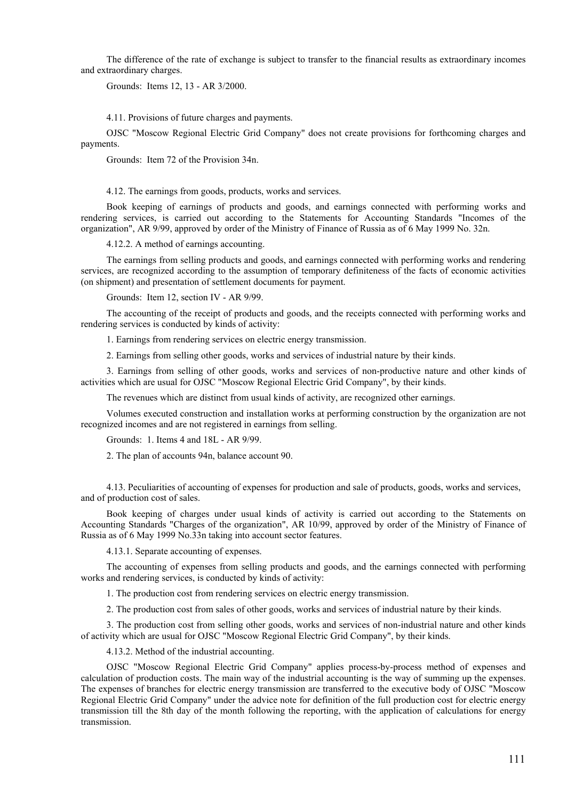The difference of the rate of exchange is subject to transfer to the financial results as extraordinary incomes and extraordinary charges.

Grounds: Items 12, 13 - AR 3/2000.

4.11. Provisions of future charges and payments.

OJSC "Moscow Regional Electric Grid Company" does not create provisions for forthcoming charges and payments.

Grounds: Item 72 of the Provision 34n.

4.12. The earnings from goods, products, works and services.

Book keeping of earnings of products and goods, and earnings connected with performing works and rendering services, is carried out according to the Statements for Accounting Standards "Incomes of the organization", AR 9/99, approved by order of the Ministry of Finance of Russia as of 6 May 1999 No. 32n.

4.12.2. A method of earnings accounting.

The earnings from selling products and goods, and earnings connected with performing works and rendering services, are recognized according to the assumption of temporary definiteness of the facts of economic activities (on shipment) and presentation of settlement documents for payment.

Grounds: Item 12, section IV - AR 9/99.

The accounting of the receipt of products and goods, and the receipts connected with performing works and rendering services is conducted by kinds of activity:

1. Earnings from rendering services on electric energy transmission.

2. Earnings from selling other goods, works and services of industrial nature by their kinds.

3. Earnings from selling of other goods, works and services of non-productive nature and other kinds of activities which are usual for OJSC "Moscow Regional Electric Grid Company", by their kinds.

The revenues which are distinct from usual kinds of activity, are recognized other earnings.

Volumes executed construction and installation works at performing construction by the organization are not recognized incomes and are not registered in earnings from selling.

Grounds: 1. Items 4 and 18L - AR 9/99.

2. The plan of accounts 94n, balance account 90.

4.13. Peculiarities of accounting of expenses for production and sale of products, goods, works and services, and of production cost of sales.

Book keeping of charges under usual kinds of activity is carried out according to the Statements on Accounting Standards "Charges of the organization", AR 10/99, approved by order of the Ministry of Finance of Russia as of 6 May 1999 No.33n taking into account sector features.

4.13.1. Separate accounting of expenses.

The accounting of expenses from selling products and goods, and the earnings connected with performing works and rendering services, is conducted by kinds of activity:

1. The production cost from rendering services on electric energy transmission.

2. The production cost from sales of other goods, works and services of industrial nature by their kinds.

3. The production cost from selling other goods, works and services of non-industrial nature and other kinds of activity which are usual for OJSC "Moscow Regional Electric Grid Company", by their kinds.

4.13.2. Method of the industrial accounting.

OJSC "Moscow Regional Electric Grid Company" applies process-by-process method of expenses and calculation of production costs. The main way of the industrial accounting is the way of summing up the expenses. The expenses of branches for electric energy transmission are transferred to the executive body of OJSC "Moscow Regional Electric Grid Company" under the advice note for definition of the full production cost for electric energy transmission till the 8th day of the month following the reporting, with the application of calculations for energy transmission.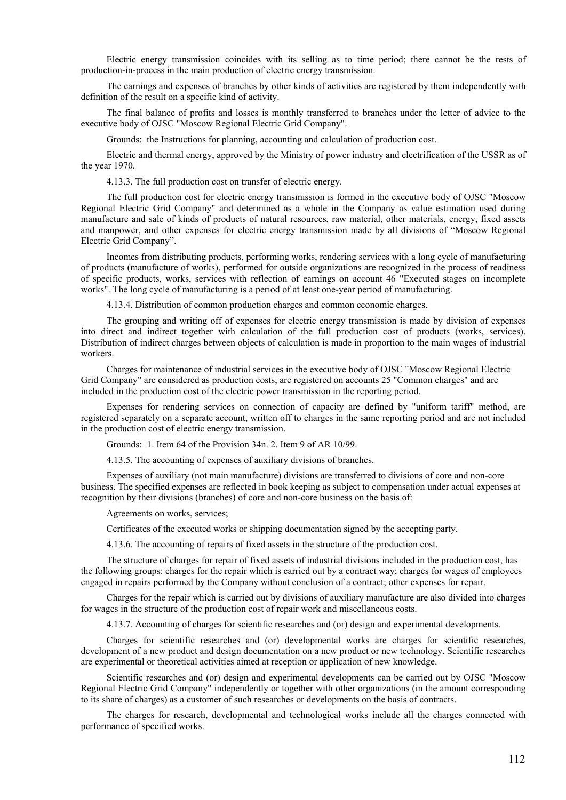Electric energy transmission coincides with its selling as to time period; there cannot be the rests of production-in-process in the main production of electric energy transmission.

The earnings and expenses of branches by other kinds of activities are registered by them independently with definition of the result on a specific kind of activity.

The final balance of profits and losses is monthly transferred to branches under the letter of advice to the executive body of OJSC "Moscow Regional Electric Grid Company".

Grounds: the Instructions for planning, accounting and calculation of production cost.

Electric and thermal energy, approved by the Ministry of power industry and electrification of the USSR as of the year 1970.

4.13.3. The full production cost on transfer of electric energy.

The full production cost for electric energy transmission is formed in the executive body of OJSC "Moscow Regional Electric Grid Company" and determined as a whole in the Company as value estimation used during manufacture and sale of kinds of products of natural resources, raw material, other materials, energy, fixed assets and manpower, and other expenses for electric energy transmission made by all divisions of "Moscow Regional Electric Grid Company".

Incomes from distributing products, performing works, rendering services with a long cycle of manufacturing of products (manufacture of works), performed for outside organizations are recognized in the process of readiness of specific products, works, services with reflection of earnings on account 46 "Executed stages on incomplete works". The long cycle of manufacturing is a period of at least one-year period of manufacturing.

4.13.4. Distribution of common production charges and common economic charges.

The grouping and writing off of expenses for electric energy transmission is made by division of expenses into direct and indirect together with calculation of the full production cost of products (works, services). Distribution of indirect charges between objects of calculation is made in proportion to the main wages of industrial workers.

Charges for maintenance of industrial services in the executive body of OJSC "Moscow Regional Electric Grid Company" are considered as production costs, are registered on accounts 25 "Common charges" and are included in the production cost of the electric power transmission in the reporting period.

Expenses for rendering services on connection of capacity are defined by "uniform tariff" method, are registered separately on a separate account, written off to charges in the same reporting period and are not included in the production cost of electric energy transmission.

Grounds: 1. Item 64 of the Provision 34n. 2. Item 9 of AR 10/99.

4.13.5. The accounting of expenses of auxiliary divisions of branches.

Expenses of auxiliary (not main manufacture) divisions are transferred to divisions of core and non-core business. The specified expenses are reflected in book keeping as subject to compensation under actual expenses at recognition by their divisions (branches) of core and non-core business on the basis of:

Agreements on works, services;

Certificates of the executed works or shipping documentation signed by the accepting party.

4.13.6. The accounting of repairs of fixed assets in the structure of the production cost.

The structure of charges for repair of fixed assets of industrial divisions included in the production cost, has the following groups: charges for the repair which is carried out by a contract way; charges for wages of employees engaged in repairs performed by the Company without conclusion of a contract; other expenses for repair.

Charges for the repair which is carried out by divisions of auxiliary manufacture are also divided into charges for wages in the structure of the production cost of repair work and miscellaneous costs.

4.13.7. Accounting of charges for scientific researches and (or) design and experimental developments.

Charges for scientific researches and (or) developmental works are charges for scientific researches, development of a new product and design documentation on a new product or new technology. Scientific researches are experimental or theoretical activities aimed at reception or application of new knowledge.

Scientific researches and (or) design and experimental developments can be carried out by OJSC "Moscow Regional Electric Grid Company" independently or together with other organizations (in the amount corresponding to its share of charges) as a customer of such researches or developments on the basis of contracts.

The charges for research, developmental and technological works include all the charges connected with performance of specified works.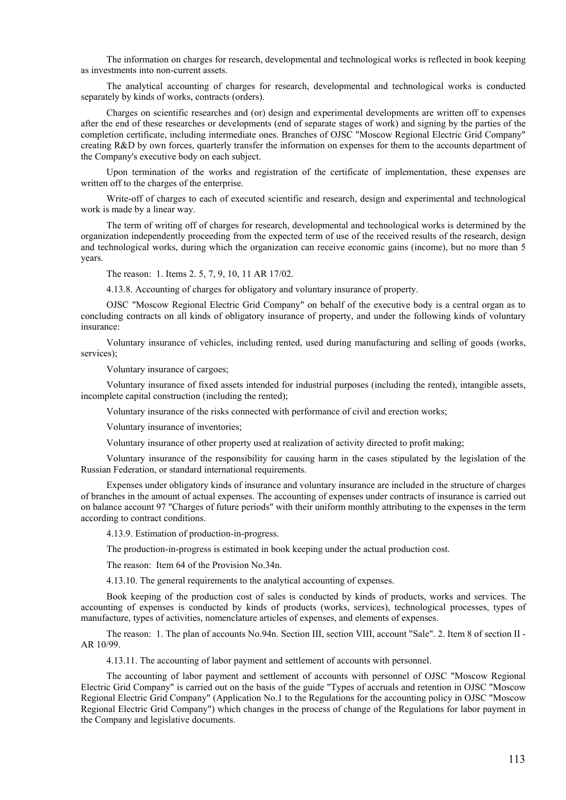The information on charges for research, developmental and technological works is reflected in book keeping as investments into non-current assets.

The analytical accounting of charges for research, developmental and technological works is conducted separately by kinds of works, contracts (orders).

Charges on scientific researches and (or) design and experimental developments are written off to expenses after the end of these researches or developments (end of separate stages of work) and signing by the parties of the completion certificate, including intermediate ones. Branches of OJSC "Moscow Regional Electric Grid Company" creating R&D by own forces, quarterly transfer the information on expenses for them to the accounts department of the Company's executive body on each subject.

Upon termination of the works and registration of the certificate of implementation, these expenses are written off to the charges of the enterprise.

Write-off of charges to each of executed scientific and research, design and experimental and technological work is made by a linear way.

The term of writing off of charges for research, developmental and technological works is determined by the organization independently proceeding from the expected term of use of the received results of the research, design and technological works, during which the organization can receive economic gains (income), but no more than 5 years.

The reason: 1. Items 2. 5, 7, 9, 10, 11 AR 17/02.

4.13.8. Accounting of charges for obligatory and voluntary insurance of property.

OJSC "Moscow Regional Electric Grid Company" on behalf of the executive body is a central organ as to concluding contracts on all kinds of obligatory insurance of property, and under the following kinds of voluntary insurance:

Voluntary insurance of vehicles, including rented, used during manufacturing and selling of goods (works, services);

Voluntary insurance of cargoes;

Voluntary insurance of fixed assets intended for industrial purposes (including the rented), intangible assets, incomplete capital construction (including the rented);

Voluntary insurance of the risks connected with performance of civil and erection works;

Voluntary insurance of inventories;

Voluntary insurance of other property used at realization of activity directed to profit making;

Voluntary insurance of the responsibility for causing harm in the cases stipulated by the legislation of the Russian Federation, or standard international requirements.

Expenses under obligatory kinds of insurance and voluntary insurance are included in the structure of charges of branches in the amount of actual expenses. The accounting of expenses under contracts of insurance is carried out on balance account 97 "Charges of future periods" with their uniform monthly attributing to the expenses in the term according to contract conditions.

4.13.9. Estimation of production-in-progress.

The production-in-progress is estimated in book keeping under the actual production cost.

The reason: Item 64 of the Provision No.34n.

4.13.10. The general requirements to the analytical accounting of expenses.

Book keeping of the production cost of sales is conducted by kinds of products, works and services. The accounting of expenses is conducted by kinds of products (works, services), technological processes, types of manufacture, types of activities, nomenclature articles of expenses, and elements of expenses.

The reason: 1. The plan of accounts No.94n. Section III, section VIII, account "Sale". 2. Item 8 of section II - AR 10/99.

4.13.11. The accounting of labor payment and settlement of accounts with personnel.

The accounting of labor payment and settlement of accounts with personnel of OJSC "Moscow Regional Electric Grid Company" is carried out on the basis of the guide "Types of accruals and retention in OJSC "Moscow Regional Electric Grid Company" (Application No.1 to the Regulations for the accounting policy in OJSC "Moscow Regional Electric Grid Company") which changes in the process of change of the Regulations for labor payment in the Company and legislative documents.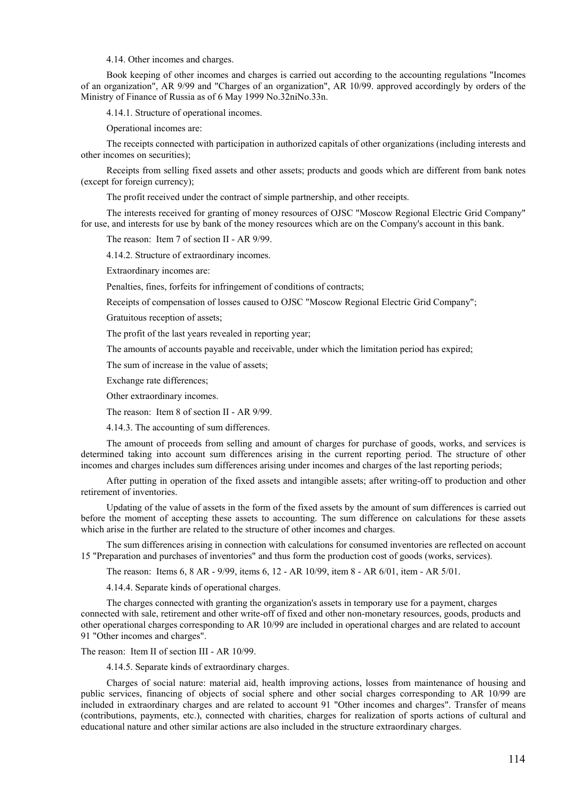4.14. Other incomes and charges.

Book keeping of other incomes and charges is carried out according to the accounting regulations "Incomes of an organization", AR 9/99 and "Charges of an organization", AR 10/99. approved accordingly by orders of the Ministry of Finance of Russia as of 6 May 1999 No.32niNo.33n.

4.14.1. Structure of operational incomes.

Operational incomes are:

The receipts connected with participation in authorized capitals of other organizations (including interests and other incomes on securities);

Receipts from selling fixed assets and other assets; products and goods which are different from bank notes (except for foreign currency);

The profit received under the contract of simple partnership, and other receipts.

The interests received for granting of money resources of OJSC "Moscow Regional Electric Grid Company" for use, and interests for use by bank of the money resources which are on the Company's account in this bank.

The reason: Item 7 of section II - AR 9/99.

4.14.2. Structure of extraordinary incomes.

Extraordinary incomes are:

Penalties, fines, forfeits for infringement of conditions of contracts;

Receipts of compensation of losses caused to OJSC "Moscow Regional Electric Grid Company";

Gratuitous reception of assets;

The profit of the last years revealed in reporting year;

The amounts of accounts payable and receivable, under which the limitation period has expired;

The sum of increase in the value of assets;

Exchange rate differences;

Other extraordinary incomes.

The reason: Item 8 of section II - AR 9/99.

4.14.3. The accounting of sum differences.

The amount of proceeds from selling and amount of charges for purchase of goods, works, and services is determined taking into account sum differences arising in the current reporting period. The structure of other incomes and charges includes sum differences arising under incomes and charges of the last reporting periods;

After putting in operation of the fixed assets and intangible assets; after writing-off to production and other retirement of inventories.

Updating of the value of assets in the form of the fixed assets by the amount of sum differences is carried out before the moment of accepting these assets to accounting. The sum difference on calculations for these assets which arise in the further are related to the structure of other incomes and charges.

The sum differences arising in connection with calculations for consumed inventories are reflected on account 15 "Preparation and purchases of inventories" and thus form the production cost of goods (works, services).

The reason: Items 6, 8 AR - 9/99, items 6, 12 - AR 10/99, item 8 - AR 6/01, item - AR 5/01.

4.14.4. Separate kinds of operational charges.

The charges connected with granting the organization's assets in temporary use for a payment, charges connected with sale, retirement and other write-off of fixed and other non-monetary resources, goods, products and other operational charges corresponding to AR 10/99 are included in operational charges and are related to account 91 "Other incomes and charges".

The reason: Item II of section III - AR 10/99.

4.14.5. Separate kinds of extraordinary charges.

Charges of social nature: material aid, health improving actions, losses from maintenance of housing and public services, financing of objects of social sphere and other social charges corresponding to AR 10/99 are included in extraordinary charges and are related to account 91 "Other incomes and charges". Transfer of means (contributions, payments, etc.), connected with charities, charges for realization of sports actions of cultural and educational nature and other similar actions are also included in the structure extraordinary charges.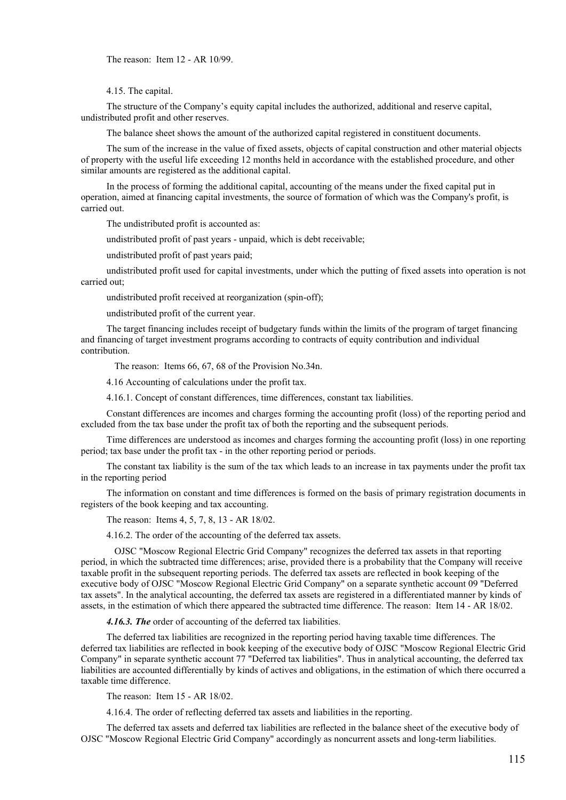The reason: Item 12 - AR 10/99.

4.15. The capital.

The structure of the Company's equity capital includes the authorized, additional and reserve capital, undistributed profit and other reserves.

The balance sheet shows the amount of the authorized capital registered in constituent documents.

The sum of the increase in the value of fixed assets, objects of capital construction and other material objects of property with the useful life exceeding 12 months held in accordance with the established procedure, and other similar amounts are registered as the additional capital.

In the process of forming the additional capital, accounting of the means under the fixed capital put in operation, aimed at financing capital investments, the source of formation of which was the Company's profit, is carried out.

The undistributed profit is accounted as:

undistributed profit of past years - unpaid, which is debt receivable;

undistributed profit of past years paid;

undistributed profit used for capital investments, under which the putting of fixed assets into operation is not carried out;

undistributed profit received at reorganization (spin-off);

undistributed profit of the current year.

The target financing includes receipt of budgetary funds within the limits of the program of target financing and financing of target investment programs according to contracts of equity contribution and individual contribution.

The reason: Items 66, 67, 68 of the Provision No.34n.

4.16 Accounting of calculations under the profit tax.

4.16.1. Concept of constant differences, time differences, constant tax liabilities.

Constant differences are incomes and charges forming the accounting profit (loss) of the reporting period and excluded from the tax base under the profit tax of both the reporting and the subsequent periods.

Time differences are understood as incomes and charges forming the accounting profit (loss) in one reporting period; tax base under the profit tax - in the other reporting period or periods.

The constant tax liability is the sum of the tax which leads to an increase in tax payments under the profit tax in the reporting period

The information on constant and time differences is formed on the basis of primary registration documents in registers of the book keeping and tax accounting.

The reason: Items 4, 5, 7, 8, 13 - AR 18/02.

4.16.2. The order of the accounting of the deferred tax assets.

OJSC "Moscow Regional Electric Grid Company" recognizes the deferred tax assets in that reporting period, in which the subtracted time differences; arise, provided there is a probability that the Company will receive taxable profit in the subsequent reporting periods. The deferred tax assets are reflected in book keeping of the executive body of OJSC "Moscow Regional Electric Grid Company" on a separate synthetic account 09 "Deferred tax assets". In the analytical accounting, the deferred tax assets are registered in a differentiated manner by kinds of assets, in the estimation of which there appeared the subtracted time difference. The reason: Item 14 - AR 18/02.

*4.16.3. The* order of accounting of the deferred tax liabilities.

The deferred tax liabilities are recognized in the reporting period having taxable time differences. The deferred tax liabilities are reflected in book keeping of the executive body of OJSC "Moscow Regional Electric Grid Company" in separate synthetic aсcount 77 "Deferred tax liabilities". Thus in analytical accounting, the deferred tax liabilities are accounted differentially by kinds of actives and obligations, in the estimation of which there occurred a taxable time difference.

The reason: Item 15 - AR 18/02.

4.16.4. The order of reflecting deferred tax assets and liabilities in the reporting.

The deferred tax assets and deferred tax liabilities are reflected in the balance sheet of the executive body of OJSC "Moscow Regional Electric Grid Company" accordingly as noncurrent assets and long-term liabilities.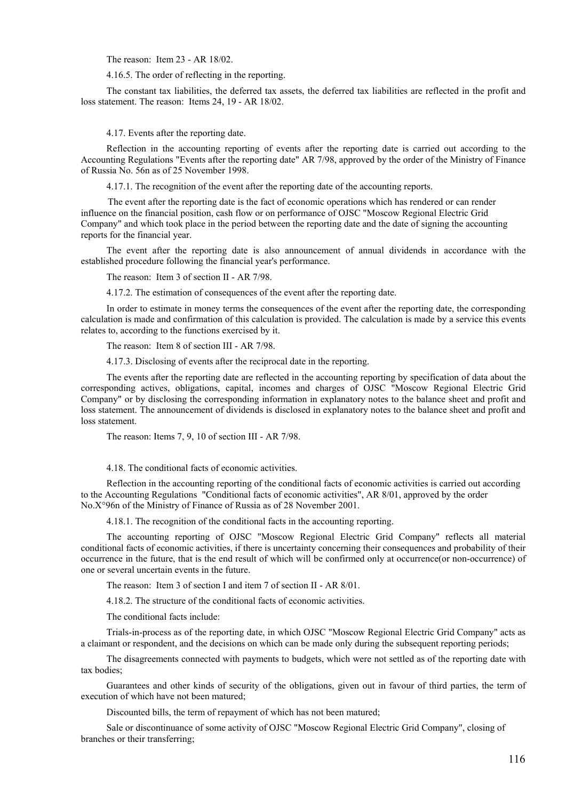The reason: Item 23 - AR 18/02.

4.16.5. The order of reflecting in the reporting.

The constant tax liabilities, the deferred tax assets, the deferred tax liabilities are reflected in the profit and loss statement. The reason: Items 24, 19 - AR 18/02.

4.17. Events after the reporting date.

Reflection in the accounting reporting of events after the reporting date is carried out according to the Accounting Regulations "Events after the reporting date" AR 7/98, approved by the order of the Ministry of Finance of Russia No. 56n as of 25 November 1998.

4.17.1. The recognition of the event after the reporting date of the accounting reports.

The event after the reporting date is the fact of economic operations which has rendered or can render influence on the financial position, cash flow or on performance of OJSC "Moscow Regional Electric Grid Company" and which took place in the period between the reporting date and the date of signing the accounting reports for the financial year.

The event after the reporting date is also announcement of annual dividends in accordance with the established procedure following the financial year's performance.

The reason: Item 3 of section II - AR 7/98.

4.17.2. The estimation of consequences of the event after the reporting date.

In order to estimate in money terms the consequences of the event after the reporting date, the corresponding calculation is made and confirmation of this calculation is provided. The calculation is made by a service this events relates to, according to the functions exercised by it.

The reason: Item 8 of section III - AR 7/98.

4.17.3. Disclosing of events after the reciprocal date in the reporting.

The events after the reporting date are reflected in the accounting reporting by specification of data about the corresponding actives, obligations, capital, incomes and charges of OJSC "Moscow Regional Electric Grid Company" or by disclosing the corresponding information in explanatory notes to the balance sheet and profit and loss statement. The announcement of dividends is disclosed in explanatory notes to the balance sheet and profit and loss statement.

The reason: Items 7, 9, 10 of section III - AR 7/98.

4.18. The conditional facts of economic activities.

Reflection in the accounting reporting of the conditional facts of economic activities is carried out according to the Accounting Regulations "Conditional facts of economic activities", AR 8/01, approved by the order No.X°96n of the Ministry of Finance of Russia as of 28 November 2001.

4.18.1. The recognition of the conditional facts in the accounting reporting.

The accounting reporting of OJSC "Moscow Regional Electric Grid Company" reflects all material conditional facts of economic activities, if there is uncertainty concerning their consequences and probability of their occurrence in the future, that is the end result of which will be confirmed only at occurrence(or non-occurrence) of one or several uncertain events in the future.

The reason: Item 3 of section I and item 7 of section II - AR 8/01.

4.18.2. The structure of the conditional facts of economic activities.

The conditional facts include:

Trials-in-process as of the reporting date, in which OJSC "Moscow Regional Electric Grid Company" acts as a claimant or respondent, and the decisions on which can be made only during the subsequent reporting periods;

The disagreements connected with payments to budgets, which were not settled as of the reporting date with tax bodies;

Guarantees and other kinds of security of the obligations, given out in favour of third parties, the term of execution of which have not been matured;

Discounted bills, the term of repayment of which has not been matured;

Sale or discontinuance of some activity of OJSC "Moscow Regional Electric Grid Company", closing of branches or their transferring;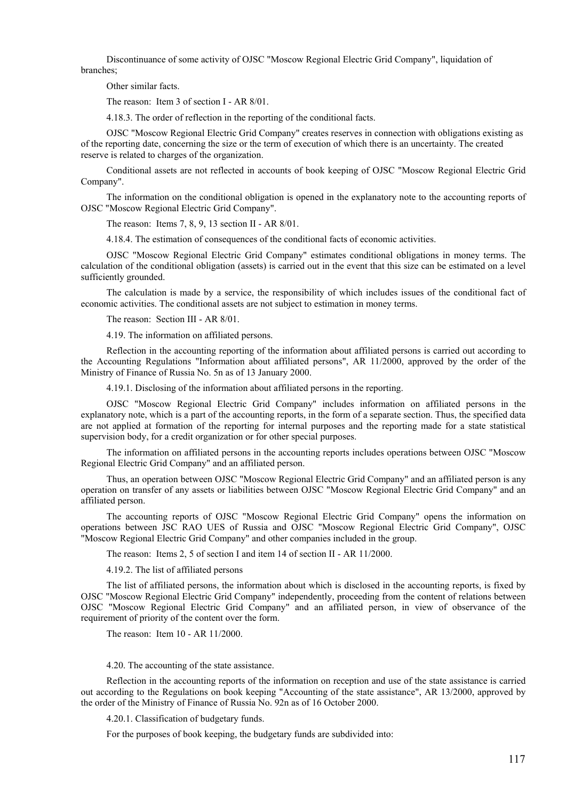Discontinuance of some activity of OJSC "Moscow Regional Electric Grid Company", liquidation of branches;

Other similar facts.

The reason: Item 3 of section I - AR 8/01.

4.18.3. The order of reflection in the reporting of the conditional facts.

OJSC "Moscow Regional Electric Grid Company" creates reserves in connection with obligations existing as of the reporting date, concerning the size or the term of execution of which there is an uncertainty. The created reserve is related to charges of the organization.

Conditional assets are not reflected in accounts of book keeping of OJSC "Moscow Regional Electric Grid Company".

The information on the conditional obligation is opened in the explanatory note to the accounting reports of OJSC "Moscow Regional Electric Grid Company".

The reason: Items 7, 8, 9, 13 section II - AR 8/01.

4.18.4. The estimation of consequences of the conditional facts of economic activities.

OJSC "Moscow Regional Electric Grid Company" estimates conditional obligations in money terms. The calculation of the conditional obligation (assets) is carried out in the event that this size can be estimated on a level sufficiently grounded.

The calculation is made by a service, the responsibility of which includes issues of the conditional fact of economic activities. The conditional assets are not subject to estimation in money terms.

The reason: Section III - AR 8/01.

4.19. The information on affiliated persons.

Reflection in the accounting reporting of the information about affiliated persons is carried out according to the Accounting Regulations "Information about affiliated persons", AR 11/2000, approved by the order of the Ministry of Finance of Russia No. 5n as of 13 January 2000.

4.19.1. Disclosing of the information about affiliated persons in the reporting.

OJSC "Moscow Regional Electric Grid Company" includes information on affiliated persons in the explanatory note, which is a part of the accounting reports, in the form of a separate section. Thus, the specified data are not applied at formation of the reporting for internal purposes and the reporting made for a state statistical supervision body, for a credit organization or for other special purposes.

The information on affiliated persons in the accounting reports includes operations between OJSC "Moscow Regional Electric Grid Company" and an affiliated person.

Thus, an operation between OJSC "Moscow Regional Electric Grid Company" and an affiliated person is any operation on transfer of any assets or liabilities between OJSC "Moscow Regional Electric Grid Company" and an affiliated person.

The accounting reports of OJSC "Moscow Regional Electric Grid Company" opens the information on operations between JSC RAO UES of Russia and OJSC "Moscow Regional Electric Grid Company", OJSC "Moscow Regional Electric Grid Company" and other companies included in the group.

The reason: Items 2, 5 of section I and item 14 of section II - AR 11/2000.

4.19.2. The list of affiliated persons

The list of affiliated persons, the information about which is disclosed in the accounting reports, is fixed by OJSC "Moscow Regional Electric Grid Company" independently, proceeding from the content of relations between OJSC "Moscow Regional Electric Grid Company" and an affiliated person, in view of observance of the requirement of priority of the content over the form.

The reason: Item 10 - AR 11/2000.

4.20. The accounting of the state assistance.

Reflection in the accounting reports of the information on reception and use of the state assistance is carried out according to the Regulations on book keeping "Accounting of the state assistance", AR 13/2000, approved by the order of the Ministry of Finance of Russia No. 92n as of 16 October 2000.

4.20.1. Classification of budgetary funds.

For the purposes of book keeping, the budgetary funds are subdivided into: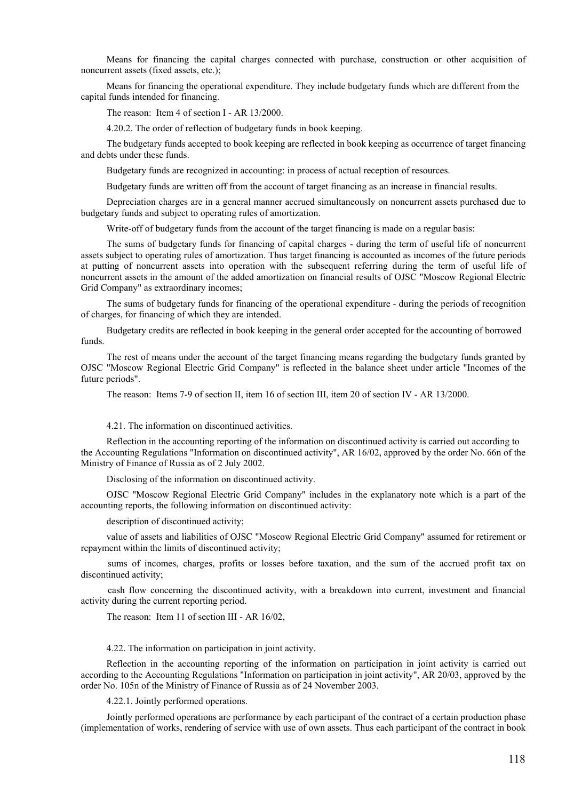Means for financing the capital charges connected with purchase, construction or other acquisition of noncurrent assets (fixed assets, etc.);

Means for financing the operational expenditure. They include budgetary funds which are different from the capital funds intended for financing.

The reason: Item 4 of section I - AR 13/2000.

4.20.2. The order of reflection of budgetary funds in book keeping.

The budgetary funds accepted to book keeping are reflected in book keeping as occurrence of target financing and debts under these funds.

Budgetary funds are recognized in accounting: in process of actual reception of resources.

Budgetary funds are written off from the account of target financing as an increase in financial results.

Depreciation charges are in a general manner accrued simultaneously on noncurrent assets purchased due to budgetary funds and subject to operating rules of amortization.

Write-off of budgetary funds from the account of the target financing is made on a regular basis:

The sums of budgetary funds for financing of capital charges - during the term of useful life of noncurrent assets subject to operating rules of amortization. Thus target financing is accounted as incomes of the future periods at putting of noncurrent assets into operation with the subsequent referring during the term of useful life of noncurrent assets in the amount of the added amortization on financial results of OJSC "Moscow Regional Electric Grid Company" as extraordinary incomes;

The sums of budgetary funds for financing of the operational expenditure - during the periods of recognition of charges, for financing of which they are intended.

Budgetary credits are reflected in book keeping in the general order accepted for the accounting of borrowed funds.

The rest of means under the account of the target financing means regarding the budgetary funds granted by OJSC "Moscow Regional Electric Grid Company" is reflected in the balance sheet under article "Incomes of the future periods".

The reason: Items 7-9 of section II, item 16 of section III, item 20 of section IV - AR 13/2000.

4.21. The information on discontinued activities.

Reflection in the accounting reporting of the information on discontinued activity is carried out according to the Accounting Regulations "Information on discontinued activity", AR 16/02, approved by the order No. 66n of the Ministry of Finance of Russia as of 2 July 2002.

Disclosing of the information on discontinued activity.

OJSC "Moscow Regional Electric Grid Company" includes in the explanatory note which is a part of the accounting reports, the following information on discontinued activity:

description of discontinued activity;

value of assets and liabilities of OJSC "Moscow Regional Electric Grid Company" assumed for retirement or repayment within the limits of discontinued activity;

sums of incomes, charges, profits or losses before taxation, and the sum of the accrued profit tax on discontinued activity;

cash flow concerning the discontinued activity, with a breakdown into current, investment and financial activity during the current reporting period.

The reason: Item 11 of section III - AR 16/02,

4.22. The information on participation in joint activity.

Reflection in the accounting reporting of the information on participation in joint activity is carried out according to the Accounting Regulations "Information on participation in joint activity", AR 20/03, approved by the order No. 105n of the Ministry of Finance of Russia as of 24 November 2003.

4.22.1. Jointly performed operations.

Jointly performed operations are performance by each participant of the contract of a certain production phase (implementation of works, rendering of service with use of own assets. Thus each participant of the contract in book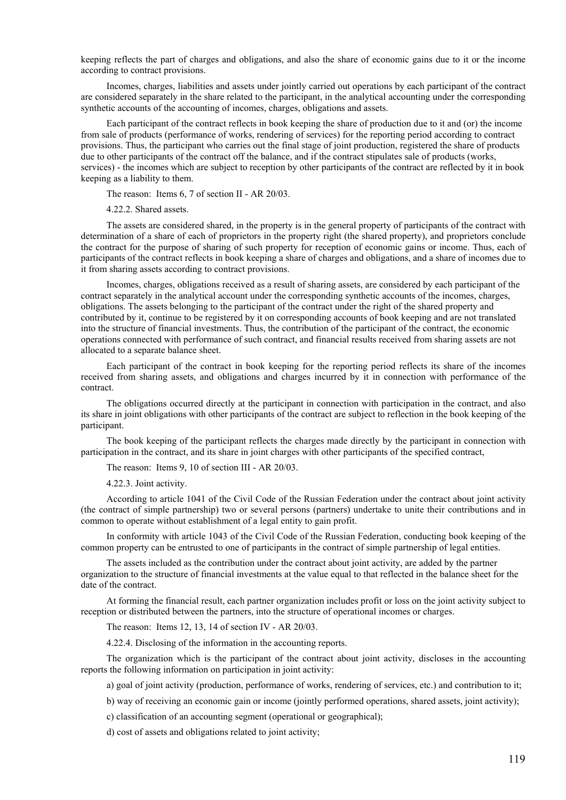keeping reflects the part of charges and obligations, and also the share of economic gains due to it or the income according to contract provisions.

Incomes, charges, liabilities and assets under jointly carried out operations by each participant of the contract are considered separately in the share related to the participant, in the analytical accounting under the corresponding synthetic accounts of the accounting of incomes, charges, obligations and assets.

Each participant of the contract reflects in book keeping the share of production due to it and (or) the income from sale of products (performance of works, rendering of services) for the reporting period according to contract provisions. Thus, the participant who carries out the final stage of joint production, registered the share of products due to other participants of the contract off the balance, and if the contract stipulates sale of products (works, services) - the incomes which are subject to reception by other participants of the contract are reflected by it in book keeping as a liability to them.

The reason: Items 6, 7 of section II - AR 20/03.

4.22.2. Shared assets.

The assets are considered shared, in the property is in the general property of participants of the contract with determination of a share of each of proprietors in the property right (the shared property), and proprietors conclude the contract for the purpose of sharing of such property for reception of economic gains or income. Thus, each of participants of the contract reflects in book keeping a share of charges and obligations, and a share of incomes due to it from sharing assets according to contract provisions.

Incomes, charges, obligations received as a result of sharing assets, are considered by each participant of the contract separately in the analytical account under the corresponding synthetic accounts of the incomes, charges, obligations. The assets belonging to the participant of the contract under the right of the shared property and contributed by it, continue to be registered by it on corresponding accounts of book keeping and are not translated into the structure of financial investments. Thus, the contribution of the participant of the contract, the economic operations connected with performance of such contract, and financial results received from sharing assets are not allocated to a separate balance sheet.

Each participant of the contract in book keeping for the reporting period reflects its share of the incomes received from sharing assets, and obligations and charges incurred by it in connection with performance of the contract.

The obligations occurred directly at the participant in connection with participation in the contract, and also its share in joint obligations with other participants of the contract are subject to reflection in the book keeping of the participant.

The book keeping of the participant reflects the charges made directly by the participant in connection with participation in the contract, and its share in joint charges with other participants of the specified contract,

The reason: Items 9, 10 of section III - AR 20/03.

4.22.3. Joint activity.

According to article 1041 of the Civil Code of the Russian Federation under the contract about joint activity (the contract of simple partnership) two or several persons (partners) undertake to unite their contributions and in common to operate without establishment of a legal entity to gain profit.

In conformity with article 1043 of the Civil Code of the Russian Federation, conducting book keeping of the common property can be entrusted to one of participants in the contract of simple partnership of legal entities.

The assets included as the contribution under the contract about joint activity, are added by the partner organization to the structure of financial investments at the value equal to that reflected in the balance sheet for the date of the contract.

At forming the financial result, each partner organization includes profit or loss on the joint activity subject to reception or distributed between the partners, into the structure of operational incomes or charges.

The reason: Items 12, 13, 14 of section IV - AR 20/03.

4.22.4. Disclosing of the information in the accounting reports.

The organization which is the participant of the contract about joint activity, discloses in the accounting reports the following information on participation in joint activity:

a) goal of joint activity (production, performance of works, rendering of services, etc.) and contribution to it;

b) way of receiving an economic gain or income (jointly performed operations, shared assets, joint activity);

c) classification of an accounting segment (operational or geographical);

d) cost of assets and obligations related to joint activity;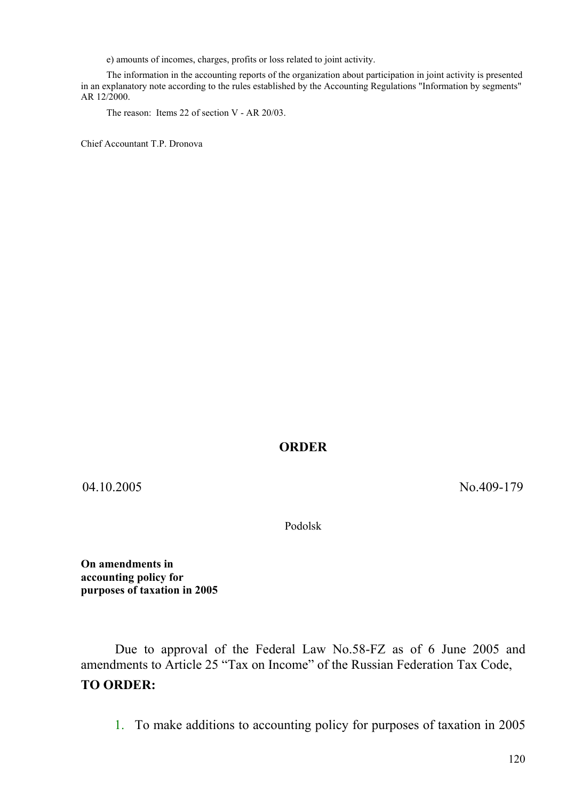e) amounts of incomes, charges, profits or loss related to joint activity.

The information in the accounting reports of the organization about participation in joint activity is presented in an explanatory note according to the rules established by the Accounting Regulations "Information by segments" AR 12/2000.

The reason: Items 22 of section V - AR 20/03.

Chief Accountant T.P. Dronova

## **ORDER**

04.10.2005 No.409-179

Podolsk

**On amendments in accounting policy for purposes of taxation in 2005** 

Due to approval of the Federal Law No.58-FZ as of 6 June 2005 and amendments to Article 25 "Tax on Income" of the Russian Federation Tax Code, **TO ORDER:** 

1. To make additions to accounting policy for purposes of taxation in 2005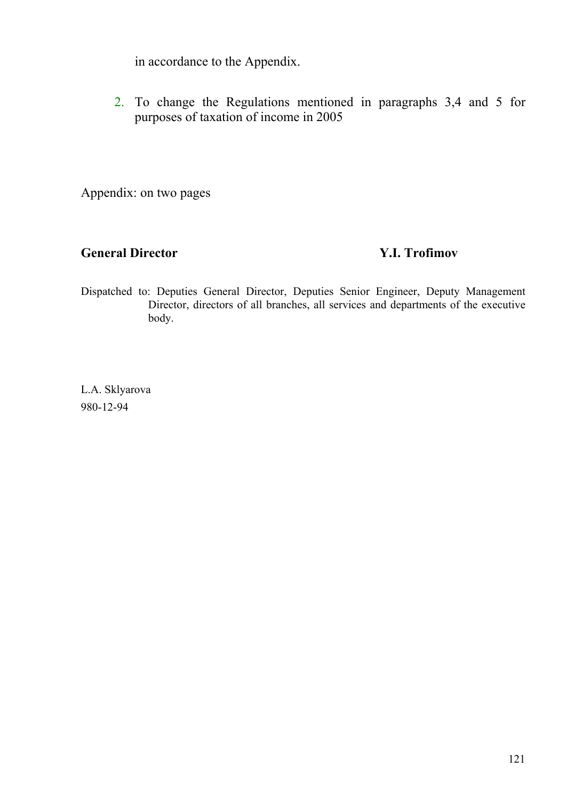in accordance to the Appendix.

2. To change the Regulations mentioned in paragraphs 3,4 and 5 for purposes of taxation of income in 2005

Appendix: on two pages

## **General Director Y.I. Trofimov**

Dispatched to: Deputies General Director, Deputies Senior Engineer, Deputy Management Director, directors of all branches, all services and departments of the executive body.

L.A. Sklyarova 980-12-94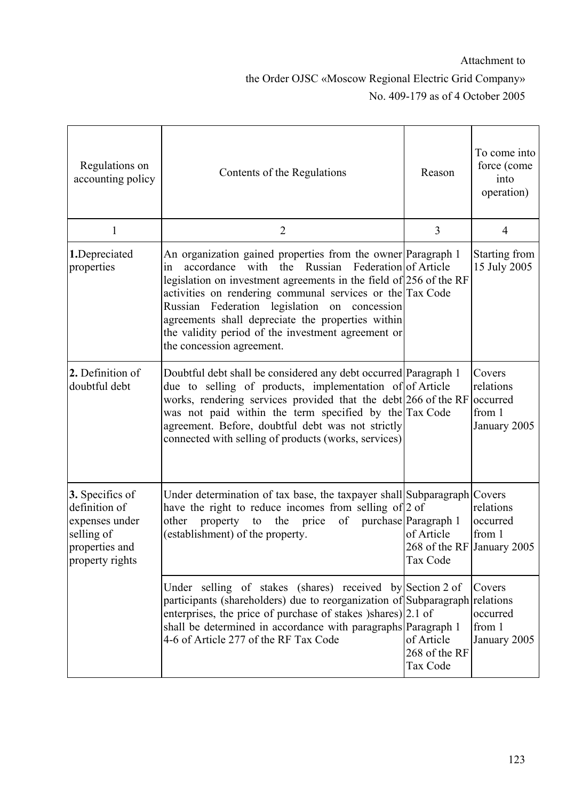## Attachment to the Order OJSC «Moscow Regional Electric Grid Company» No. 409-179 as of 4 October 2005

| Regulations on<br>accounting policy                                                                   | Contents of the Regulations                                                                                                                                                                                                                                                                                                                                                                                                                             | Reason                                                                       | To come into<br>force (come<br>into<br>operation)         |
|-------------------------------------------------------------------------------------------------------|---------------------------------------------------------------------------------------------------------------------------------------------------------------------------------------------------------------------------------------------------------------------------------------------------------------------------------------------------------------------------------------------------------------------------------------------------------|------------------------------------------------------------------------------|-----------------------------------------------------------|
| $\mathbf{1}$                                                                                          | $\overline{2}$                                                                                                                                                                                                                                                                                                                                                                                                                                          | 3                                                                            | 4                                                         |
| 1.Depreciated<br>properties                                                                           | An organization gained properties from the owner Paragraph 1<br>with the Russian Federation of Article<br>accordance<br>1n<br>legislation on investment agreements in the field of $256$ of the RF<br>activities on rendering communal services or the Tax Code<br>Russian Federation legislation on concession<br>agreements shall depreciate the properties within<br>the validity period of the investment agreement or<br>the concession agreement. |                                                                              | Starting from<br>15 July 2005                             |
| 2. Definition of<br>doubtful debt                                                                     | Doubtful debt shall be considered any debt occurred Paragraph 1<br>due to selling of products, implementation of of Article<br>works, rendering services provided that the debt 266 of the RF<br>was not paid within the term specified by the Tax Code<br>agreement. Before, doubtful debt was not strictly<br>connected with selling of products (works, services)                                                                                    |                                                                              | Covers<br>relations<br>occurred<br>from 1<br>January 2005 |
| 3. Specifics of<br>definition of<br>expenses under<br>selling of<br>properties and<br>property rights | Under determination of tax base, the taxpayer shall Subparagraph Covers<br>have the right to reduce incomes from selling of 2 of<br>other property to the price<br>of<br>(establishment) of the property.                                                                                                                                                                                                                                               | purchase Paragraph 1<br>of Article<br>268 of the RF January 2005<br>Tax Code | relations<br>occurred<br>from 1                           |
|                                                                                                       | Under selling of stakes (shares) received by Section 2 of<br>participants (shareholders) due to reorganization of Subparagraph relations<br>enterprises, the price of purchase of stakes )shares) [2.1 of<br>shall be determined in accordance with paragraphs Paragraph 1<br>4-6 of Article 277 of the RF Tax Code                                                                                                                                     | of Article<br>268 of the RF<br>Tax Code                                      | Covers<br>occurred<br>from 1<br>January 2005              |